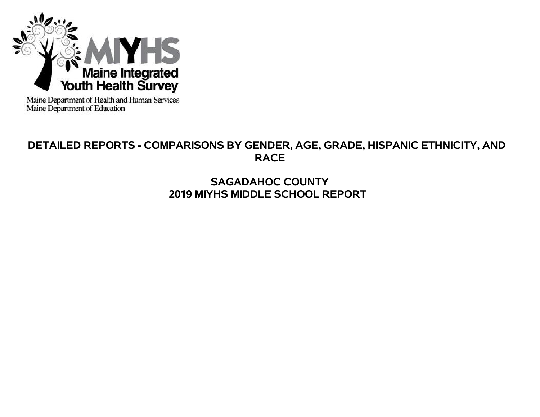

Maine Department of Health and Human Services<br>Maine Department of Education

# **DETAILED REPORTS - COMPARISONS BY GENDER, AGE, GRADE, HISPANIC ETHNICITY, AND RACE**

# **SAGADAHOC COUNTY 2019 MIYHS MIDDLE SCHOOL REPORT**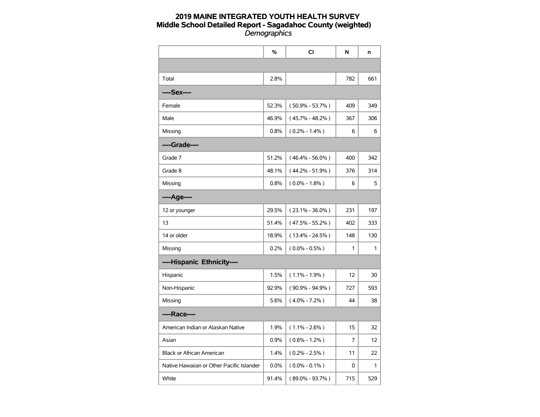|                                           | %     | CI                  | N   | n   |
|-------------------------------------------|-------|---------------------|-----|-----|
|                                           |       |                     |     |     |
| Total                                     | 2.8%  |                     | 782 | 661 |
| ----Sex----                               |       |                     |     |     |
| Female                                    | 52.3% | $(50.9\% - 53.7\%)$ | 409 | 349 |
| Male                                      | 46.9% | $(45.7\% - 48.2\%)$ | 367 | 306 |
| Missing                                   | 0.8%  | $(0.2\% - 1.4\%)$   | 6   | 6   |
| ----Grade----                             |       |                     |     |     |
| Grade 7                                   | 51.2% | $(46.4\% - 56.0\%)$ | 400 | 342 |
| Grade 8                                   | 48.1% | $(44.2\% - 51.9\%)$ | 376 | 314 |
| Missing                                   | 0.8%  | $(0.0\% - 1.8\%)$   | 6   | 5   |
| ----Age----                               |       |                     |     |     |
| 12 or younger                             | 29.5% | $(23.1\% - 36.0\%)$ | 231 | 197 |
| 13                                        | 51.4% | $(47.5\% - 55.2\%)$ | 402 | 333 |
| 14 or older                               | 18.9% | $(13.4\% - 24.5\%)$ | 148 | 130 |
| Missing                                   | 0.2%  | $(0.0\% - 0.5\%)$   | 1   | 1   |
| ----Hispanic Ethnicity----                |       |                     |     |     |
| Hispanic                                  | 1.5%  | $(1.1\% - 1.9\%)$   | 12  | 30  |
| Non-Hispanic                              | 92.9% | $(90.9\% - 94.9\%)$ | 727 | 593 |
| Missing                                   | 5.6%  | $(4.0\% - 7.2\%)$   | 44  | 38  |
| ----Race----                              |       |                     |     |     |
| American Indian or Alaskan Native         | 1.9%  | $(1.1\% - 2.6\%)$   | 15  | 32  |
| Asian                                     | 0.9%  | $(0.6\% - 1.2\%)$   | 7   | 12  |
| <b>Black or African American</b>          | 1.4%  | $(0.2\% - 2.5\%)$   | 11  | 22  |
| Native Hawaiian or Other Pacific Islander | 0.0%  | $(0.0\% - 0.1\%)$   | 0   | 1   |
| White                                     | 91.4% | $(89.0\% - 93.7\%)$ | 715 | 529 |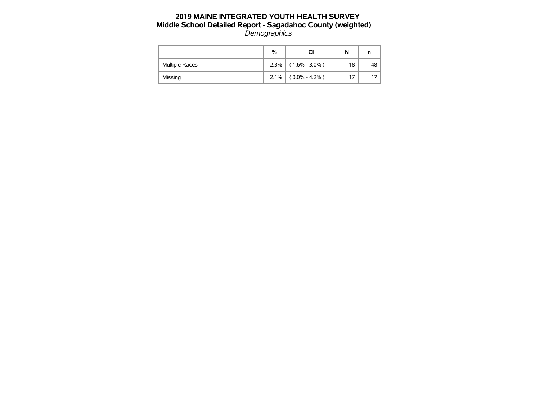|                | %    |                   | N  | n  |
|----------------|------|-------------------|----|----|
| Multiple Races | 2.3% | $(1.6\% - 3.0\%)$ | 18 | 48 |
| Missing        | 2.1% | $(0.0\% - 4.2\%)$ | 17 |    |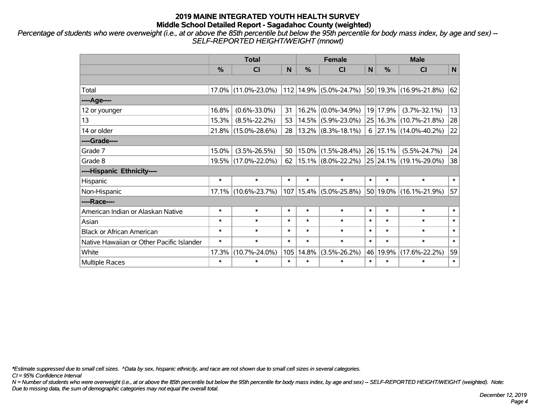*Percentage of students who were overweight (i.e., at or above the 85th percentile but below the 95th percentile for body mass index, by age and sex) -- SELF-REPORTED HEIGHT/WEIGHT (mnowt)*

|                                           | <b>Total</b>  |                                             |        |               | <b>Female</b>               |        | <b>Male</b> |                                               |        |  |
|-------------------------------------------|---------------|---------------------------------------------|--------|---------------|-----------------------------|--------|-------------|-----------------------------------------------|--------|--|
|                                           | $\frac{0}{0}$ | %<br>%<br>N<br><b>CI</b><br>N.<br><b>CI</b> |        | <b>CI</b>     | N                           |        |             |                                               |        |  |
|                                           |               |                                             |        |               |                             |        |             |                                               |        |  |
| Total                                     | 17.0%         | $(11.0\% - 23.0\%)$                         |        |               |                             |        |             | 112 14.9% (5.0%-24.7%) 50 19.3% (16.9%-21.8%) | 62     |  |
| ----Age----                               |               |                                             |        |               |                             |        |             |                                               |        |  |
| 12 or younger                             | 16.8%         | $(0.6\% - 33.0\%)$                          | 31     | 16.2%         | $(0.0\% - 34.9\%)$          |        | 19 17.9%    | $(3.7\% - 32.1\%)$                            | 13     |  |
| 13                                        | 15.3%         | $(8.5\% - 22.2\%)$                          | 53     | 14.5%         | $(5.9\% - 23.0\%)$          |        |             | 25 16.3% (10.7%-21.8%)                        | 28     |  |
| 14 or older                               | $21.8\%$      | $(15.0\% - 28.6\%)$                         | 28     |               | $13.2\%$ (8.3%-18.1%)       |        |             | $6$   27.1%   (14.0%-40.2%)                   | 22     |  |
| ----Grade----                             |               |                                             |        |               |                             |        |             |                                               |        |  |
| Grade 7                                   | 15.0%         | $(3.5\% - 26.5\%)$                          | 50     | $15.0\%$      | $(1.5\% - 28.4\%)$ 26 15.1% |        |             | $(5.5\% - 24.7\%)$                            | 24     |  |
| Grade 8                                   |               | 19.5% (17.0%-22.0%)                         | 62     |               |                             |        |             | $15.1\%$ (8.0%-22.2%) 25 24.1% (19.1%-29.0%)  | 38     |  |
| ----Hispanic Ethnicity----                |               |                                             |        |               |                             |        |             |                                               |        |  |
| Hispanic                                  | $\ast$        | $\ast$                                      | $\ast$ | *             | $\ast$                      | $\ast$ | $\ast$      | $\ast$                                        | $\ast$ |  |
| Non-Hispanic                              |               | 17.1% (10.6%-23.7%)                         |        | $107$   15.4% | $(5.0\% - 25.8\%)$          |        |             | 50 19.0% (16.1%-21.9%)                        | 57     |  |
| ----Race----                              |               |                                             |        |               |                             |        |             |                                               |        |  |
| American Indian or Alaskan Native         | $\ast$        | $\ast$                                      | $\ast$ | $\ast$        | $\ast$                      | $\ast$ | $\ast$      | $\ast$                                        | $\ast$ |  |
| Asian                                     | $\ast$        | $\ast$                                      | $\ast$ | $\ast$        | $\ast$                      | $\ast$ | $\ast$      | $\ast$                                        | $\ast$ |  |
| <b>Black or African American</b>          | $\ast$        | $\ast$                                      | $\ast$ | $\ast$        | $\ast$                      | $\ast$ | *           | $\ast$                                        | $\ast$ |  |
| Native Hawaiian or Other Pacific Islander | $\ast$        | $\ast$                                      | $\ast$ | $\ast$        | $\ast$                      | $\ast$ | $\ast$      | $\ast$                                        | $\ast$ |  |
| White                                     | 17.3%         | $(10.7\% - 24.0\%)$                         | 105    | 14.8%         | $(3.5\% - 26.2\%)$          |        | 46 19.9%    | $(17.6\% - 22.2\%)$                           | 59     |  |
| <b>Multiple Races</b>                     | $\ast$        | $\ast$                                      | $\ast$ | $\ast$        | $\ast$                      | $\ast$ | $\ast$      | $\ast$                                        | $\ast$ |  |

*\*Estimate suppressed due to small cell sizes. ^Data by sex, hispanic ethnicity, and race are not shown due to small cell sizes in several categories.*

*CI = 95% Confidence Interval*

*N = Number of students who were overweight (i.e., at or above the 85th percentile but below the 95th percentile for body mass index, by age and sex) -- SELF-REPORTED HEIGHT/WEIGHT (weighted). Note: Due to missing data, the sum of demographic categories may not equal the overall total.*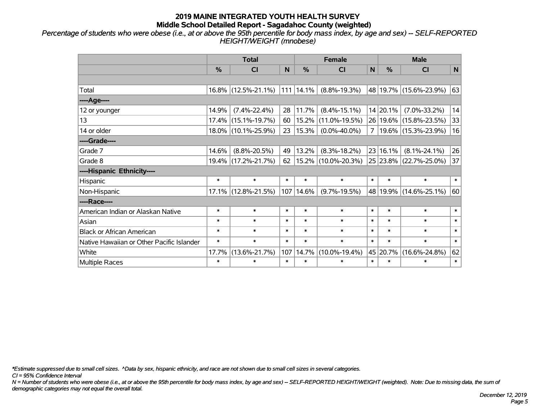*Percentage of students who were obese (i.e., at or above the 95th percentile for body mass index, by age and sex) -- SELF-REPORTED HEIGHT/WEIGHT (mnobese)*

|                                           | <b>Total</b>  |                        |                                           |        | <b>Female</b>       | <b>Male</b>     |          |                          |        |
|-------------------------------------------|---------------|------------------------|-------------------------------------------|--------|---------------------|-----------------|----------|--------------------------|--------|
|                                           | $\frac{0}{0}$ | CI                     | $\frac{9}{6}$<br>%<br>N<br>N<br><b>CI</b> |        | <b>CI</b>           | N               |          |                          |        |
|                                           |               |                        |                                           |        |                     |                 |          |                          |        |
| Total                                     |               | $16.8\%$ (12.5%-21.1%) | 111                                       | 14.1%  | $(8.8\% - 19.3\%)$  |                 |          | 48 19.7% (15.6%-23.9%)   | 63     |
| ---- Age----                              |               |                        |                                           |        |                     |                 |          |                          |        |
| 12 or younger                             | 14.9%         | $(7.4\% - 22.4\%)$     | 28                                        | 11.7%  | $(8.4\% - 15.1\%)$  |                 | 14 20.1% | $(7.0\% - 33.2\%)$       | 14     |
| 13                                        |               | $17.4\%$ (15.1%-19.7%) | 60                                        | 15.2%  | $(11.0\% - 19.5\%)$ |                 |          | 26 19.6% (15.8%-23.5%)   | 33     |
| 14 or older                               |               | 18.0% (10.1%-25.9%)    | 23                                        | 15.3%  | $(0.0\% - 40.0\%)$  | $\overline{7}$  |          | $ 19.6\% $ (15.3%-23.9%) | 16     |
| ----Grade----                             |               |                        |                                           |        |                     |                 |          |                          |        |
| Grade 7                                   | 14.6%         | $(8.8\% - 20.5\%)$     | 49                                        | 13.2%  | $(8.3\% - 18.2\%)$  | 23 <sub>1</sub> | 16.1%    | $(8.1\% - 24.1\%)$       | 26     |
| Grade 8                                   |               | 19.4% (17.2%-21.7%)    | 62                                        |        | 15.2% (10.0%-20.3%) |                 |          | 25 23.8% (22.7%-25.0%)   | 37     |
| ----Hispanic Ethnicity----                |               |                        |                                           |        |                     |                 |          |                          |        |
| Hispanic                                  | $\ast$        | $\ast$                 | $\ast$                                    | $\ast$ | $\ast$              | $\ast$          | $\ast$   | $\ast$                   | $\ast$ |
| Non-Hispanic                              |               | 17.1% (12.8%-21.5%)    | 107                                       | 14.6%  | $(9.7\% - 19.5\%)$  |                 |          | 48 19.9% (14.6%-25.1%)   | 60     |
| ----Race----                              |               |                        |                                           |        |                     |                 |          |                          |        |
| American Indian or Alaskan Native         | $\ast$        | $\ast$                 | $\ast$                                    | $\ast$ | $\ast$              | $\ast$          | $\ast$   | $\ast$                   | $\ast$ |
| Asian                                     | $\ast$        | $\ast$                 | $\ast$                                    | $\ast$ | $\ast$              | $\ast$          | $\ast$   | $\ast$                   | $\ast$ |
| <b>Black or African American</b>          | $\ast$        | $\ast$                 | $\ast$                                    | $\ast$ | $\ast$              | $\ast$          | $\ast$   | $\ast$                   | $\ast$ |
| Native Hawaiian or Other Pacific Islander | $\ast$        | $\ast$                 | $\ast$                                    | $\ast$ | $\ast$              | $\ast$          | $\ast$   | $\ast$                   | $\ast$ |
| White                                     | 17.7%         | $(13.6\% - 21.7\%)$    | 107                                       | 14.7%  | $(10.0\% - 19.4\%)$ |                 | 45 20.7% | $(16.6\% - 24.8\%)$      | 62     |
| Multiple Races                            | $\ast$        | $\ast$                 | $\ast$                                    | $\ast$ | $\ast$              | $\ast$          | $\ast$   | $\ast$                   | $\ast$ |

*\*Estimate suppressed due to small cell sizes. ^Data by sex, hispanic ethnicity, and race are not shown due to small cell sizes in several categories.*

*CI = 95% Confidence Interval*

*N = Number of students who were obese (i.e., at or above the 95th percentile for body mass index, by age and sex) -- SELF-REPORTED HEIGHT/WEIGHT (weighted). Note: Due to missing data, the sum of demographic categories may not equal the overall total.*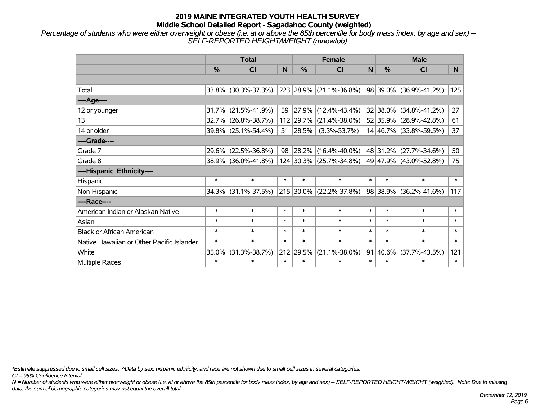*Percentage of students who were either overweight or obese (i.e. at or above the 85th percentile for body mass index, by age and sex) -- SELF-REPORTED HEIGHT/WEIGHT (mnowtob)*

|                                           |               | <b>Total</b>        |        | <b>Female</b> |                         | <b>Male</b> |               |                            |          |
|-------------------------------------------|---------------|---------------------|--------|---------------|-------------------------|-------------|---------------|----------------------------|----------|
|                                           | $\frac{0}{0}$ | CI                  | N      | %             | <b>CI</b>               | N           | $\frac{0}{0}$ | <b>CI</b>                  | <b>N</b> |
|                                           |               |                     |        |               |                         |             |               |                            |          |
| Total                                     |               | 33.8% (30.3%-37.3%) |        | 223 28.9%     | $(21.1\% - 36.8\%)$     |             |               | 98   39.0%   (36.9%-41.2%) | 125      |
| ----Age----                               |               |                     |        |               |                         |             |               |                            |          |
| 12 or younger                             | 31.7%         | $(21.5\% - 41.9\%)$ | 59     | 27.9%         | $(12.4\% - 43.4\%)$     |             | 32 38.0%      | $(34.8\% - 41.2\%)$        | 27       |
| 13                                        | 32.7%         | $(26.8\% - 38.7\%)$ |        | 112 29.7%     | $(21.4\% - 38.0\%)$     |             | 52 35.9%      | $(28.9\% - 42.8\%)$        | 61       |
| 14 or older                               | 39.8%         | $(25.1\% - 54.4\%)$ | 51     | 28.5%         | $(3.3\% - 53.7\%)$      |             |               | 14 46.7% (33.8%-59.5%)     | 37       |
| ----Grade----                             |               |                     |        |               |                         |             |               |                            |          |
| Grade 7                                   | 29.6%         | $(22.5\% - 36.8\%)$ | 98     | 28.2%         | $(16.4\% - 40.0\%)$     |             | 48 31.2%      | $(27.7\% - 34.6\%)$        | 50       |
| Grade 8                                   |               | 38.9% (36.0%-41.8%) |        |               | 124 30.3% (25.7%-34.8%) |             |               | 49 47.9% (43.0%-52.8%)     | 75       |
| ----Hispanic Ethnicity----                |               |                     |        |               |                         |             |               |                            |          |
| Hispanic                                  | $\ast$        | $\ast$              | $\ast$ | $\ast$        | $\ast$                  | $\ast$      | $\ast$        | $\ast$                     | $\ast$   |
| Non-Hispanic                              | 34.3%         | $(31.1\% - 37.5\%)$ |        | 215 30.0%     | $(22.2\% - 37.8\%)$     |             | 98 38.9%      | $(36.2\% - 41.6\%)$        | 117      |
| ----Race----                              |               |                     |        |               |                         |             |               |                            |          |
| American Indian or Alaskan Native         | $\ast$        | $\ast$              | $\ast$ | $\ast$        | $\ast$                  | $\ast$      | $\ast$        | $\ast$                     | $\ast$   |
| Asian                                     | $\ast$        | $\ast$              | $\ast$ | $\ast$        | $\ast$                  | $\ast$      | $\ast$        | $\ast$                     | $\ast$   |
| <b>Black or African American</b>          | $\ast$        | $\ast$              | $\ast$ | $\ast$        | $\ast$                  | $\ast$      | $\ast$        | $\ast$                     | $\ast$   |
| Native Hawaiian or Other Pacific Islander | $\ast$        | $\ast$              | $\ast$ | $\ast$        | $\ast$                  | $\ast$      | $\ast$        | $\ast$                     | $\ast$   |
| White                                     | 35.0%         | $(31.3\% - 38.7\%)$ | 212    | 29.5%         | $(21.1\% - 38.0\%)$     |             | 91 40.6%      | $(37.7\% - 43.5\%)$        | 121      |
| <b>Multiple Races</b>                     | $\ast$        | $\ast$              | $\ast$ | $\ast$        | $\ast$                  | $\ast$      | $\ast$        | $\ast$                     | $\ast$   |

*\*Estimate suppressed due to small cell sizes. ^Data by sex, hispanic ethnicity, and race are not shown due to small cell sizes in several categories.*

*CI = 95% Confidence Interval*

*N = Number of students who were either overweight or obese (i.e. at or above the 85th percentile for body mass index, by age and sex) -- SELF-REPORTED HEIGHT/WEIGHT (weighted). Note: Due to missing data, the sum of demographic categories may not equal the overall total.*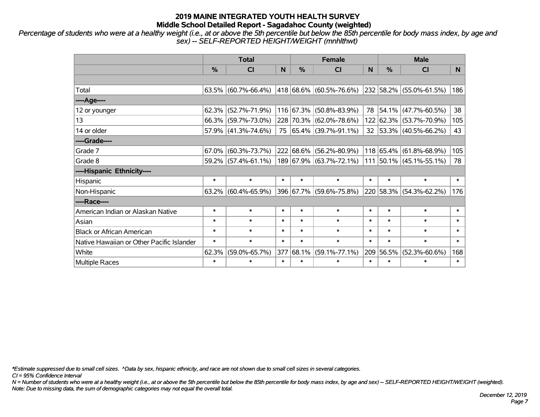*Percentage of students who were at a healthy weight (i.e., at or above the 5th percentile but below the 85th percentile for body mass index, by age and sex) -- SELF-REPORTED HEIGHT/WEIGHT (mnhlthwt)*

|                                           | <b>Total</b>                                                                        |                        |           |                | <b>Female</b>           |        | <b>Male</b> |                           |        |  |
|-------------------------------------------|-------------------------------------------------------------------------------------|------------------------|-----------|----------------|-------------------------|--------|-------------|---------------------------|--------|--|
|                                           | $\frac{0}{0}$<br>$\frac{0}{0}$<br>$\frac{0}{0}$<br>N<br><b>CI</b><br><b>CI</b><br>N |                        | <b>CI</b> | N <sub>1</sub> |                         |        |             |                           |        |  |
|                                           |                                                                                     |                        |           |                |                         |        |             |                           |        |  |
| Total                                     |                                                                                     | $63.5\%$ (60.7%-66.4%) |           |                | 418 68.6% (60.5%-76.6%) |        |             | 232 58.2% (55.0%-61.5%)   | 186    |  |
| ----Age----                               |                                                                                     |                        |           |                |                         |        |             |                           |        |  |
| 12 or younger                             |                                                                                     | $62.3\%$ (52.7%-71.9%) |           | 116 67.3%      | $(50.8\% - 83.9\%)$     | 78     | $ 54.1\% $  | $(47.7\% - 60.5\%)$       | 38     |  |
| 13                                        |                                                                                     | 66.3% (59.7%-73.0%)    |           |                | 228 70.3% (62.0%-78.6%) |        |             | 122 62.3% (53.7%-70.9%)   | 105    |  |
| 14 or older                               |                                                                                     | $57.9\%$ (41.3%-74.6%) |           |                | 75 65.4% (39.7%-91.1%)  |        |             | 32 53.3% (40.5%-66.2%)    | 43     |  |
| ----Grade----                             |                                                                                     |                        |           |                |                         |        |             |                           |        |  |
| Grade 7                                   | 67.0%                                                                               | $(60.3\% - 73.7\%)$    |           | 222 68.6%      | $(56.2\% - 80.9\%)$     |        | 118 65.4%   | $(61.8\% - 68.9\%)$       | 105    |  |
| Grade 8                                   |                                                                                     | 59.2% (57.4%-61.1%)    |           |                | 189 67.9% (63.7%-72.1%) |        |             | $111$ 50.1% (45.1%-55.1%) | 78     |  |
| ----Hispanic Ethnicity----                |                                                                                     |                        |           |                |                         |        |             |                           |        |  |
| Hispanic                                  | $\ast$                                                                              | $\ast$                 | $\ast$    | $\ast$         | $\ast$                  | $\ast$ | $\ast$      | $\ast$                    | $\ast$ |  |
| Non-Hispanic                              |                                                                                     | $63.2\%$ (60.4%-65.9%) |           |                | 396 67.7% (59.6%-75.8%) |        | 220 58.3%   | $(54.3\% - 62.2\%)$       | 176    |  |
| ----Race----                              |                                                                                     |                        |           |                |                         |        |             |                           |        |  |
| American Indian or Alaskan Native         | $\ast$                                                                              | $\ast$                 | $\ast$    | $\ast$         | $\ast$                  | $\ast$ | $\ast$      | $\ast$                    | $\ast$ |  |
| Asian                                     | $\ast$                                                                              | $\ast$                 | $\ast$    | $\ast$         | $\ast$                  | $\ast$ | $\ast$      | $\ast$                    | $\ast$ |  |
| <b>Black or African American</b>          | $\ast$                                                                              | $\ast$                 | $\ast$    | $\ast$         | $\ast$                  | $\ast$ | $\ast$      | $\ast$                    | $\ast$ |  |
| Native Hawaiian or Other Pacific Islander | $\ast$                                                                              | $\ast$                 | $\ast$    | $\ast$         | $\ast$                  | $\ast$ | $\ast$      | $\ast$                    | $\ast$ |  |
| White                                     | 62.3%                                                                               | $(59.0\% - 65.7\%)$    | 377       | 68.1%          | $(59.1\% - 77.1\%)$     | 209    | 56.5%       | $(52.3\% - 60.6\%)$       | 168    |  |
| Multiple Races                            | $\ast$                                                                              | $\ast$                 | $\ast$    | $\ast$         | $\ast$                  | $\ast$ | $\ast$      | $\ast$                    | $\ast$ |  |

*\*Estimate suppressed due to small cell sizes. ^Data by sex, hispanic ethnicity, and race are not shown due to small cell sizes in several categories.*

*CI = 95% Confidence Interval*

*N = Number of students who were at a healthy weight (i.e., at or above the 5th percentile but below the 85th percentile for body mass index, by age and sex) -- SELF-REPORTED HEIGHT/WEIGHT (weighted). Note: Due to missing data, the sum of demographic categories may not equal the overall total.*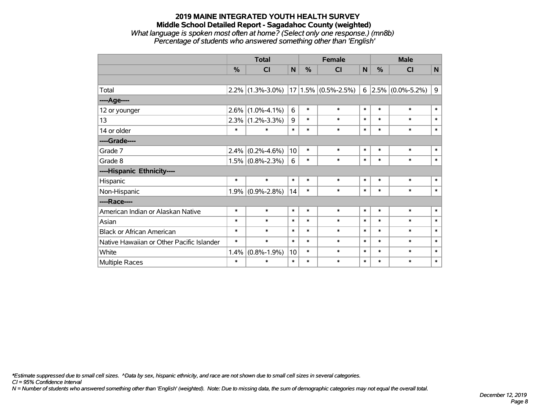#### **2019 MAINE INTEGRATED YOUTH HEALTH SURVEY Middle School Detailed Report - Sagadahoc County (weighted)** *What language is spoken most often at home? (Select only one response.) (mn8b) Percentage of students who answered something other than 'English'*

|                                           | <b>Total</b> |                     |        | <b>Female</b> |                         |        | <b>Male</b> |                                          |                         |  |
|-------------------------------------------|--------------|---------------------|--------|---------------|-------------------------|--------|-------------|------------------------------------------|-------------------------|--|
|                                           | %            | CI                  | N      | %             | <b>CI</b>               | N      | %           | CI                                       | $\overline{\mathsf{N}}$ |  |
|                                           |              |                     |        |               |                         |        |             |                                          |                         |  |
| Total                                     | 2.2%         | $(1.3\% - 3.0\%)$   |        |               | $17 1.5\% $ (0.5%-2.5%) |        |             | 6 $\left  2.5\% \right  (0.0\% - 5.2\%)$ | 9                       |  |
| ----Age----                               |              |                     |        |               |                         |        |             |                                          |                         |  |
| 12 or younger                             | 2.6%         | $(1.0\% - 4.1\%)$   | 6      | $\ast$        | $\ast$                  | $\ast$ | $\ast$      | $\ast$                                   | $\ast$                  |  |
| 13                                        | 2.3%         | $(1.2\% - 3.3\%)$   | 9      | $\ast$        | $\ast$                  | $\ast$ | $\ast$      | $\ast$                                   | $\ast$                  |  |
| 14 or older                               | $\ast$       | $\ast$              | $\ast$ | $\ast$        | $\ast$                  | $\ast$ | $\ast$      | $\ast$                                   | $\ast$                  |  |
| ----Grade----                             |              |                     |        |               |                         |        |             |                                          |                         |  |
| Grade 7                                   | 2.4%         | $(0.2\% - 4.6\%)$   | 10     | $\ast$        | $\ast$                  | $\ast$ | $\ast$      | $\ast$                                   | $\ast$                  |  |
| Grade 8                                   |              | $1.5\%$ (0.8%-2.3%) | 6      | $\ast$        | $\ast$                  | $\ast$ | $\ast$      | $\ast$                                   | $\ast$                  |  |
| ----Hispanic Ethnicity----                |              |                     |        |               |                         |        |             |                                          |                         |  |
| Hispanic                                  | $\ast$       | $\ast$              | $\ast$ | $\ast$        | $\ast$                  | $\ast$ | $\ast$      | $\ast$                                   | $\ast$                  |  |
| Non-Hispanic                              | 1.9%         | $(0.9\% - 2.8\%)$   | 14     | $\ast$        | $\ast$                  | $\ast$ | $\ast$      | $\ast$                                   | $\ast$                  |  |
| ----Race----                              |              |                     |        |               |                         |        |             |                                          |                         |  |
| American Indian or Alaskan Native         | $\ast$       | $\ast$              | $\ast$ | $\ast$        | $\ast$                  | $\ast$ | $\ast$      | $\ast$                                   | $\ast$                  |  |
| Asian                                     | $\ast$       | $\ast$              | $\ast$ | $\ast$        | $\ast$                  | $\ast$ | $\ast$      | $\ast$                                   | $\ast$                  |  |
| <b>Black or African American</b>          | $\ast$       | $\ast$              | $\ast$ | $\ast$        | $\ast$                  | $\ast$ | $\ast$      | $\ast$                                   | $\ast$                  |  |
| Native Hawaiian or Other Pacific Islander | $\ast$       | $\ast$              | $\ast$ | $\ast$        | $\ast$                  | $\ast$ | $\ast$      | $\ast$                                   | $\ast$                  |  |
| White                                     | 1.4%         | $(0.8\% - 1.9\%)$   | 10     | $\ast$        | $\ast$                  | $\ast$ | $\ast$      | $\ast$                                   | $\ast$                  |  |
| Multiple Races                            | $\ast$       | $\ast$              | $\ast$ | $\ast$        | $\ast$                  | $\ast$ | $\ast$      | $\ast$                                   | $\ast$                  |  |

*\*Estimate suppressed due to small cell sizes. ^Data by sex, hispanic ethnicity, and race are not shown due to small cell sizes in several categories.*

*CI = 95% Confidence Interval*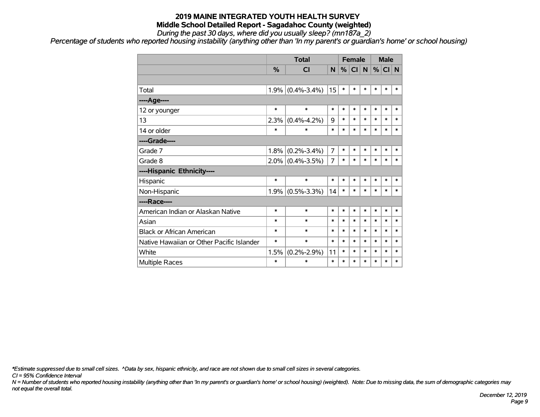*During the past 30 days, where did you usually sleep? (mn187a\_2)*

*Percentage of students who reported housing instability (anything other than 'In my parent's or guardian's home' or school housing)*

|                                           |        | <b>Total</b>        |        | <b>Female</b> |        |                | <b>Male</b> |          |        |
|-------------------------------------------|--------|---------------------|--------|---------------|--------|----------------|-------------|----------|--------|
|                                           | %      | <b>CI</b>           | N      | %             | CI     | N <sub>1</sub> |             | $%$ CI N |        |
|                                           |        |                     |        |               |        |                |             |          |        |
| Total                                     |        | $1.9\%$ (0.4%-3.4%) | 15     | $\ast$        | $\ast$ | $\ast$         | $\ast$      | $\ast$   | $\ast$ |
| ----Age----                               |        |                     |        |               |        |                |             |          |        |
| 12 or younger                             | $\ast$ | $\ast$              | $\ast$ | $\ast$        | $\ast$ | $\ast$         | $\ast$      | $\ast$   | *      |
| 13                                        | 2.3%   | $(0.4\% - 4.2\%)$   | 9      | *             | $\ast$ | $\ast$         | $\ast$      | $\ast$   | $\ast$ |
| 14 or older                               | $\ast$ | $\ast$              | $\ast$ | $\ast$        | $\ast$ | $\ast$         | $\ast$      | $\ast$   | $\ast$ |
| ----Grade----                             |        |                     |        |               |        |                |             |          |        |
| Grade 7                                   | 1.8%   | $(0.2\% - 3.4\%)$   | 7      | $\ast$        | *      | $\ast$         | $\ast$      | $\ast$   | $\ast$ |
| Grade 8                                   |        | $2.0\%$ (0.4%-3.5%) | 7      | $\ast$        | *      | $\ast$         | *           | $\ast$   | $\ast$ |
| ----Hispanic Ethnicity----                |        |                     |        |               |        |                |             |          |        |
| Hispanic                                  | $\ast$ | $\ast$              | $\ast$ | $\ast$        | $\ast$ | $\ast$         | $\ast$      | $\ast$   | $\ast$ |
| Non-Hispanic                              |        | $1.9\%$ (0.5%-3.3%) | 14     | $\ast$        | $\ast$ | $\ast$         | $\ast$      | $\ast$   | *      |
| ----Race----                              |        |                     |        |               |        |                |             |          |        |
| American Indian or Alaskan Native         | $\ast$ | *                   | $\ast$ | $\ast$        | $\ast$ | $\ast$         | $\ast$      | $\ast$   | $\ast$ |
| Asian                                     | *      | $\ast$              | $\ast$ | $\ast$        | $\ast$ | $\ast$         | $\ast$      | $\ast$   | $\ast$ |
| <b>Black or African American</b>          | *      | *                   | $\ast$ | *             | $\ast$ | $\ast$         | $\ast$      | $\ast$   | $\ast$ |
| Native Hawaiian or Other Pacific Islander | *      | $\ast$              | $\ast$ | *             | $\ast$ | $\ast$         | $\ast$      | $\ast$   | *      |
| White                                     | 1.5%   | $(0.2\% - 2.9\%)$   | 11     | $\ast$        | *      | $\ast$         | $\ast$      | $\ast$   | $\ast$ |
| Multiple Races                            | $\ast$ | $\ast$              | $\ast$ | *             | $\ast$ | $\ast$         | $\ast$      | $\ast$   | *      |

*\*Estimate suppressed due to small cell sizes. ^Data by sex, hispanic ethnicity, and race are not shown due to small cell sizes in several categories.*

*CI = 95% Confidence Interval*

*N = Number of students who reported housing instability (anything other than 'In my parent's or guardian's home' or school housing) (weighted). Note: Due to missing data, the sum of demographic categories may not equal the overall total.*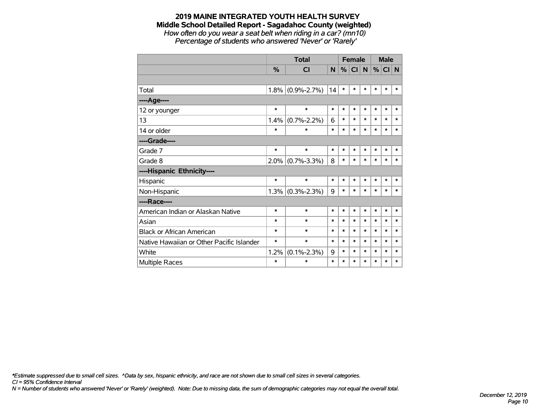*How often do you wear a seat belt when riding in a car? (mn10) Percentage of students who answered 'Never' or 'Rarely'*

|                                           |               | <b>Total</b>      |        | <b>Female</b> |           |        | <b>Male</b> |        |        |
|-------------------------------------------|---------------|-------------------|--------|---------------|-----------|--------|-------------|--------|--------|
|                                           | $\frac{9}{6}$ | <b>CI</b>         | N      | %             | <b>CI</b> | N      | $\%$        | CI N   |        |
|                                           |               |                   |        |               |           |        |             |        |        |
| Total                                     | 1.8%          | $(0.9\% - 2.7\%)$ | 14     | $\ast$        | $\ast$    | $\ast$ | $\ast$      | $\ast$ | $\ast$ |
| ---- Age----                              |               |                   |        |               |           |        |             |        |        |
| 12 or younger                             | $\ast$        | $\ast$            | $\ast$ | $\ast$        | $\ast$    | $\ast$ | $\ast$      | $\ast$ | $\ast$ |
| 13                                        | 1.4%          | $(0.7\% - 2.2\%)$ | 6      | $\ast$        | $\ast$    | $\ast$ | $\ast$      | $\ast$ | $\ast$ |
| 14 or older                               | $\ast$        | $\ast$            | $\ast$ | $\ast$        | $\ast$    | $\ast$ | $\ast$      | $\ast$ | $\ast$ |
| ----Grade----                             |               |                   |        |               |           |        |             |        |        |
| Grade 7                                   | $\ast$        | $\ast$            | $\ast$ | $\ast$        | $\ast$    | $\ast$ | $\ast$      | $\ast$ | $\ast$ |
| Grade 8                                   | 2.0%          | $(0.7\% - 3.3\%)$ | 8      | $\ast$        | $\ast$    | $\ast$ | $\ast$      | $\ast$ | $\ast$ |
| ----Hispanic Ethnicity----                |               |                   |        |               |           |        |             |        |        |
| Hispanic                                  | $\ast$        | $\ast$            | $\ast$ | $\ast$        | $\ast$    | $\ast$ | $\ast$      | *      | *      |
| Non-Hispanic                              | 1.3%          | $(0.3\% - 2.3\%)$ | 9      | $\ast$        | $\ast$    | $\ast$ | $\ast$      | $\ast$ | $\ast$ |
| ----Race----                              |               |                   |        |               |           |        |             |        |        |
| American Indian or Alaskan Native         | $\ast$        | $\ast$            | $\ast$ | $\ast$        | $\ast$    | $\ast$ | $\ast$      | $\ast$ | $\ast$ |
| Asian                                     | *             | $\ast$            | $\ast$ | $\ast$        | $\ast$    | $\ast$ | $\ast$      | $\ast$ | $\ast$ |
| <b>Black or African American</b>          | *             | $\ast$            | $\ast$ | $\ast$        | $\ast$    | $\ast$ | $\ast$      | $\ast$ | $\ast$ |
| Native Hawaiian or Other Pacific Islander | *             | $\ast$            | $\ast$ | *             | $\ast$    | $\ast$ | $\ast$      | *      | $\ast$ |
| White                                     | 1.2%          | $(0.1\% - 2.3\%)$ | 9      | $\ast$        | $\ast$    | $\ast$ | $\ast$      | $\ast$ | $\ast$ |
| Multiple Races                            | $\ast$        | $\ast$            | $\ast$ | $\ast$        | $\ast$    | $\ast$ | $\ast$      | $\ast$ | $\ast$ |

*\*Estimate suppressed due to small cell sizes. ^Data by sex, hispanic ethnicity, and race are not shown due to small cell sizes in several categories.*

*CI = 95% Confidence Interval*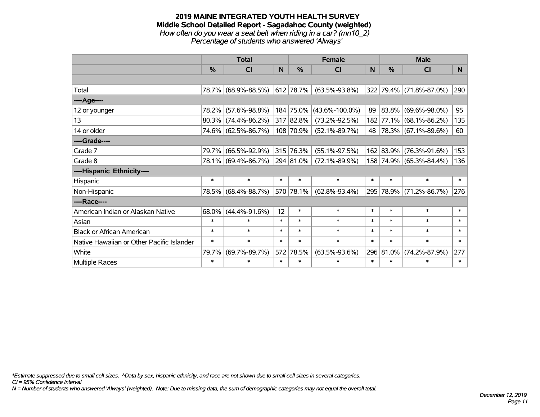#### **2019 MAINE INTEGRATED YOUTH HEALTH SURVEY Middle School Detailed Report - Sagadahoc County (weighted)** *How often do you wear a seat belt when riding in a car? (mn10\_2) Percentage of students who answered 'Always'*

|                                           |        | <b>Total</b>           |              |                | <b>Female</b>        |        | <b>Male</b> |                          |        |  |
|-------------------------------------------|--------|------------------------|--------------|----------------|----------------------|--------|-------------|--------------------------|--------|--|
|                                           | %      | <b>CI</b>              | <sub>N</sub> | %              | <b>CI</b>            | N      | %           | <b>CI</b>                | N      |  |
|                                           |        |                        |              |                |                      |        |             |                          |        |  |
| Total                                     |        | 78.7% (68.9%-88.5%)    |              | 612 78.7%      | $(63.5\% - 93.8\%)$  |        |             | 322 79.4% (71.8%-87.0%)  | 290    |  |
| ----Age----                               |        |                        |              |                |                      |        |             |                          |        |  |
| 12 or younger                             | 78.2%  | $(57.6\% - 98.8\%)$    |              | 184 75.0%      | $(43.6\% - 100.0\%)$ | 89     | 83.8%       | $(69.6\% - 98.0\%)$      | 95     |  |
| 13                                        |        | $80.3\%$ (74.4%-86.2%) |              | 317 82.8%      | $(73.2\% - 92.5\%)$  |        |             | 182 77.1% (68.1%-86.2%)  | 135    |  |
| 14 or older                               |        | 74.6% (62.5%-86.7%)    |              | 108 70.9%      | $(52.1\% - 89.7\%)$  | 48     |             | $ 78.3\% $ (67.1%-89.6%) | 60     |  |
| ----Grade----                             |        |                        |              |                |                      |        |             |                          |        |  |
| Grade 7                                   | 79.7%  | $(66.5\% - 92.9\%)$    |              | 315 76.3%      | $(55.1\% - 97.5\%)$  |        | 162 83.9%   | $(76.3\% - 91.6\%)$      | 153    |  |
| Grade 8                                   |        | 78.1% (69.4%-86.7%)    |              | $ 294 81.0\% $ | $(72.1\% - 89.9\%)$  |        |             | 158 74.9% (65.3%-84.4%)  | 136    |  |
| ----Hispanic Ethnicity----                |        |                        |              |                |                      |        |             |                          |        |  |
| Hispanic                                  | $\ast$ | $\ast$                 | $\ast$       | $\ast$         | $\ast$               | $\ast$ | $\ast$      | $\ast$                   | $\ast$ |  |
| Non-Hispanic                              |        | 78.5% (68.4%-88.7%)    |              | 570 78.1%      | $(62.8\% - 93.4\%)$  |        |             | 295 78.9% (71.2%-86.7%)  | 276    |  |
| ----Race----                              |        |                        |              |                |                      |        |             |                          |        |  |
| American Indian or Alaskan Native         | 68.0%  | $(44.4\% - 91.6\%)$    | 12           | $\ast$         | $\ast$               | $\ast$ | $\ast$      | $\ast$                   | $\ast$ |  |
| Asian                                     | $\ast$ | $\ast$                 | $\ast$       | $\ast$         | $\ast$               | $\ast$ | $\ast$      | $\ast$                   | $\ast$ |  |
| <b>Black or African American</b>          | $\ast$ | $\ast$                 | $\ast$       | $\ast$         | $\ast$               | $\ast$ | $\ast$      | $\ast$                   | $\ast$ |  |
| Native Hawaiian or Other Pacific Islander | $\ast$ | $\ast$                 | $\ast$       | $\ast$         | $\ast$               | $\ast$ | $\ast$      | $\ast$                   | $\ast$ |  |
| White                                     | 79.7%  | $(69.7\% - 89.7\%)$    | 572          | 78.5%          | $(63.5\% - 93.6\%)$  |        | 296 81.0%   | $(74.2\% - 87.9\%)$      | 277    |  |
| Multiple Races                            | $\ast$ | $\ast$                 | $\ast$       | $\ast$         | $\ast$               | $\ast$ | $\ast$      | $\ast$                   | $\ast$ |  |

*\*Estimate suppressed due to small cell sizes. ^Data by sex, hispanic ethnicity, and race are not shown due to small cell sizes in several categories.*

*CI = 95% Confidence Interval*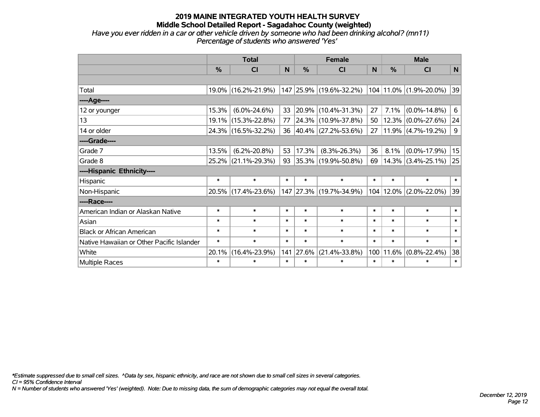*Have you ever ridden in a car or other vehicle driven by someone who had been drinking alcohol? (mn11) Percentage of students who answered 'Yes'*

|                                           | <b>Total</b> |                     |        |               | <b>Female</b>            | <b>Male</b>  |            |                        |                |
|-------------------------------------------|--------------|---------------------|--------|---------------|--------------------------|--------------|------------|------------------------|----------------|
|                                           | $\%$         | <b>CI</b>           | N      | $\frac{0}{0}$ | <b>CI</b>                | <sub>N</sub> | $\%$       | <b>CI</b>              | N              |
|                                           |              |                     |        |               |                          |              |            |                        |                |
| Total                                     |              | 19.0% (16.2%-21.9%) |        |               | 147 25.9% (19.6%-32.2%)  |              |            | 104 11.0% (1.9%-20.0%) | 39             |
| ----Age----                               |              |                     |        |               |                          |              |            |                        |                |
| 12 or younger                             | 15.3%        | $(6.0\% - 24.6\%)$  | 33     | 20.9%         | $(10.4\% - 31.3\%)$      | 27           | 7.1%       | $(0.0\% - 14.8\%)$     | 6              |
| 13                                        | 19.1%        | $(15.3\% - 22.8\%)$ | 77     |               | 24.3% (10.9%-37.8%)      | 50           |            | $12.3\%$ (0.0%-27.6%)  | 24             |
| 14 or older                               |              | 24.3% (16.5%-32.2%) | 36     |               | $ 40.4\% $ (27.2%-53.6%) | 27           |            | $11.9\%$ (4.7%-19.2%)  | $\overline{9}$ |
| ----Grade----                             |              |                     |        |               |                          |              |            |                        |                |
| Grade 7                                   | 13.5%        | $(6.2\% - 20.8\%)$  | 53     | 17.3%         | $(8.3\% - 26.3\%)$       | 36           | 8.1%       | $(0.0\% - 17.9\%)$     | 15             |
| Grade 8                                   |              | 25.2% (21.1%-29.3%) | 93     |               | 35.3% (19.9%-50.8%)      | 69           |            | $14.3\%$ (3.4%-25.1%)  | 25             |
| ----Hispanic Ethnicity----                |              |                     |        |               |                          |              |            |                        |                |
| Hispanic                                  | $\ast$       | $\ast$              | $\ast$ | $\ast$        | $\ast$                   | $\ast$       | $\ast$     | $\ast$                 | $\ast$         |
| Non-Hispanic                              |              | 20.5% (17.4%-23.6%) | 147    |               | $ 27.3\% $ (19.7%-34.9%) | 104          | $ 12.0\% $ | $(2.0\% - 22.0\%)$     | 39             |
| ----Race----                              |              |                     |        |               |                          |              |            |                        |                |
| American Indian or Alaskan Native         | $\ast$       | $\ast$              | $\ast$ | $\ast$        | $\ast$                   | $\ast$       | $\ast$     | $\ast$                 | $\ast$         |
| Asian                                     | $\ast$       | $\ast$              | $\ast$ | $\ast$        | $\ast$                   | $\ast$       | $\ast$     | $\ast$                 | $\ast$         |
| <b>Black or African American</b>          | $\ast$       | $\ast$              | $\ast$ | $\ast$        | $\ast$                   | $\ast$       | $\ast$     | $\ast$                 | $\ast$         |
| Native Hawaiian or Other Pacific Islander | $\ast$       | $\ast$              | $\ast$ | $\ast$        | $\ast$                   | $\ast$       | $\ast$     | $\ast$                 | $\ast$         |
| White                                     | 20.1%        | $(16.4\% - 23.9\%)$ | 141    | 27.6%         | $(21.4\% - 33.8\%)$      | 100          | 11.6%      | $(0.8\% - 22.4\%)$     | 38             |
| Multiple Races                            | $\ast$       | $\ast$              | $\ast$ | $\ast$        | $\ast$                   | $\ast$       | $\ast$     | $\ast$                 | $\ast$         |

*\*Estimate suppressed due to small cell sizes. ^Data by sex, hispanic ethnicity, and race are not shown due to small cell sizes in several categories.*

*CI = 95% Confidence Interval*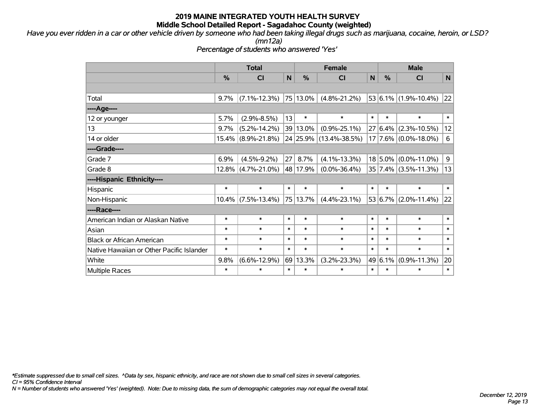*Have you ever ridden in a car or other vehicle driven by someone who had been taking illegal drugs such as marijuana, cocaine, heroin, or LSD?*

*(mn12a)*

*Percentage of students who answered 'Yes'*

|                                           | <b>Total</b> |                       |        |          | <b>Female</b>       | <b>Male</b> |             |                               |             |
|-------------------------------------------|--------------|-----------------------|--------|----------|---------------------|-------------|-------------|-------------------------------|-------------|
|                                           | %            | C <sub>l</sub>        | N      | %        | CI                  | N           | %           | <b>CI</b>                     | N           |
|                                           |              |                       |        |          |                     |             |             |                               |             |
| Total                                     | 9.7%         | $(7.1\% - 12.3\%)$    |        | 75 13.0% | $(4.8\% - 21.2\%)$  |             |             | $53 6.1\% (1.9\% - 10.4\%)$   | 22          |
| ---- Age----                              |              |                       |        |          |                     |             |             |                               |             |
| 12 or younger                             | 5.7%         | $(2.9\% - 8.5\%)$     | 13     | $\ast$   | $\ast$              | $\ast$      | $\ast$      | $\ast$                        | $\ast$      |
| 13                                        | 9.7%         | $(5.2\% - 14.2\%)$    |        | 39 13.0% | $(0.9\% - 25.1\%)$  | 27          | 6.4%        | $(2.3\% - 10.5\%)$            | 12          |
| 14 or older                               |              | 15.4% (8.9%-21.8%)    |        | 24 25.9% | $(13.4\% - 38.5\%)$ |             |             | $17$   $7.6\%$   (0.0%-18.0%) | $\,6$       |
| ----Grade----                             |              |                       |        |          |                     |             |             |                               |             |
| Grade 7                                   | 6.9%         | $(4.5\% - 9.2\%)$     | 27     | 8.7%     | $(4.1\% - 13.3\%)$  |             | $18 5.0\% $ | $(0.0\% - 11.0\%)$            | $\mathsf 9$ |
| Grade 8                                   |              | 12.8% (4.7%-21.0%)    |        | 48 17.9% | $(0.0\% - 36.4\%)$  |             |             | $35 7.4\% $ (3.5%-11.3%)      | 13          |
| ----Hispanic Ethnicity----                |              |                       |        |          |                     |             |             |                               |             |
| Hispanic                                  | $\ast$       | $\ast$                | $\ast$ | $\ast$   | $\ast$              | $\ast$      | $\ast$      | $\ast$                        | $\ast$      |
| Non-Hispanic                              |              | $10.4\%$ (7.5%-13.4%) |        | 75 13.7% | $(4.4\% - 23.1\%)$  |             |             | 53 $ 6.7\% $ (2.0%-11.4%)     | 22          |
| ----Race----                              |              |                       |        |          |                     |             |             |                               |             |
| American Indian or Alaskan Native         | $\ast$       | $\ast$                | $\ast$ | $\ast$   | $\ast$              | $\ast$      | $\ast$      | $\ast$                        | $\ast$      |
| Asian                                     | $\ast$       | $\ast$                | $\ast$ | $\ast$   | $\ast$              | $\ast$      | $\ast$      | $\ast$                        | $\ast$      |
| <b>Black or African American</b>          | $\ast$       | $\ast$                | $\ast$ | $\ast$   | $\ast$              | $\ast$      | $\ast$      | $\ast$                        | $\ast$      |
| Native Hawaiian or Other Pacific Islander | $\ast$       | $\ast$                | $\ast$ | $\ast$   | $\ast$              | $\ast$      | $\ast$      | $\ast$                        | $\ast$      |
| White                                     | 9.8%         | $(6.6\% - 12.9\%)$    | 69     | 13.3%    | $(3.2\% - 23.3\%)$  | 49          | 6.1%        | $(0.9\% - 11.3\%)$            | 20          |
| <b>Multiple Races</b>                     | $\ast$       | $\ast$                | $\ast$ | $\ast$   | $\ast$              | $\ast$      | $\ast$      | $\ast$                        | $\ast$      |

*\*Estimate suppressed due to small cell sizes. ^Data by sex, hispanic ethnicity, and race are not shown due to small cell sizes in several categories.*

*CI = 95% Confidence Interval*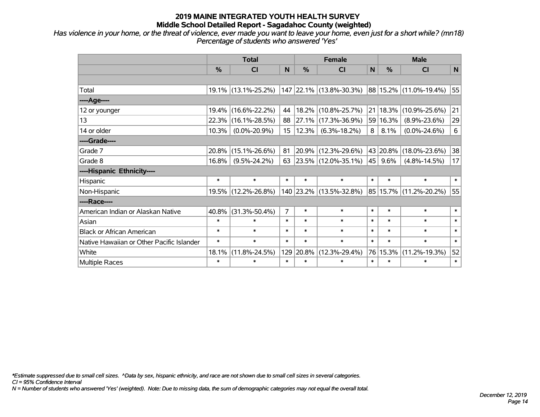*Has violence in your home, or the threat of violence, ever made you want to leave your home, even just for a short while? (mn18) Percentage of students who answered 'Yes'*

|                                           | <b>Total</b>  |                     |                | <b>Female</b> | <b>Male</b>             |        |            |                        |        |
|-------------------------------------------|---------------|---------------------|----------------|---------------|-------------------------|--------|------------|------------------------|--------|
|                                           | $\frac{0}{0}$ | CI                  | N              | $\frac{0}{0}$ | <b>CI</b>               | N      | %          | <b>CI</b>              | N      |
|                                           |               |                     |                |               |                         |        |            |                        |        |
| Total                                     |               | 19.1% (13.1%-25.2%) |                |               | 147 22.1% (13.8%-30.3%) |        |            | 88 15.2% (11.0%-19.4%) | 55     |
| ----Age----                               |               |                     |                |               |                         |        |            |                        |        |
| 12 or younger                             | 19.4%         | $(16.6\% - 22.2\%)$ | 44             |               | 18.2% (10.8%-25.7%)     | 21     | $ 18.3\% $ | $(10.9\% - 25.6\%)$    | 21     |
| 13                                        | 22.3%         | $(16.1\% - 28.5\%)$ | 88             |               | 27.1% (17.3%-36.9%)     |        | 59 16.3%   | $(8.9\% - 23.6\%)$     | 29     |
| 14 or older                               | 10.3%         | $(0.0\% - 20.9\%)$  | 15             | 12.3%         | $(6.3\% - 18.2\%)$      | 8      | 8.1%       | $(0.0\% - 24.6\%)$     | $6\,$  |
| ----Grade----                             |               |                     |                |               |                         |        |            |                        |        |
| Grade 7                                   | 20.8%         | $(15.1\% - 26.6\%)$ | 81             |               | $20.9\%$ (12.3%-29.6%)  |        | 43 20.8%   | $(18.0\% - 23.6\%)$    | 38     |
| Grade 8                                   | 16.8%         | $(9.5\% - 24.2\%)$  | 63             |               | $23.5\%$ (12.0%-35.1%)  | 45     | $9.6\%$    | $(4.8\% - 14.5\%)$     | 17     |
| ----Hispanic Ethnicity----                |               |                     |                |               |                         |        |            |                        |        |
| Hispanic                                  | $\ast$        | $\ast$              | $\ast$         | $\ast$        | $\ast$                  | $\ast$ | $\ast$     | $\ast$                 | $\ast$ |
| Non-Hispanic                              |               | 19.5% (12.2%-26.8%) |                |               | 140 23.2% (13.5%-32.8%) |        |            | 85 15.7% (11.2%-20.2%) | 55     |
| ----Race----                              |               |                     |                |               |                         |        |            |                        |        |
| American Indian or Alaskan Native         | 40.8%         | $(31.3\% - 50.4\%)$ | $\overline{7}$ | $\ast$        | $\ast$                  | $\ast$ | $\ast$     | $\ast$                 | $\ast$ |
| Asian                                     | $\ast$        | $\ast$              | $\ast$         | $\ast$        | $\ast$                  | $\ast$ | $\ast$     | $\ast$                 | $\ast$ |
| <b>Black or African American</b>          | $\ast$        | $\ast$              | $\ast$         | $\ast$        | $\ast$                  | $\ast$ | $\ast$     | $\ast$                 | $\ast$ |
| Native Hawaiian or Other Pacific Islander | $\ast$        | $\ast$              | $\ast$         | $\ast$        | $\ast$                  | $\ast$ | $\ast$     | $\ast$                 | $\ast$ |
| White                                     | 18.1%         | $(11.8\% - 24.5\%)$ | 129            | 20.8%         | $(12.3\% - 29.4\%)$     |        | 76 15.3%   | $(11.2\% - 19.3\%)$    | 52     |
| Multiple Races                            | $\ast$        | $\ast$              | $\ast$         | $\ast$        | $\ast$                  | $\ast$ | $\ast$     | $\ast$                 | $\ast$ |

*\*Estimate suppressed due to small cell sizes. ^Data by sex, hispanic ethnicity, and race are not shown due to small cell sizes in several categories.*

*CI = 95% Confidence Interval*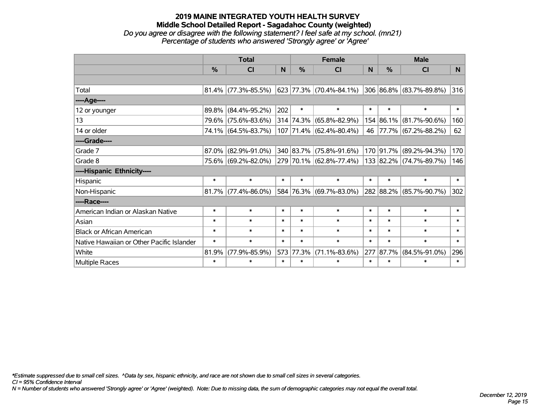## **2019 MAINE INTEGRATED YOUTH HEALTH SURVEY Middle School Detailed Report - Sagadahoc County (weighted)** *Do you agree or disagree with the following statement? I feel safe at my school. (mn21)*

|                                           | <b>Total</b>  |                        |        |           | <b>Female</b>           |                  | <b>Male</b> |                         |              |  |
|-------------------------------------------|---------------|------------------------|--------|-----------|-------------------------|------------------|-------------|-------------------------|--------------|--|
|                                           | $\frac{9}{6}$ | CI                     | N      | %         | CI                      | <b>N</b>         | %           | <b>CI</b>               | <sub>N</sub> |  |
|                                           |               |                        |        |           |                         |                  |             |                         |              |  |
| Total                                     |               | $81.4\%$ (77.3%-85.5%) |        |           | 623 77.3% (70.4%-84.1%) |                  |             | 306 86.8% (83.7%-89.8%) | 316          |  |
| ----Age----                               |               |                        |        |           |                         |                  |             |                         |              |  |
| 12 or younger                             |               | 89.8% (84.4%-95.2%)    | 202    | $\ast$    | $\ast$                  | $\ast$           | $\ast$      | $\ast$                  | $\ast$       |  |
| 13                                        |               | 79.6% (75.6%-83.6%)    |        |           | 314 74.3% (65.8%-82.9%) |                  |             | 154 86.1% (81.7%-90.6%) | 160          |  |
| 14 or older                               |               | 74.1% (64.5%-83.7%)    |        |           | 107 71.4% (62.4%-80.4%) | 46               |             | 77.7% (67.2%-88.2%)     | 62           |  |
| ----Grade----                             |               |                        |        |           |                         |                  |             |                         |              |  |
| Grade 7                                   |               | 87.0% (82.9%-91.0%)    |        |           | 340 83.7% (75.8%-91.6%) | 170 <sub>l</sub> | 91.7%       | $(89.2\% - 94.3\%)$     | 170          |  |
| Grade 8                                   |               | 75.6% (69.2%-82.0%)    |        |           | 279 70.1% (62.8%-77.4%) |                  |             | 133 82.2% (74.7%-89.7%) | 146          |  |
| ----Hispanic Ethnicity----                |               |                        |        |           |                         |                  |             |                         |              |  |
| Hispanic                                  | $\ast$        | $\ast$                 | $\ast$ | $\ast$    | $\ast$                  | $\ast$           | $\ast$      | $\ast$                  | $\ast$       |  |
| Non-Hispanic                              |               | $81.7\%$ (77.4%-86.0%) |        |           | 584 76.3% (69.7%-83.0%) |                  |             | 282 88.2% (85.7%-90.7%) | 302          |  |
| ----Race----                              |               |                        |        |           |                         |                  |             |                         |              |  |
| American Indian or Alaskan Native         | $\ast$        | $\ast$                 | $\ast$ | $\ast$    | $\ast$                  | $\ast$           | $\ast$      | $\ast$                  | $\ast$       |  |
| Asian                                     | $\ast$        | $\ast$                 | $\ast$ | $\ast$    | $\ast$                  | $\ast$           | $\ast$      | $\ast$                  | $\ast$       |  |
| <b>Black or African American</b>          | $\ast$        | $\ast$                 | $\ast$ | $\ast$    | $\ast$                  | $\ast$           | $\ast$      | $\ast$                  | $\ast$       |  |
| Native Hawaiian or Other Pacific Islander | $\ast$        | $\ast$                 | $\ast$ | $\ast$    | $\ast$                  | $\ast$           | $\ast$      | $\ast$                  | $\ast$       |  |
| White                                     | 81.9%         | $(77.9\% - 85.9\%)$    |        | 573 77.3% | $(71.1\% - 83.6\%)$     | 277              | 87.7%       | $(84.5\% - 91.0\%)$     | 296          |  |
| <b>Multiple Races</b>                     | $\ast$        | $\ast$                 | $\ast$ | $\ast$    | $\ast$                  | $\ast$           | $\ast$      | $\ast$                  | $\ast$       |  |

*Percentage of students who answered 'Strongly agree' or 'Agree'*

*\*Estimate suppressed due to small cell sizes. ^Data by sex, hispanic ethnicity, and race are not shown due to small cell sizes in several categories.*

*CI = 95% Confidence Interval*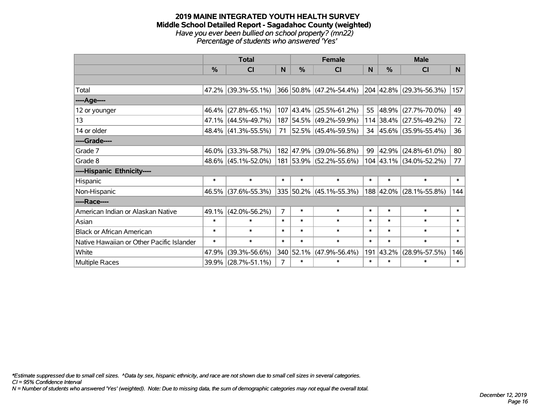#### **2019 MAINE INTEGRATED YOUTH HEALTH SURVEY Middle School Detailed Report - Sagadahoc County (weighted)** *Have you ever been bullied on school property? (mn22) Percentage of students who answered 'Yes'*

|                                           | <b>Total</b> |                     |                |           | <b>Female</b>             | <b>Male</b> |        |                         |        |
|-------------------------------------------|--------------|---------------------|----------------|-----------|---------------------------|-------------|--------|-------------------------|--------|
|                                           | $\%$         | C <sub>l</sub>      | N              | $\%$      | <b>CI</b>                 | <b>N</b>    | %      | <b>CI</b>               | N      |
|                                           |              |                     |                |           |                           |             |        |                         |        |
| Total                                     |              | 47.2% (39.3%-55.1%) |                |           | 366 50.8% (47.2%-54.4%)   |             |        | 204 42.8% (29.3%-56.3%) | 157    |
| ----Age----                               |              |                     |                |           |                           |             |        |                         |        |
| 12 or younger                             | 46.4%        | $(27.8\% - 65.1\%)$ |                |           | $107$ 43.4% (25.5%-61.2%) | 55          |        | 48.9% (27.7%-70.0%)     | 49     |
| 13                                        |              | 47.1% (44.5%-49.7%) |                |           | 187 54.5% (49.2%-59.9%)   |             |        | 114 38.4% (27.5%-49.2%) | 72     |
| 14 or older                               |              | 48.4% (41.3%-55.5%) |                |           | 71 52.5% (45.4%-59.5%)    |             |        | 34 45.6% (35.9%-55.4%)  | 36     |
| ----Grade----                             |              |                     |                |           |                           |             |        |                         |        |
| Grade 7                                   | 46.0%        | $(33.3\% - 58.7\%)$ |                | 182 47.9% | $(39.0\% - 56.8\%)$       | 99          |        | 42.9% (24.8%-61.0%)     | 80     |
| Grade 8                                   |              | 48.6% (45.1%-52.0%) |                |           | 181 53.9% (52.2%-55.6%)   |             |        | 104 43.1% (34.0%-52.2%) | 77     |
| ----Hispanic Ethnicity----                |              |                     |                |           |                           |             |        |                         |        |
| Hispanic                                  | $\ast$       | $\ast$              | $\ast$         | ∗         | $\ast$                    | $\ast$      | $\ast$ | $\ast$                  | $\ast$ |
| Non-Hispanic                              |              | 46.5% (37.6%-55.3%) |                |           | 335 50.2% (45.1%-55.3%)   |             |        | 188 42.0% (28.1%-55.8%) | 144    |
| ----Race----                              |              |                     |                |           |                           |             |        |                         |        |
| American Indian or Alaskan Native         | 49.1%        | $(42.0\% - 56.2\%)$ | $\overline{7}$ | $\ast$    | $\ast$                    | $\ast$      | $\ast$ | $\ast$                  | $\ast$ |
| Asian                                     | $\ast$       | $\ast$              | $\ast$         | $\ast$    | $\ast$                    | $\ast$      | $\ast$ | $\ast$                  | $\ast$ |
| <b>Black or African American</b>          | $\ast$       | $\ast$              | $\ast$         | $\ast$    | $\ast$                    | $\ast$      | $\ast$ | $\ast$                  | $\ast$ |
| Native Hawaiian or Other Pacific Islander | $\ast$       | $\ast$              | $\ast$         | $\ast$    | $\ast$                    | $\ast$      | $\ast$ | $\ast$                  | $\ast$ |
| White                                     | 47.9%        | $(39.3\% - 56.6\%)$ |                | 340 52.1% | $(47.9\% - 56.4\%)$       | 191         | 43.2%  | $(28.9\% - 57.5\%)$     | 146    |
| Multiple Races                            | 39.9%        | $(28.7\% - 51.1\%)$ | 7              | $\ast$    | $\ast$                    | $\ast$      | $\ast$ | $\ast$                  | $\ast$ |

*\*Estimate suppressed due to small cell sizes. ^Data by sex, hispanic ethnicity, and race are not shown due to small cell sizes in several categories.*

*CI = 95% Confidence Interval*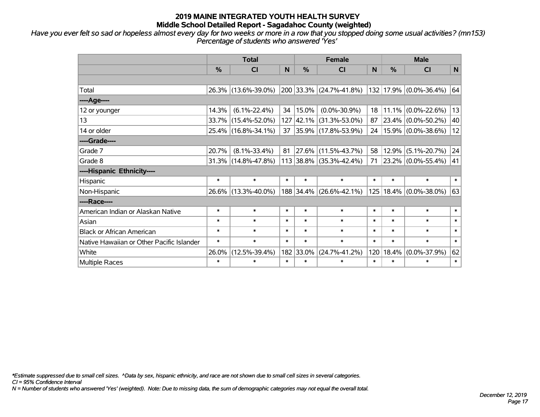*Have you ever felt so sad or hopeless almost every day for two weeks or more in a row that you stopped doing some usual activities? (mn153) Percentage of students who answered 'Yes'*

|                                           | <b>Total</b>  |                        |              |            | <b>Female</b>               | <b>Male</b> |        |                                    |        |
|-------------------------------------------|---------------|------------------------|--------------|------------|-----------------------------|-------------|--------|------------------------------------|--------|
|                                           | $\frac{9}{6}$ | <b>CI</b>              | <sub>N</sub> | $\%$       | <b>CI</b>                   | N           | $\%$   | <b>CI</b>                          | N      |
|                                           |               |                        |              |            |                             |             |        |                                    |        |
| Total                                     |               | 26.3% (13.6%-39.0%)    |              |            | 200 33.3% (24.7%-41.8%)     |             |        | 132 17.9% (0.0%-36.4%)             | 64     |
| ----Age----                               |               |                        |              |            |                             |             |        |                                    |        |
| 12 or younger                             | 14.3%         | $(6.1\% - 22.4\%)$     | 34           | 15.0%      | $(0.0\% - 30.9\%)$          | 18          |        | $11.1\%$ (0.0%-22.6%)              | 13     |
| 13                                        |               | 33.7% (15.4%-52.0%)    | 127          |            | $ 42.1\% $ (31.3%-53.0%)    | 87          |        | $\vert$ 23.4% $\vert$ (0.0%-50.2%) | 40     |
| 14 or older                               |               | 25.4% (16.8%-34.1%)    | 37           |            | $ 35.9\% $ (17.8%-53.9%)    | 24          |        | $15.9\%$ (0.0%-38.6%)              | 12     |
| ----Grade----                             |               |                        |              |            |                             |             |        |                                    |        |
| Grade 7                                   | 20.7%         | $(8.1\% - 33.4\%)$     | 81           | $ 27.6\% $ | $(11.5\% - 43.7\%)$         | 58          | 12.9%  | $(5.1\% - 20.7\%)$                 | 24     |
| Grade 8                                   |               | $31.3\%$ (14.8%-47.8%) |              |            | $113 38.8\% $ (35.3%-42.4%) | 71          |        | 23.2% (0.0%-55.4%)                 | 41     |
| ----Hispanic Ethnicity----                |               |                        |              |            |                             |             |        |                                    |        |
| Hispanic                                  | $\ast$        | $\ast$                 | $\ast$       | $\ast$     | $\ast$                      | $\ast$      | $\ast$ | $\ast$                             | $\ast$ |
| Non-Hispanic                              |               | 26.6% (13.3%-40.0%)    |              | 188 34.4%  | $(26.6\% - 42.1\%)$         | 125         |        | $18.4\%$ (0.0%-38.0%)              | 63     |
| ----Race----                              |               |                        |              |            |                             |             |        |                                    |        |
| American Indian or Alaskan Native         | $\ast$        | $\ast$                 | $\ast$       | $\ast$     | $\ast$                      | $\ast$      | $\ast$ | $\ast$                             | $\ast$ |
| Asian                                     | $\ast$        | $\ast$                 | $\ast$       | $\ast$     | $\ast$                      | $\ast$      | $\ast$ | $\ast$                             | $\ast$ |
| <b>Black or African American</b>          | $\ast$        | $\ast$                 | $\ast$       | $\ast$     | $\ast$                      | $\ast$      | $\ast$ | $\ast$                             | $\ast$ |
| Native Hawaiian or Other Pacific Islander | $\ast$        | $\ast$                 | $\ast$       | $\ast$     | $\ast$                      | $\ast$      | $\ast$ | $\ast$                             | $\ast$ |
| White                                     | 26.0%         | $(12.5\% - 39.4\%)$    | 182          | 33.0%      | $(24.7\% - 41.2\%)$         | 120         | 18.4%  | $(0.0\% - 37.9\%)$                 | 62     |
| <b>Multiple Races</b>                     | $\ast$        | $\ast$                 | $\ast$       | $\ast$     | $\ast$                      | $\ast$      | $\ast$ | $\ast$                             | $\ast$ |

*\*Estimate suppressed due to small cell sizes. ^Data by sex, hispanic ethnicity, and race are not shown due to small cell sizes in several categories.*

*CI = 95% Confidence Interval*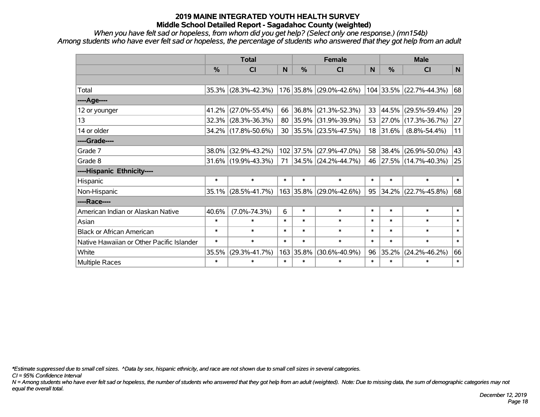*When you have felt sad or hopeless, from whom did you get help? (Select only one response.) (mn154b) Among students who have ever felt sad or hopeless, the percentage of students who answered that they got help from an adult*

|                                           | <b>Total</b> |                        |        |           | <b>Female</b>            |        | <b>Male</b> |                          |        |  |
|-------------------------------------------|--------------|------------------------|--------|-----------|--------------------------|--------|-------------|--------------------------|--------|--|
|                                           | %            | <b>CI</b>              | N      | %         | <b>CI</b>                | N      | %           | <b>CI</b>                | N      |  |
|                                           |              |                        |        |           |                          |        |             |                          |        |  |
| Total                                     |              | $35.3\%$ (28.3%-42.3%) |        |           | 176 35.8% (29.0%-42.6%)  |        |             | 104 33.5% (22.7%-44.3%)  | 68     |  |
| ----Age----                               |              |                        |        |           |                          |        |             |                          |        |  |
| 12 or younger                             | 41.2%        | $(27.0\% - 55.4\%)$    | 66     | 36.8%     | $(21.3\% - 52.3\%)$      | 33     | $ 44.5\% $  | $(29.5\% - 59.4\%)$      | 29     |  |
| 13                                        | 32.3%        | $(28.3\% - 36.3\%)$    | 80     | 35.9%     | $(31.9\% - 39.9\%)$      | 53     |             | $ 27.0\% $ (17.3%-36.7%) | 27     |  |
| 14 or older                               |              | 34.2% (17.8%-50.6%)    | 30     |           | $ 35.5\% $ (23.5%-47.5%) | 18     | 31.6%       | $(8.8\% - 54.4\%)$       | 11     |  |
| ----Grade----                             |              |                        |        |           |                          |        |             |                          |        |  |
| Grade 7                                   | 38.0%        | $(32.9\% - 43.2\%)$    |        | 102 37.5% | $(27.9\% - 47.0\%)$      | 58     |             | 38.4% (26.9%-50.0%)      | 43     |  |
| Grade 8                                   |              | $31.6\%$ (19.9%-43.3%) | 71     |           | $ 34.5\% $ (24.2%-44.7%) | 46     |             | $ 27.5\% $ (14.7%-40.3%) | 25     |  |
| ----Hispanic Ethnicity----                |              |                        |        |           |                          |        |             |                          |        |  |
| Hispanic                                  | $\ast$       | $\ast$                 | $\ast$ | $\ast$    | $\ast$                   | $\ast$ | $\ast$      | $\ast$                   | $\ast$ |  |
| Non-Hispanic                              | 35.1%        | $(28.5\% - 41.7\%)$    |        | 163 35.8% | $(29.0\% - 42.6\%)$      | 95     |             | 34.2% (22.7%-45.8%)      | 68     |  |
| ----Race----                              |              |                        |        |           |                          |        |             |                          |        |  |
| American Indian or Alaskan Native         | 40.6%        | $(7.0\% - 74.3\%)$     | 6      | $\ast$    | $\ast$                   | $\ast$ | $\ast$      | $\ast$                   | $\ast$ |  |
| Asian                                     | $\ast$       | $\ast$                 | $\ast$ | $\ast$    | $\ast$                   | $\ast$ | $\ast$      | $\ast$                   | $\ast$ |  |
| <b>Black or African American</b>          | $\ast$       | $\ast$                 | $\ast$ | $\ast$    | $\ast$                   | $\ast$ | $\ast$      | $\ast$                   | $\ast$ |  |
| Native Hawaiian or Other Pacific Islander | $\ast$       | $\ast$                 | $\ast$ | $\ast$    | $\ast$                   | $\ast$ | $\ast$      | $\ast$                   | $\ast$ |  |
| White                                     | 35.5%        | $(29.3\% - 41.7\%)$    |        | 163 35.8% | $(30.6\% - 40.9\%)$      | 96     | 35.2%       | $(24.2\% - 46.2\%)$      | 66     |  |
| Multiple Races                            | $\ast$       | $\ast$                 | $\ast$ | $\ast$    | $\ast$                   | $\ast$ | $\ast$      | $\ast$                   | $\ast$ |  |

*\*Estimate suppressed due to small cell sizes. ^Data by sex, hispanic ethnicity, and race are not shown due to small cell sizes in several categories.*

*CI = 95% Confidence Interval*

*N = Among students who have ever felt sad or hopeless, the number of students who answered that they got help from an adult (weighted). Note: Due to missing data, the sum of demographic categories may not equal the overall total.*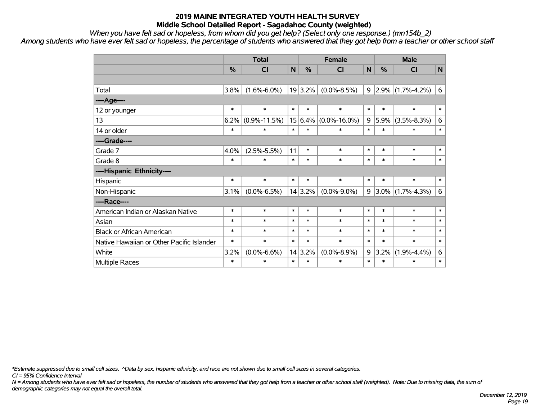*When you have felt sad or hopeless, from whom did you get help? (Select only one response.) (mn154b\_2)*

*Among students who have ever felt sad or hopeless, the percentage of students who answered that they got help from a teacher or other school staff*

|                                           | <b>Total</b> |                    |                 |               | <b>Female</b>      | <b>Male</b> |               |                     |        |
|-------------------------------------------|--------------|--------------------|-----------------|---------------|--------------------|-------------|---------------|---------------------|--------|
|                                           | %            | <b>CI</b>          | N               | $\frac{0}{0}$ | <b>CI</b>          | N           | $\frac{0}{0}$ | <b>CI</b>           | N      |
|                                           |              |                    |                 |               |                    |             |               |                     |        |
| Total                                     | 3.8%         | $(1.6\% - 6.0\%)$  |                 | 19 3.2%       | $(0.0\% - 8.5\%)$  | 9           |               | $2.9\%$ (1.7%-4.2%) | 6      |
| ----Age----                               |              |                    |                 |               |                    |             |               |                     |        |
| 12 or younger                             | $\ast$       | $\ast$             | $\ast$          | $\ast$        | $\ast$             | $\ast$      | $\ast$        | $\ast$              | $\ast$ |
| 13                                        | 6.2%         | $(0.9\% - 11.5\%)$ | 15 <sup>1</sup> | 6.4%          | $(0.0\% - 16.0\%)$ | 9           | 5.9%          | $(3.5\% - 8.3\%)$   | 6      |
| 14 or older                               | $\ast$       | $\ast$             | $\ast$          | $\ast$        | $\ast$             | $\ast$      | $\ast$        | $\ast$              | $\ast$ |
| ----Grade----                             |              |                    |                 |               |                    |             |               |                     |        |
| Grade 7                                   | 4.0%         | $(2.5\% - 5.5\%)$  | 11              | $\ast$        | $\ast$             | $\ast$      | $\ast$        | $\ast$              | $\ast$ |
| Grade 8                                   | $\ast$       | $\ast$             | $\ast$          | $\ast$        | $\ast$             | $\ast$      | $\ast$        | $\ast$              | $\ast$ |
| ----Hispanic Ethnicity----                |              |                    |                 |               |                    |             |               |                     |        |
| Hispanic                                  | $\ast$       | $\ast$             | $\ast$          | $\ast$        | $\ast$             | $\ast$      | $\ast$        | $\ast$              | $\ast$ |
| Non-Hispanic                              | 3.1%         | $(0.0\% - 6.5\%)$  |                 | 14 3.2%       | $(0.0\% - 9.0\%)$  | 9           |               | $3.0\%$ (1.7%-4.3%) | 6      |
| ----Race----                              |              |                    |                 |               |                    |             |               |                     |        |
| American Indian or Alaskan Native         | $\ast$       | $\ast$             | $\ast$          | $\ast$        | $\ast$             | $\ast$      | $\ast$        | $\ast$              | $\ast$ |
| Asian                                     | $\ast$       | $\ast$             | $\ast$          | $\ast$        | $\ast$             | $\ast$      | $\ast$        | $\ast$              | $\ast$ |
| <b>Black or African American</b>          | $\ast$       | $\ast$             | $\ast$          | $\ast$        | $\ast$             | $\ast$      | $\ast$        | $\ast$              | $\ast$ |
| Native Hawaiian or Other Pacific Islander | $\ast$       | $\ast$             | $\ast$          | $\ast$        | $\ast$             | $\ast$      | $\ast$        | $\ast$              | $\ast$ |
| White                                     | 3.2%         | $(0.0\% - 6.6\%)$  | 14              | 3.2%          | $(0.0\% - 8.9\%)$  | $\mathsf g$ | 3.2%          | $(1.9\% - 4.4\%)$   | 6      |
| <b>Multiple Races</b>                     | $\ast$       | $\ast$             | $\ast$          | $\ast$        | $\ast$             | $\ast$      | $\ast$        | $\ast$              | $\ast$ |

*\*Estimate suppressed due to small cell sizes. ^Data by sex, hispanic ethnicity, and race are not shown due to small cell sizes in several categories.*

*CI = 95% Confidence Interval*

*N = Among students who have ever felt sad or hopeless, the number of students who answered that they got help from a teacher or other school staff (weighted). Note: Due to missing data, the sum of demographic categories may not equal the overall total.*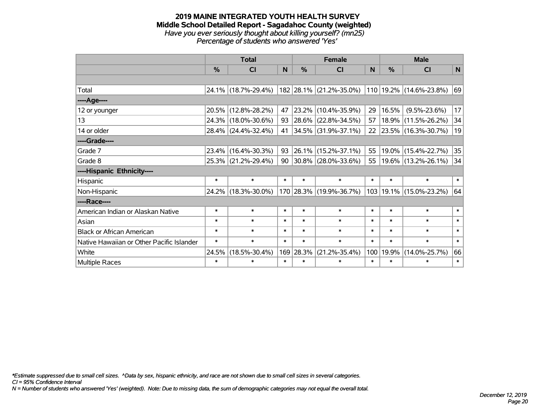#### **2019 MAINE INTEGRATED YOUTH HEALTH SURVEY Middle School Detailed Report - Sagadahoc County (weighted)** *Have you ever seriously thought about killing yourself? (mn25) Percentage of students who answered 'Yes'*

|                                           | <b>Total</b>  |                     |        |            | <b>Female</b>                                   | <b>Male</b> |        |                             |        |
|-------------------------------------------|---------------|---------------------|--------|------------|-------------------------------------------------|-------------|--------|-----------------------------|--------|
|                                           | $\frac{0}{0}$ | <b>CI</b>           | N      | %          | <b>CI</b>                                       | N           | $\%$   | <b>CI</b>                   | N      |
|                                           |               |                     |        |            |                                                 |             |        |                             |        |
| Total                                     |               | 24.1% (18.7%-29.4%) |        |            | 182 28.1% (21.2%-35.0%) 110 19.2% (14.6%-23.8%) |             |        |                             | 69     |
| ----Age----                               |               |                     |        |            |                                                 |             |        |                             |        |
| 12 or younger                             | 20.5%         | $(12.8\% - 28.2\%)$ | 47     | 23.2%      | $(10.4\% - 35.9\%)$                             | 29          | 16.5%  | $(9.5\% - 23.6\%)$          | 17     |
| 13                                        | 24.3%         | $(18.0\% - 30.6\%)$ | 93     | $ 28.6\% $ | $(22.8\% - 34.5\%)$                             | 57          |        | 18.9% (11.5%-26.2%)         | 34     |
| 14 or older                               |               | 28.4% (24.4%-32.4%) | 41     |            | $ 34.5\% $ (31.9%-37.1%)                        | 22          |        | $ 23.5\% $ (16.3%-30.7%)    | 19     |
| ----Grade----                             |               |                     |        |            |                                                 |             |        |                             |        |
| Grade 7                                   | 23.4%         | $(16.4\% - 30.3\%)$ | 93     | $ 26.1\% $ | $(15.2\% - 37.1\%)$                             | 55          |        | 19.0% (15.4%-22.7%)         | 35     |
| Grade 8                                   |               | 25.3% (21.2%-29.4%) | 90     |            | $ 30.8\% $ (28.0%-33.6%)                        | 55          |        | $19.6\%$ (13.2%-26.1%)      | 34     |
| ----Hispanic Ethnicity----                |               |                     |        |            |                                                 |             |        |                             |        |
| Hispanic                                  | $\ast$        | $\ast$              | $\ast$ | $\ast$     | $\ast$                                          | $\ast$      | $\ast$ | $\ast$                      | $\ast$ |
| Non-Hispanic                              |               | 24.2% (18.3%-30.0%) |        |            | 170 28.3% (19.9%-36.7%)                         |             |        | 103   19.1%   (15.0%-23.2%) | 64     |
| ----Race----                              |               |                     |        |            |                                                 |             |        |                             |        |
| American Indian or Alaskan Native         | $\ast$        | $\ast$              | $\ast$ | $\ast$     | $\ast$                                          | $\ast$      | $\ast$ | $\ast$                      | $\ast$ |
| Asian                                     | $\ast$        | $\ast$              | $\ast$ | $\ast$     | $\ast$                                          | $\ast$      | $\ast$ | $\ast$                      | $\ast$ |
| <b>Black or African American</b>          | $\ast$        | $\ast$              | $\ast$ | $\ast$     | $\ast$                                          | $\ast$      | $\ast$ | $\ast$                      | $\ast$ |
| Native Hawaiian or Other Pacific Islander | $\ast$        | $\ast$              | $\ast$ | $\ast$     | $\ast$                                          | $\ast$      | $\ast$ | $\ast$                      | $\ast$ |
| White                                     | 24.5%         | $(18.5\% - 30.4\%)$ |        | 169 28.3%  | $(21.2\% - 35.4\%)$                             | 100         | 19.9%  | $(14.0\% - 25.7\%)$         | 66     |
| <b>Multiple Races</b>                     | $\ast$        | $\ast$              | $\ast$ | $\ast$     | *                                               | $\ast$      | $\ast$ | $\ast$                      | $\ast$ |

*\*Estimate suppressed due to small cell sizes. ^Data by sex, hispanic ethnicity, and race are not shown due to small cell sizes in several categories.*

*CI = 95% Confidence Interval*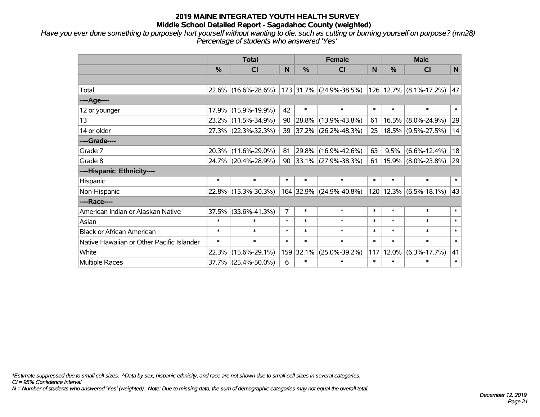*Have you ever done something to purposely hurt yourself without wanting to die, such as cutting or burning yourself on purpose? (mn28) Percentage of students who answered 'Yes'*

|                                           | <b>Total</b>  |                     |                |           | <b>Female</b>            | <b>Male</b>  |        |                            |              |
|-------------------------------------------|---------------|---------------------|----------------|-----------|--------------------------|--------------|--------|----------------------------|--------------|
|                                           | $\frac{9}{6}$ | <b>CI</b>           | <b>N</b>       | %         | <b>CI</b>                | <sub>N</sub> | $\%$   | <b>CI</b>                  | $\mathsf{N}$ |
|                                           |               |                     |                |           |                          |              |        |                            |              |
| Total                                     |               | 22.6% (16.6%-28.6%) |                |           | 173 31.7% (24.9%-38.5%)  |              |        | 126 12.7% (8.1%-17.2%)     | 47           |
| ----Age----                               |               |                     |                |           |                          |              |        |                            |              |
| 12 or younger                             | 17.9%         | $(15.9\% - 19.9\%)$ | 42             | $\ast$    | $\ast$                   | $\ast$       | $\ast$ | $\ast$                     | $\ast$       |
| 13                                        |               | 23.2% (11.5%-34.9%) | 90             |           | $ 28.8\% $ (13.9%-43.8%) | 61           | 16.5%  | $(8.0\% - 24.9\%)$         | 29           |
| 14 or older                               |               | 27.3% (22.3%-32.3%) | 39             |           | $ 37.2\% $ (26.2%-48.3%) | 25           |        | 18.5% (9.5%-27.5%)         | 14           |
| ----Grade----                             |               |                     |                |           |                          |              |        |                            |              |
| Grade 7                                   | 20.3%         | $(11.6\% - 29.0\%)$ | 81             |           | 29.8% (16.9%-42.6%)      | 63           | 9.5%   | $(6.6\% - 12.4\%)$         | 18           |
| Grade 8                                   |               | 24.7% (20.4%-28.9%) | 90             |           | $ 33.1\% $ (27.9%-38.3%) | 61           |        | $15.9\%$ (8.0%-23.8%)      | 29           |
| ----Hispanic Ethnicity----                |               |                     |                |           |                          |              |        |                            |              |
| Hispanic                                  | $\ast$        | $\ast$              | $\ast$         | $\ast$    | $\ast$                   | $\ast$       | $\ast$ | $\ast$                     | $\ast$       |
| Non-Hispanic                              |               | 22.8% (15.3%-30.3%) |                |           | 164 32.9% (24.9%-40.8%)  |              |        | $120 12.3\% $ (6.5%-18.1%) | 43           |
| ----Race----                              |               |                     |                |           |                          |              |        |                            |              |
| American Indian or Alaskan Native         | 37.5%         | $(33.6\% - 41.3\%)$ | $\overline{7}$ | $\ast$    | $\ast$                   | $\ast$       | $\ast$ | $\ast$                     | $\ast$       |
| Asian                                     | $\ast$        | $\ast$              | $\ast$         | $\ast$    | $\ast$                   | $\ast$       | $\ast$ | $\ast$                     | $\ast$       |
| <b>Black or African American</b>          | $\ast$        | $\ast$              | $\ast$         | $\ast$    | $\ast$                   | $\ast$       | $\ast$ | $\ast$                     | $\ast$       |
| Native Hawaiian or Other Pacific Islander | $\ast$        | $\ast$              | $\ast$         | $\ast$    | $\ast$                   | $\ast$       | $\ast$ | $\ast$                     | $\ast$       |
| White                                     | 22.3%         | $(15.6\% - 29.1\%)$ |                | 159 32.1% | $(25.0\% - 39.2\%)$      | 117          | 12.0%  | $(6.3\% - 17.7\%)$         | 41           |
| Multiple Races                            |               | 37.7% (25.4%-50.0%) | 6              | $\ast$    | $\ast$                   | $\ast$       | $\ast$ | $\ast$                     | $\ast$       |

*\*Estimate suppressed due to small cell sizes. ^Data by sex, hispanic ethnicity, and race are not shown due to small cell sizes in several categories.*

*CI = 95% Confidence Interval*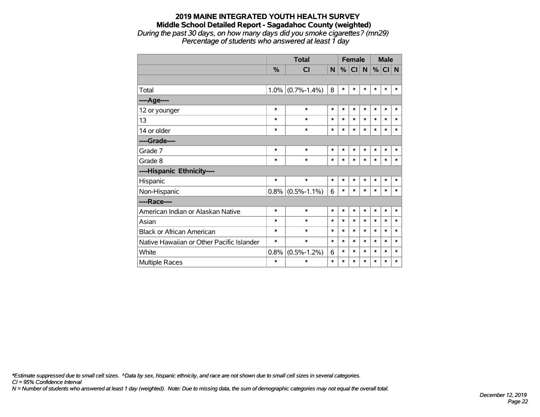#### **2019 MAINE INTEGRATED YOUTH HEALTH SURVEY Middle School Detailed Report - Sagadahoc County (weighted)** *During the past 30 days, on how many days did you smoke cigarettes? (mn29) Percentage of students who answered at least 1 day*

|                                           |               | <b>Total</b>      |        |        | <b>Female</b>   |        |        | <b>Male</b> |        |
|-------------------------------------------|---------------|-------------------|--------|--------|-----------------|--------|--------|-------------|--------|
|                                           | $\frac{9}{6}$ | CI                | N      | %      | Cl <sub>1</sub> | N      | $\%$   | CI N        |        |
|                                           |               |                   |        |        |                 |        |        |             |        |
| Total                                     | 1.0%          | $(0.7\% - 1.4\%)$ | 8      | $\ast$ | $\ast$          | $\ast$ | $\ast$ | $\ast$      | $\ast$ |
| ---- Age----                              |               |                   |        |        |                 |        |        |             |        |
| 12 or younger                             | $\ast$        | $\ast$            | $\ast$ | $\ast$ | *               | $\ast$ | $\ast$ | $\ast$      | $\ast$ |
| 13                                        | $\ast$        | $\ast$            | $\ast$ | $\ast$ | $\ast$          | *      | $\ast$ | $\ast$      | $\ast$ |
| 14 or older                               | $\ast$        | $\ast$            | $\ast$ | $\ast$ | $\ast$          | $\ast$ | $\ast$ | $\ast$      | $\ast$ |
| ----Grade----                             |               |                   |        |        |                 |        |        |             |        |
| Grade 7                                   | $\ast$        | $\ast$            | $\ast$ | $\ast$ | $\ast$          | $\ast$ | $\ast$ | $\ast$      | $\ast$ |
| Grade 8                                   | $\ast$        | $\ast$            | $\ast$ | $\ast$ | $\ast$          | $\ast$ | *      | $\ast$      | $\ast$ |
| ----Hispanic Ethnicity----                |               |                   |        |        |                 |        |        |             |        |
| Hispanic                                  | $\ast$        | $\ast$            | $\ast$ | $\ast$ | *               | *      | $\ast$ | $\ast$      | ∗      |
| Non-Hispanic                              | 0.8%          | $(0.5\% - 1.1\%)$ | 6      | $\ast$ | $\ast$          | $\ast$ | $\ast$ | $\ast$      | $\ast$ |
| ----Race----                              |               |                   |        |        |                 |        |        |             |        |
| American Indian or Alaskan Native         | $\ast$        | $\ast$            | $\ast$ | $\ast$ | *               | $\ast$ | $\ast$ | $\ast$      | $\ast$ |
| Asian                                     | $\ast$        | $\ast$            | $\ast$ | $\ast$ | $\ast$          | $\ast$ | $\ast$ | $\ast$      | $\ast$ |
| <b>Black or African American</b>          | $\ast$        | $\ast$            | $\ast$ | $\ast$ | $\ast$          | $\ast$ | $\ast$ | $\ast$      | $\ast$ |
| Native Hawaiian or Other Pacific Islander | $\ast$        | $\ast$            | $\ast$ | $\ast$ | $\ast$          | $\ast$ | $\ast$ | $\ast$      | $\ast$ |
| White                                     | 0.8%          | $(0.5\% - 1.2\%)$ | 6      | $\ast$ | $\ast$          | $\ast$ | $\ast$ | *           | $\ast$ |
| <b>Multiple Races</b>                     | $\ast$        | $\ast$            | $\ast$ | $\ast$ | $\ast$          | *      | $\ast$ | *           | $\ast$ |

*\*Estimate suppressed due to small cell sizes. ^Data by sex, hispanic ethnicity, and race are not shown due to small cell sizes in several categories.*

*CI = 95% Confidence Interval*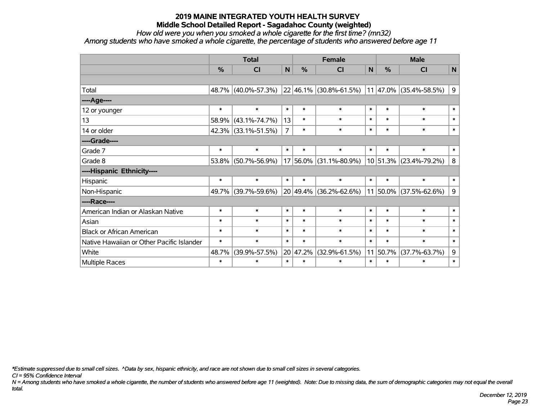*How old were you when you smoked a whole cigarette for the first time? (mn32)*

*Among students who have smoked a whole cigarette, the percentage of students who answered before age 11*

|                                           | <b>Total</b>                 |                                            |        |               | <b>Female</b>       | <b>Male</b> |               |                               |             |
|-------------------------------------------|------------------------------|--------------------------------------------|--------|---------------|---------------------|-------------|---------------|-------------------------------|-------------|
|                                           | $\frac{0}{0}$                | CI                                         | N      | $\frac{0}{0}$ | <b>CI</b>           | N           | $\frac{0}{0}$ | <b>CI</b>                     | N           |
|                                           |                              |                                            |        |               |                     |             |               |                               |             |
| Total                                     |                              | 48.7% (40.0%-57.3%) 22 46.1% (30.8%-61.5%) |        |               |                     |             |               | $11 47.0\% (35.4\% - 58.5\%)$ | 9           |
| ---- Age----                              |                              |                                            |        |               |                     |             |               |                               |             |
| 12 or younger                             | $\ast$                       | $\ast$                                     | $\ast$ | $\ast$        | $\ast$              | $\ast$      | $\ast$        | $\ast$                        | $\ast$      |
| 13                                        | 58.9%                        | $(43.1\% - 74.7\%)$                        | 13     | $\ast$        | $\ast$              | $\ast$      | $\ast$        | $\ast$                        | $\ast$      |
| 14 or older                               |                              | 42.3% (33.1%-51.5%)                        |        | $\ast$        | $\ast$              | $\ast$      | $\ast$        | $\ast$                        | $\ast$      |
| ----Grade----                             |                              |                                            |        |               |                     |             |               |                               |             |
| Grade 7                                   | $\ast$                       | $\ast$                                     | $\ast$ | $\ast$        | $\ast$              | $\ast$      | $\ast$        | $\ast$                        | $\ast$      |
| Grade 8                                   | 53.8%                        | $(50.7\% - 56.9\%)$                        |        | 17 56.0%      | $(31.1\% - 80.9\%)$ |             | $10 51.3\% $  | $(23.4\% - 79.2\%)$           | 8           |
| ----Hispanic Ethnicity----                |                              |                                            |        |               |                     |             |               |                               |             |
| Hispanic                                  | $\ast$                       | $\ast$                                     | $\ast$ | $\ast$        | $\ast$              | $\ast$      | $\ast$        | $\ast$                        | $\ast$      |
| Non-Hispanic                              | 49.7%                        | $(39.7\% - 59.6\%)$                        |        | 20 49.4%      | $(36.2\% - 62.6\%)$ |             | $11 50.0\% $  | $(37.5\% - 62.6\%)$           | 9           |
| ----Race----                              |                              |                                            |        |               |                     |             |               |                               |             |
| American Indian or Alaskan Native         | $\ast$                       | $\ast$                                     | $\ast$ | $\ast$        | $\ast$              | $\ast$      | $\ast$        | $\ast$                        | $\ast$      |
| Asian                                     | $\ast$                       | $\ast$                                     | $\ast$ | $\ast$        | $\ast$              | $\ast$      | $\ast$        | $\ast$                        | $\ast$      |
| <b>Black or African American</b>          | $\ast$                       | $\ast$                                     | $\ast$ | $\ast$        | $\ast$              | $\ast$      | $\ast$        | $\ast$                        | $\ast$      |
| Native Hawaiian or Other Pacific Islander | $\ast$                       | $\ast$                                     | $\ast$ | $\ast$        | $\ast$              | $\ast$      | $\ast$        | $\ast$                        | $\ast$      |
| White                                     | $(39.9\% - 57.5\%)$<br>48.7% |                                            |        | 20 47.2%      | $(32.9\% - 61.5\%)$ | 11          | 50.7%         | $(37.7\% - 63.7\%)$           | $\mathsf 9$ |
| Multiple Races                            | $\ast$                       | $\ast$                                     | $\ast$ | $\ast$        | $\ast$              | $\ast$      | $\ast$        | $\ast$                        | $\ast$      |

*\*Estimate suppressed due to small cell sizes. ^Data by sex, hispanic ethnicity, and race are not shown due to small cell sizes in several categories.*

*CI = 95% Confidence Interval*

*N = Among students who have smoked a whole cigarette, the number of students who answered before age 11 (weighted). Note: Due to missing data, the sum of demographic categories may not equal the overall total.*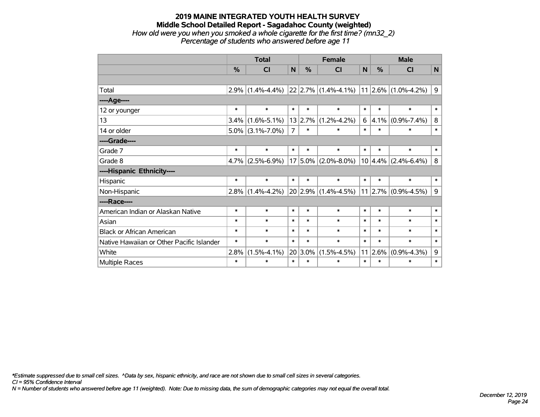#### **2019 MAINE INTEGRATED YOUTH HEALTH SURVEY Middle School Detailed Report - Sagadahoc County (weighted)** *How old were you when you smoked a whole cigarette for the first time? (mn32\_2) Percentage of students who answered before age 11*

|                                           | <b>Total</b>              |                   |                |                   | <b>Female</b>                                | <b>Male</b> |                   |                               |              |
|-------------------------------------------|---------------------------|-------------------|----------------|-------------------|----------------------------------------------|-------------|-------------------|-------------------------------|--------------|
|                                           | %                         | CI                | N              | %                 | <b>CI</b>                                    | N           | %                 | <b>CI</b>                     | $\mathsf{N}$ |
|                                           |                           |                   |                |                   |                                              |             |                   |                               |              |
| Total                                     | 2.9%                      | $(1.4\% - 4.4\%)$ |                |                   | $ 22 2.7\% $ (1.4%-4.1%) 11 2.6% (1.0%-4.2%) |             |                   |                               | 9            |
| ---- Age----                              |                           |                   |                |                   |                                              |             |                   |                               |              |
| 12 or younger                             | $\ast$                    | $\ast$            | $\ast$         | $\ast$            | $\ast$                                       | $\ast$      | $\ast$            | $\ast$                        | $\ast$       |
| 13                                        | 3.4%<br>$(1.6\% - 5.1\%)$ |                   | 13 2.7%        | $(1.2\% - 4.2\%)$ | 6                                            | 4.1%        | $(0.9\% - 7.4\%)$ | 8                             |              |
| 14 or older                               | $5.0\%$ (3.1%-7.0%)       |                   | $\overline{7}$ | $\ast$<br>$\ast$  |                                              | $\ast$      | $\ast$            | $\ast$                        | $\ast$       |
| ----Grade----                             |                           |                   |                |                   |                                              |             |                   |                               |              |
| Grade 7                                   | $\ast$                    | $\ast$            | $\ast$         | $\ast$            | $\ast$                                       | $\ast$      | $\ast$            | $\ast$                        | $\ast$       |
| Grade 8                                   | 4.7%                      | $(2.5\% - 6.9\%)$ |                | $17 5.0\% $       | $(2.0\% - 8.0\%)$                            |             | 10 4.4%           | $(2.4\% - 6.4\%)$             | 8            |
| ----Hispanic Ethnicity----                |                           |                   |                |                   |                                              |             |                   |                               |              |
| Hispanic                                  | $\ast$                    | $\ast$            | $\ast$         | $\ast$            | $\ast$                                       | $\ast$      | $\ast$            | $\ast$                        | $\ast$       |
| Non-Hispanic                              | $2.8\%$                   | $(1.4\% - 4.2\%)$ |                |                   | $20 2.9\% (1.4\% - 4.5\%)$                   |             |                   | $11$   2.7% $(0.9\% - 4.5\%)$ | 9            |
| ----Race----                              |                           |                   |                |                   |                                              |             |                   |                               |              |
| American Indian or Alaskan Native         | $\ast$                    | $\ast$            | $\ast$         | $\ast$            | $\ast$                                       | $\ast$      | $\ast$            | $\ast$                        | $\ast$       |
| Asian                                     | $\ast$                    | $\ast$            | $\ast$         | $\ast$            | $\ast$                                       | $\ast$      | $\ast$            | $\ast$                        | $\ast$       |
| <b>Black or African American</b>          | $\ast$                    | $\ast$            | $\ast$         | $\ast$            | $\ast$                                       | $\ast$      | $\ast$            | $\ast$                        | $\ast$       |
| Native Hawaiian or Other Pacific Islander | $\ast$                    | $\ast$            | $\ast$         | $\ast$            | $\ast$                                       | $\ast$      | $\ast$            | $\ast$                        | $\ast$       |
| White                                     | 2.8%                      | $(1.5\% - 4.1\%)$ | 20             | $3.0\%$           | $(1.5\% - 4.5\%)$                            |             | 11 2.6%           | $(0.9\% - 4.3\%)$             | $\mathsf 9$  |
| Multiple Races                            | $\ast$                    | $\ast$            | $\ast$         | $\ast$            | $\ast$                                       | $\ast$      | $\ast$            | $\ast$                        | $\ast$       |

*\*Estimate suppressed due to small cell sizes. ^Data by sex, hispanic ethnicity, and race are not shown due to small cell sizes in several categories.*

*CI = 95% Confidence Interval*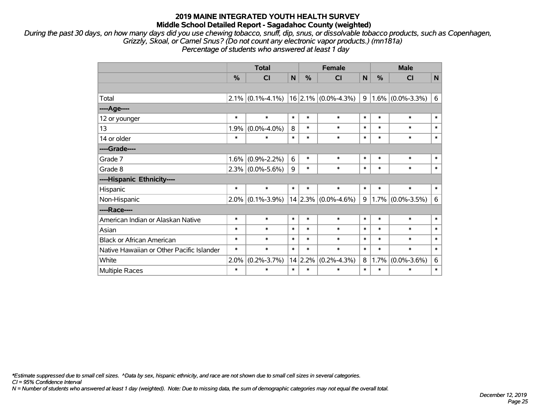*During the past 30 days, on how many days did you use chewing tobacco, snuff, dip, snus, or dissolvable tobacco products, such as Copenhagen, Grizzly, Skoal, or Camel Snus? (Do not count any electronic vapor products.) (mn181a) Percentage of students who answered at least 1 day*

|                                           | <b>Total</b> |                     |              |        | <b>Female</b>           | <b>Male</b>  |        |                     |              |
|-------------------------------------------|--------------|---------------------|--------------|--------|-------------------------|--------------|--------|---------------------|--------------|
|                                           | %            | <b>CI</b>           | $\mathsf{N}$ | %      | <b>CI</b>               | $\mathsf{N}$ | %      | C <sub>l</sub>      | $\mathsf{N}$ |
|                                           |              |                     |              |        |                         |              |        |                     |              |
| Total                                     |              | $2.1\%$ (0.1%-4.1%) |              |        | $16$ 2.1% (0.0%-4.3%)   | 9            |        | $1.6\%$ (0.0%-3.3%) | 6            |
| ---- Age----                              |              |                     |              |        |                         |              |        |                     |              |
| 12 or younger                             | $\ast$       | $\ast$              | $\ast$       | $\ast$ | $\ast$                  | $\ast$       | $\ast$ | $\ast$              | $\ast$       |
| 13                                        | 1.9%         | $(0.0\% - 4.0\%)$   | 8            | $\ast$ | $\ast$                  | $\ast$       | $\ast$ | $\ast$              | $\ast$       |
| 14 or older                               | $\ast$       | $\ast$              | $\ast$       | $\ast$ | $\ast$                  | $\ast$       | $\ast$ | $\ast$              | $\ast$       |
| ----Grade----                             |              |                     |              |        |                         |              |        |                     |              |
| Grade 7                                   | 1.6%         | $(0.9\% - 2.2\%)$   | 6            | $\ast$ | $\ast$                  | $\ast$       | $\ast$ | $\ast$              | $\ast$       |
| Grade 8                                   |              | $2.3\%$ (0.0%-5.6%) | 9            | $\ast$ | $\ast$                  | $\ast$       | $\ast$ | $\ast$              | $\ast$       |
| ----Hispanic Ethnicity----                |              |                     |              |        |                         |              |        |                     |              |
| Hispanic                                  | $\ast$       | $\ast$              | $\ast$       | $\ast$ | $\ast$                  | $\ast$       | $\ast$ | $\ast$              | $\ast$       |
| Non-Hispanic                              | 2.0%         | $(0.1\% - 3.9\%)$   |              |        | $14 2.3\% $ (0.0%-4.6%) | 9            | 1.7%   | $(0.0\% - 3.5\%)$   | 6            |
| ----Race----                              |              |                     |              |        |                         |              |        |                     |              |
| American Indian or Alaskan Native         | $\ast$       | $\ast$              | $\ast$       | $\ast$ | $\ast$                  | $\ast$       | $\ast$ | $\ast$              | $\ast$       |
| Asian                                     | $\ast$       | $\ast$              | $\ast$       | $\ast$ | $\ast$                  | $\ast$       | $\ast$ | $\ast$              | $\ast$       |
| <b>Black or African American</b>          | $\ast$       | $\ast$              | $\ast$       | $\ast$ | $\ast$                  | $\ast$       | $\ast$ | $\ast$              | $\ast$       |
| Native Hawaiian or Other Pacific Islander | $\ast$       | $\ast$              | $\ast$       | $\ast$ | $\ast$                  | $\ast$       | $\ast$ | $\ast$              | $\ast$       |
| White                                     | 2.0%         | $(0.2\% - 3.7\%)$   | 14           | 2.2%   | $(0.2\% - 4.3\%)$       | 8            | 1.7%   | $(0.0\% - 3.6\%)$   | 6            |
| <b>Multiple Races</b>                     | $\ast$       | $\ast$              | $\ast$       | $\ast$ | $\ast$                  | $\ast$       | $\ast$ | $\ast$              | $\ast$       |

*\*Estimate suppressed due to small cell sizes. ^Data by sex, hispanic ethnicity, and race are not shown due to small cell sizes in several categories.*

*CI = 95% Confidence Interval*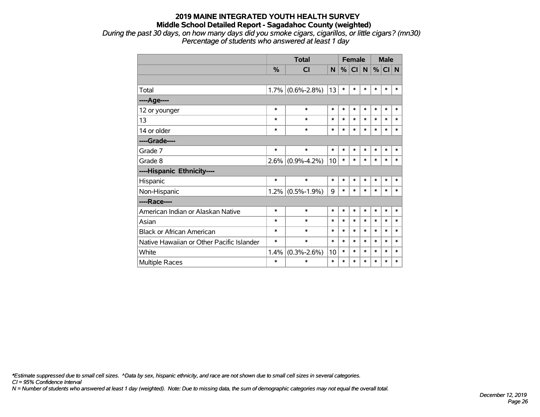*During the past 30 days, on how many days did you smoke cigars, cigarillos, or little cigars? (mn30) Percentage of students who answered at least 1 day*

|                                           |        | <b>Total</b>      |        | <b>Female</b> |           |        | <b>Male</b> |          |        |
|-------------------------------------------|--------|-------------------|--------|---------------|-----------|--------|-------------|----------|--------|
|                                           | %      | CI                | N.     | %             | <b>CI</b> | N      |             | $%$ CI N |        |
|                                           |        |                   |        |               |           |        |             |          |        |
| Total                                     | 1.7%   | $(0.6\% - 2.8\%)$ | 13     | $\ast$        | $\ast$    | $\ast$ | *           | $\ast$   | *      |
| ----Age----                               |        |                   |        |               |           |        |             |          |        |
| 12 or younger                             | $\ast$ | $\ast$            | *      | $\ast$        | $\ast$    | $\ast$ | $\ast$      | $\ast$   | *      |
| 13                                        | $\ast$ | $\ast$            | $\ast$ | $\ast$        | $\ast$    | $\ast$ | $\ast$      | *        | $\ast$ |
| 14 or older                               | *      | $\ast$            | $\ast$ | $\ast$        | $\ast$    | $\ast$ | $\ast$      | $\ast$   | $\ast$ |
| ----Grade----                             |        |                   |        |               |           |        |             |          |        |
| Grade 7                                   | $\ast$ | $\ast$            | $\ast$ | $\ast$        | $\ast$    | $\ast$ | $\ast$      | $\ast$   | $\ast$ |
| Grade 8                                   | 2.6%   | $(0.9\% - 4.2\%)$ | 10     | $\ast$        | $\ast$    | $\ast$ | $\ast$      | $\ast$   | $\ast$ |
| ----Hispanic Ethnicity----                |        |                   |        |               |           |        |             |          |        |
| Hispanic                                  | $\ast$ | $\ast$            | $\ast$ | $\ast$        | $\ast$    | $\ast$ | *           | $\ast$   | $\ast$ |
| Non-Hispanic                              | 1.2%   | $(0.5\% - 1.9\%)$ | 9      | $\ast$        | $\ast$    | $\ast$ | $\ast$      | $\ast$   | *      |
| ----Race----                              |        |                   |        |               |           |        |             |          |        |
| American Indian or Alaskan Native         | $\ast$ | $\ast$            | *      | $\ast$        | $\ast$    | $\ast$ | $\ast$      | $\ast$   | $\ast$ |
| Asian                                     | $\ast$ | $\ast$            | $\ast$ | *             | $\ast$    | $\ast$ | $\ast$      | $\ast$   | $\ast$ |
| <b>Black or African American</b>          | *      | $\ast$            | $\ast$ | $\ast$        | $\ast$    | $\ast$ | $\ast$      | $\ast$   | $\ast$ |
| Native Hawaiian or Other Pacific Islander | *      | $\ast$            | $\ast$ | $\ast$        | $\ast$    | $\ast$ | $\ast$      | $\ast$   | $\ast$ |
| White                                     | 1.4%   | $(0.3\% - 2.6\%)$ | 10     | $\ast$        | $\ast$    | $\ast$ | $\ast$      | *        | $\ast$ |
| Multiple Races                            | $\ast$ | $\ast$            | $\ast$ | $\ast$        | $\ast$    | *      | $\ast$      | *        | $\ast$ |

*\*Estimate suppressed due to small cell sizes. ^Data by sex, hispanic ethnicity, and race are not shown due to small cell sizes in several categories.*

*CI = 95% Confidence Interval*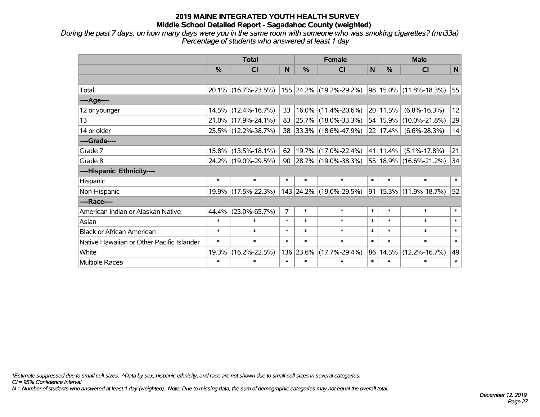*During the past 7 days, on how many days were you in the same room with someone who was smoking cigarettes? (mn33a) Percentage of students who answered at least 1 day*

|                                           | <b>Total</b>  |                        |                |           | <b>Female</b>            |              | <b>Male</b>   |                            |        |  |
|-------------------------------------------|---------------|------------------------|----------------|-----------|--------------------------|--------------|---------------|----------------------------|--------|--|
|                                           | $\frac{0}{0}$ | <b>CI</b>              | N              | %         | <b>CI</b>                | $\mathsf{N}$ | $\frac{0}{0}$ | <b>CI</b>                  | N      |  |
|                                           |               |                        |                |           |                          |              |               |                            |        |  |
| Total                                     |               | $20.1\%$ (16.7%-23.5%) |                |           | 155 24.2% (19.2%-29.2%)  |              |               | 98 15.0% (11.8%-18.3%)     | 55     |  |
| ---- Age----                              |               |                        |                |           |                          |              |               |                            |        |  |
| 12 or younger                             |               | 14.5% (12.4%-16.7%)    | 33             | 16.0%     | $(11.4\% - 20.6\%)$      |              | 20 11.5%      | $(6.8\% - 16.3\%)$         | 12     |  |
| 13                                        |               | 21.0% (17.9%-24.1%)    | 83             |           | 25.7% (18.0%-33.3%)      |              |               | 54   15.9%   (10.0%-21.8%) | 29     |  |
| 14 or older                               |               | 25.5% (12.2%-38.7%)    | 38             |           | $ 33.3\% $ (18.6%-47.9%) |              | 22 17.4%      | $(6.6\% - 28.3\%)$         | 14     |  |
| ----Grade----                             |               |                        |                |           |                          |              |               |                            |        |  |
| Grade 7                                   |               | $15.8\%$ (13.5%-18.1%) | 62             |           | 19.7% (17.0%-22.4%)      |              | 41 11.4%      | $(5.1\% - 17.8\%)$         | 21     |  |
| Grade 8                                   |               | 24.2% (19.0%-29.5%)    | 90             |           | $ 28.7\% $ (19.0%-38.3%) |              |               | 55 18.9% (16.6%-21.2%)     | 34     |  |
| ----Hispanic Ethnicity----                |               |                        |                |           |                          |              |               |                            |        |  |
| Hispanic                                  | $\ast$        | $\ast$                 | $\ast$         | $\ast$    | $\ast$                   | $\ast$       | $\ast$        | $\ast$                     | $\ast$ |  |
| Non-Hispanic                              |               | 19.9% (17.5%-22.3%)    |                |           | 143 24.2% (19.0%-29.5%)  |              |               | 91 15.3% (11.9%-18.7%)     | 52     |  |
| ----Race----                              |               |                        |                |           |                          |              |               |                            |        |  |
| American Indian or Alaskan Native         | 44.4%         | $(23.0\% - 65.7\%)$    | $\overline{7}$ | $\ast$    | $\ast$                   | $\ast$       | $\ast$        | $\ast$                     | $\ast$ |  |
| Asian                                     | $\ast$        | $\ast$                 | $\ast$         | $\ast$    | $\ast$                   | $\ast$       | $\ast$        | $\ast$                     | $\ast$ |  |
| <b>Black or African American</b>          | $\ast$        | $\ast$                 | $\ast$         | $\ast$    | $\ast$                   | $\ast$       | $\ast$        | $\ast$                     | $\ast$ |  |
| Native Hawaiian or Other Pacific Islander | $\ast$        | $\ast$                 | $\ast$         | $\ast$    | $\ast$                   | $\ast$       | $\ast$        | $\ast$                     | $\ast$ |  |
| White                                     | 19.3%         | $(16.2\% - 22.5\%)$    |                | 136 23.6% | $(17.7\% - 29.4\%)$      | 86           | 14.5%         | $(12.2\% - 16.7\%)$        | 49     |  |
| Multiple Races                            | $\ast$        | $\ast$                 | $\ast$         | $\ast$    | $\ast$                   | $\ast$       | $\ast$        | $\ast$                     | $\ast$ |  |

*\*Estimate suppressed due to small cell sizes. ^Data by sex, hispanic ethnicity, and race are not shown due to small cell sizes in several categories.*

*CI = 95% Confidence Interval*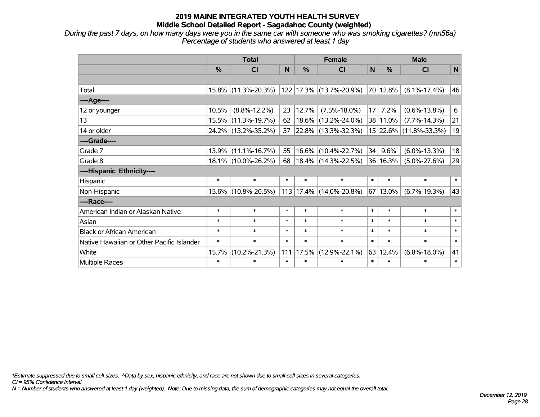*During the past 7 days, on how many days were you in the same car with someone who was smoking cigarettes? (mn56a) Percentage of students who answered at least 1 day*

|                                           | <b>Total</b> |                     |        |               | <b>Female</b>           |        |          | <b>Male</b>            |        |  |  |
|-------------------------------------------|--------------|---------------------|--------|---------------|-------------------------|--------|----------|------------------------|--------|--|--|
|                                           | $\%$         | <b>CI</b>           | N      | $\frac{0}{0}$ | <b>CI</b>               | N      | $\%$     | <b>CI</b>              | N      |  |  |
|                                           |              |                     |        |               |                         |        |          |                        |        |  |  |
| Total                                     |              | 15.8% (11.3%-20.3%) |        |               | 122 17.3% (13.7%-20.9%) |        | 70 12.8% | $(8.1\% - 17.4\%)$     | 46     |  |  |
| ----Age----                               |              |                     |        |               |                         |        |          |                        |        |  |  |
| 12 or younger                             | 10.5%        | $(8.8\% - 12.2\%)$  | 23     | 12.7%         | $(7.5\% - 18.0\%)$      | 17     | 7.2%     | $(0.6\% - 13.8\%)$     | 6      |  |  |
| 13                                        |              | 15.5% (11.3%-19.7%) | 62     |               | 18.6% (13.2%-24.0%)     |        | 38 11.0% | $(7.7\% - 14.3\%)$     | 21     |  |  |
| 14 or older                               |              | 24.2% (13.2%-35.2%) | 37     |               | 22.8% (13.3%-32.3%)     |        |          | 15 22.6% (11.8%-33.3%) | 19     |  |  |
| ----Grade----                             |              |                     |        |               |                         |        |          |                        |        |  |  |
| Grade 7                                   |              | 13.9% (11.1%-16.7%) | 55     |               | 16.6% (10.4%-22.7%)     | 34     | 9.6%     | $(6.0\% - 13.3\%)$     | 18     |  |  |
| Grade 8                                   |              | 18.1% (10.0%-26.2%) | 68     |               | $18.4\%$ (14.3%-22.5%)  |        | 36 16.3% | $(5.0\% - 27.6\%)$     | 29     |  |  |
| ----Hispanic Ethnicity----                |              |                     |        |               |                         |        |          |                        |        |  |  |
| Hispanic                                  | $\ast$       | $\ast$              | $\ast$ | $\ast$        | $\ast$                  | $\ast$ | $\ast$   | $\ast$                 | $\ast$ |  |  |
| Non-Hispanic                              |              | 15.6% (10.8%-20.5%) |        |               | 113 17.4% (14.0%-20.8%) |        | 67 13.0% | $(6.7\% - 19.3\%)$     | 43     |  |  |
| ----Race----                              |              |                     |        |               |                         |        |          |                        |        |  |  |
| American Indian or Alaskan Native         | $\ast$       | $\ast$              | $\ast$ | $\ast$        | $\ast$                  | $\ast$ | $\ast$   | $\ast$                 | $\ast$ |  |  |
| Asian                                     | $\ast$       | $\ast$              | $\ast$ | $\ast$        | $\ast$                  | $\ast$ | $\ast$   | $\ast$                 | $\ast$ |  |  |
| <b>Black or African American</b>          | $\ast$       | $\ast$              | $\ast$ | $\ast$        | $\ast$                  | $\ast$ | $\ast$   | $\ast$                 | $\ast$ |  |  |
| Native Hawaiian or Other Pacific Islander | $\ast$       | $\ast$              | $\ast$ | $\ast$        | $\ast$                  | $\ast$ | $\ast$   | $\ast$                 | $\ast$ |  |  |
| White                                     | 15.7%        | $(10.2\% - 21.3\%)$ | 111    | 17.5%         | $(12.9\% - 22.1\%)$     | 63     | 12.4%    | $(6.8\% - 18.0\%)$     | 41     |  |  |
| Multiple Races                            | $\ast$       | $\ast$              | $\ast$ | $\ast$        | $\ast$                  | $\ast$ | $\ast$   | $\ast$                 | $\ast$ |  |  |

*\*Estimate suppressed due to small cell sizes. ^Data by sex, hispanic ethnicity, and race are not shown due to small cell sizes in several categories.*

*CI = 95% Confidence Interval*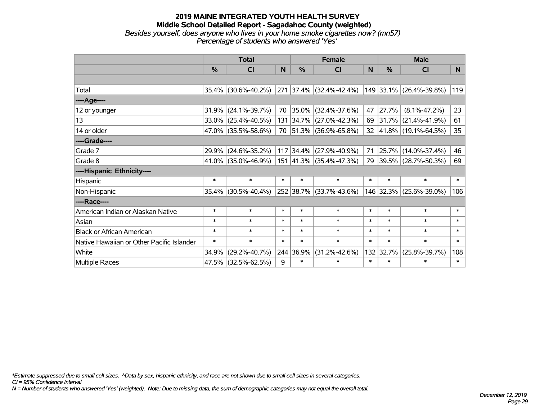#### **2019 MAINE INTEGRATED YOUTH HEALTH SURVEY Middle School Detailed Report - Sagadahoc County (weighted)** *Besides yourself, does anyone who lives in your home smoke cigarettes now? (mn57) Percentage of students who answered 'Yes'*

|                                           | <b>Total</b>  |                        |        |               | <b>Female</b>           |        | <b>Male</b> |                                         |                 |  |
|-------------------------------------------|---------------|------------------------|--------|---------------|-------------------------|--------|-------------|-----------------------------------------|-----------------|--|
|                                           | $\frac{0}{0}$ | CI                     | N      | $\frac{0}{0}$ | <b>CI</b>               | N      | %           | <b>CI</b>                               | N               |  |
|                                           |               |                        |        |               |                         |        |             |                                         |                 |  |
| Total                                     |               | $35.4\%$ (30.6%-40.2%) |        |               | 271 37.4% (32.4%-42.4%) |        |             | 149 33.1% (26.4%-39.8%)                 | 119             |  |
| ----Age----                               |               |                        |        |               |                         |        |             |                                         |                 |  |
| 12 or younger                             | 31.9%         | $(24.1\% - 39.7\%)$    | 70     |               | 35.0% (32.4%-37.6%)     | 47     | 27.7%       | $(8.1\% - 47.2\%)$                      | 23              |  |
| 13                                        |               | 33.0% (25.4%-40.5%)    |        |               | 131 34.7% (27.0%-42.3%) |        |             | 69 31.7% (21.4%-41.9%)                  | 61              |  |
| 14 or older                               |               | 47.0% (35.5%-58.6%)    |        |               | 70 51.3% (36.9%-65.8%)  |        |             | $32 \mid 41.8\% \mid (19.1\% - 64.5\%)$ | 35 <sub>2</sub> |  |
| ----Grade----                             |               |                        |        |               |                         |        |             |                                         |                 |  |
| Grade 7                                   | 29.9%         | $(24.6\% - 35.2\%)$    |        |               | 117 34.4% (27.9%-40.9%) | 71     | 25.7%       | $(14.0\% - 37.4\%)$                     | 46              |  |
| Grade 8                                   |               | $41.0\%$ (35.0%-46.9%) |        |               | 151 41.3% (35.4%-47.3%) |        |             | 79 39.5% (28.7%-50.3%)                  | 69              |  |
| ----Hispanic Ethnicity----                |               |                        |        |               |                         |        |             |                                         |                 |  |
| Hispanic                                  | $\ast$        | $\ast$                 | $\ast$ | $\ast$        | $\ast$                  | $\ast$ | $\ast$      | $\ast$                                  | $\ast$          |  |
| Non-Hispanic                              |               | $35.4\%$ (30.5%-40.4%) |        |               | 252 38.7% (33.7%-43.6%) |        |             | 146 32.3% (25.6%-39.0%)                 | 106             |  |
| ----Race----                              |               |                        |        |               |                         |        |             |                                         |                 |  |
| American Indian or Alaskan Native         | $\ast$        | $\ast$                 | $\ast$ | $\ast$        | $\ast$                  | $\ast$ | $\ast$      | $\ast$                                  | $\ast$          |  |
| Asian                                     | $\ast$        | $\ast$                 | $\ast$ | $\ast$        | $\ast$                  | $\ast$ | $\ast$      | $\ast$                                  | $\ast$          |  |
| <b>Black or African American</b>          | $\ast$        | $\ast$                 | $\ast$ | $\ast$        | $\ast$                  | $\ast$ | $\ast$      | $\ast$                                  | $\ast$          |  |
| Native Hawaiian or Other Pacific Islander | $\ast$        | $\ast$                 | $\ast$ | $\ast$        | $\ast$                  | $\ast$ | $\ast$      | $\ast$                                  | $\ast$          |  |
| White                                     | 34.9%         | $(29.2\% - 40.7\%)$    |        | 244 36.9%     | $(31.2\% - 42.6\%)$     |        | 132 32.7%   | $(25.8\% - 39.7\%)$                     | 108             |  |
| <b>Multiple Races</b>                     |               | 47.5% (32.5%-62.5%)    | 9      | $\ast$        | $\ast$                  | $\ast$ | $\ast$      | $\ast$                                  | $\ast$          |  |

*\*Estimate suppressed due to small cell sizes. ^Data by sex, hispanic ethnicity, and race are not shown due to small cell sizes in several categories.*

*CI = 95% Confidence Interval*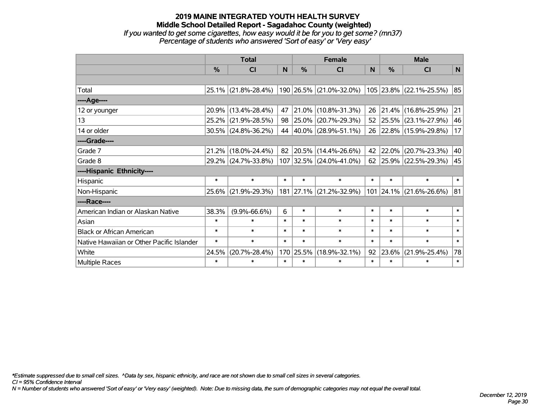#### **2019 MAINE INTEGRATED YOUTH HEALTH SURVEY Middle School Detailed Report - Sagadahoc County (weighted)** *If you wanted to get some cigarettes, how easy would it be for you to get some? (mn37) Percentage of students who answered 'Sort of easy' or 'Very easy'*

|                                           | <b>Total</b> |                        |        |           | <b>Female</b>            | <b>Male</b> |               |                           |        |
|-------------------------------------------|--------------|------------------------|--------|-----------|--------------------------|-------------|---------------|---------------------------|--------|
|                                           | %            | <b>CI</b>              | N      | %         | <b>CI</b>                | N           | $\frac{0}{0}$ | <b>CI</b>                 | N      |
|                                           |              |                        |        |           |                          |             |               |                           |        |
| Total                                     |              | 25.1% (21.8%-28.4%)    |        |           | 190 26.5% (21.0%-32.0%)  |             |               | $105$ 23.8% (22.1%-25.5%) | 85     |
| ----Age----                               |              |                        |        |           |                          |             |               |                           |        |
| 12 or younger                             | 20.9%        | $(13.4\% - 28.4\%)$    | 47     | 21.0%     | $(10.8\% - 31.3\%)$      | 26          |               | 21.4% (16.8%-25.9%)       | 21     |
| 13                                        | 25.2%        | $(21.9\% - 28.5\%)$    | 98     | 25.0%     | $(20.7\% - 29.3\%)$      | 52          |               | 25.5% (23.1%-27.9%)       | 46     |
| 14 or older                               |              | $30.5\%$ (24.8%-36.2%) | 44     |           | $ 40.0\% $ (28.9%-51.1%) | 26          |               | $ 22.8\% $ (15.9%-29.8%)  | 17     |
| ----Grade----                             |              |                        |        |           |                          |             |               |                           |        |
| Grade 7                                   | 21.2%        | $(18.0\% - 24.4\%)$    | 82     | 20.5%     | $(14.4\% - 26.6\%)$      | 42          | $ 22.0\% $    | $(20.7\% - 23.3\%)$       | 40     |
| Grade 8                                   |              | 29.2% (24.7%-33.8%)    |        |           | 107 32.5% (24.0%-41.0%)  | 62          |               | $ 25.9\% $ (22.5%-29.3%)  | 45     |
| ----Hispanic Ethnicity----                |              |                        |        |           |                          |             |               |                           |        |
| Hispanic                                  | $\ast$       | $\ast$                 | $\ast$ | $\ast$    | $\ast$                   | $\ast$      | $\ast$        | $\ast$                    | $\ast$ |
| Non-Hispanic                              | $25.6\%$     | $(21.9\% - 29.3\%)$    |        | 181 27.1% | $(21.2\% - 32.9\%)$      |             |               | 101 24.1% (21.6%-26.6%)   | 81     |
| ----Race----                              |              |                        |        |           |                          |             |               |                           |        |
| American Indian or Alaskan Native         | 38.3%        | $(9.9\% - 66.6\%)$     | 6      | $\ast$    | $\ast$                   | $\ast$      | $\ast$        | $\ast$                    | $\ast$ |
| Asian                                     | $\ast$       | $\ast$                 | $\ast$ | $\ast$    | $\ast$                   | $\ast$      | $\ast$        | $\ast$                    | $\ast$ |
| <b>Black or African American</b>          | $\ast$       | $\ast$                 | $\ast$ | $\ast$    | $\ast$                   | $\ast$      | $\ast$        | $\ast$                    | $\ast$ |
| Native Hawaiian or Other Pacific Islander | $\ast$       | $\ast$                 | $\ast$ | $\ast$    | $\ast$                   | $\ast$      | $\ast$        | $\ast$                    | $\ast$ |
| White                                     | 24.5%        | $(20.7\% - 28.4\%)$    |        | 170 25.5% | $(18.9\% - 32.1\%)$      | 92          | 23.6%         | $(21.9\% - 25.4\%)$       | 78     |
| Multiple Races                            | $\ast$       | $\ast$                 | $\ast$ | $\ast$    | $\ast$                   | $\ast$      | $\ast$        | $\ast$                    | $\ast$ |

*\*Estimate suppressed due to small cell sizes. ^Data by sex, hispanic ethnicity, and race are not shown due to small cell sizes in several categories.*

*CI = 95% Confidence Interval*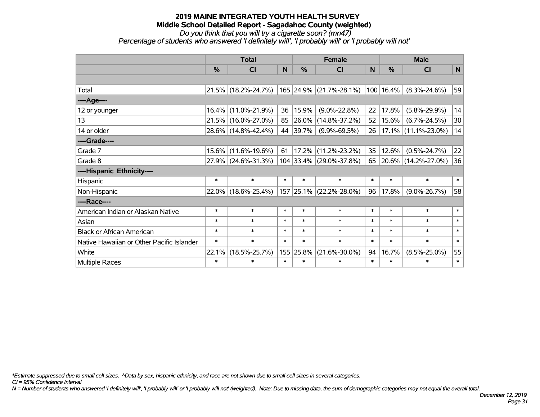*Do you think that you will try a cigarette soon? (mn47)*

*Percentage of students who answered 'I definitely will', 'I probably will' or 'I probably will not'*

|                                           | <b>Total</b> |                     |        |           | <b>Female</b>           | <b>Male</b> |               |                        |        |
|-------------------------------------------|--------------|---------------------|--------|-----------|-------------------------|-------------|---------------|------------------------|--------|
|                                           | %            | CI                  | N      | %         | <b>CI</b>               | N.          | $\frac{0}{0}$ | <b>CI</b>              | N      |
|                                           |              |                     |        |           |                         |             |               |                        |        |
| Total                                     |              | 21.5% (18.2%-24.7%) |        |           | 165 24.9% (21.7%-28.1%) |             | 100 16.4%     | $(8.3\% - 24.6\%)$     | 59     |
| ----Age----                               |              |                     |        |           |                         |             |               |                        |        |
| 12 or younger                             | 16.4%        | $(11.0\% - 21.9\%)$ | 36     | 15.9%     | $(9.0\% - 22.8\%)$      | 22          | 17.8%         | $(5.8\% - 29.9\%)$     | 14     |
| 13                                        | 21.5%        | $(16.0\% - 27.0\%)$ | 85     | 26.0%     | $(14.8\% - 37.2\%)$     | 52          | 15.6%         | $(6.7\% - 24.5\%)$     | 30     |
| 14 or older                               |              | 28.6% (14.8%-42.4%) | 44     | 39.7%     | $(9.9\% - 69.5\%)$      | 26          |               | $17.1\%$ (11.1%-23.0%) | 14     |
| ----Grade----                             |              |                     |        |           |                         |             |               |                        |        |
| Grade 7                                   | 15.6%        | $(11.6\% - 19.6\%)$ | 61     | 17.2%     | $(11.2\% - 23.2\%)$     | 35          | 12.6%         | $(0.5\% - 24.7\%)$     | 22     |
| Grade 8                                   |              | 27.9% (24.6%-31.3%) |        |           | 104 33.4% (29.0%-37.8%) |             |               | 65 20.6% (14.2%-27.0%) | 36     |
| ----Hispanic Ethnicity----                |              |                     |        |           |                         |             |               |                        |        |
| Hispanic                                  | $\ast$       | $\ast$              | $\ast$ | $\ast$    | $\ast$                  | $\ast$      | $\ast$        | $\ast$                 | $\ast$ |
| Non-Hispanic                              | 22.0%        | $(18.6\% - 25.4\%)$ |        | 157 25.1% | $(22.2\% - 28.0\%)$     | 96          | 17.8%         | $(9.0\% - 26.7\%)$     | 58     |
| ----Race----                              |              |                     |        |           |                         |             |               |                        |        |
| American Indian or Alaskan Native         | $\ast$       | $\ast$              | $\ast$ | $\ast$    | $\ast$                  | $\ast$      | $\ast$        | $\ast$                 | $\ast$ |
| Asian                                     | $\ast$       | $\ast$              | $\ast$ | $\ast$    | $\ast$                  | $\ast$      | $\ast$        | $\ast$                 | $\ast$ |
| <b>Black or African American</b>          | $\ast$       | $\ast$              | $\ast$ | $\ast$    | $\ast$                  | $\ast$      | $\ast$        | $\ast$                 | $\ast$ |
| Native Hawaiian or Other Pacific Islander | $\ast$       | $\ast$              | $\ast$ | $\ast$    | $\ast$                  | $\ast$      | $\ast$        | $\ast$                 | $\ast$ |
| White                                     | 22.1%        | $(18.5\% - 25.7\%)$ |        | 155 25.8% | $(21.6\% - 30.0\%)$     | 94          | 16.7%         | $(8.5\% - 25.0\%)$     | 55     |
| <b>Multiple Races</b>                     | $\ast$       | $\ast$              | $\ast$ | $\ast$    | $\ast$                  | $\ast$      | $\ast$        | $\ast$                 | $\ast$ |

*\*Estimate suppressed due to small cell sizes. ^Data by sex, hispanic ethnicity, and race are not shown due to small cell sizes in several categories.*

*CI = 95% Confidence Interval*

*N = Number of students who answered 'I definitely will', 'I probably will' or 'I probably will not' (weighted). Note: Due to missing data, the sum of demographic categories may not equal the overall total.*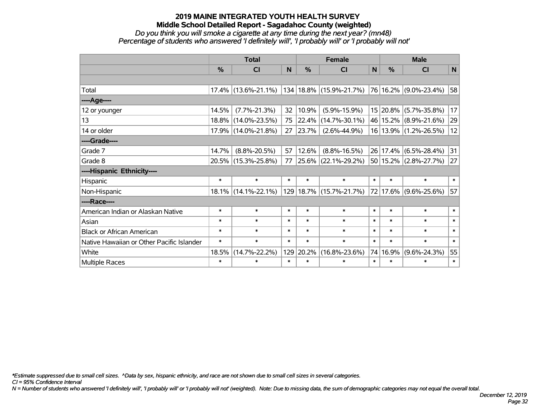*Do you think you will smoke a cigarette at any time during the next year? (mn48) Percentage of students who answered 'I definitely will', 'I probably will' or 'I probably will not'*

|                                           | <b>Total</b>  |                     |        |        | <b>Female</b>           |              | <b>Male</b> |                       |        |  |
|-------------------------------------------|---------------|---------------------|--------|--------|-------------------------|--------------|-------------|-----------------------|--------|--|
|                                           | $\frac{0}{0}$ | <b>CI</b>           | N      | %      | <b>CI</b>               | $\mathsf{N}$ | %           | <b>CI</b>             | N      |  |
|                                           |               |                     |        |        |                         |              |             |                       |        |  |
| Total                                     | $17.4\%$      | $(13.6\% - 21.1\%)$ |        |        | 134 18.8% (15.9%-21.7%) |              |             | 76 16.2% (9.0%-23.4%) | 58     |  |
| ----Age----                               |               |                     |        |        |                         |              |             |                       |        |  |
| 12 or younger                             | 14.5%         | $(7.7\% - 21.3\%)$  | 32     | 10.9%  | $(5.9\% - 15.9\%)$      |              | 15 20.8%    | $(5.7\% - 35.8\%)$    | 17     |  |
| 13                                        | $18.8\%$      | $(14.0\% - 23.5\%)$ | 75     | 22.4%  | $(14.7\% - 30.1\%)$     |              |             | 46 15.2% (8.9%-21.6%) | 29     |  |
| 14 or older                               | 17.9%         | $(14.0\% - 21.8\%)$ | 27     | 23.7%  | $(2.6\% - 44.9\%)$      |              |             | 16 13.9% (1.2%-26.5%) | 12     |  |
| ----Grade----                             |               |                     |        |        |                         |              |             |                       |        |  |
| Grade 7                                   | 14.7%         | $(8.8\% - 20.5\%)$  | 57     | 12.6%  | $(8.8\% - 16.5\%)$      |              |             | 26 17.4% (6.5%-28.4%) | 31     |  |
| Grade 8                                   |               | 20.5% (15.3%-25.8%) | 77     |        | 25.6% (22.1%-29.2%)     |              |             | 50 15.2% (2.8%-27.7%) | 27     |  |
| ----Hispanic Ethnicity----                |               |                     |        |        |                         |              |             |                       |        |  |
| <b>Hispanic</b>                           | $\ast$        | $\ast$              | $\ast$ | $\ast$ | $\ast$                  | $\ast$       | $\ast$      | $\ast$                | $\ast$ |  |
| Non-Hispanic                              | $18.1\%$      | $(14.1\% - 22.1\%)$ |        |        | 129 18.7% (15.7%-21.7%) |              | 72 17.6%    | $(9.6\% - 25.6\%)$    | 57     |  |
| ----Race----                              |               |                     |        |        |                         |              |             |                       |        |  |
| American Indian or Alaskan Native         | $\ast$        | $\ast$              | $\ast$ | $\ast$ | $\ast$                  | $\ast$       | $\ast$      | $\ast$                | $\ast$ |  |
| Asian                                     | $\ast$        | $\ast$              | $\ast$ | $\ast$ | $\ast$                  | $\ast$       | $\ast$      | $\ast$                | $\ast$ |  |
| <b>Black or African American</b>          | $\ast$        | $\ast$              | *      | $\ast$ | $\ast$                  | $\ast$       | $\ast$      | $\ast$                | $\ast$ |  |
| Native Hawaiian or Other Pacific Islander | $\ast$        | $\ast$              | $\ast$ | $\ast$ | $\ast$                  | $\ast$       | $\ast$      | $\ast$                | $\ast$ |  |
| White                                     | 18.5%         | $(14.7\% - 22.2\%)$ | 129    | 20.2%  | $(16.8\% - 23.6\%)$     | 74           | 16.9%       | $(9.6\% - 24.3\%)$    | 55     |  |
| <b>Multiple Races</b>                     | $\ast$        | $\ast$              | $\ast$ | $\ast$ | *                       | $\ast$       | $\ast$      | $\ast$                | $\ast$ |  |

*\*Estimate suppressed due to small cell sizes. ^Data by sex, hispanic ethnicity, and race are not shown due to small cell sizes in several categories.*

*CI = 95% Confidence Interval*

*N = Number of students who answered 'I definitely will', 'I probably will' or 'I probably will not' (weighted). Note: Due to missing data, the sum of demographic categories may not equal the overall total.*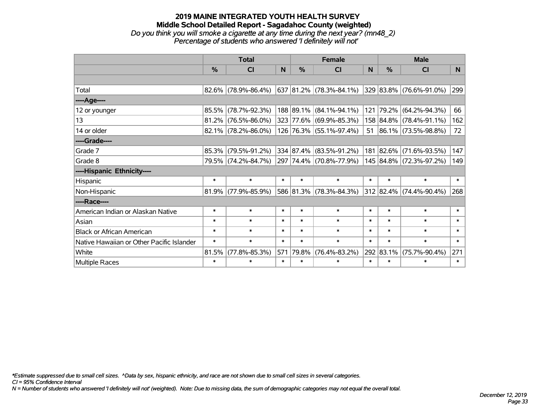#### **2019 MAINE INTEGRATED YOUTH HEALTH SURVEY Middle School Detailed Report - Sagadahoc County (weighted)** *Do you think you will smoke a cigarette at any time during the next year? (mn48\_2) Percentage of students who answered 'I definitely will not'*

|                                           | <b>Total</b>  |                        |        |        | <b>Female</b>           |              | <b>Male</b> |                         |                |  |
|-------------------------------------------|---------------|------------------------|--------|--------|-------------------------|--------------|-------------|-------------------------|----------------|--|
|                                           | $\frac{0}{0}$ | <b>CI</b>              | N      | $\%$   | <b>CI</b>               | <sub>N</sub> | $\%$        | CI                      | N <sub>1</sub> |  |
|                                           |               |                        |        |        |                         |              |             |                         |                |  |
| Total                                     |               | 82.6% (78.9%-86.4%)    |        |        | 637 81.2% (78.3%-84.1%) |              |             | 329 83.8% (76.6%-91.0%) | 299            |  |
| ----Age----                               |               |                        |        |        |                         |              |             |                         |                |  |
| 12 or younger                             | 85.5%         | $(78.7\% - 92.3\%)$    |        |        | 188 89.1% (84.1%-94.1%) | 121          | 79.2%       | $(64.2\% - 94.3\%)$     | 66             |  |
| 13                                        |               | $81.2\%$ (76.5%-86.0%) |        |        | 323 77.6% (69.9%-85.3%) |              |             | 158 84.8% (78.4%-91.1%) | 162            |  |
| 14 or older                               |               | $82.1\%$ (78.2%-86.0%) |        |        | 126 76.3% (55.1%-97.4%) |              |             | 51 86.1% (73.5%-98.8%)  | 72             |  |
| ----Grade----                             |               |                        |        |        |                         |              |             |                         |                |  |
| Grade 7                                   | 85.3%         | $(79.5\% - 91.2\%)$    |        |        | 334 87.4% (83.5%-91.2%) |              | 181 82.6%   | $(71.6\% - 93.5\%)$     | 147            |  |
| Grade 8                                   |               | 79.5% (74.2%-84.7%)    |        |        | 297 74.4% (70.8%-77.9%) |              |             | 145 84.8% (72.3%-97.2%) | 149            |  |
| ----Hispanic Ethnicity----                |               |                        |        |        |                         |              |             |                         |                |  |
| Hispanic                                  | $\ast$        | $\ast$                 | $\ast$ | $\ast$ | $\ast$                  | $\ast$       | $\ast$      | $\ast$                  | $\ast$         |  |
| Non-Hispanic                              |               | $81.9\%$ (77.9%-85.9%) |        |        | 586 81.3% (78.3%-84.3%) |              |             | 312 82.4% (74.4%-90.4%) | 268            |  |
| ----Race----                              |               |                        |        |        |                         |              |             |                         |                |  |
| American Indian or Alaskan Native         | $\ast$        | $\ast$                 | $\ast$ | $\ast$ | $\ast$                  | $\ast$       | $\ast$      | $\ast$                  | $\ast$         |  |
| Asian                                     | $\ast$        | $\ast$                 | $\ast$ | $\ast$ | $\ast$                  | $\ast$       | $\ast$      | $\ast$                  | $\ast$         |  |
| <b>Black or African American</b>          | $\ast$        | $\ast$                 | $\ast$ | $\ast$ | $\ast$                  | $\ast$       | $\ast$      | $\ast$                  | $\ast$         |  |
| Native Hawaiian or Other Pacific Islander | $\ast$        | $\ast$                 | $\ast$ | $\ast$ | $\ast$                  | $\ast$       | $\ast$      | $\ast$                  | $\ast$         |  |
| White                                     | 81.5%         | $(77.8\% - 85.3\%)$    | 571    | 79.8%  | $(76.4\% - 83.2\%)$     | 292          | 83.1%       | $(75.7\% - 90.4\%)$     | 271            |  |
| <b>Multiple Races</b>                     | $\ast$        | $\ast$                 | $\ast$ | $\ast$ | $\ast$                  | $\ast$       | $\ast$      | $\ast$                  | $\ast$         |  |

*\*Estimate suppressed due to small cell sizes. ^Data by sex, hispanic ethnicity, and race are not shown due to small cell sizes in several categories.*

*CI = 95% Confidence Interval*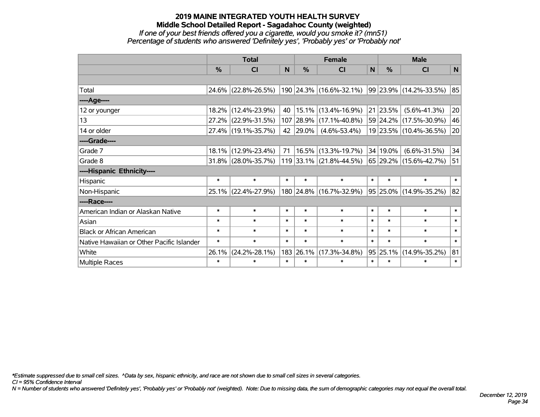## **2019 MAINE INTEGRATED YOUTH HEALTH SURVEY Middle School Detailed Report - Sagadahoc County (weighted)** *If one of your best friends offered you a cigarette, would you smoke it? (mn51) Percentage of students who answered 'Definitely yes', 'Probably yes' or 'Probably not'*

|                                           | <b>Total</b> |                        |        |               | <b>Female</b>                                    |        | <b>Male</b> |                        |        |  |
|-------------------------------------------|--------------|------------------------|--------|---------------|--------------------------------------------------|--------|-------------|------------------------|--------|--|
|                                           | $\%$         | <b>CI</b>              | N      | $\frac{0}{0}$ | <b>CI</b>                                        | N      | $\%$        | <b>CI</b>              | N      |  |
|                                           |              |                        |        |               |                                                  |        |             |                        |        |  |
| Total                                     |              | 24.6% (22.8%-26.5%)    |        |               | $190$ 24.3% (16.6%-32.1%) 99 23.9% (14.2%-33.5%) |        |             |                        | 85     |  |
| ----Age----                               |              |                        |        |               |                                                  |        |             |                        |        |  |
| 12 or younger                             | 18.2%        | $(12.4\% - 23.9\%)$    | 40     | 15.1%         | $(13.4\% - 16.9\%)$                              |        | 21 23.5%    | $(5.6\% - 41.3\%)$     | 20     |  |
| 13                                        |              | 27.2% (22.9%-31.5%)    | 107    | 28.9%         | $(17.1\% - 40.8\%)$                              |        |             | 59 24.2% (17.5%-30.9%) | 46     |  |
| 14 or older                               |              | 27.4% (19.1%-35.7%)    | 42     | 29.0%         | $(4.6\% - 53.4\%)$                               |        |             | 19 23.5% (10.4%-36.5%) | 20     |  |
| ----Grade----                             |              |                        |        |               |                                                  |        |             |                        |        |  |
| Grade 7                                   | 18.1%        | $(12.9\% - 23.4\%)$    | 71     |               | 16.5% (13.3%-19.7%)                              |        | 34 19.0%    | $(6.6\% - 31.5\%)$     | 34     |  |
| Grade 8                                   |              | $31.8\%$ (28.0%-35.7%) |        |               | 119 33.1% (21.8%-44.5%)                          |        |             | 65 29.2% (15.6%-42.7%) | 51     |  |
| ----Hispanic Ethnicity----                |              |                        |        |               |                                                  |        |             |                        |        |  |
| Hispanic                                  | $\ast$       | $\ast$                 | $\ast$ | $\ast$        | $\ast$                                           | $\ast$ | $\ast$      | $\ast$                 | $\ast$ |  |
| Non-Hispanic                              |              | 25.1% (22.4%-27.9%)    |        |               | 180 24.8% (16.7%-32.9%)                          |        |             | 95 25.0% (14.9%-35.2%) | 82     |  |
| ----Race----                              |              |                        |        |               |                                                  |        |             |                        |        |  |
| American Indian or Alaskan Native         | $\ast$       | $\ast$                 | $\ast$ | $\ast$        | $\ast$                                           | $\ast$ | $\ast$      | $\ast$                 | $\ast$ |  |
| Asian                                     | $\ast$       | $\ast$                 | $\ast$ | $\ast$        | $\ast$                                           | $\ast$ | $\ast$      | $\ast$                 | $\ast$ |  |
| <b>Black or African American</b>          | $\ast$       | $\ast$                 | $\ast$ | $\ast$        | $\ast$                                           | $\ast$ | $\ast$      | $\ast$                 | $\ast$ |  |
| Native Hawaiian or Other Pacific Islander | $\ast$       | $\ast$                 | $\ast$ | $\ast$        | $\ast$                                           | $\ast$ | $\ast$      | $\ast$                 | $\ast$ |  |
| White                                     | 26.1%        | $(24.2\% - 28.1\%)$    | 183    | 26.1%         | $(17.3\% - 34.8\%)$                              |        | 95 25.1%    | $(14.9\% - 35.2\%)$    | 81     |  |
| Multiple Races                            | $\ast$       | $\ast$                 | $\ast$ | $\ast$        | $\ast$                                           | $\ast$ | $\ast$      | $\ast$                 | $\ast$ |  |

*\*Estimate suppressed due to small cell sizes. ^Data by sex, hispanic ethnicity, and race are not shown due to small cell sizes in several categories.*

*CI = 95% Confidence Interval*

*N = Number of students who answered 'Definitely yes', 'Probably yes' or 'Probably not' (weighted). Note: Due to missing data, the sum of demographic categories may not equal the overall total.*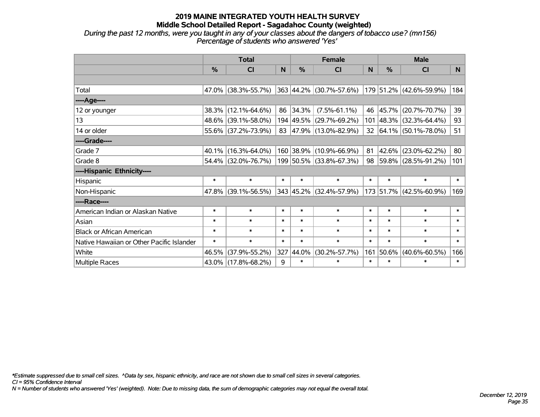*During the past 12 months, were you taught in any of your classes about the dangers of tobacco use? (mn156) Percentage of students who answered 'Yes'*

|                                           | <b>Total</b>  |                     |        |          | <b>Female</b>           |        | <b>Male</b> |                             |        |  |
|-------------------------------------------|---------------|---------------------|--------|----------|-------------------------|--------|-------------|-----------------------------|--------|--|
|                                           | $\frac{0}{2}$ | CI                  | N      | $\%$     | <b>CI</b>               | N      | $\%$        | CI                          | N      |  |
|                                           |               |                     |        |          |                         |        |             |                             |        |  |
| Total                                     |               | 47.0% (38.3%-55.7%) |        |          | 363 44.2% (30.7%-57.6%) |        |             | 179 51.2% (42.6%-59.9%)     | 184    |  |
| ----Age----                               |               |                     |        |          |                         |        |             |                             |        |  |
| 12 or younger                             | 38.3%         | $(12.1\% - 64.6\%)$ |        | 86 34.3% | $(7.5\% - 61.1\%)$      | 46     | 45.7%       | $(20.7\% - 70.7\%)$         | 39     |  |
| 13                                        |               | 48.6% (39.1%-58.0%) |        |          | 194 49.5% (29.7%-69.2%) |        |             | 101 48.3% (32.3%-64.4%)     | 93     |  |
| 14 or older                               |               | 55.6% (37.2%-73.9%) |        |          | 83 47.9% (13.0%-82.9%)  |        |             | 32 $ 64.1\% $ (50.1%-78.0%) | 51     |  |
| ----Grade----                             |               |                     |        |          |                         |        |             |                             |        |  |
| Grade 7                                   | $40.1\%$      | $(16.3\% - 64.0\%)$ |        |          | 160 38.9% (10.9%-66.9%) | 81     | 42.6%       | $(23.0\% - 62.2\%)$         | 80     |  |
| Grade 8                                   |               | 54.4% (32.0%-76.7%) |        |          | 199 50.5% (33.8%-67.3%) |        |             | 98 59.8% (28.5%-91.2%)      | 101    |  |
| ----Hispanic Ethnicity----                |               |                     |        |          |                         |        |             |                             |        |  |
| Hispanic                                  | $\ast$        | $\ast$              | $\ast$ | $\ast$   | $\ast$                  | $\ast$ | $\ast$      | $\ast$                      | $\ast$ |  |
| Non-Hispanic                              | 47.8%         | $(39.1\% - 56.5\%)$ |        |          | 343 45.2% (32.4%-57.9%) |        |             | 173 51.7% (42.5%-60.9%)     | 169    |  |
| ----Race----                              |               |                     |        |          |                         |        |             |                             |        |  |
| American Indian or Alaskan Native         | $\ast$        | $\ast$              | $\ast$ | $\ast$   | $\ast$                  | $\ast$ | $\ast$      | $\ast$                      | $\ast$ |  |
| Asian                                     | $\ast$        | $\ast$              | $\ast$ | $\ast$   | $\ast$                  | $\ast$ | $\ast$      | $\ast$                      | $\ast$ |  |
| <b>Black or African American</b>          | $\ast$        | $\ast$              | $\ast$ | $\ast$   | $\ast$                  | $\ast$ | $\ast$      | $\ast$                      | $\ast$ |  |
| Native Hawaiian or Other Pacific Islander | $\ast$        | $\ast$              | $\ast$ | $\ast$   | $\ast$                  | $\ast$ | $\ast$      | $\ast$                      | $\ast$ |  |
| White                                     | 46.5%         | $(37.9\% - 55.2\%)$ | 327    | 44.0%    | $(30.2\% - 57.7\%)$     | 161    | 50.6%       | $(40.6\% - 60.5\%)$         | 166    |  |
| Multiple Races                            |               | 43.0% (17.8%-68.2%) | 9      | $\ast$   | $\ast$                  | $\ast$ | $\ast$      | $\ast$                      | $\ast$ |  |

*\*Estimate suppressed due to small cell sizes. ^Data by sex, hispanic ethnicity, and race are not shown due to small cell sizes in several categories.*

*CI = 95% Confidence Interval*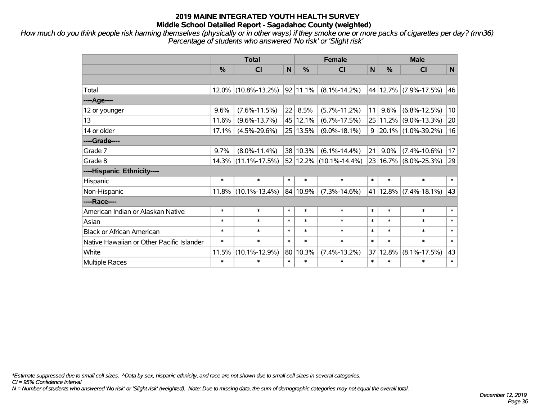*How much do you think people risk harming themselves (physically or in other ways) if they smoke one or more packs of cigarettes per day? (mn36) Percentage of students who answered 'No risk' or 'Slight risk'*

|                                           | <b>Total</b> |                     |              | <b>Female</b> |                               |              | <b>Male</b> |                       |        |  |
|-------------------------------------------|--------------|---------------------|--------------|---------------|-------------------------------|--------------|-------------|-----------------------|--------|--|
|                                           | %            | CI                  | $\mathsf{N}$ | %             | <b>CI</b>                     | $\mathsf{N}$ | %           | <b>CI</b>             | N      |  |
|                                           |              |                     |              |               |                               |              |             |                       |        |  |
| Total                                     |              | 12.0% (10.8%-13.2%) |              | $92 11.1\% $  | $(8.1\% - 14.2\%)$            |              |             | 44 12.7% (7.9%-17.5%) | 46     |  |
| ---- Age----                              |              |                     |              |               |                               |              |             |                       |        |  |
| 12 or younger                             | 9.6%         | $(7.6\% - 11.5\%)$  | 22           | 8.5%          | $(5.7\% - 11.2\%)$            | 11           | 9.6%        | $(6.8\% - 12.5\%)$    | 10     |  |
| 13                                        | 11.6%        | $(9.6\% - 13.7\%)$  |              | 45 12.1%      | $(6.7\% - 17.5\%)$            |              | 25 11.2%    | $(9.0\% - 13.3\%)$    | 20     |  |
| 14 or older                               | 17.1%        | $(4.5\% - 29.6\%)$  |              | 25 13.5%      | $(9.0\% - 18.1\%)$            | 9            |             | 20.1% (1.0%-39.2%)    | 16     |  |
| ----Grade----                             |              |                     |              |               |                               |              |             |                       |        |  |
| Grade 7                                   | 9.7%         | $(8.0\% - 11.4\%)$  |              | 38 10.3%      | $(6.1\% - 14.4\%)$            | 21           | $9.0\%$     | $(7.4\% - 10.6\%)$    | 17     |  |
| Grade 8                                   |              | 14.3% (11.1%-17.5%) |              |               | $52 12.2\% (10.1\% - 14.4\%)$ |              |             | 23 16.7% (8.0%-25.3%) | 29     |  |
| ----Hispanic Ethnicity----                |              |                     |              |               |                               |              |             |                       |        |  |
| Hispanic                                  | $\ast$       | $\ast$              | $\ast$       | $\ast$        | $\ast$                        | $\ast$       | $\ast$      | $\ast$                | $\ast$ |  |
| Non-Hispanic                              | 11.8%        | $(10.1\% - 13.4\%)$ |              | 84 10.9%      | $(7.3\% - 14.6\%)$            |              | 41 12.8%    | $(7.4\% - 18.1\%)$    | 43     |  |
| ----Race----                              |              |                     |              |               |                               |              |             |                       |        |  |
| American Indian or Alaskan Native         | $\ast$       | $\ast$              | $\ast$       | $\ast$        | $\ast$                        | $\ast$       | $\ast$      | $\ast$                | $\ast$ |  |
| Asian                                     | $\ast$       | $\ast$              | $\ast$       | $\ast$        | $\ast$                        | $\ast$       | $\ast$      | $\ast$                | $\ast$ |  |
| <b>Black or African American</b>          | $\ast$       | $\ast$              | $\ast$       | $\ast$        | $\ast$                        | $\ast$       | $\ast$      | $\ast$                | $\ast$ |  |
| Native Hawaiian or Other Pacific Islander | $\ast$       | $\ast$              | $\ast$       | $\ast$        | $\ast$                        | $\ast$       | $\ast$      | $\ast$                | $\ast$ |  |
| White                                     | 11.5%        | $(10.1\% - 12.9\%)$ | 80           | 10.3%         | $(7.4\% - 13.2\%)$            | 37           | 12.8%       | $(8.1\% - 17.5\%)$    | 43     |  |
| Multiple Races                            | $\ast$       | $\ast$              | $\ast$       | $\ast$        | $\ast$                        | $\ast$       | $\ast$      | $\ast$                | $\ast$ |  |

*\*Estimate suppressed due to small cell sizes. ^Data by sex, hispanic ethnicity, and race are not shown due to small cell sizes in several categories.*

*CI = 95% Confidence Interval*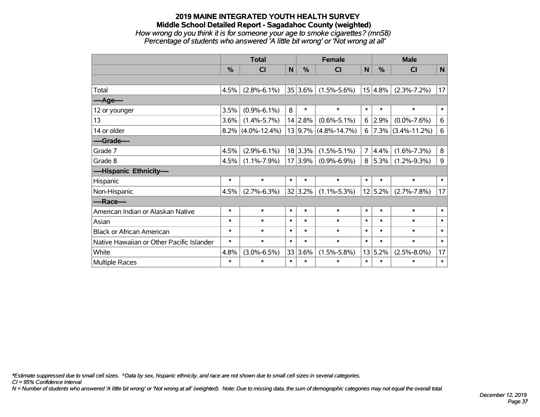## **2019 MAINE INTEGRATED YOUTH HEALTH SURVEY Middle School Detailed Report - Sagadahoc County (weighted)** *How wrong do you think it is for someone your age to smoke cigarettes? (mn58) Percentage of students who answered 'A little bit wrong' or 'Not wrong at all'*

|                                           | <b>Total</b>  |                      |        |             | <b>Female</b>            | <b>Male</b>    |         |                        |                 |
|-------------------------------------------|---------------|----------------------|--------|-------------|--------------------------|----------------|---------|------------------------|-----------------|
|                                           | $\frac{9}{6}$ | <b>CI</b>            | N      | $\%$<br>CI  |                          | N              | $\%$    | <b>CI</b>              | N               |
|                                           |               |                      |        |             |                          |                |         |                        |                 |
| Total                                     | 4.5%          | $(2.8\% - 6.1\%)$    |        | $35 3.6\% $ | $(1.5\% - 5.6\%)$        |                | 15 4.8% | $(2.3\% - 7.2\%)$      | 17              |
| ----Age----                               |               |                      |        |             |                          |                |         |                        |                 |
| 12 or younger                             | 3.5%          | $(0.9\% - 6.1\%)$    | 8      | $\ast$      | $\ast$                   | $\ast$         | $\ast$  | $\ast$                 | $\ast$          |
| 13                                        | 3.6%          | $(1.4\% - 5.7\%)$    |        | 14 2.8%     | $(0.6\% - 5.1\%)$        | 6              | 2.9%    | $(0.0\% - 7.6\%)$      | $\,6$           |
| 14 or older                               |               | $8.2\%$ (4.0%-12.4%) |        |             | $13 9.7\% $ (4.8%-14.7%) | 6              |         | $ 7.3\% $ (3.4%-11.2%) | $6\phantom{1}6$ |
| ----Grade----                             |               |                      |        |             |                          |                |         |                        |                 |
| Grade 7                                   | 4.5%          | $(2.9\% - 6.1\%)$    |        | 18 3.3%     | $(1.5\% - 5.1\%)$        | $\overline{7}$ | 4.4%    | $(1.6\% - 7.3\%)$      | 8               |
| Grade 8                                   | 4.5%          | $(1.1\% - 7.9\%)$    |        | 17 3.9%     | $(0.9\% - 6.9\%)$        | 8              | 5.3%    | $(1.2\% - 9.3\%)$      | $\mathsf 9$     |
| ----Hispanic Ethnicity----                |               |                      |        |             |                          |                |         |                        |                 |
| Hispanic                                  | $\ast$        | $\ast$               | $\ast$ | $\ast$      | $\ast$                   | $\ast$         | $\ast$  | $\ast$                 | $\ast$          |
| Non-Hispanic                              | 4.5%          | $(2.7\% - 6.3\%)$    |        | 32 3.2%     | $(1.1\% - 5.3\%)$        |                | 12 5.2% | $(2.7\% - 7.8\%)$      | 17              |
| ----Race----                              |               |                      |        |             |                          |                |         |                        |                 |
| American Indian or Alaskan Native         | $\ast$        | $\ast$               | $\ast$ | $\ast$      | $\ast$                   | $\ast$         | $\ast$  | $\ast$                 | $\ast$          |
| Asian                                     | $\ast$        | $\ast$               | $\ast$ | $\ast$      | $\ast$                   | $\ast$         | $\ast$  | $\ast$                 | $\ast$          |
| <b>Black or African American</b>          | $\ast$        | $\ast$               | $\ast$ | $\ast$      | $\ast$                   | $\ast$         | $\ast$  | $\ast$                 | $\ast$          |
| Native Hawaiian or Other Pacific Islander | $\ast$        | $\ast$               | $\ast$ | $\ast$      | $\ast$                   | $\ast$         | $\ast$  | $\ast$                 | $\ast$          |
| White                                     | 4.8%          | $(3.0\% - 6.5\%)$    |        | 33 3.6%     | $(1.5\% - 5.8\%)$        | 13             | 5.2%    | $(2.5\% - 8.0\%)$      | 17              |
| Multiple Races                            | $\ast$        | $\ast$               | $\ast$ | $\ast$      | $\ast$                   | $\ast$         | $\ast$  | $\ast$                 | $\ast$          |

*\*Estimate suppressed due to small cell sizes. ^Data by sex, hispanic ethnicity, and race are not shown due to small cell sizes in several categories.*

*CI = 95% Confidence Interval*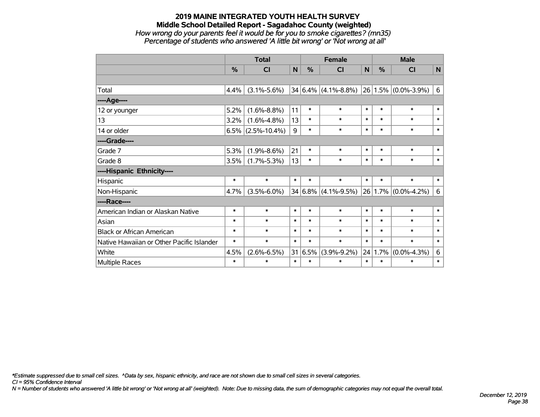### **2019 MAINE INTEGRATED YOUTH HEALTH SURVEY Middle School Detailed Report - Sagadahoc County (weighted)** *How wrong do your parents feel it would be for you to smoke cigarettes? (mn35) Percentage of students who answered 'A little bit wrong' or 'Not wrong at all'*

|                                           | <b>Total</b>  |                      |        |               | <b>Female</b>                               | <b>Male</b> |         |                         |        |
|-------------------------------------------|---------------|----------------------|--------|---------------|---------------------------------------------|-------------|---------|-------------------------|--------|
|                                           | $\frac{0}{2}$ | CI                   | N      | $\frac{0}{0}$ | <b>CI</b>                                   | N           | $\%$    | <b>CI</b>               | N      |
|                                           |               |                      |        |               |                                             |             |         |                         |        |
| Total                                     | 4.4%          | $(3.1\% - 5.6\%)$    |        | 34 6.4%       | $(4.1\% - 8.8\%)$ 26 1.5% $(0.0\% - 3.9\%)$ |             |         |                         | 6      |
| ----Age----                               |               |                      |        |               |                                             |             |         |                         |        |
| 12 or younger                             | 5.2%          | $(1.6\% - 8.8\%)$    | 11     | $\ast$        | $\ast$                                      | $\ast$      | $\ast$  | $\ast$                  | $\ast$ |
| 13                                        | 3.2%          | $(1.6\% - 4.8\%)$    | 13     | $\ast$        | $\ast$                                      | $\ast$      | $\ast$  | $\ast$                  | $\ast$ |
| 14 or older                               |               | $6.5\%$ (2.5%-10.4%) | 9      | $\ast$        | $\ast$                                      | $\ast$      | $\ast$  | $\ast$                  | $\ast$ |
| ----Grade----                             |               |                      |        |               |                                             |             |         |                         |        |
| Grade 7                                   | 5.3%          | $(1.9\% - 8.6\%)$    | 21     | $\ast$        | $\ast$                                      | $\ast$      | $\ast$  | $\ast$                  | $\ast$ |
| Grade 8                                   | 3.5%          | $(1.7\% - 5.3\%)$    | 13     | $\ast$        | $\ast$                                      | $\ast$      | $\ast$  | $\ast$                  | $\ast$ |
| ----Hispanic Ethnicity----                |               |                      |        |               |                                             |             |         |                         |        |
| Hispanic                                  | $\ast$        | $\ast$               | $\ast$ | $\ast$        | $\ast$                                      | $\ast$      | $\ast$  | $\ast$                  | $\ast$ |
| Non-Hispanic                              | 4.7%          | $(3.5\% - 6.0\%)$    |        | 34 6.8%       | $(4.1\% - 9.5\%)$                           |             |         | $26 1.7\% $ (0.0%-4.2%) | 6      |
| ----Race----                              |               |                      |        |               |                                             |             |         |                         |        |
| American Indian or Alaskan Native         | $\ast$        | $\ast$               | $\ast$ | $\ast$        | $\ast$                                      | $\ast$      | $\ast$  | $\ast$                  | $\ast$ |
| Asian                                     | $\ast$        | $\ast$               | $\ast$ | $\ast$        | $\ast$                                      | $\ast$      | $\ast$  | $\ast$                  | $\ast$ |
| <b>Black or African American</b>          | $\ast$        | $\ast$               | $\ast$ | $\ast$        | $\ast$                                      | $\ast$      | $\ast$  | $\ast$                  | $\ast$ |
| Native Hawaiian or Other Pacific Islander | $\ast$        | $\ast$               | $\ast$ | $\ast$        | $\ast$                                      | $\ast$      | $\ast$  | $\ast$                  | $\ast$ |
| White                                     | 4.5%          | $(2.6\% - 6.5\%)$    | 31     | 6.5%          | $(3.9\% - 9.2\%)$                           |             | 24 1.7% | $(0.0\% - 4.3\%)$       | 6      |
| <b>Multiple Races</b>                     | $\ast$        | $\ast$               | $\ast$ | $\ast$        | $\ast$                                      | $\ast$      | $\ast$  | $\ast$                  | $\ast$ |

*\*Estimate suppressed due to small cell sizes. ^Data by sex, hispanic ethnicity, and race are not shown due to small cell sizes in several categories.*

*CI = 95% Confidence Interval*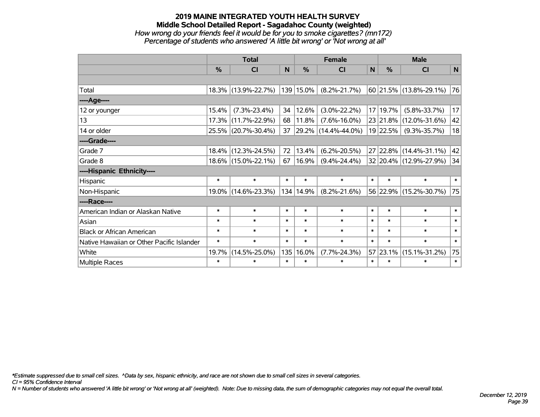## **2019 MAINE INTEGRATED YOUTH HEALTH SURVEY Middle School Detailed Report - Sagadahoc County (weighted)** *How wrong do your friends feel it would be for you to smoke cigarettes? (mn172) Percentage of students who answered 'A little bit wrong' or 'Not wrong at all'*

|                                           | <b>Total</b>  |                     |        |               | <b>Female</b>            | <b>Male</b>  |               |                        |        |
|-------------------------------------------|---------------|---------------------|--------|---------------|--------------------------|--------------|---------------|------------------------|--------|
|                                           | $\frac{0}{0}$ | <b>CI</b>           | N      | $\frac{9}{6}$ | <b>CI</b>                | $\mathsf{N}$ | $\frac{0}{0}$ | <b>CI</b>              | N      |
|                                           |               |                     |        |               |                          |              |               |                        |        |
| Total                                     |               | 18.3% (13.9%-22.7%) |        | 139 15.0%     | $(8.2\% - 21.7\%)$       |              |               | 60 21.5% (13.8%-29.1%) | 76     |
| ----Age----                               |               |                     |        |               |                          |              |               |                        |        |
| 12 or younger                             | 15.4%         | $(7.3\% - 23.4\%)$  | 34     | 12.6%         | $(3.0\% - 22.2\%)$       |              | 17 19.7%      | $(5.8\% - 33.7\%)$     | 17     |
| 13                                        |               | 17.3% (11.7%-22.9%) | 68     | 11.8%         | $(7.6\% - 16.0\%)$       |              |               | 23 21.8% (12.0%-31.6%) | 42     |
| 14 or older                               |               | 25.5% (20.7%-30.4%) | 37     |               | $ 29.2\% $ (14.4%-44.0%) |              | 19 22.5%      | $(9.3\% - 35.7\%)$     | 18     |
| ----Grade----                             |               |                     |        |               |                          |              |               |                        |        |
| Grade 7                                   |               | 18.4% (12.3%-24.5%) | 72     | 13.4%         | $(6.2\% - 20.5\%)$       |              |               | 27 22.8% (14.4%-31.1%) | 42     |
| Grade 8                                   |               | 18.6% (15.0%-22.1%) | 67     | 16.9%         | $(9.4\% - 24.4\%)$       |              |               | 32 20.4% (12.9%-27.9%) | 34     |
| ----Hispanic Ethnicity----                |               |                     |        |               |                          |              |               |                        |        |
| Hispanic                                  | $\ast$        | $\ast$              | $\ast$ | $\ast$        | $\ast$                   | $\ast$       | $\ast$        | $\ast$                 | $\ast$ |
| Non-Hispanic                              |               | 19.0% (14.6%-23.3%) |        | 134 14.9%     | $(8.2\% - 21.6\%)$       |              |               | 56 22.9% (15.2%-30.7%) | 75     |
| ----Race----                              |               |                     |        |               |                          |              |               |                        |        |
| American Indian or Alaskan Native         | $\ast$        | $\ast$              | $\ast$ | $\ast$        | $\ast$                   | $\ast$       | $\ast$        | $\ast$                 | $\ast$ |
| Asian                                     | $\ast$        | $\ast$              | $\ast$ | $\ast$        | $\ast$                   | $\ast$       | $\ast$        | $\ast$                 | $\ast$ |
| <b>Black or African American</b>          | $\ast$        | $\ast$              | $\ast$ | $\ast$        | $\ast$                   | $\ast$       | $\ast$        | $\ast$                 | $\ast$ |
| Native Hawaiian or Other Pacific Islander | $\ast$        | $\ast$              | $\ast$ | $\ast$        | $\ast$                   | $\ast$       | $\ast$        | $\ast$                 | $\ast$ |
| White                                     | 19.7%         | $(14.5\% - 25.0\%)$ | 135    | 16.0%         | $(7.7\% - 24.3\%)$       |              | 57 23.1%      | $(15.1\% - 31.2\%)$    | 75     |
| Multiple Races                            | $\ast$        | $\ast$              | $\ast$ | $\ast$        | $\ast$                   | $\ast$       | $\ast$        | $\ast$                 | $\ast$ |

*\*Estimate suppressed due to small cell sizes. ^Data by sex, hispanic ethnicity, and race are not shown due to small cell sizes in several categories.*

*CI = 95% Confidence Interval*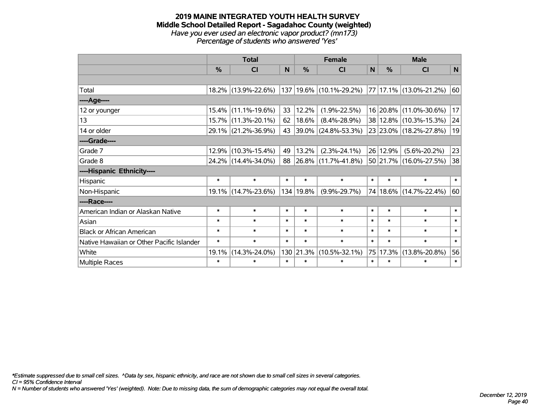#### **2019 MAINE INTEGRATED YOUTH HEALTH SURVEY Middle School Detailed Report - Sagadahoc County (weighted)** *Have you ever used an electronic vapor product? (mn173) Percentage of students who answered 'Yes'*

|                                           | <b>Total</b> |                     |        |               | <b>Female</b>                                           | <b>Male</b> |          |                        |        |
|-------------------------------------------|--------------|---------------------|--------|---------------|---------------------------------------------------------|-------------|----------|------------------------|--------|
|                                           | $\%$         | <b>CI</b>           | N      | $\frac{0}{0}$ | <b>CI</b>                                               | N           | $\%$     | <b>CI</b>              | N      |
|                                           |              |                     |        |               |                                                         |             |          |                        |        |
| Total                                     |              | 18.2% (13.9%-22.6%) |        |               | $137 19.6\% $ (10.1%-29.2%) $ 77 17.1\% $ (13.0%-21.2%) |             |          |                        | 60     |
| ----Age----                               |              |                     |        |               |                                                         |             |          |                        |        |
| 12 or younger                             | 15.4%        | $(11.1\% - 19.6\%)$ | 33     | 12.2%         | $(1.9\% - 22.5\%)$                                      |             |          | 16 20.8% (11.0%-30.6%) | 17     |
| 13                                        | 15.7%        | $(11.3\% - 20.1\%)$ | 62     | 18.6%         | $(8.4\% - 28.9\%)$                                      |             |          | 38 12.8% (10.3%-15.3%) | 24     |
| 14 or older                               |              | 29.1% (21.2%-36.9%) | 43     |               | 39.0% (24.8%-53.3%)                                     |             |          | 23 23.0% (18.2%-27.8%) | 19     |
| ----Grade----                             |              |                     |        |               |                                                         |             |          |                        |        |
| Grade 7                                   | 12.9%        | $(10.3\% - 15.4\%)$ | 49     | 13.2%         | $(2.3\% - 24.1\%)$                                      |             | 26 12.9% | $(5.6\% - 20.2\%)$     | 23     |
| Grade 8                                   |              | 24.2% (14.4%-34.0%) | 88     |               | $ 26.8\% $ (11.7%-41.8%)                                |             |          | 50 21.7% (16.0%-27.5%) | 38     |
| ----Hispanic Ethnicity----                |              |                     |        |               |                                                         |             |          |                        |        |
| Hispanic                                  | $\ast$       | $\ast$              | $\ast$ | $\ast$        | $\ast$                                                  | $\ast$      | $\ast$   | $\ast$                 | $\ast$ |
| Non-Hispanic                              |              | 19.1% (14.7%-23.6%) |        | 134 19.8%     | $(9.9\% - 29.7\%)$                                      | 74          |          | 18.6% (14.7%-22.4%)    | 60     |
| ----Race----                              |              |                     |        |               |                                                         |             |          |                        |        |
| American Indian or Alaskan Native         | $\ast$       | $\ast$              | $\ast$ | $\ast$        | $\ast$                                                  | $\ast$      | $\ast$   | $\ast$                 | $\ast$ |
| Asian                                     | $\ast$       | $\ast$              | $\ast$ | $\ast$        | $\ast$                                                  | $\ast$      | $\ast$   | $\ast$                 | $\ast$ |
| <b>Black or African American</b>          | $\ast$       | $\ast$              | $\ast$ | $\ast$        | $\ast$                                                  | $\ast$      | $\ast$   | $\ast$                 | $\ast$ |
| Native Hawaiian or Other Pacific Islander | $\ast$       | $\ast$              | $\ast$ | $\ast$        | $\ast$                                                  | $\ast$      | $\ast$   | $\ast$                 | $\ast$ |
| White                                     | 19.1%        | $(14.3\% - 24.0\%)$ |        | 130 21.3%     | $(10.5\% - 32.1\%)$                                     | 75          | 17.3%    | $(13.8\% - 20.8\%)$    | 56     |
| Multiple Races                            | $\ast$       | $\ast$              | $\ast$ | $\ast$        | $\ast$                                                  | $\ast$      | $\ast$   | $\ast$                 | $\ast$ |

*\*Estimate suppressed due to small cell sizes. ^Data by sex, hispanic ethnicity, and race are not shown due to small cell sizes in several categories.*

*CI = 95% Confidence Interval*

*N = Number of students who answered 'Yes' (weighted). Note: Due to missing data, the sum of demographic categories may not equal the overall total.*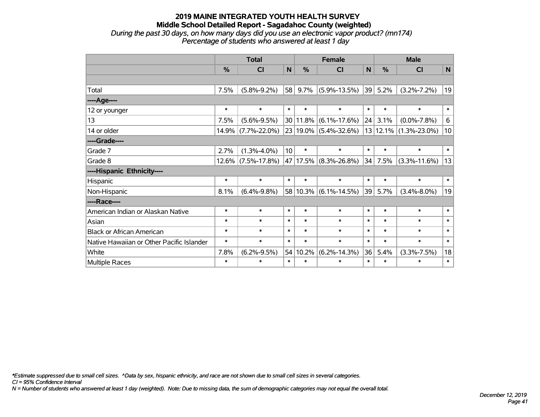### **2019 MAINE INTEGRATED YOUTH HEALTH SURVEY Middle School Detailed Report - Sagadahoc County (weighted)** *During the past 30 days, on how many days did you use an electronic vapor product? (mn174) Percentage of students who answered at least 1 day*

|                                           | <b>Total</b> |                       |                 |               | <b>Female</b>                 | <b>Male</b>  |        |                       |              |
|-------------------------------------------|--------------|-----------------------|-----------------|---------------|-------------------------------|--------------|--------|-----------------------|--------------|
|                                           | %            | CI                    | N               | $\frac{0}{0}$ | <b>CI</b>                     | $\mathsf{N}$ | %      | <b>CI</b>             | $\mathbf N$  |
|                                           |              |                       |                 |               |                               |              |        |                       |              |
| Total                                     | 7.5%         | $(5.8\% - 9.2\%)$     | 58              | 9.7%          | $(5.9\% - 13.5\%)$            | 39           | 5.2%   | $(3.2\% - 7.2\%)$     | 19           |
| ---- Age----                              |              |                       |                 |               |                               |              |        |                       |              |
| 12 or younger                             | $\ast$       | $\ast$                | $\ast$          | $\ast$        | $\ast$                        | $\ast$       | $\ast$ | $\ast$                | $\ast$       |
| 13                                        | 7.5%         | $(5.6\% - 9.5\%)$     |                 |               | $30 11.8\%  (6.1\% - 17.6\%)$ | 24           | 3.1%   | $(0.0\% - 7.8\%)$     | 6            |
| 14 or older                               | 14.9%        | $(7.7\% - 22.0\%)$    |                 |               | 23 19.0% (5.4%-32.6%)         | 13           |        | $12.1\%$ (1.3%-23.0%) | 10           |
| ----Grade----                             |              |                       |                 |               |                               |              |        |                       |              |
| Grade 7                                   | 2.7%         | $(1.3\% - 4.0\%)$     | 10 <sup>1</sup> | $\ast$        | $\ast$                        | $\ast$       | $\ast$ | $\ast$                | $\pmb{\ast}$ |
| Grade 8                                   |              | $12.6\%$ (7.5%-17.8%) |                 |               | 47 17.5% (8.3%-26.8%)         | 34           | 7.5%   | $(3.3\% - 11.6\%)$    | 13           |
| ----Hispanic Ethnicity----                |              |                       |                 |               |                               |              |        |                       |              |
| Hispanic                                  | $\ast$       | $\ast$                | $\ast$          | $\ast$        | $\ast$                        | $\ast$       | $\ast$ | $\ast$                | $\ast$       |
| Non-Hispanic                              | 8.1%         | $(6.4\% - 9.8\%)$     |                 |               | $58 10.3\% $ (6.1%-14.5%)     | 39           | 5.7%   | $(3.4\% - 8.0\%)$     | 19           |
| ----Race----                              |              |                       |                 |               |                               |              |        |                       |              |
| American Indian or Alaskan Native         | $\ast$       | $\ast$                | $\ast$          | $\ast$        | $\ast$                        | $\ast$       | $\ast$ | $\ast$                | $\ast$       |
| Asian                                     | $\ast$       | $\ast$                | $\ast$          | $\ast$        | $\ast$                        | $\ast$       | $\ast$ | $\ast$                | $\ast$       |
| <b>Black or African American</b>          | $\ast$       | $\ast$                | $\ast$          | $\ast$        | $\ast$                        | $\ast$       | $\ast$ | $\ast$                | $\ast$       |
| Native Hawaiian or Other Pacific Islander | $\ast$       | $\ast$                | $\ast$          | $\ast$        | $\ast$                        | $\ast$       | $\ast$ | $\ast$                | $\ast$       |
| White                                     | 7.8%         | $(6.2\% - 9.5\%)$     |                 | 54 10.2%      | $(6.2\% - 14.3\%)$            | 36           | 5.4%   | $(3.3\% - 7.5\%)$     | 18           |
| <b>Multiple Races</b>                     | $\ast$       | $\ast$                | $\ast$          | $\ast$        | $\ast$                        | $\ast$       | $\ast$ | $\ast$                | $\ast$       |

*\*Estimate suppressed due to small cell sizes. ^Data by sex, hispanic ethnicity, and race are not shown due to small cell sizes in several categories.*

*CI = 95% Confidence Interval*

*N = Number of students who answered at least 1 day (weighted). Note: Due to missing data, the sum of demographic categories may not equal the overall total.*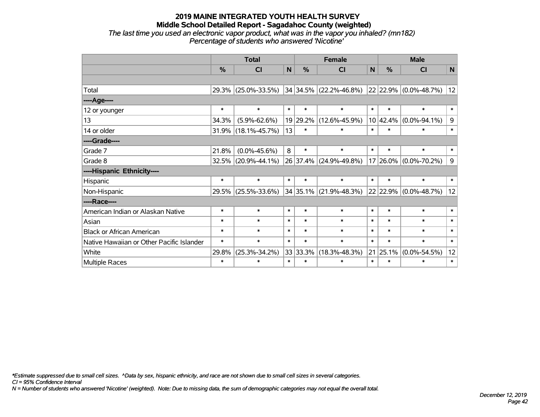## **2019 MAINE INTEGRATED YOUTH HEALTH SURVEY Middle School Detailed Report - Sagadahoc County (weighted)** *The last time you used an electronic vapor product, what was in the vapor you inhaled? (mn182)*

*Percentage of students who answered 'Nicotine'*

|                                           | <b>Total</b> |                     |        |          | <b>Female</b>              | <b>Male</b> |          |                       |        |
|-------------------------------------------|--------------|---------------------|--------|----------|----------------------------|-------------|----------|-----------------------|--------|
|                                           | %            | <b>CI</b>           | N      | %        | CI                         | N           | %        | <b>CI</b>             | N      |
|                                           |              |                     |        |          |                            |             |          |                       |        |
| Total                                     | 29.3%        | $(25.0\% - 33.5\%)$ |        |          | $34 34.5\% $ (22.2%-46.8%) |             |          | 22 22.9% (0.0%-48.7%) | 12     |
| ----Age----                               |              |                     |        |          |                            |             |          |                       |        |
| 12 or younger                             | $\ast$       | $\ast$              | $\ast$ | $\ast$   | $\ast$                     | $\ast$      | $\ast$   | $\ast$                | $\ast$ |
| 13                                        | 34.3%        | $(5.9\% - 62.6\%)$  |        | 19 29.2% | $(12.6\% - 45.9\%)$        |             | 10 42.4% | $(0.0\% - 94.1\%)$    | 9      |
| 14 or older                               | 31.9%        | $(18.1\% - 45.7\%)$ | 13     | $\ast$   | $\ast$                     | $\ast$      | $\ast$   | $\ast$                | $\ast$ |
| ----Grade----                             |              |                     |        |          |                            |             |          |                       |        |
| Grade 7                                   | 21.8%        | $(0.0\% - 45.6\%)$  | 8      | $\ast$   | $\ast$                     | $\ast$      | $\ast$   | $\ast$                | $\ast$ |
| Grade 8                                   | 32.5%        | $(20.9\% - 44.1\%)$ |        |          | 26 37.4% (24.9%-49.8%)     |             |          | 17 26.0% (0.0%-70.2%) | 9      |
| ----Hispanic Ethnicity----                |              |                     |        |          |                            |             |          |                       |        |
| Hispanic                                  | $\ast$       | $\ast$              | $\ast$ | $\ast$   | $\ast$                     | $\ast$      | $\ast$   | $\ast$                | $\ast$ |
| Non-Hispanic                              | 29.5%        | $(25.5\% - 33.6\%)$ |        |          | $34 35.1\% $ (21.9%-48.3%) |             | 22 22.9% | $(0.0\% - 48.7\%)$    | 12     |
| ----Race----                              |              |                     |        |          |                            |             |          |                       |        |
| American Indian or Alaskan Native         | $\ast$       | $\ast$              | $\ast$ | $\ast$   | $\ast$                     | $\ast$      | $\ast$   | $\ast$                | $\ast$ |
| Asian                                     | $\ast$       | $\ast$              | $\ast$ | $\ast$   | $\ast$                     | $\ast$      | $\ast$   | $\ast$                | $\ast$ |
| <b>Black or African American</b>          | $\ast$       | $\ast$              | $\ast$ | $\ast$   | $\ast$                     | $\ast$      | $\ast$   | $\ast$                | $\ast$ |
| Native Hawaiian or Other Pacific Islander | $\ast$       | $\ast$              | $\ast$ | $\ast$   | $\ast$                     | $\ast$      | $\ast$   | $\ast$                | $\ast$ |
| White                                     | 29.8%        | $(25.3\% - 34.2\%)$ |        | 33 33.3% | $(18.3\% - 48.3\%)$        |             | 21 25.1% | $(0.0\% - 54.5\%)$    | 12     |
| Multiple Races                            | $\ast$       | $\ast$              | $\ast$ | $\ast$   | $\ast$                     | $\ast$      | $\ast$   | $\ast$                | $\ast$ |

*\*Estimate suppressed due to small cell sizes. ^Data by sex, hispanic ethnicity, and race are not shown due to small cell sizes in several categories.*

*CI = 95% Confidence Interval*

*N = Number of students who answered 'Nicotine' (weighted). Note: Due to missing data, the sum of demographic categories may not equal the overall total.*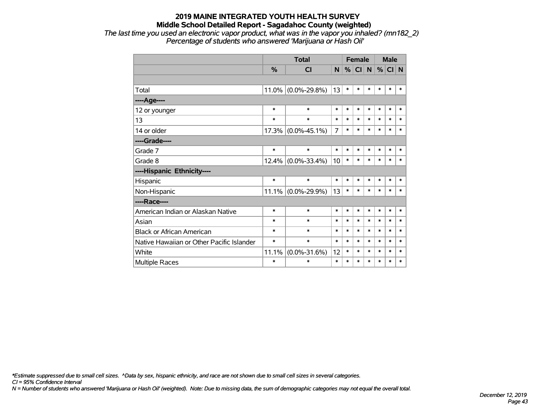*The last time you used an electronic vapor product, what was in the vapor you inhaled? (mn182\_2) Percentage of students who answered 'Marijuana or Hash Oil'*

|                                           |        | <b>Total</b>       |                | <b>Female</b> |        |        | <b>Male</b> |        |        |
|-------------------------------------------|--------|--------------------|----------------|---------------|--------|--------|-------------|--------|--------|
|                                           | $\%$   | <b>CI</b>          | N              | %             | CI N   |        | %           | CI N   |        |
|                                           |        |                    |                |               |        |        |             |        |        |
| Total                                     | 11.0%  | $(0.0\% - 29.8\%)$ | 13             | $\ast$        | $\ast$ | $\ast$ | $\ast$      | $\ast$ | $\ast$ |
| ---- Age----                              |        |                    |                |               |        |        |             |        |        |
| 12 or younger                             | $\ast$ | $\ast$             | $\ast$         | $\ast$        | $\ast$ | $\ast$ | $\ast$      | $\ast$ | $\ast$ |
| 13                                        | $\ast$ | $\ast$             | $\ast$         | $\ast$        | $\ast$ | $\ast$ | $\ast$      | $\ast$ | $\ast$ |
| 14 or older                               | 17.3%  | $(0.0\% - 45.1\%)$ | $\overline{7}$ | $\ast$        | $\ast$ | $\ast$ | $\ast$      | $\ast$ | $\ast$ |
| ----Grade----                             |        |                    |                |               |        |        |             |        |        |
| Grade 7                                   | $\ast$ | $\ast$             | $\ast$         | $\ast$        | $\ast$ | $\ast$ | $\ast$      | $\ast$ | $\ast$ |
| Grade 8                                   | 12.4%  | $(0.0\% - 33.4\%)$ | 10             | $\ast$        | $\ast$ | $\ast$ | $\ast$      | $\ast$ | $\ast$ |
| ----Hispanic Ethnicity----                |        |                    |                |               |        |        |             |        |        |
| Hispanic                                  | *      | $\ast$             | $\ast$         | $\ast$        | $\ast$ | $\ast$ | $\ast$      | $\ast$ | $\ast$ |
| Non-Hispanic                              | 11.1%  | $(0.0\% - 29.9\%)$ | 13             | $\ast$        | $\ast$ | $\ast$ | $\ast$      | $\ast$ | $\ast$ |
| ----Race----                              |        |                    |                |               |        |        |             |        |        |
| American Indian or Alaskan Native         | $\ast$ | $\ast$             | *              | $\ast$        | $\ast$ | $\ast$ | $\ast$      | $\ast$ | $\ast$ |
| Asian                                     | $\ast$ | $\ast$             | $\ast$         | $\ast$        | $\ast$ | $\ast$ | $\ast$      | $\ast$ | $\ast$ |
| <b>Black or African American</b>          | $\ast$ | $\ast$             | $\ast$         | $\ast$        | $\ast$ | $\ast$ | $\ast$      | $\ast$ | $\ast$ |
| Native Hawaiian or Other Pacific Islander | $\ast$ | $\ast$             | $\ast$         | $\ast$        | $\ast$ | $\ast$ | $\ast$      | $\ast$ | $\ast$ |
| White                                     | 11.1%  | $(0.0\% - 31.6\%)$ | 12             | $\ast$        | $\ast$ | $\ast$ | $\ast$      | $\ast$ | $\ast$ |
| <b>Multiple Races</b>                     | $\ast$ | $\ast$             | $\ast$         | $\ast$        | $\ast$ | $\ast$ | $\ast$      | $\ast$ | $\ast$ |

*\*Estimate suppressed due to small cell sizes. ^Data by sex, hispanic ethnicity, and race are not shown due to small cell sizes in several categories.*

*CI = 95% Confidence Interval*

*N = Number of students who answered 'Marijuana or Hash Oil' (weighted). Note: Due to missing data, the sum of demographic categories may not equal the overall total.*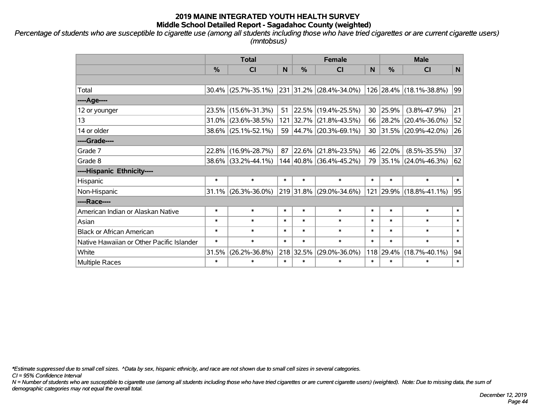*Percentage of students who are susceptible to cigarette use (among all students including those who have tried cigarettes or are current cigarette users) (mntobsus)*

|                                           | <b>Total</b> |                     |        |                | <b>Female</b>            | <b>Male</b> |               |                         |              |
|-------------------------------------------|--------------|---------------------|--------|----------------|--------------------------|-------------|---------------|-------------------------|--------------|
|                                           | %            | CI                  | N      | $\frac{0}{0}$  | <b>CI</b>                | N           | $\frac{0}{0}$ | <b>CI</b>               | $\mathsf{N}$ |
|                                           |              |                     |        |                |                          |             |               |                         |              |
| Total                                     | 30.4%        | $(25.7\% - 35.1\%)$ | 231    |                | $31.2\%$ (28.4%-34.0%)   |             |               | 126 28.4% (18.1%-38.8%) | 99           |
| ----Age----                               |              |                     |        |                |                          |             |               |                         |              |
| 12 or younger                             | 23.5%        | $(15.6\% - 31.3\%)$ | 51     |                | 22.5% (19.4%-25.5%)      | 30          | 25.9%         | $(3.8\% - 47.9\%)$      | 21           |
| 13                                        | 31.0%        | $(23.6\% - 38.5\%)$ | 121    |                | 32.7% (21.8%-43.5%)      |             | 66 28.2%      | $(20.4\% - 36.0\%)$     | 52           |
| 14 or older                               | 38.6%        | $(25.1\% - 52.1\%)$ | 59     |                | $ 44.7\% $ (20.3%-69.1%) |             |               | 30 31.5% (20.9%-42.0%)  | 26           |
| ----Grade----                             |              |                     |        |                |                          |             |               |                         |              |
| Grade 7                                   | 22.8%        | $(16.9\% - 28.7\%)$ | 87     | 22.6%          | $(21.8\% - 23.5\%)$      | 46          | 22.0%         | $(8.5\% - 35.5\%)$      | 37           |
| Grade 8                                   |              | 38.6% (33.2%-44.1%) |        |                | 144 40.8% (36.4%-45.2%)  |             |               | 79 35.1% (24.0%-46.3%)  | 62           |
| ----Hispanic Ethnicity----                |              |                     |        |                |                          |             |               |                         |              |
| Hispanic                                  | $\ast$       | $\ast$              | $\ast$ | $\ast$         | $\ast$                   | $\ast$      | $\ast$        | $\ast$                  | $\ast$       |
| Non-Hispanic                              | 31.1%        | $(26.3\% - 36.0\%)$ |        | $ 219 31.8\% $ | $(29.0\% - 34.6\%)$      |             |               | 121 29.9% (18.8%-41.1%) | 95           |
| ----Race----                              |              |                     |        |                |                          |             |               |                         |              |
| American Indian or Alaskan Native         | $\ast$       | $\ast$              | $\ast$ | $\ast$         | $\ast$                   | $\ast$      | $\ast$        | $\ast$                  | $\ast$       |
| Asian                                     | $\ast$       | $\ast$              | $\ast$ | $\ast$         | $\ast$                   | $\ast$      | $\ast$        | $\ast$                  | $\ast$       |
| <b>Black or African American</b>          | $\ast$       | $\ast$              | $\ast$ | $\ast$         | $\ast$                   | $\ast$      | $\ast$        | $\ast$                  | $\ast$       |
| Native Hawaiian or Other Pacific Islander | $\ast$       | $\ast$              | $\ast$ | $\ast$         | $\ast$                   | $\ast$      | $\ast$        | $\ast$                  | $\ast$       |
| White                                     | 31.5%        | $(26.2\% - 36.8\%)$ |        | 218 32.5%      | $(29.0\% - 36.0\%)$      | 118         | 29.4%         | $(18.7\% - 40.1\%)$     | 94           |
| <b>Multiple Races</b>                     | $\ast$       | *                   | $\ast$ | $\ast$         | $\ast$                   | $\ast$      | $\ast$        | $\ast$                  | $\ast$       |

*\*Estimate suppressed due to small cell sizes. ^Data by sex, hispanic ethnicity, and race are not shown due to small cell sizes in several categories.*

*CI = 95% Confidence Interval*

*N = Number of students who are susceptible to cigarette use (among all students including those who have tried cigarettes or are current cigarette users) (weighted). Note: Due to missing data, the sum of demographic categories may not equal the overall total.*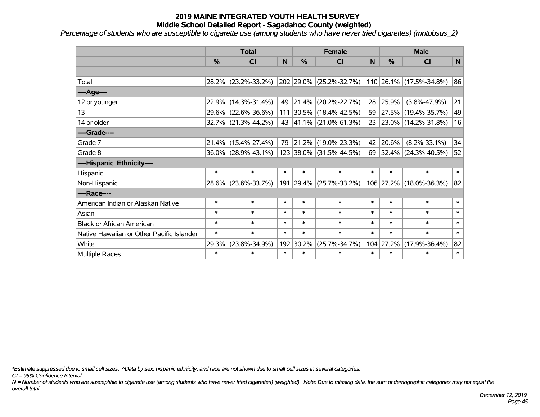*Percentage of students who are susceptible to cigarette use (among students who have never tried cigarettes) (mntobsus\_2)*

|                                           | <b>Total</b> |                        |        |               | <b>Female</b>           |        | <b>Male</b>   |                                 |        |  |
|-------------------------------------------|--------------|------------------------|--------|---------------|-------------------------|--------|---------------|---------------------------------|--------|--|
|                                           | %            | CI                     | N      | $\frac{9}{6}$ | <b>CI</b>               | N      | $\frac{0}{0}$ | <b>CI</b>                       | N      |  |
|                                           |              |                        |        |               |                         |        |               |                                 |        |  |
| Total                                     | 28.2%        | $(23.2\% - 33.2\%)$    |        | 202 29.0%     | $(25.2\% - 32.7\%)$     |        |               | $ 110 26.1\% (17.5\% - 34.8\%)$ | 86     |  |
| ----Age----                               |              |                        |        |               |                         |        |               |                                 |        |  |
| 12 or younger                             | 22.9%        | $(14.3\% - 31.4\%)$    | 49     | 21.4%         | $(20.2\% - 22.7\%)$     | 28     | 25.9%         | $(3.8\% - 47.9\%)$              | 21     |  |
| 13                                        | 29.6%        | $(22.6\% - 36.6\%)$    |        | 111 30.5%     | $(18.4\% - 42.5\%)$     | 59     |               | 27.5% (19.4%-35.7%)             | 49     |  |
| 14 or older                               |              | $32.7\%$ (21.3%-44.2%) |        |               | 43 41.1% (21.0%-61.3%)  | 23     |               | $ 23.0\% $ (14.2%-31.8%)        | 16     |  |
| ----Grade----                             |              |                        |        |               |                         |        |               |                                 |        |  |
| Grade 7                                   | 21.4%        | $(15.4\% - 27.4\%)$    | 79     | 21.2%         | $(19.0\% - 23.3\%)$     | 42     | 20.6%         | $(8.2\% - 33.1\%)$              | 34     |  |
| Grade 8                                   |              | $36.0\%$ (28.9%-43.1%) |        |               | 123 38.0% (31.5%-44.5%) | 69     |               | 32.4% (24.3%-40.5%)             | 52     |  |
| ----Hispanic Ethnicity----                |              |                        |        |               |                         |        |               |                                 |        |  |
| Hispanic                                  | $\ast$       | $\ast$                 | $\ast$ | $\ast$        | $\ast$                  | $\ast$ | $\ast$        | $\ast$                          | $\ast$ |  |
| Non-Hispanic                              | 28.6%        | $(23.6\% - 33.7\%)$    |        | 191 29.4%     | $(25.7\% - 33.2\%)$     |        |               | 106 27.2% (18.0%-36.3%)         | 82     |  |
| ----Race----                              |              |                        |        |               |                         |        |               |                                 |        |  |
| American Indian or Alaskan Native         | $\ast$       | $\ast$                 | $\ast$ | $\ast$        | $\ast$                  | $\ast$ | $\ast$        | $\ast$                          | $\ast$ |  |
| Asian                                     | $\ast$       | $\ast$                 | $\ast$ | $\ast$        | $\ast$                  | $\ast$ | $\ast$        | $\ast$                          | $\ast$ |  |
| <b>Black or African American</b>          | $\ast$       | $\ast$                 | $\ast$ | $\ast$        | $\ast$                  | $\ast$ | $\ast$        | $\ast$                          | $\ast$ |  |
| Native Hawaiian or Other Pacific Islander | $\ast$       | $\ast$                 | $\ast$ | $\ast$        | $\ast$                  | $\ast$ | $\ast$        | $\ast$                          | $\ast$ |  |
| White                                     | 29.3%        | $(23.8\% - 34.9\%)$    | 192    | 30.2%         | $(25.7\% - 34.7\%)$     | 104    | 27.2%         | $(17.9\% - 36.4\%)$             | 82     |  |
| Multiple Races                            | $\ast$       | $\ast$                 | $\ast$ | $\ast$        | $\ast$                  | $\ast$ | $\ast$        | $\ast$                          | $\ast$ |  |

*\*Estimate suppressed due to small cell sizes. ^Data by sex, hispanic ethnicity, and race are not shown due to small cell sizes in several categories.*

*CI = 95% Confidence Interval*

*N = Number of students who are susceptible to cigarette use (among students who have never tried cigarettes) (weighted). Note: Due to missing data, the sum of demographic categories may not equal the overall total.*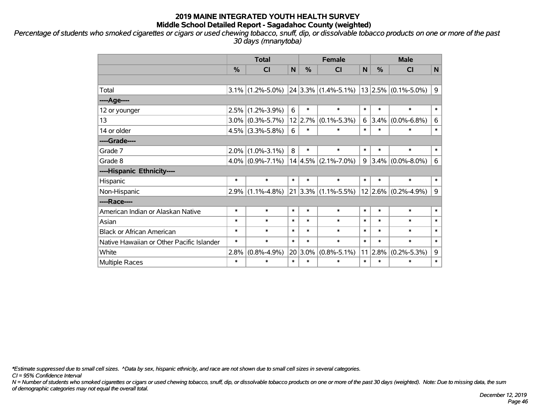*Percentage of students who smoked cigarettes or cigars or used chewing tobacco, snuff, dip, or dissolvable tobacco products on one or more of the past 30 days (mnanytoba)*

|                                           | <b>Total</b> |                   |        |               | <b>Female</b>                                     | <b>Male</b> |         |                         |        |
|-------------------------------------------|--------------|-------------------|--------|---------------|---------------------------------------------------|-------------|---------|-------------------------|--------|
|                                           | %            | <b>CI</b>         | N      | $\frac{0}{0}$ | <b>CI</b>                                         | N           | %       | <b>CI</b>               | N      |
|                                           |              |                   |        |               |                                                   |             |         |                         |        |
| Total                                     | $3.1\%$      | $(1.2\% - 5.0\%)$ |        |               | $24 3.3\% $ (1.4%-5.1%)   13   2.5%   (0.1%-5.0%) |             |         |                         | 9      |
| ----Age----                               |              |                   |        |               |                                                   |             |         |                         |        |
| 12 or younger                             | 2.5%         | $(1.2\% - 3.9\%)$ | 6      | $\ast$        | $\ast$                                            | $\ast$      | $\ast$  | $\ast$                  | $\ast$ |
| 13                                        | 3.0%         | $(0.3\% - 5.7\%)$ |        |               | $12$   2.7%   (0.1%-5.3%)                         | 6           | 3.4%    | $(0.0\% - 6.8\%)$       | 6      |
| 14 or older                               | 4.5%         | $(3.3\% - 5.8\%)$ | 6      | $\ast$        | $\ast$                                            | $\ast$      | $\ast$  | $\ast$                  | $\ast$ |
| ----Grade----                             |              |                   |        |               |                                                   |             |         |                         |        |
| Grade 7                                   | 2.0%         | $(1.0\% - 3.1\%)$ | 8      | $\ast$        | $\ast$                                            | $\ast$      | $\ast$  | $\ast$                  | $\ast$ |
| Grade 8                                   | $4.0\%$      | $(0.9\% - 7.1\%)$ |        |               | $14 4.5\% $ (2.1%-7.0%)                           | 9           |         | $3.4\%$ (0.0%-8.0%)     | 6      |
| ----Hispanic Ethnicity----                |              |                   |        |               |                                                   |             |         |                         |        |
| Hispanic                                  | $\ast$       | $\ast$            | $\ast$ | $\ast$        | $\ast$                                            | $\ast$      | $\ast$  | $\ast$                  | $\ast$ |
| Non-Hispanic                              | 2.9%         | $(1.1\% - 4.8\%)$ | 21     |               | $ 3.3\% $ (1.1%-5.5%)                             |             |         | $12 2.6\% $ (0.2%-4.9%) | 9      |
| ----Race----                              |              |                   |        |               |                                                   |             |         |                         |        |
| American Indian or Alaskan Native         | $\ast$       | $\ast$            | $\ast$ | $\ast$        | $\ast$                                            | $\ast$      | $\ast$  | $\ast$                  | $\ast$ |
| Asian                                     | $\ast$       | $\ast$            | $\ast$ | $\ast$        | $\ast$                                            | $\ast$      | $\ast$  | $\ast$                  | $\ast$ |
| <b>Black or African American</b>          | $\ast$       | $\ast$            | $\ast$ | $\ast$        | $\ast$                                            | $\ast$      | $\ast$  | $\ast$                  | $\ast$ |
| Native Hawaiian or Other Pacific Islander | $\ast$       | $\ast$            | $\ast$ | $\ast$        | $\ast$                                            | $\ast$      | $\ast$  | $\ast$                  | $\ast$ |
| White                                     | 2.8%         | $(0.8\% - 4.9\%)$ | 20     | $3.0\%$       | $(0.8\% - 5.1\%)$                                 |             | 11 2.8% | $(0.2\% - 5.3\%)$       | 9      |
| <b>Multiple Races</b>                     | $\ast$       | $\ast$            | $\ast$ | $\ast$        | $\ast$                                            | $\ast$      | $\ast$  | $\ast$                  | $\ast$ |

*\*Estimate suppressed due to small cell sizes. ^Data by sex, hispanic ethnicity, and race are not shown due to small cell sizes in several categories.*

*CI = 95% Confidence Interval*

*N = Number of students who smoked cigarettes or cigars or used chewing tobacco, snuff, dip, or dissolvable tobacco products on one or more of the past 30 days (weighted). Note: Due to missing data, the sum of demographic categories may not equal the overall total.*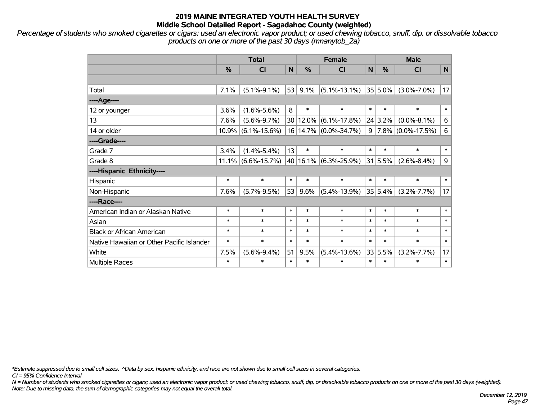*Percentage of students who smoked cigarettes or cigars; used an electronic vapor product; or used chewing tobacco, snuff, dip, or dissolvable tobacco products on one or more of the past 30 days (mnanytob\_2a)*

|                                           | <b>Total</b> |                       |        |        | <b>Female</b>         | <b>Male</b> |            |                      |                |
|-------------------------------------------|--------------|-----------------------|--------|--------|-----------------------|-------------|------------|----------------------|----------------|
|                                           | %            | <b>CI</b>             | N      | $\%$   | <b>CI</b>             | N           | $\%$       | <b>CI</b>            | $\mathsf{N}$   |
|                                           |              |                       |        |        |                       |             |            |                      |                |
| Total                                     | 7.1%         | $(5.1\% - 9.1\%)$     | 53     | 9.1%   | $(5.1\% - 13.1\%)$    |             | $35 5.0\%$ | $(3.0\% - 7.0\%)$    | 17             |
| ----Age----                               |              |                       |        |        |                       |             |            |                      |                |
| 12 or younger                             | 3.6%         | $(1.6\% - 5.6\%)$     | 8      | $\ast$ | $\ast$                | $\ast$      | $\ast$     | $\ast$               | $\ast$         |
| 13                                        | 7.6%         | $(5.6\% - 9.7\%)$     | 30     | 12.0%  | $(6.1\% - 17.8\%)$    |             | 24 3.2%    | $(0.0\% - 8.1\%)$    | $\,6\,$        |
| 14 or older                               | 10.9%        | $(6.1\% - 15.6\%)$    |        |        | 16 14.7% (0.0%-34.7%) | 9           |            | $7.8\%$ (0.0%-17.5%) | $6\phantom{1}$ |
| ----Grade----                             |              |                       |        |        |                       |             |            |                      |                |
| Grade 7                                   | 3.4%         | $(1.4\% - 5.4\%)$     | 13     | $\ast$ | $\ast$                | $\ast$      | $\ast$     | $\ast$               | $\ast$         |
| Grade 8                                   |              | $11.1\%$ (6.6%-15.7%) | 40     |        | $16.1\%$ (6.3%-25.9%) |             | 31 5.5%    | $(2.6\% - 8.4\%)$    | 9              |
| ----Hispanic Ethnicity----                |              |                       |        |        |                       |             |            |                      |                |
| Hispanic                                  | $\ast$       | $\ast$                | $\ast$ | $\ast$ | $\ast$                | $\ast$      | $\ast$     | $\ast$               | $\ast$         |
| Non-Hispanic                              | 7.6%         | $(5.7\% - 9.5\%)$     | 53     | 9.6%   | $(5.4\% - 13.9\%)$    |             | 35 5.4%    | $(3.2\% - 7.7\%)$    | 17             |
| ----Race----                              |              |                       |        |        |                       |             |            |                      |                |
| American Indian or Alaskan Native         | $\ast$       | $\ast$                | $\ast$ | $\ast$ | $\ast$                | $\ast$      | $\ast$     | $\ast$               | $\ast$         |
| Asian                                     | $\ast$       | $\ast$                | $\ast$ | $\ast$ | $\ast$                | $\ast$      | $\ast$     | $\ast$               | $\ast$         |
| <b>Black or African American</b>          | $\ast$       | $\ast$                | $\ast$ | $\ast$ | $\ast$                | $\ast$      | $\ast$     | $\ast$               | $\ast$         |
| Native Hawaiian or Other Pacific Islander | $\ast$       | $\ast$                | $\ast$ | $\ast$ | $\ast$                | $\ast$      | $\ast$     | $\ast$               | $\ast$         |
| White                                     | 7.5%         | $(5.6\% - 9.4\%)$     | 51     | 9.5%   | $(5.4\% - 13.6\%)$    |             | 33 5.5%    | $(3.2\% - 7.7\%)$    | 17             |
| Multiple Races                            | $\ast$       | $\ast$                | $\ast$ | $\ast$ | $\ast$                | $\ast$      | $\ast$     | $\ast$               | $\ast$         |

*\*Estimate suppressed due to small cell sizes. ^Data by sex, hispanic ethnicity, and race are not shown due to small cell sizes in several categories.*

*CI = 95% Confidence Interval*

*N = Number of students who smoked cigarettes or cigars; used an electronic vapor product; or used chewing tobacco, snuff, dip, or dissolvable tobacco products on one or more of the past 30 days (weighted). Note: Due to missing data, the sum of demographic categories may not equal the overall total.*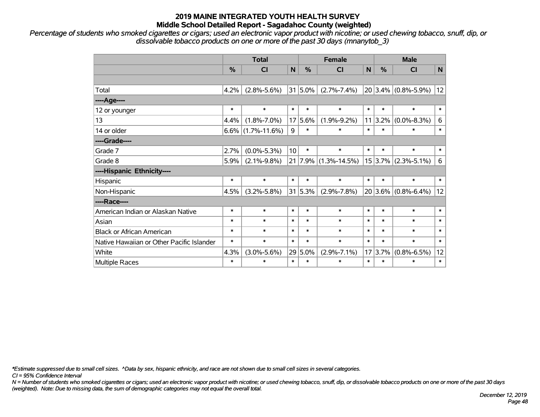*Percentage of students who smoked cigarettes or cigars; used an electronic vapor product with nicotine; or used chewing tobacco, snuff, dip, or dissolvable tobacco products on one or more of the past 30 days (mnanytob\_3)*

|                                           | <b>Total</b> |                      |             |            | <b>Female</b>        | <b>Male</b> |               |                         |                |
|-------------------------------------------|--------------|----------------------|-------------|------------|----------------------|-------------|---------------|-------------------------|----------------|
|                                           | %            | <b>CI</b>            | N           | %          | <b>CI</b>            | N           | $\frac{0}{0}$ | <b>CI</b>               | $\mathbf N$    |
|                                           |              |                      |             |            |                      |             |               |                         |                |
| Total                                     | 4.2%         | $(2.8\% - 5.6\%)$    |             | $31 5.0\%$ | $(2.7\% - 7.4\%)$    | 20          |               | $3.4\%$ (0.8%-5.9%)     | 12             |
| ----Age----                               |              |                      |             |            |                      |             |               |                         |                |
| 12 or younger                             | $\ast$       | $\ast$               | $\ast$      | $\ast$     | $\ast$               | $\ast$      | $\ast$        | $\ast$                  | $\ast$         |
| 13                                        | 4.4%         | $(1.8\% - 7.0\%)$    | 17          | 5.6%       | $(1.9\% - 9.2\%)$    | 11          | 3.2%          | $(0.0\% - 8.3\%)$       | $6\phantom{1}$ |
| 14 or older                               |              | $6.6\%$ (1.7%-11.6%) | $\mathsf g$ | $\ast$     | $\ast$               | $\ast$      | $\ast$        | $\ast$                  | $\ast$         |
| ----Grade----                             |              |                      |             |            |                      |             |               |                         |                |
| Grade 7                                   | 2.7%         | $(0.0\% - 5.3\%)$    | 10          | $\ast$     | $\ast$               | $\ast$      | $\ast$        | $\ast$                  | $\ast$         |
| Grade 8                                   | 5.9%         | $(2.1\% - 9.8\%)$    | 21          |            | $7.9\%$ (1.3%-14.5%) |             |               | $15 3.7\% $ (2.3%-5.1%) | 6              |
| ----Hispanic Ethnicity----                |              |                      |             |            |                      |             |               |                         |                |
| Hispanic                                  | $\ast$       | $\ast$               | $\ast$      | $\ast$     | $\ast$               | $\ast$      | $\ast$        | $\ast$                  | $\ast$         |
| Non-Hispanic                              | 4.5%         | $(3.2\% - 5.8\%)$    |             | 31 5.3%    | $(2.9\% - 7.8\%)$    | 20          |               | $3.6\%$ (0.8%-6.4%)     | 12             |
| ----Race----                              |              |                      |             |            |                      |             |               |                         |                |
| American Indian or Alaskan Native         | $\ast$       | $\ast$               | $\ast$      | $\ast$     | $\ast$               | $\ast$      | $\ast$        | $\ast$                  | $\ast$         |
| Asian                                     | $\ast$       | $\ast$               | $\ast$      | $\ast$     | $\ast$               | $\ast$      | $\ast$        | $\ast$                  | $\ast$         |
| <b>Black or African American</b>          | $\ast$       | $\ast$               | $\ast$      | $\ast$     | $\ast$               | $\ast$      | $\ast$        | $\ast$                  | $\ast$         |
| Native Hawaiian or Other Pacific Islander | $\ast$       | $\ast$               | $\ast$      | $\ast$     | $\ast$               | $\ast$      | $\ast$        | $\ast$                  | $\ast$         |
| White                                     | 4.3%         | $(3.0\% - 5.6\%)$    | 29          | 5.0%       | $(2.9\% - 7.1\%)$    | 17          | 3.7%          | $(0.8\% - 6.5\%)$       | 12             |
| Multiple Races                            | $\ast$       | $\ast$               | $\ast$      | $\ast$     | $\ast$               | $\ast$      | $\ast$        | $\ast$                  | $\ast$         |

*\*Estimate suppressed due to small cell sizes. ^Data by sex, hispanic ethnicity, and race are not shown due to small cell sizes in several categories.*

*CI = 95% Confidence Interval*

*N = Number of students who smoked cigarettes or cigars; used an electronic vapor product with nicotine; or used chewing tobacco, snuff, dip, or dissolvable tobacco products on one or more of the past 30 days (weighted). Note: Due to missing data, the sum of demographic categories may not equal the overall total.*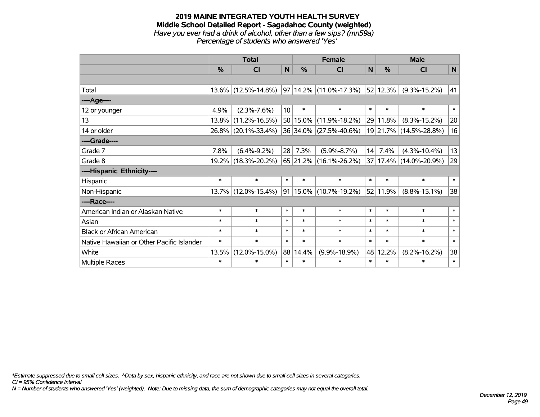#### **2019 MAINE INTEGRATED YOUTH HEALTH SURVEY Middle School Detailed Report - Sagadahoc County (weighted)** *Have you ever had a drink of alcohol, other than a few sips? (mn59a) Percentage of students who answered 'Yes'*

|                                           | <b>Total</b>  |                     |                 |               | <b>Female</b>               |        | <b>Male</b> |                        |        |  |
|-------------------------------------------|---------------|---------------------|-----------------|---------------|-----------------------------|--------|-------------|------------------------|--------|--|
|                                           | $\frac{0}{0}$ | <b>CI</b>           | N <sub>1</sub>  | $\frac{0}{0}$ | <b>CI</b>                   | N      | %           | <b>CI</b>              | N      |  |
|                                           |               |                     |                 |               |                             |        |             |                        |        |  |
| Total                                     |               | 13.6% (12.5%-14.8%) |                 |               | $ 97 14.2\% $ (11.0%-17.3%) |        | 52 12.3%    | $(9.3\% - 15.2\%)$     | 41     |  |
| ----Age----                               |               |                     |                 |               |                             |        |             |                        |        |  |
| 12 or younger                             | 4.9%          | $(2.3\% - 7.6\%)$   | 10 <sup>1</sup> | $\ast$        | $\ast$                      | $\ast$ | $\ast$      | $\ast$                 | $\ast$ |  |
| 13                                        | 13.8%         | $(11.2\% - 16.5\%)$ |                 | 50 15.0%      | $(11.9\% - 18.2\%)$         |        | 29 11.8%    | $(8.3\% - 15.2\%)$     | 20     |  |
| 14 or older                               |               | 26.8% (20.1%-33.4%) |                 |               | 36 34.0% (27.5%-40.6%)      |        |             | 19 21.7% (14.5%-28.8%) | 16     |  |
| ----Grade----                             |               |                     |                 |               |                             |        |             |                        |        |  |
| Grade 7                                   | 7.8%          | $(6.4\% - 9.2\%)$   | 28              | 7.3%          | $(5.9\% - 8.7\%)$           | 14     | 7.4%        | $(4.3\% - 10.4\%)$     | 13     |  |
| Grade 8                                   |               | 19.2% (18.3%-20.2%) |                 |               | $65$ 21.2% (16.1%-26.2%)    |        |             | 37 17.4% (14.0%-20.9%) | 29     |  |
| ----Hispanic Ethnicity----                |               |                     |                 |               |                             |        |             |                        |        |  |
| Hispanic                                  | $\ast$        | $\ast$              | $\ast$          | $\ast$        | $\ast$                      | $\ast$ | $\ast$      | $\ast$                 | $\ast$ |  |
| Non-Hispanic                              |               | 13.7% (12.0%-15.4%) |                 |               | 91   15.0%   (10.7%-19.2%)  |        | 52 11.9%    | $(8.8\% - 15.1\%)$     | 38     |  |
| ----Race----                              |               |                     |                 |               |                             |        |             |                        |        |  |
| American Indian or Alaskan Native         | $\ast$        | $\ast$              | $\ast$          | $\ast$        | $\ast$                      | $\ast$ | $\ast$      | $\ast$                 | $\ast$ |  |
| Asian                                     | $\ast$        | $\ast$              | $\ast$          | $\ast$        | $\ast$                      | $\ast$ | $\ast$      | $\ast$                 | $\ast$ |  |
| <b>Black or African American</b>          | $\ast$        | $\ast$              | $\ast$          | $\ast$        | $\ast$                      | $\ast$ | $\ast$      | $\ast$                 | $\ast$ |  |
| Native Hawaiian or Other Pacific Islander | $\ast$        | $\ast$              | $\ast$          | $\ast$        | $\ast$                      | $\ast$ | $\ast$      | $\ast$                 | $\ast$ |  |
| White                                     | 13.5%         | $(12.0\% - 15.0\%)$ | 88              | 14.4%         | $(9.9\% - 18.9\%)$          |        | 48 12.2%    | $(8.2\% - 16.2\%)$     | 38     |  |
| <b>Multiple Races</b>                     | $\ast$        | $\ast$              | $\ast$          | $\ast$        | $\ast$                      | $\ast$ | $\ast$      | $\ast$                 | $\ast$ |  |

*\*Estimate suppressed due to small cell sizes. ^Data by sex, hispanic ethnicity, and race are not shown due to small cell sizes in several categories.*

*CI = 95% Confidence Interval*

*N = Number of students who answered 'Yes' (weighted). Note: Due to missing data, the sum of demographic categories may not equal the overall total.*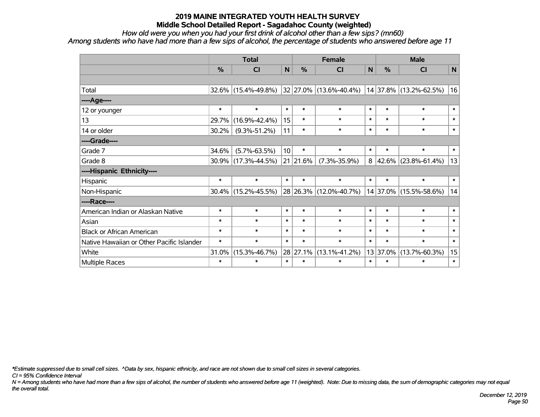*How old were you when you had your first drink of alcohol other than a few sips? (mn60) Among students who have had more than a few sips of alcohol, the percentage of students who answered before age 11*

|                                           | <b>Total</b> |                     |                 |          | <b>Female</b>               |        | <b>Male</b> |                        |              |  |
|-------------------------------------------|--------------|---------------------|-----------------|----------|-----------------------------|--------|-------------|------------------------|--------------|--|
|                                           | %            | <b>CI</b>           | $\mathsf{N}$    | %        | <b>CI</b>                   | N      | %           | <b>CI</b>              | $\mathsf{N}$ |  |
|                                           |              |                     |                 |          |                             |        |             |                        |              |  |
| Total                                     | $32.6\%$     | $(15.4\% - 49.8\%)$ |                 |          | $ 32 27.0\% $ (13.6%-40.4%) |        |             | 14 37.8% (13.2%-62.5%) | 16           |  |
| ----Age----                               |              |                     |                 |          |                             |        |             |                        |              |  |
| 12 or younger                             | $\ast$       | $\ast$              | $\ast$          | $\ast$   | $\ast$                      | $\ast$ | $\ast$      | $\ast$                 | $\ast$       |  |
| 13                                        | 29.7%        | $(16.9\% - 42.4\%)$ | 15              | $\ast$   | $\ast$                      | $\ast$ | $\ast$      | $\ast$                 | $\ast$       |  |
| 14 or older                               | 30.2%        | $(9.3\% - 51.2\%)$  | 11              | $\ast$   | $\ast$                      | $\ast$ | $\ast$      | $\ast$                 | $\ast$       |  |
| ----Grade----                             |              |                     |                 |          |                             |        |             |                        |              |  |
| Grade 7                                   | 34.6%        | $(5.7\% - 63.5\%)$  | 10 <sup>1</sup> | $\ast$   | $\ast$                      | $\ast$ | $\ast$      | $\ast$                 | $\ast$       |  |
| Grade 8                                   | 30.9%        | $(17.3\% - 44.5\%)$ |                 | 21 21.6% | $(7.3\% - 35.9\%)$          | 8      |             | 42.6% (23.8%-61.4%)    | 13           |  |
| ----Hispanic Ethnicity----                |              |                     |                 |          |                             |        |             |                        |              |  |
| Hispanic                                  | $\ast$       | $\ast$              | $\ast$          | $\ast$   | $\ast$                      | $\ast$ | $\ast$      | $\ast$                 | $\ast$       |  |
| Non-Hispanic                              | $30.4\%$     | $(15.2\% - 45.5\%)$ |                 |          | 28 26.3% (12.0%-40.7%)      |        |             | 14 37.0% (15.5%-58.6%) | 14           |  |
| ----Race----                              |              |                     |                 |          |                             |        |             |                        |              |  |
| American Indian or Alaskan Native         | $\ast$       | $\ast$              | $\ast$          | $\ast$   | $\ast$                      | $\ast$ | $\ast$      | $\ast$                 | $\ast$       |  |
| Asian                                     | $\ast$       | $\ast$              | $\ast$          | $\ast$   | $\ast$                      | $\ast$ | $\ast$      | $\ast$                 | $\ast$       |  |
| <b>Black or African American</b>          | $\ast$       | $\ast$              | $\ast$          | $\ast$   | $\ast$                      | $\ast$ | $\ast$      | $\ast$                 | $\ast$       |  |
| Native Hawaiian or Other Pacific Islander | $\ast$       | $\ast$              | $\ast$          | $\ast$   | $\ast$                      | $\ast$ | $\ast$      | $\ast$                 | $\ast$       |  |
| White                                     | 31.0%        | $(15.3\% - 46.7\%)$ |                 | 28 27.1% | $(13.1\% - 41.2\%)$         | 13     | 37.0%       | $(13.7\% - 60.3\%)$    | 15           |  |
| Multiple Races                            | $\ast$       | $\ast$              | $\ast$          | $\ast$   | $\ast$                      | $\ast$ | $\ast$      | $\ast$                 | $\ast$       |  |

*\*Estimate suppressed due to small cell sizes. ^Data by sex, hispanic ethnicity, and race are not shown due to small cell sizes in several categories.*

*CI = 95% Confidence Interval*

*N = Among students who have had more than a few sips of alcohol, the number of students who answered before age 11 (weighted). Note: Due to missing data, the sum of demographic categories may not equal the overall total.*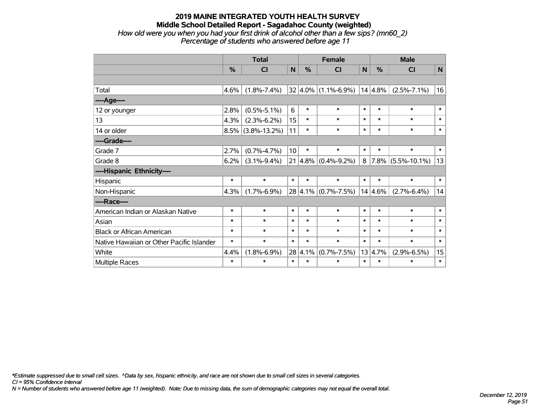#### **2019 MAINE INTEGRATED YOUTH HEALTH SURVEY Middle School Detailed Report - Sagadahoc County (weighted)** *How old were you when you had your first drink of alcohol other than a few sips? (mn60\_2) Percentage of students who answered before age 11*

|                                           | <b>Total</b>  |                      |             |               | <b>Female</b>           |              | <b>Male</b> |                      |              |  |
|-------------------------------------------|---------------|----------------------|-------------|---------------|-------------------------|--------------|-------------|----------------------|--------------|--|
|                                           | $\frac{0}{0}$ | CI                   | $\mathbf N$ | $\frac{0}{0}$ | <b>CI</b>               | $\mathsf{N}$ | %           | CI                   | $\mathbf N$  |  |
|                                           |               |                      |             |               |                         |              |             |                      |              |  |
| Total                                     | 4.6%          | $(1.8\% - 7.4\%)$    |             |               | $32 4.0\% $ (1.1%-6.9%) |              | 14 4.8%     | $(2.5\% - 7.1\%)$    | 16           |  |
| ----Age----                               |               |                      |             |               |                         |              |             |                      |              |  |
| 12 or younger                             | 2.8%          | $(0.5\% - 5.1\%)$    | 6           | $\ast$        | $\ast$                  | $\ast$       | $\ast$      | $\ast$               | $\ast$       |  |
| 13                                        | 4.3%          | $(2.3\% - 6.2\%)$    | 15          | $\ast$        | $\ast$                  | $\ast$       | $\ast$      | $\ast$               | $\ast$       |  |
| 14 or older                               |               | $8.5\%$ (3.8%-13.2%) | 11          | $\ast$        | $\ast$                  | $\ast$       | $\ast$      | $\ast$               | $\ast$       |  |
| ----Grade----                             |               |                      |             |               |                         |              |             |                      |              |  |
| Grade 7                                   | 2.7%          | $(0.7\% - 4.7\%)$    | 10          | $\ast$        | $\ast$                  | $\ast$       | $\ast$      | $\ast$               | $\ast$       |  |
| Grade 8                                   | 6.2%          | $(3.1\% - 9.4\%)$    | 21          |               | $ 4.8\% $ (0.4%-9.2%)   | 8            |             | $7.8\%$ (5.5%-10.1%) | 13           |  |
| ----Hispanic Ethnicity----                |               |                      |             |               |                         |              |             |                      |              |  |
| Hispanic                                  | $\ast$        | $\ast$               | $\ast$      | $\ast$        | $\ast$                  | $\ast$       | $\ast$      | $\ast$               | $\ast$       |  |
| Non-Hispanic                              | 4.3%          | $(1.7\% - 6.9\%)$    |             |               | 28 4.1% (0.7%-7.5%)     |              | $14 4.6\%$  | $(2.7\% - 6.4\%)$    | 14           |  |
| ----Race----                              |               |                      |             |               |                         |              |             |                      |              |  |
| American Indian or Alaskan Native         | $\ast$        | $\ast$               | $\ast$      | $\ast$        | $\ast$                  | $\ast$       | $\ast$      | $\ast$               | $\ast$       |  |
| Asian                                     | $\ast$        | $\ast$               | $\ast$      | $\ast$        | $\ast$                  | $\ast$       | $\ast$      | $\ast$               | $\ast$       |  |
| <b>Black or African American</b>          | $\ast$        | *                    | $\ast$      | $\ast$        | $\ast$                  | $\ast$       | $\ast$      | $\ast$               | $\ast$       |  |
| Native Hawaiian or Other Pacific Islander | $\ast$        | $\ast$               | $\ast$      | $\ast$        | $\ast$                  | $\ast$       | $\ast$      | $\ast$               | $\ast$       |  |
| White                                     | 4.4%          | $(1.8\% - 6.9\%)$    | 28          | 4.1%          | $(0.7\% - 7.5\%)$       | 13           | 4.7%        | $(2.9\% - 6.5\%)$    | 15           |  |
| Multiple Races                            | $\ast$        | $\ast$               | $\ast$      | $\ast$        | $\ast$                  | $\ast$       | $\ast$      | $\ast$               | $\pmb{\ast}$ |  |

*\*Estimate suppressed due to small cell sizes. ^Data by sex, hispanic ethnicity, and race are not shown due to small cell sizes in several categories.*

*CI = 95% Confidence Interval*

*N = Number of students who answered before age 11 (weighted). Note: Due to missing data, the sum of demographic categories may not equal the overall total.*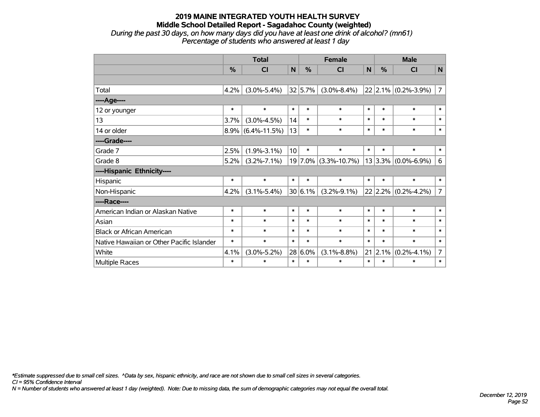### **2019 MAINE INTEGRATED YOUTH HEALTH SURVEY Middle School Detailed Report - Sagadahoc County (weighted)** *During the past 30 days, on how many days did you have at least one drink of alcohol? (mn61) Percentage of students who answered at least 1 day*

|                                           | <b>Total</b>  |                    |        |         | <b>Female</b>        |        | <b>Male</b> |                         |                |  |
|-------------------------------------------|---------------|--------------------|--------|---------|----------------------|--------|-------------|-------------------------|----------------|--|
|                                           | $\frac{0}{0}$ | C <sub>1</sub>     | N      | %       | CI                   | N      | %           | <b>CI</b>               | $\mathbf N$    |  |
|                                           |               |                    |        |         |                      |        |             |                         |                |  |
| Total                                     | 4.2%          | $(3.0\% - 5.4\%)$  |        | 32 5.7% | $(3.0\% - 8.4\%)$    |        |             | $22$ 2.1% (0.2%-3.9%)   | $\overline{7}$ |  |
| ---- Age----                              |               |                    |        |         |                      |        |             |                         |                |  |
| 12 or younger                             | $\ast$        | $\ast$             | $\ast$ | $\ast$  | $\ast$               | $\ast$ | $\ast$      | $\ast$                  | $\ast$         |  |
| 13                                        | 3.7%          | $(3.0\% - 4.5\%)$  | 14     | $\ast$  | $\ast$               | $\ast$ | $\ast$      | $\ast$                  | $\ast$         |  |
| 14 or older                               | 8.9%          | $(6.4\% - 11.5\%)$ | 13     | $\ast$  | $\ast$               | $\ast$ | $\ast$      | $\ast$                  | $\ast$         |  |
| ----Grade----                             |               |                    |        |         |                      |        |             |                         |                |  |
| Grade 7                                   | 2.5%          | $(1.9\% - 3.1\%)$  | 10     | $\ast$  | $\ast$               | $\ast$ | $\ast$      | $\ast$                  | $\ast$         |  |
| Grade 8                                   | 5.2%          | $(3.2\% - 7.1\%)$  |        |         | 19 7.0% (3.3%-10.7%) |        |             | $13 3.3\% $ (0.0%-6.9%) | 6              |  |
| ----Hispanic Ethnicity----                |               |                    |        |         |                      |        |             |                         |                |  |
| Hispanic                                  | $\ast$        | $\ast$             | $\ast$ | $\ast$  | $\ast$               | $\ast$ | $\ast$      | $\ast$                  | $\ast$         |  |
| Non-Hispanic                              | 4.2%          | $(3.1\% - 5.4\%)$  |        | 30 6.1% | $(3.2\% - 9.1\%)$    |        |             | $22 2.2\% $ (0.2%-4.2%) | $\overline{7}$ |  |
| ----Race----                              |               |                    |        |         |                      |        |             |                         |                |  |
| American Indian or Alaskan Native         | $\ast$        | $\ast$             | $\ast$ | $\ast$  | $\ast$               | $\ast$ | $\ast$      | $\ast$                  | $\ast$         |  |
| Asian                                     | $\ast$        | $\ast$             | $\ast$ | $\ast$  | $\ast$               | $\ast$ | $\ast$      | $\ast$                  | $\ast$         |  |
| <b>Black or African American</b>          | $\ast$        | $\ast$             | $\ast$ | $\ast$  | $\ast$               | $\ast$ | $\ast$      | $\ast$                  | $\ast$         |  |
| Native Hawaiian or Other Pacific Islander | $\ast$        | $\ast$             | $\ast$ | $\ast$  | $\ast$               | $\ast$ | $\ast$      | $\ast$                  | $\ast$         |  |
| White                                     | 4.1%          | $(3.0\% - 5.2\%)$  | 28     | 6.0%    | $(3.1\% - 8.8\%)$    | 21     | 2.1%        | $(0.2\% - 4.1\%)$       | $\overline{7}$ |  |
| Multiple Races                            | $\ast$        | $\ast$             | $\ast$ | $\ast$  | $\ast$               | $\ast$ | $\ast$      | $\ast$                  | $\ast$         |  |

*\*Estimate suppressed due to small cell sizes. ^Data by sex, hispanic ethnicity, and race are not shown due to small cell sizes in several categories.*

*CI = 95% Confidence Interval*

*N = Number of students who answered at least 1 day (weighted). Note: Due to missing data, the sum of demographic categories may not equal the overall total.*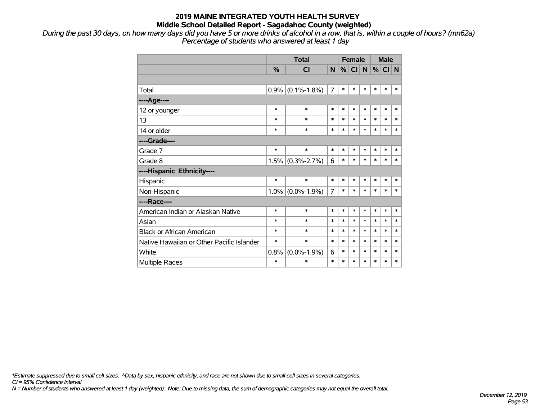*During the past 30 days, on how many days did you have 5 or more drinks of alcohol in a row, that is, within a couple of hours? (mn62a) Percentage of students who answered at least 1 day*

|                                           |               | <b>Total</b>        | <b>Female</b>  |        |           |           |        | <b>Male</b> |        |  |
|-------------------------------------------|---------------|---------------------|----------------|--------|-----------|-----------|--------|-------------|--------|--|
|                                           | $\frac{0}{2}$ | CI                  | N              | %      | <b>CI</b> | ${\sf N}$ |        | $%$ CI N    |        |  |
|                                           |               |                     |                |        |           |           |        |             |        |  |
| Total                                     |               | $0.9\%$ (0.1%-1.8%) | $\overline{7}$ | $\ast$ | $\ast$    | $\ast$    | $\ast$ | $\ast$      | $\ast$ |  |
| ----Age----                               |               |                     |                |        |           |           |        |             |        |  |
| 12 or younger                             | $\ast$        | $\ast$              | $\ast$         | $\ast$ | $\ast$    | $\ast$    | $\ast$ | $\ast$      | *      |  |
| 13                                        | $\ast$        | $\ast$              | $\ast$         | $\ast$ | $\ast$    | $\ast$    | $\ast$ | $\ast$      | $\ast$ |  |
| 14 or older                               | $\ast$        | $\ast$              | $\ast$         | $\ast$ | $\ast$    | $\ast$    | $\ast$ | $\ast$      | $\ast$ |  |
| ----Grade----                             |               |                     |                |        |           |           |        |             |        |  |
| Grade 7                                   | $\ast$        | $\ast$              | $\ast$         | $\ast$ | $\ast$    | $\ast$    | $\ast$ | $\ast$      | $\ast$ |  |
| Grade 8                                   |               | $1.5\%$ (0.3%-2.7%) | 6              | $\ast$ | $\ast$    | $\ast$    | $\ast$ | $\ast$      | $\ast$ |  |
| ----Hispanic Ethnicity----                |               |                     |                |        |           |           |        |             |        |  |
| Hispanic                                  | $\ast$        | $\ast$              | $\ast$         | $\ast$ | $\ast$    | $\ast$    | $\ast$ | $\ast$      | *      |  |
| Non-Hispanic                              |               | $1.0\%$ (0.0%-1.9%) | $\overline{7}$ | $\ast$ | $\ast$    | $\ast$    | $\ast$ | $\ast$      | $\ast$ |  |
| ----Race----                              |               |                     |                |        |           |           |        |             |        |  |
| American Indian or Alaskan Native         | $\ast$        | $\ast$              | $\ast$         | $\ast$ | $\ast$    | $\ast$    | $\ast$ | $\ast$      | $\ast$ |  |
| Asian                                     | $\ast$        | $\ast$              | $\ast$         | $\ast$ | $\ast$    | $\ast$    | $\ast$ | $\ast$      | $\ast$ |  |
| <b>Black or African American</b>          | $\ast$        | $\ast$              | $\ast$         | $\ast$ | $\ast$    | $\ast$    | $\ast$ | $\ast$      | $\ast$ |  |
| Native Hawaiian or Other Pacific Islander | $\ast$        | $\ast$              | $\ast$         | $\ast$ | $\ast$    | $\ast$    | $\ast$ | $\ast$      | $\ast$ |  |
| White                                     | 0.8%          | $(0.0\% - 1.9\%)$   | 6              | $\ast$ | $\ast$    | $\ast$    | $\ast$ | $\ast$      | $\ast$ |  |
| Multiple Races                            | $\ast$        | $\ast$              | $\ast$         | $\ast$ | $\ast$    | $\ast$    | $\ast$ | $\ast$      | *      |  |

*\*Estimate suppressed due to small cell sizes. ^Data by sex, hispanic ethnicity, and race are not shown due to small cell sizes in several categories.*

*CI = 95% Confidence Interval*

*N = Number of students who answered at least 1 day (weighted). Note: Due to missing data, the sum of demographic categories may not equal the overall total.*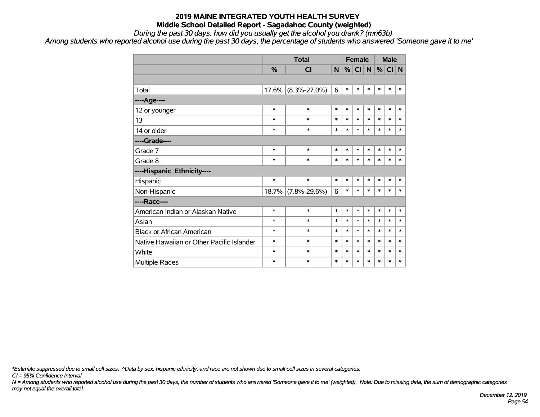*During the past 30 days, how did you usually get the alcohol you drank? (mn63b)*

*Among students who reported alcohol use during the past 30 days, the percentage of students who answered 'Someone gave it to me'*

|                                           |        | <b>Total</b>       |        |        | <b>Female</b> |        | <b>Male</b> |        |        |
|-------------------------------------------|--------|--------------------|--------|--------|---------------|--------|-------------|--------|--------|
|                                           | %      | CI                 | N      | %      | CI N          |        | %           | CI N   |        |
|                                           |        |                    |        |        |               |        |             |        |        |
| Total                                     | 17.6%  | $(8.3\% - 27.0\%)$ | 6      | $\ast$ | $\ast$        | $\ast$ | $\ast$      | $\ast$ | *      |
| ----Age----                               |        |                    |        |        |               |        |             |        |        |
| 12 or younger                             | $\ast$ | $\ast$             | $\ast$ | $\ast$ | $\ast$        | $\ast$ | $\ast$      | $\ast$ | $\ast$ |
| 13                                        | $\ast$ | $\ast$             | *      | $\ast$ | $\ast$        | $\ast$ | $\ast$      | $\ast$ | $\ast$ |
| 14 or older                               | $\ast$ | $\ast$             | $\ast$ | $\ast$ | $\ast$        | $\ast$ | $\ast$      | $\ast$ | $\ast$ |
| ----Grade----                             |        |                    |        |        |               |        |             |        |        |
| Grade 7                                   | $\ast$ | $\ast$             | $\ast$ | $\ast$ | $\ast$        | $\ast$ | $\ast$      | $\ast$ | $\ast$ |
| Grade 8                                   | $\ast$ | $\ast$             | *      | $\ast$ | $\ast$        | $\ast$ | $\ast$      | $\ast$ | $\ast$ |
| ----Hispanic Ethnicity----                |        |                    |        |        |               |        |             |        |        |
| Hispanic                                  | $\ast$ | $\ast$             | $\ast$ | $\ast$ | $\ast$        | $\ast$ | $\ast$      | $\ast$ | $\ast$ |
| Non-Hispanic                              | 18.7%  | $(7.8\% - 29.6\%)$ | 6      | $\ast$ | $\ast$        | $\ast$ | $\ast$      | $\ast$ | $\ast$ |
| ----Race----                              |        |                    |        |        |               |        |             |        |        |
| American Indian or Alaskan Native         | $\ast$ | $\ast$             | $\ast$ | $\ast$ | $\ast$        | $\ast$ | $\ast$      | $\ast$ | $\ast$ |
| Asian                                     | $\ast$ | $\ast$             | $\ast$ | $\ast$ | $\ast$        | $\ast$ | $\ast$      | $\ast$ | $\ast$ |
| <b>Black or African American</b>          | $\ast$ | $\ast$             | *      | $\ast$ | $\ast$        | $\ast$ | $\ast$      | $\ast$ | $\ast$ |
| Native Hawaiian or Other Pacific Islander | $\ast$ | $\ast$             | $\ast$ | $\ast$ | $\ast$        | $\ast$ | $\ast$      | $\ast$ | $\ast$ |
| White                                     | $\ast$ | $\ast$             | $\ast$ | $\ast$ | $\ast$        | $\ast$ | $\ast$      | $\ast$ | $\ast$ |
| Multiple Races                            | $\ast$ | $\ast$             | $\ast$ | $\ast$ | $\ast$        | $\ast$ | $\ast$      | $\ast$ | $\ast$ |

*\*Estimate suppressed due to small cell sizes. ^Data by sex, hispanic ethnicity, and race are not shown due to small cell sizes in several categories.*

*CI = 95% Confidence Interval*

*N = Among students who reported alcohol use during the past 30 days, the number of students who answered 'Someone gave it to me' (weighted). Note: Due to missing data, the sum of demographic categories may not equal the overall total.*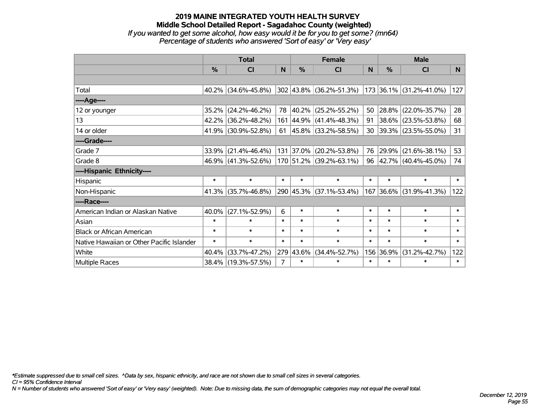### **2019 MAINE INTEGRATED YOUTH HEALTH SURVEY Middle School Detailed Report - Sagadahoc County (weighted)** *If you wanted to get some alcohol, how easy would it be for you to get some? (mn64) Percentage of students who answered 'Sort of easy' or 'Very easy'*

|                                           | <b>Total</b>  |                        |                |            | <b>Female</b>                                       |        | <b>Male</b>   |                         |          |  |
|-------------------------------------------|---------------|------------------------|----------------|------------|-----------------------------------------------------|--------|---------------|-------------------------|----------|--|
|                                           | $\frac{0}{0}$ | CI                     | N              | $\%$       | <b>CI</b>                                           | N      | $\frac{0}{0}$ | <b>CI</b>               | <b>N</b> |  |
|                                           |               |                        |                |            |                                                     |        |               |                         |          |  |
| Total                                     |               | $40.2\%$ (34.6%-45.8%) |                |            | $302 43.8\% $ (36.2%-51.3%) 173 36.1% (31.2%-41.0%) |        |               |                         | 127      |  |
| ----Age----                               |               |                        |                |            |                                                     |        |               |                         |          |  |
| 12 or younger                             | 35.2%         | $(24.2\% - 46.2\%)$    | 78             | $ 40.2\% $ | $(25.2\% - 55.2\%)$                                 | 50     |               | 28.8% (22.0%-35.7%)     | 28       |  |
| 13                                        |               | 42.2% (36.2%-48.2%)    |                |            | 161 44.9% (41.4%-48.3%)                             | 91     |               | 38.6% (23.5%-53.8%)     | 68       |  |
| 14 or older                               |               | 41.9% (30.9%-52.8%)    | 61             |            | $ 45.8\% $ (33.2%-58.5%)                            | 30     |               | 39.3% (23.5%-55.0%)     | 31       |  |
| ----Grade----                             |               |                        |                |            |                                                     |        |               |                         |          |  |
| Grade 7                                   | 33.9%         | $(21.4\% - 46.4\%)$    |                | 131 37.0%  | $(20.2\% - 53.8\%)$                                 | 76     | 29.9%         | $(21.6\% - 38.1\%)$     | 53       |  |
| Grade 8                                   |               | 46.9% (41.3%-52.6%)    |                |            | 170 51.2% (39.2%-63.1%)                             | 96     |               | 42.7% (40.4%-45.0%)     | 74       |  |
| ----Hispanic Ethnicity----                |               |                        |                |            |                                                     |        |               |                         |          |  |
| Hispanic                                  | $\ast$        | $\ast$                 | $\ast$         | $\ast$     | $\ast$                                              | $\ast$ | $\ast$        | $\ast$                  | $\ast$   |  |
| Non-Hispanic                              |               | $41.3\%$ (35.7%-46.8%) |                |            | 290 45.3% (37.1%-53.4%)                             |        |               | 167 36.6% (31.9%-41.3%) | 122      |  |
| ----Race----                              |               |                        |                |            |                                                     |        |               |                         |          |  |
| American Indian or Alaskan Native         | 40.0%         | $(27.1\% - 52.9\%)$    | 6              | $\ast$     | $\ast$                                              | $\ast$ | $\ast$        | $\ast$                  | $\ast$   |  |
| Asian                                     | $\ast$        | $\ast$                 | $\ast$         | $\ast$     | $\ast$                                              | $\ast$ | $\ast$        | $\ast$                  | $\ast$   |  |
| <b>Black or African American</b>          | $\ast$        | $\ast$                 | $\ast$         | $\ast$     | $\ast$                                              | $\ast$ | $\ast$        | $\ast$                  | $\ast$   |  |
| Native Hawaiian or Other Pacific Islander | $\ast$        | $\ast$                 | $\ast$         | $\ast$     | $\ast$                                              | $\ast$ | $\ast$        | $\ast$                  | $\ast$   |  |
| White                                     | 40.4%         | $(33.7\% - 47.2\%)$    |                | 279 43.6%  | $(34.4\% - 52.7\%)$                                 | 156    | 36.9%         | $(31.2\% - 42.7\%)$     | 122      |  |
| Multiple Races                            |               | 38.4% (19.3%-57.5%)    | $\overline{7}$ | $\ast$     | $\ast$                                              | $\ast$ | $\ast$        | $\ast$                  | $\ast$   |  |

*\*Estimate suppressed due to small cell sizes. ^Data by sex, hispanic ethnicity, and race are not shown due to small cell sizes in several categories.*

*CI = 95% Confidence Interval*

*N = Number of students who answered 'Sort of easy' or 'Very easy' (weighted). Note: Due to missing data, the sum of demographic categories may not equal the overall total.*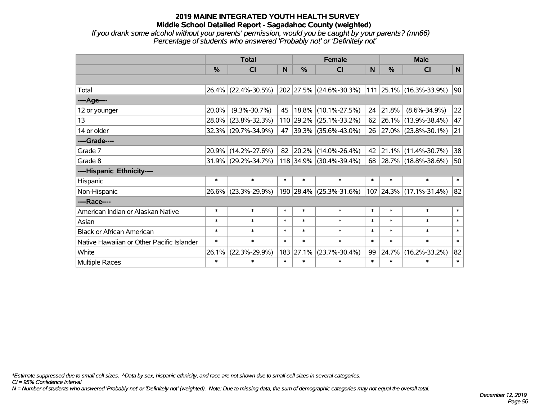*If you drank some alcohol without your parents' permission, would you be caught by your parents? (mn66) Percentage of students who answered 'Probably not' or 'Definitely not'*

|                                           | <b>Total</b> |                     |        |           | <b>Female</b>           | <b>Male</b> |        |                                 |        |
|-------------------------------------------|--------------|---------------------|--------|-----------|-------------------------|-------------|--------|---------------------------------|--------|
|                                           | %            | <b>CI</b>           | N      | %         | <b>CI</b>               | N           | $\%$   | <b>CI</b>                       | N      |
|                                           |              |                     |        |           |                         |             |        |                                 |        |
| Total                                     |              | 26.4% (22.4%-30.5%) |        |           | 202 27.5% (24.6%-30.3%) |             |        | $ 111 25.1\% (16.3\% - 33.9\%)$ | 90     |
| ----Age----                               |              |                     |        |           |                         |             |        |                                 |        |
| 12 or younger                             | 20.0%        | $(9.3\% - 30.7\%)$  | 45     | 18.8%     | $(10.1\% - 27.5\%)$     | 24          | 21.8%  | $(8.6\% - 34.9\%)$              | 22     |
| 13                                        | 28.0%        | $(23.8\% - 32.3\%)$ |        | 110 29.2% | $(25.1\% - 33.2\%)$     | 62          |        | 26.1% (13.9%-38.4%)             | 47     |
| 14 or older                               | 32.3%        | $(29.7\% - 34.9\%)$ | 47     | 39.3%     | $(35.6\% - 43.0\%)$     | 26          |        | 27.0% (23.8%-30.1%)             | 21     |
| ----Grade----                             |              |                     |        |           |                         |             |        |                                 |        |
| Grade 7                                   | 20.9%        | $(14.2\% - 27.6\%)$ | 82     | 20.2%     | $(14.0\% - 26.4\%)$     | 42          |        | 21.1% (11.4%-30.7%)             | 38     |
| Grade 8                                   |              | 31.9% (29.2%-34.7%) |        |           | 118 34.9% (30.4%-39.4%) | 68          |        | 28.7% (18.8%-38.6%)             | 50     |
| ----Hispanic Ethnicity----                |              |                     |        |           |                         |             |        |                                 |        |
| Hispanic                                  | $\ast$       | $\ast$              | $\ast$ | $\ast$    | $\ast$                  | $\ast$      | $\ast$ | $\ast$                          | $\ast$ |
| Non-Hispanic                              | 26.6%        | $(23.3\% - 29.9\%)$ |        | 190 28.4% | $(25.3\% - 31.6\%)$     |             |        | 107 24.3% (17.1%-31.4%)         | 82     |
| ----Race----                              |              |                     |        |           |                         |             |        |                                 |        |
| American Indian or Alaskan Native         | $\ast$       | $\ast$              | $\ast$ | $\ast$    | $\ast$                  | $\ast$      | $\ast$ | $\ast$                          | $\ast$ |
| Asian                                     | $\ast$       | $\ast$              | $\ast$ | $\ast$    | $\ast$                  | $\ast$      | $\ast$ | $\ast$                          | $\ast$ |
| <b>Black or African American</b>          | $\ast$       | $\ast$              | $\ast$ | $\ast$    | $\ast$                  | $\ast$      | $\ast$ | $\ast$                          | $\ast$ |
| Native Hawaiian or Other Pacific Islander | $\ast$       | $\ast$              | $\ast$ | $\ast$    | $\ast$                  | $\ast$      | $\ast$ | $\ast$                          | $\ast$ |
| White                                     | 26.1%        | $(22.3\% - 29.9\%)$ |        | 183 27.1% | $(23.7\% - 30.4\%)$     | 99          | 24.7%  | $(16.2\% - 33.2\%)$             | 82     |
| Multiple Races                            | $\ast$       | $\ast$              | $\ast$ | $\ast$    | $\ast$                  | $\ast$      | $\ast$ | $\ast$                          | $\ast$ |

*\*Estimate suppressed due to small cell sizes. ^Data by sex, hispanic ethnicity, and race are not shown due to small cell sizes in several categories.*

*CI = 95% Confidence Interval*

*N = Number of students who answered 'Probably not' or 'Definitely not' (weighted). Note: Due to missing data, the sum of demographic categories may not equal the overall total.*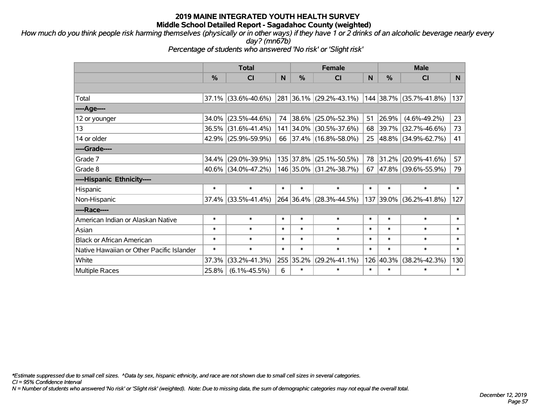*How much do you think people risk harming themselves (physically or in other ways) if they have 1 or 2 drinks of an alcoholic beverage nearly every day? (mn67b)*

*Percentage of students who answered 'No risk' or 'Slight risk'*

|                                           | <b>Total</b>  |                     |        |           | <b>Female</b>            |        | <b>Male</b> |                         |        |  |
|-------------------------------------------|---------------|---------------------|--------|-----------|--------------------------|--------|-------------|-------------------------|--------|--|
|                                           | $\frac{0}{0}$ | <b>CI</b>           | N      | $\%$      | <b>CI</b>                | N      | %           | <b>CI</b>               | N      |  |
|                                           |               |                     |        |           |                          |        |             |                         |        |  |
| Total                                     | 37.1%         | $(33.6\% - 40.6\%)$ |        |           | 281 36.1% (29.2%-43.1%)  |        |             | 144 38.7% (35.7%-41.8%) | 137    |  |
| ----Age----                               |               |                     |        |           |                          |        |             |                         |        |  |
| 12 or younger                             | 34.0%         | $(23.5\% - 44.6\%)$ | 74     |           | $ 38.6\% $ (25.0%-52.3%) | 51     | 26.9%       | $(4.6\% - 49.2\%)$      | 23     |  |
| 13                                        | 36.5%         | $(31.6\% - 41.4\%)$ |        |           | 141 34.0% (30.5%-37.6%)  |        | 68 39.7%    | $(32.7\% - 46.6\%)$     | 73     |  |
| 14 or older                               |               | 42.9% (25.9%-59.9%) |        |           | 66 37.4% (16.8%-58.0%)   |        |             | 25 48.8% (34.9%-62.7%)  | 41     |  |
| ----Grade----                             |               |                     |        |           |                          |        |             |                         |        |  |
| Grade 7                                   | $34.4\%$      | $(29.0\% - 39.9\%)$ |        | 135 37.8% | $(25.1\% - 50.5\%)$      | 78     | 31.2%       | $(20.9\% - 41.6\%)$     | 57     |  |
| Grade 8                                   |               | 40.6% (34.0%-47.2%) |        |           | 146 35.0% (31.2%-38.7%)  | 67     |             | 47.8% (39.6%-55.9%)     | 79     |  |
| ----Hispanic Ethnicity----                |               |                     |        |           |                          |        |             |                         |        |  |
| Hispanic                                  | $\ast$        | $\ast$              | $\ast$ | $\ast$    | $\ast$                   | $\ast$ | $\ast$      | $\ast$                  | $\ast$ |  |
| Non-Hispanic                              | 37.4%         | $(33.5\% - 41.4\%)$ |        |           | 264 36.4% (28.3%-44.5%)  |        | 137 39.0%   | $(36.2\% - 41.8\%)$     | 127    |  |
| ----Race----                              |               |                     |        |           |                          |        |             |                         |        |  |
| American Indian or Alaskan Native         | $\ast$        | $\ast$              | $\ast$ | $\ast$    | $\ast$                   | $\ast$ | $\ast$      | $\ast$                  | $\ast$ |  |
| Asian                                     | $\ast$        | $\ast$              | $\ast$ | $\ast$    | $\ast$                   | $\ast$ | $\ast$      | $\ast$                  | $\ast$ |  |
| <b>Black or African American</b>          | $\ast$        | $\ast$              | $\ast$ | $\ast$    | $\ast$                   | $\ast$ | $\ast$      | $\ast$                  | $\ast$ |  |
| Native Hawaiian or Other Pacific Islander | $\ast$        | $\ast$              | $\ast$ | $\ast$    | $\ast$                   | $\ast$ | $\ast$      | $\ast$                  | $\ast$ |  |
| White                                     | 37.3%         | $(33.2\% - 41.3\%)$ |        | 255 35.2% | $(29.2\% - 41.1\%)$      | 126    | 40.3%       | $(38.2\% - 42.3\%)$     | 130    |  |
| <b>Multiple Races</b>                     | 25.8%         | $(6.1\% - 45.5\%)$  | 6      | $\ast$    | $\ast$                   | $\ast$ | $\ast$      | $\ast$                  | $\ast$ |  |

*\*Estimate suppressed due to small cell sizes. ^Data by sex, hispanic ethnicity, and race are not shown due to small cell sizes in several categories.*

*CI = 95% Confidence Interval*

*N = Number of students who answered 'No risk' or 'Slight risk' (weighted). Note: Due to missing data, the sum of demographic categories may not equal the overall total.*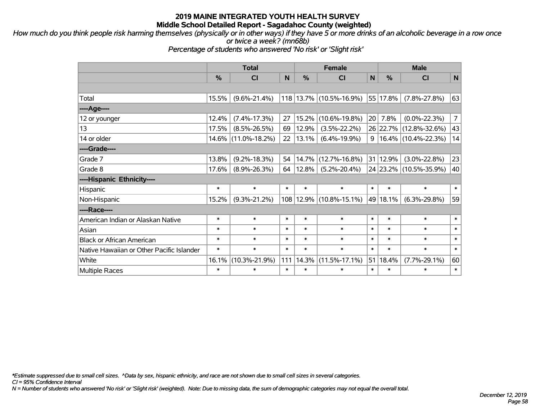*How much do you think people risk harming themselves (physically or in other ways) if they have 5 or more drinks of an alcoholic beverage in a row once or twice a week? (mn68b)*

*Percentage of students who answered 'No risk' or 'Slight risk'*

|                                           | <b>Total</b>  |                     |        | <b>Female</b> |                             | <b>Male</b>  |               |                        |                |
|-------------------------------------------|---------------|---------------------|--------|---------------|-----------------------------|--------------|---------------|------------------------|----------------|
|                                           | $\frac{0}{0}$ | <b>CI</b>           | N      | $\frac{0}{0}$ | <b>CI</b>                   | $\mathsf{N}$ | $\frac{0}{0}$ | <b>CI</b>              | N              |
|                                           |               |                     |        |               |                             |              |               |                        |                |
| Total                                     | 15.5%         | $(9.6\% - 21.4\%)$  |        |               | 118 13.7% (10.5%-16.9%)     |              | 55 17.8%      | $(7.8\% - 27.8\%)$     | 63             |
| ----Age----                               |               |                     |        |               |                             |              |               |                        |                |
| 12 or younger                             | 12.4%         | $(7.4\% - 17.3\%)$  | 27     | 15.2%         | $(10.6\% - 19.8\%)$         | 20           | 7.8%          | $(0.0\% - 22.3\%)$     | 7 <sup>1</sup> |
| 13                                        | 17.5%         | $(8.5\% - 26.5\%)$  | 69     | 12.9%         | $(3.5\% - 22.2\%)$          |              |               | 26 22.7% (12.8%-32.6%) | 43             |
| 14 or older                               |               | 14.6% (11.0%-18.2%) | 22     | 13.1%         | $(6.4\% - 19.9\%)$          | 9            |               | $16.4\%$ (10.4%-22.3%) | 14             |
| ----Grade----                             |               |                     |        |               |                             |              |               |                        |                |
| Grade 7                                   | 13.8%         | $(9.2\% - 18.3\%)$  | 54     | 14.7%         | $(12.7\% - 16.8\%)$         |              | 31 12.9%      | $(3.0\% - 22.8\%)$     | 23             |
| Grade 8                                   | 17.6%         | $(8.9\% - 26.3\%)$  | 64     | 12.8%         | $(5.2\% - 20.4\%)$          |              |               | 24 23.2% (10.5%-35.9%) | 40             |
| ----Hispanic Ethnicity----                |               |                     |        |               |                             |              |               |                        |                |
| Hispanic                                  | $\ast$        | $\ast$              | $\ast$ | $\ast$        | $\ast$                      | $\ast$       | $\ast$        | $\ast$                 | $\ast$         |
| Non-Hispanic                              | 15.2%         | $(9.3\% - 21.2\%)$  |        |               | 108   12.9%   (10.8%-15.1%) |              | 49 18.1%      | $(6.3\% - 29.8\%)$     | 59             |
| ----Race----                              |               |                     |        |               |                             |              |               |                        |                |
| American Indian or Alaskan Native         | $\ast$        | $\ast$              | $\ast$ | $\ast$        | $\ast$                      | $\ast$       | $\ast$        | $\ast$                 | $\ast$         |
| Asian                                     | $\ast$        | $\ast$              | $\ast$ | $\ast$        | $\ast$                      | $\ast$       | $\ast$        | $\ast$                 | $\ast$         |
| <b>Black or African American</b>          | $\ast$        | $\ast$              | $\ast$ | $\ast$        | $\ast$                      | $\ast$       | $\ast$        | $\ast$                 | $\ast$         |
| Native Hawaiian or Other Pacific Islander | $\ast$        | $\ast$              | $\ast$ | $\ast$        | $\ast$                      | $\ast$       | $\ast$        | $\ast$                 | $\ast$         |
| White                                     | 16.1%         | $(10.3\% - 21.9\%)$ | 111    | 14.3%         | $(11.5\% - 17.1\%)$         | 51           | 18.4%         | $(7.7\% - 29.1\%)$     | 60             |
| <b>Multiple Races</b>                     | $\ast$        | $\ast$              | $\ast$ | $\ast$        | $\ast$                      | $\ast$       | $\ast$        | $\ast$                 | $\ast$         |

*\*Estimate suppressed due to small cell sizes. ^Data by sex, hispanic ethnicity, and race are not shown due to small cell sizes in several categories.*

*CI = 95% Confidence Interval*

*N = Number of students who answered 'No risk' or 'Slight risk' (weighted). Note: Due to missing data, the sum of demographic categories may not equal the overall total.*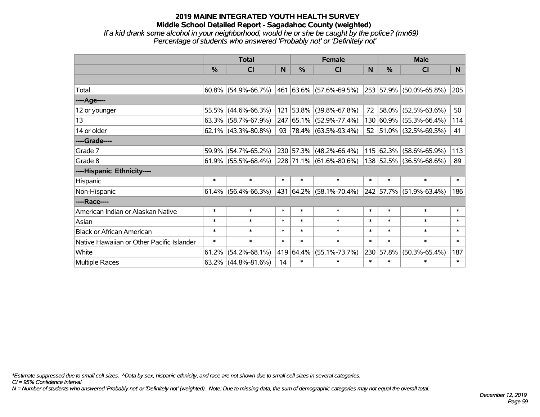*If a kid drank some alcohol in your neighborhood, would he or she be caught by the police? (mn69) Percentage of students who answered 'Probably not' or 'Definitely not'*

|                                           | <b>Total</b>  |                        |        |               | <b>Female</b>                    |        | <b>Male</b>    |                                  |        |  |
|-------------------------------------------|---------------|------------------------|--------|---------------|----------------------------------|--------|----------------|----------------------------------|--------|--|
|                                           | $\frac{0}{0}$ | <b>CI</b>              | N      | $\frac{0}{0}$ | <b>CI</b>                        | N      | $\frac{0}{0}$  | <b>CI</b>                        | N.     |  |
|                                           |               |                        |        |               |                                  |        |                |                                  |        |  |
| Total                                     |               | $60.8\%$ (54.9%-66.7%) |        |               | $ 461 63.6\%  (57.6\% - 69.5\%)$ |        |                | $ 253 57.9\%  (50.0\% - 65.8\%)$ | 205    |  |
| ----Age----                               |               |                        |        |               |                                  |        |                |                                  |        |  |
| 12 or younger                             | 55.5%         | $(44.6\% - 66.3\%)$    |        |               | 121 53.8% (39.8%-67.8%)          | 72     | 58.0%          | $(52.5\% - 63.6\%)$              | 50     |  |
| 13                                        |               | $63.3\%$ (58.7%-67.9%) |        |               | 247 65.1% (52.9%-77.4%)          |        |                | 130 60.9% (55.3%-66.4%)          | 114    |  |
| 14 or older                               |               | $62.1\%$ (43.3%-80.8%) |        |               | 93   78.4%   $(63.5\% - 93.4\%)$ |        |                | 52 51.0% (32.5%-69.5%)           | 41     |  |
| ----Grade----                             |               |                        |        |               |                                  |        |                |                                  |        |  |
| Grade 7                                   | 59.9%         | $(54.7\% - 65.2\%)$    |        |               | 230 57.3% (48.2%-66.4%)          |        | 115 62.3%      | $(58.6\% - 65.9\%)$              | 113    |  |
| Grade 8                                   |               | $61.9\%$ (55.5%-68.4%) |        |               | 228 71.1% (61.6%-80.6%)          |        |                | 138 52.5% (36.5%-68.6%)          | 89     |  |
| ----Hispanic Ethnicity----                |               |                        |        |               |                                  |        |                |                                  |        |  |
| Hispanic                                  | $\ast$        | $\ast$                 | $\ast$ | $\ast$        | $\ast$                           | $\ast$ | $\ast$         | $\ast$                           | $\ast$ |  |
| Non-Hispanic                              |               | $61.4\%$ (56.4%-66.3%) |        |               | 431   64.2%   (58.1%-70.4%)      |        | $ 242 57.7\% $ | $(51.9\% - 63.4\%)$              | 186    |  |
| ----Race----                              |               |                        |        |               |                                  |        |                |                                  |        |  |
| American Indian or Alaskan Native         | $\ast$        | $\ast$                 | $\ast$ | $\ast$        | $\ast$                           | $\ast$ | $\ast$         | $\ast$                           | $\ast$ |  |
| Asian                                     | $\ast$        | $\ast$                 | $\ast$ | $\ast$        | $\ast$                           | $\ast$ | $\ast$         | $\ast$                           | $\ast$ |  |
| <b>Black or African American</b>          | $\ast$        | $\ast$                 | $\ast$ | $\ast$        | $\ast$                           | $\ast$ | $\ast$         | $\ast$                           | $\ast$ |  |
| Native Hawaiian or Other Pacific Islander | $\ast$        | $\ast$                 | $\ast$ | $\ast$        | $\ast$                           | $\ast$ | $\ast$         | $\ast$                           | $\ast$ |  |
| White                                     | 61.2%         | $(54.2\% - 68.1\%)$    |        | 419 64.4%     | $(55.1\% - 73.7\%)$              | 230    | 57.8%          | $(50.3\% - 65.4\%)$              | 187    |  |
| <b>Multiple Races</b>                     |               | $63.2\%$ (44.8%-81.6%) | 14     | $\ast$        | $\ast$                           | $\ast$ | $\ast$         | $\ast$                           | $\ast$ |  |

*\*Estimate suppressed due to small cell sizes. ^Data by sex, hispanic ethnicity, and race are not shown due to small cell sizes in several categories.*

*CI = 95% Confidence Interval*

*N = Number of students who answered 'Probably not' or 'Definitely not' (weighted). Note: Due to missing data, the sum of demographic categories may not equal the overall total.*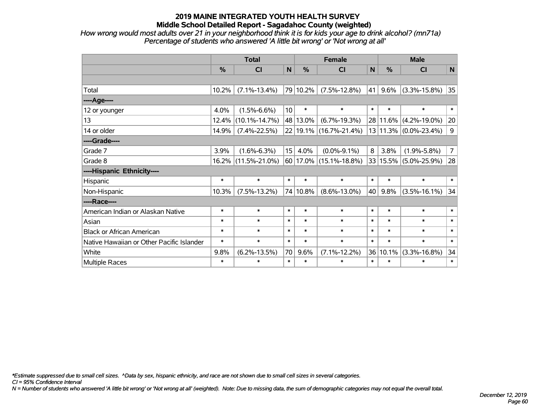*How wrong would most adults over 21 in your neighborhood think it is for kids your age to drink alcohol? (mn71a) Percentage of students who answered 'A little bit wrong' or 'Not wrong at all'*

|                                           | <b>Total</b>  |                     |                 |               | <b>Female</b>                   | <b>Male</b>  |          |                           |                |
|-------------------------------------------|---------------|---------------------|-----------------|---------------|---------------------------------|--------------|----------|---------------------------|----------------|
|                                           | $\frac{0}{0}$ | <b>CI</b>           | N               | $\frac{0}{0}$ | C <sub>1</sub>                  | $\mathsf{N}$ | %        | <b>CI</b>                 | N              |
|                                           |               |                     |                 |               |                                 |              |          |                           |                |
| Total                                     | 10.2%         | $(7.1\% - 13.4\%)$  |                 | 79 10.2%      | $(7.5\% - 12.8\%)$              | 41           | 9.6%     | $(3.3\% - 15.8\%)$        | 35             |
| ----Age----                               |               |                     |                 |               |                                 |              |          |                           |                |
| 12 or younger                             | 4.0%          | $(1.5\% - 6.6\%)$   | 10 <sup>1</sup> | $\ast$        | $\ast$                          | $\ast$       | $\ast$   | $\ast$                    | $\ast$         |
| 13                                        | 12.4%         | $(10.1\% - 14.7\%)$ |                 | 48 13.0%      | $(6.7\% - 19.3\%)$              |              | 28 11.6% | $(4.2\% - 19.0\%)$        | 20             |
| 14 or older                               | 14.9%         | $(7.4\% - 22.5\%)$  |                 |               | 22 19.1% (16.7%-21.4%)          |              |          | 13 11.3% (0.0%-23.4%)     | 9              |
| ----Grade----                             |               |                     |                 |               |                                 |              |          |                           |                |
| Grade 7                                   | 3.9%          | $(1.6\% - 6.3\%)$   | 15              | 4.0%          | $(0.0\% - 9.1\%)$               | 8            | 3.8%     | $(1.9\% - 5.8\%)$         | $\overline{7}$ |
| Grade 8                                   | $16.2\%$      | $(11.5\% - 21.0\%)$ |                 |               | $ 60 17.0\%  (15.1\% - 18.8\%)$ |              |          | 33   15.5%   (5.0%-25.9%) | 28             |
| ----Hispanic Ethnicity----                |               |                     |                 |               |                                 |              |          |                           |                |
| Hispanic                                  | $\ast$        | $\ast$              | $\ast$          | $\ast$        | $\ast$                          | $\ast$       | $\ast$   | $\ast$                    | $\ast$         |
| Non-Hispanic                              | 10.3%         | $(7.5\% - 13.2\%)$  |                 | 74 10.8%      | $(8.6\% - 13.0\%)$              | 40           | 9.8%     | $(3.5\% - 16.1\%)$        | 34             |
| ----Race----                              |               |                     |                 |               |                                 |              |          |                           |                |
| American Indian or Alaskan Native         | $\ast$        | $\ast$              | $\ast$          | $\ast$        | $\ast$                          | $\ast$       | $\ast$   | $\ast$                    | $\ast$         |
| Asian                                     | *             | $\ast$              | $\ast$          | $\ast$        | $\ast$                          | $\ast$       | $\ast$   | $\ast$                    | $\ast$         |
| <b>Black or African American</b>          | $\ast$        | $\ast$              | $\ast$          | $\ast$        | $\ast$                          | $\ast$       | $\ast$   | $\ast$                    | $\ast$         |
| Native Hawaiian or Other Pacific Islander | $\ast$        | $\ast$              | $\ast$          | $\ast$        | $\ast$                          | $\ast$       | $\ast$   | $\ast$                    | $\ast$         |
| White                                     | 9.8%          | $(6.2\% - 13.5\%)$  | 70              | 9.6%          | $(7.1\% - 12.2\%)$              |              | 36 10.1% | $(3.3\% - 16.8\%)$        | 34             |
| Multiple Races                            | $\ast$        | $\ast$              | $\ast$          | $\ast$        | $\ast$                          | $\ast$       | $\ast$   | $\ast$                    | $\ast$         |

*\*Estimate suppressed due to small cell sizes. ^Data by sex, hispanic ethnicity, and race are not shown due to small cell sizes in several categories.*

*CI = 95% Confidence Interval*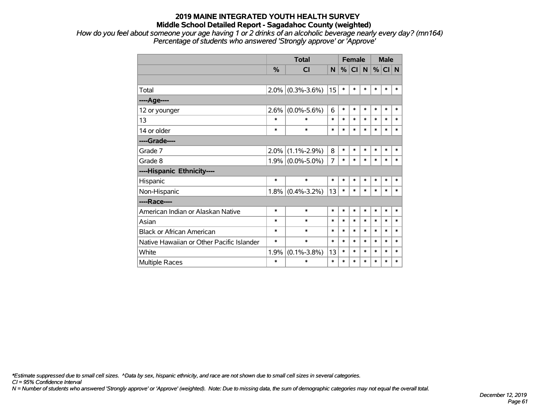*How do you feel about someone your age having 1 or 2 drinks of an alcoholic beverage nearly every day? (mn164) Percentage of students who answered 'Strongly approve' or 'Approve'*

|                                           |         | <b>Total</b>        |                |        | <b>Female</b> |             |        | <b>Male</b> |        |  |
|-------------------------------------------|---------|---------------------|----------------|--------|---------------|-------------|--------|-------------|--------|--|
|                                           | $\%$    | CI                  | N              | %      | <b>CI</b>     | $\mathbf N$ | %      | CI N        |        |  |
|                                           |         |                     |                |        |               |             |        |             |        |  |
| Total                                     | $2.0\%$ | $(0.3\% - 3.6\%)$   | 15             | $\ast$ | *             | $\ast$      | *      | $\ast$      | $\ast$ |  |
| ----Age----                               |         |                     |                |        |               |             |        |             |        |  |
| 12 or younger                             | 2.6%    | $(0.0\% - 5.6\%)$   | 6              | $\ast$ | $\ast$        | $\ast$      | $\ast$ | $\ast$      | $\ast$ |  |
| 13                                        | $\ast$  | $\ast$              | $\ast$         | $\ast$ | $\ast$        | $\ast$      | $\ast$ | $\ast$      | $\ast$ |  |
| 14 or older                               | $\ast$  | $\ast$              | $\ast$         | $\ast$ | $\ast$        | $\ast$      | $\ast$ | $\ast$      | $\ast$ |  |
| ----Grade----                             |         |                     |                |        |               |             |        |             |        |  |
| Grade 7                                   | 2.0%    | $(1.1\% - 2.9\%)$   | 8              | $\ast$ | *             | $\ast$      | $\ast$ | $\ast$      | $\ast$ |  |
| Grade 8                                   |         | $1.9\%$ (0.0%-5.0%) | $\overline{7}$ | $\ast$ | *             | $\ast$      | *      | $\ast$      | $\ast$ |  |
| ----Hispanic Ethnicity----                |         |                     |                |        |               |             |        |             |        |  |
| Hispanic                                  | $\ast$  | $\ast$              | $\ast$         | $\ast$ | $\ast$        | $\ast$      | $\ast$ | $\ast$      | $\ast$ |  |
| Non-Hispanic                              |         | $1.8\%$ (0.4%-3.2%) | 13             | $\ast$ | *             | $\ast$      | *      | $\ast$      | $\ast$ |  |
| ----Race----                              |         |                     |                |        |               |             |        |             |        |  |
| American Indian or Alaskan Native         | $\ast$  | $\ast$              | $\ast$         | $\ast$ | $\ast$        | $\ast$      | *      | $\ast$      | $\ast$ |  |
| Asian                                     | $\ast$  | $\ast$              | $\ast$         | $\ast$ | $\ast$        | $\ast$      | $\ast$ | $\ast$      | $\ast$ |  |
| <b>Black or African American</b>          | $\ast$  | $\ast$              | $\ast$         | $\ast$ | $\ast$        | $\ast$      | *      | $\ast$      | $\ast$ |  |
| Native Hawaiian or Other Pacific Islander | $\ast$  | $\ast$              | $\ast$         | $\ast$ | $\ast$        | *           | *      | $\ast$      | $\ast$ |  |
| White                                     | 1.9%    | $(0.1\% - 3.8\%)$   | 13             | $\ast$ | $\ast$        | $\ast$      | *      | $\ast$      | $\ast$ |  |
| <b>Multiple Races</b>                     | $\ast$  | *                   | $\ast$         | $\ast$ | $\ast$        | $\ast$      | *      | $\ast$      | $\ast$ |  |

*\*Estimate suppressed due to small cell sizes. ^Data by sex, hispanic ethnicity, and race are not shown due to small cell sizes in several categories.*

*CI = 95% Confidence Interval*

*N = Number of students who answered 'Strongly approve' or 'Approve' (weighted). Note: Due to missing data, the sum of demographic categories may not equal the overall total.*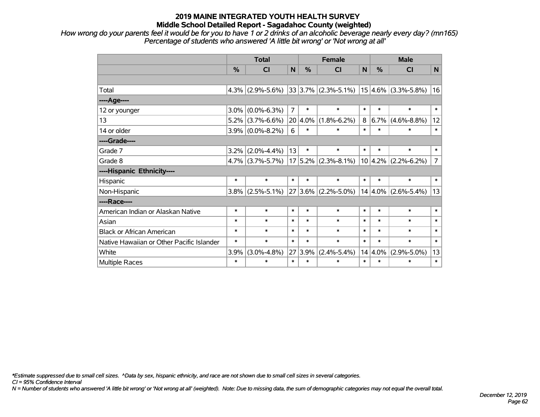*How wrong do your parents feel it would be for you to have 1 or 2 drinks of an alcoholic beverage nearly every day? (mn165) Percentage of students who answered 'A little bit wrong' or 'Not wrong at all'*

|                                           | <b>Total</b> |                     |                | <b>Female</b> | <b>Male</b>             |                |             |                          |                |
|-------------------------------------------|--------------|---------------------|----------------|---------------|-------------------------|----------------|-------------|--------------------------|----------------|
|                                           | %            | CI                  | N              | %             | CI                      | N <sub>1</sub> | %           | <b>CI</b>                | N <sub>1</sub> |
|                                           |              |                     |                |               |                         |                |             |                          |                |
| Total                                     | 4.3%         | $(2.9\% - 5.6\%)$   |                |               | $33 3.7\% $ (2.3%-5.1%) |                |             | $ 15 4.6\% $ (3.3%-5.8%) | 16             |
| ----Age----                               |              |                     |                |               |                         |                |             |                          |                |
| 12 or younger                             | 3.0%         | $(0.0\% - 6.3\%)$   | $\overline{7}$ | $\ast$        | $\ast$                  | $\ast$         | $\ast$      | $\ast$                   | $\ast$         |
| 13                                        | 5.2%         | $(3.7\% - 6.6\%)$   | 20             | 4.0%          | $(1.8\% - 6.2\%)$       | 8              | 6.7%        | $(4.6\% - 8.8\%)$        | 12             |
| 14 or older                               | $3.9\%$      | $(0.0\% - 8.2\%)$   | 6              | $\ast$        | $\ast$                  | $\ast$         | $\ast$      | $\ast$                   | $\ast$         |
| ----Grade----                             |              |                     |                |               |                         |                |             |                          |                |
| Grade 7                                   | 3.2%         | $(2.0\% - 4.4\%)$   | 13             | $\ast$        | $\ast$                  | $\ast$         | $\ast$      | $\ast$                   | $\ast$         |
| Grade 8                                   |              | $4.7\%$ (3.7%-5.7%) |                |               | $17 5.2\% $ (2.3%-8.1%) |                |             | $10 4.2\% $ (2.2%-6.2%)  | $\overline{7}$ |
| ----Hispanic Ethnicity----                |              |                     |                |               |                         |                |             |                          |                |
| Hispanic                                  | $\ast$       | $\ast$              | $\ast$         | $\ast$        | $\ast$                  | $\ast$         | $\ast$      | $\ast$                   | $\ast$         |
| Non-Hispanic                              | 3.8%         | $(2.5\% - 5.1\%)$   | 27             |               | $3.6\%$ (2.2%-5.0%)     |                | $14 4.0\% $ | $(2.6\% - 5.4\%)$        | 13             |
| ----Race----                              |              |                     |                |               |                         |                |             |                          |                |
| American Indian or Alaskan Native         | $\ast$       | $\ast$              | $\ast$         | $\ast$        | $\ast$                  | $\ast$         | $\ast$      | $\ast$                   | $\ast$         |
| Asian                                     | $\ast$       | $\ast$              | $\ast$         | $\ast$        | $\ast$                  | $\ast$         | $\ast$      | $\ast$                   | $\ast$         |
| <b>Black or African American</b>          | $\ast$       | $\ast$              | $\ast$         | $\ast$        | $\ast$                  | $\ast$         | $\ast$      | $\ast$                   | $\ast$         |
| Native Hawaiian or Other Pacific Islander | $\ast$       | $\ast$              | $\ast$         | $\ast$        | $\ast$                  | $\ast$         | $\ast$      | $\ast$                   | $\ast$         |
| White                                     | 3.9%         | $(3.0\% - 4.8\%)$   | 27             | 3.9%          | $(2.4\% - 5.4\%)$       |                | $14 4.0\%$  | $(2.9\% - 5.0\%)$        | 13             |
| Multiple Races                            | $\ast$       | $\ast$              | $\ast$         | $\ast$        | $\ast$                  | $\ast$         | $\ast$      | $\ast$                   | $\ast$         |

*\*Estimate suppressed due to small cell sizes. ^Data by sex, hispanic ethnicity, and race are not shown due to small cell sizes in several categories.*

*CI = 95% Confidence Interval*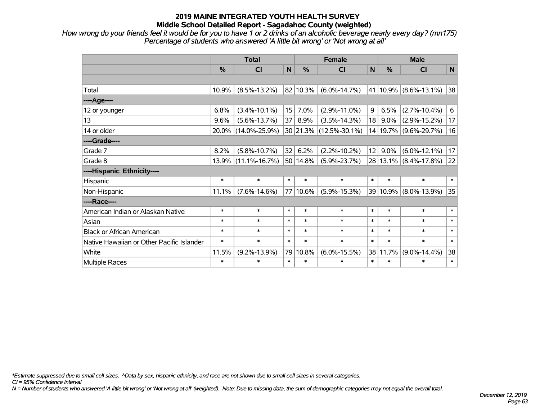*How wrong do your friends feel it would be for you to have 1 or 2 drinks of an alcoholic beverage nearly every day? (mn175) Percentage of students who answered 'A little bit wrong' or 'Not wrong at all'*

|                                           | <b>Total</b> |                     |        | <b>Female</b> | <b>Male</b>            |        |          |                           |        |
|-------------------------------------------|--------------|---------------------|--------|---------------|------------------------|--------|----------|---------------------------|--------|
|                                           | %            | CI                  | N      | %             | CI                     | N      | %        | <b>CI</b>                 | N      |
|                                           |              |                     |        |               |                        |        |          |                           |        |
| Total                                     | 10.9%        | $(8.5\% - 13.2\%)$  |        | 82 10.3%      | $(6.0\% - 14.7\%)$     |        |          | 41   10.9%   (8.6%-13.1%) | 38     |
| ---- Age----                              |              |                     |        |               |                        |        |          |                           |        |
| 12 or younger                             | 6.8%         | $(3.4\% - 10.1\%)$  | 15     | 7.0%          | $(2.9\% - 11.0\%)$     | 9      | 6.5%     | $(2.7\% - 10.4\%)$        | 6      |
| 13                                        | 9.6%         | $(5.6\% - 13.7\%)$  | 37 I   | 8.9%          | $(3.5\% - 14.3\%)$     | 18     | $9.0\%$  | $(2.9\% - 15.2\%)$        | 17     |
| 14 or older                               | $20.0\%$     | $(14.0\% - 25.9\%)$ |        |               | 30 21.3% (12.5%-30.1%) |        |          | 14 19.7% (9.6%-29.7%)     | 16     |
| ----Grade----                             |              |                     |        |               |                        |        |          |                           |        |
| Grade 7                                   | 8.2%         | $(5.8\% - 10.7\%)$  | 32     | 6.2%          | $(2.2\% - 10.2\%)$     | 12     | $9.0\%$  | $(6.0\% - 12.1\%)$        | 17     |
| Grade 8                                   |              | 13.9% (11.1%-16.7%) |        | 50 14.8%      | $(5.9\% - 23.7\%)$     |        |          | 28 13.1% (8.4%-17.8%)     | 22     |
| ----Hispanic Ethnicity----                |              |                     |        |               |                        |        |          |                           |        |
| Hispanic                                  | $\ast$       | $\ast$              | $\ast$ | $\ast$        | $\ast$                 | $\ast$ | $\ast$   | $\ast$                    | $\ast$ |
| Non-Hispanic                              | 11.1%        | $(7.6\% - 14.6\%)$  | 77     | 10.6%         | $(5.9\% - 15.3\%)$     |        | 39 10.9% | $(8.0\% - 13.9\%)$        | 35     |
| ----Race----                              |              |                     |        |               |                        |        |          |                           |        |
| American Indian or Alaskan Native         | $\ast$       | $\ast$              | $\ast$ | $\ast$        | $\ast$                 | $\ast$ | $\ast$   | $\ast$                    | $\ast$ |
| Asian                                     | $\ast$       | $\ast$              | $\ast$ | $\ast$        | $\ast$                 | $\ast$ | $\ast$   | $\ast$                    | $\ast$ |
| <b>Black or African American</b>          | $\ast$       | $\ast$              | $\ast$ | $\ast$        | $\ast$                 | $\ast$ | $\ast$   | $\ast$                    | $\ast$ |
| Native Hawaiian or Other Pacific Islander | $\ast$       | $\ast$              | $\ast$ | $\ast$        | $\ast$                 | $\ast$ | $\ast$   | $\ast$                    | $\ast$ |
| White                                     | 11.5%        | $(9.2\% - 13.9\%)$  | 79     | 10.8%         | $(6.0\% - 15.5\%)$     |        | 38 11.7% | $(9.0\% - 14.4\%)$        | 38     |
| Multiple Races                            | $\ast$       | $\ast$              | $\ast$ | $\ast$        | $\ast$                 | $\ast$ | $\ast$   | $\ast$                    | $\ast$ |

*\*Estimate suppressed due to small cell sizes. ^Data by sex, hispanic ethnicity, and race are not shown due to small cell sizes in several categories.*

*CI = 95% Confidence Interval*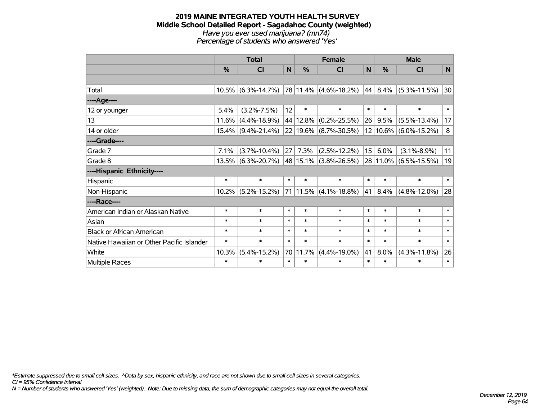#### **2019 MAINE INTEGRATED YOUTH HEALTH SURVEY Middle School Detailed Report - Sagadahoc County (weighted)** *Have you ever used marijuana? (mn74) Percentage of students who answered 'Yes'*

|                                           | <b>Total</b> |                       |        | <b>Female</b> |                            | <b>Male</b>  |          |                    |        |
|-------------------------------------------|--------------|-----------------------|--------|---------------|----------------------------|--------------|----------|--------------------|--------|
|                                           | %            | C <sub>l</sub>        | N      | %             | <b>CI</b>                  | $\mathsf{N}$ | %        | <b>CI</b>          | N      |
|                                           |              |                       |        |               |                            |              |          |                    |        |
| Total                                     |              | $10.5\%$ (6.3%-14.7%) |        |               | $ 78 11.4\% $ (4.6%-18.2%) |              | 44 8.4%  | $(5.3\% - 11.5\%)$ | 30     |
| ---- Age----                              |              |                       |        |               |                            |              |          |                    |        |
| 12 or younger                             | 5.4%         | $(3.2\% - 7.5\%)$     | 12     | $\ast$        | $\ast$                     | $\ast$       | $\ast$   | $\ast$             | $\ast$ |
| 13                                        | 11.6%        | $(4.4\% - 18.9\%)$    |        | 44 12.8%      | $(0.2\% - 25.5\%)$         | 26           | 9.5%     | $(5.5\% - 13.4\%)$ | 17     |
| 14 or older                               |              | $15.4\%$ (9.4%-21.4%) |        |               | 22 19.6% (8.7%-30.5%)      |              | 12 10.6% | $(6.0\% - 15.2\%)$ | 8      |
| ----Grade----                             |              |                       |        |               |                            |              |          |                    |        |
| Grade 7                                   | 7.1%         | $(3.7\% - 10.4\%)$    | 27     | 7.3%          | $(2.5\% - 12.2\%)$         | 15           | 6.0%     | $(3.1\% - 8.9\%)$  | 11     |
| Grade 8                                   |              | 13.5% (6.3%-20.7%)    |        | $ 48 15.1\% $ | $(3.8\% - 26.5\%)$         |              | 28 11.0% | $(6.5\% - 15.5\%)$ | 19     |
| ----Hispanic Ethnicity----                |              |                       |        |               |                            |              |          |                    |        |
| Hispanic                                  | $\ast$       | $\ast$                | $\ast$ | $\ast$        | $\ast$                     | $\ast$       | $\ast$   | $\ast$             | $\ast$ |
| Non-Hispanic                              |              | $10.2\%$ (5.2%-15.2%) |        | 71 11.5%      | $(4.1\% - 18.8\%)$         | 41           | 8.4%     | $(4.8\% - 12.0\%)$ | 28     |
| ----Race----                              |              |                       |        |               |                            |              |          |                    |        |
| American Indian or Alaskan Native         | $\ast$       | $\ast$                | $\ast$ | $\ast$        | $\ast$                     | $\ast$       | $\ast$   | $\ast$             | $\ast$ |
| Asian                                     | $\ast$       | $\ast$                | $\ast$ | $\ast$        | $\ast$                     | $\ast$       | $\ast$   | $\ast$             | $\ast$ |
| <b>Black or African American</b>          | $\ast$       | $\ast$                | $\ast$ | $\ast$        | $\ast$                     | $\ast$       | $\ast$   | $\ast$             | $\ast$ |
| Native Hawaiian or Other Pacific Islander | $\ast$       | $\ast$                | $\ast$ | $\ast$        | $\ast$                     | $\ast$       | $\ast$   | $\ast$             | $\ast$ |
| White                                     | 10.3%        | $(5.4\% - 15.2\%)$    | 70     | 11.7%         | $(4.4\% - 19.0\%)$         | 41           | 8.0%     | $(4.3\% - 11.8\%)$ | 26     |
| <b>Multiple Races</b>                     | $\ast$       | $\ast$                | $\ast$ | $\ast$        | $\ast$                     | $\ast$       | $\ast$   | $\ast$             | $\ast$ |

*\*Estimate suppressed due to small cell sizes. ^Data by sex, hispanic ethnicity, and race are not shown due to small cell sizes in several categories.*

*CI = 95% Confidence Interval*

*N = Number of students who answered 'Yes' (weighted). Note: Due to missing data, the sum of demographic categories may not equal the overall total.*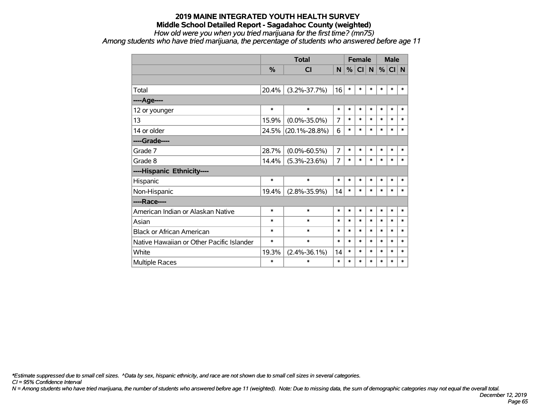*How old were you when you tried marijuana for the first time? (mn75)*

*Among students who have tried marijuana, the percentage of students who answered before age 11*

|                                           |        | <b>Total</b>        |                |        | <b>Female</b> |        | <b>Male</b> |        |        |
|-------------------------------------------|--------|---------------------|----------------|--------|---------------|--------|-------------|--------|--------|
|                                           | %      | CI                  | N              | %      | CI            | N      | %           | CI N   |        |
|                                           |        |                     |                |        |               |        |             |        |        |
| Total                                     | 20.4%  | $(3.2\% - 37.7\%)$  | 16             | $\ast$ | $\ast$        | $\ast$ | $\ast$      | $\ast$ | $\ast$ |
| ----Age----                               |        |                     |                |        |               |        |             |        |        |
| 12 or younger                             | $\ast$ | $\ast$              | $\ast$         | $\ast$ | $\ast$        | $\ast$ | $\ast$      | $\ast$ | $\ast$ |
| 13                                        | 15.9%  | $(0.0\% - 35.0\%)$  | 7              | $\ast$ | $\ast$        | $\ast$ | $\ast$      | $\ast$ | *      |
| 14 or older                               | 24.5%  | $(20.1\% - 28.8\%)$ | 6              | $\ast$ | $\ast$        | $\ast$ | $\ast$      | $\ast$ | $\ast$ |
| ----Grade----                             |        |                     |                |        |               |        |             |        |        |
| Grade 7                                   | 28.7%  | $(0.0\% - 60.5\%)$  | $\overline{7}$ | $\ast$ | $\ast$        | $\ast$ | $\ast$      | $\ast$ | $\ast$ |
| Grade 8                                   | 14.4%  | $(5.3\% - 23.6\%)$  | 7              | $\ast$ | $\ast$        | $\ast$ | $\ast$      | $\ast$ | $\ast$ |
| ----Hispanic Ethnicity----                |        |                     |                |        |               |        |             |        |        |
| Hispanic                                  | $\ast$ | $\ast$              | $\ast$         | $\ast$ | $\ast$        | $\ast$ | $\ast$      | $\ast$ | $\ast$ |
| Non-Hispanic                              | 19.4%  | $(2.8\% - 35.9\%)$  | 14             | $\ast$ | $\ast$        | $\ast$ | $\ast$      | $\ast$ | $\ast$ |
| ----Race----                              |        |                     |                |        |               |        |             |        |        |
| American Indian or Alaskan Native         | *      | $\ast$              | $\ast$         | $\ast$ | $\ast$        | $\ast$ | $\ast$      | $\ast$ | $\ast$ |
| Asian                                     | $\ast$ | $\ast$              | $\ast$         | $\ast$ | $\ast$        | $\ast$ | $\ast$      | $\ast$ | $\ast$ |
| <b>Black or African American</b>          | $\ast$ | $\ast$              | $\ast$         | $\ast$ | $\ast$        | $\ast$ | $\ast$      | $\ast$ | $\ast$ |
| Native Hawaiian or Other Pacific Islander | $\ast$ | $\ast$              | $\ast$         | $\ast$ | $\ast$        | $\ast$ | $\ast$      | $\ast$ | $\ast$ |
| White                                     | 19.3%  | $(2.4\% - 36.1\%)$  | 14             | $\ast$ | $\ast$        | $\ast$ | $\ast$      | $\ast$ | $\ast$ |
| Multiple Races                            | $\ast$ | $\ast$              | $\ast$         | $\ast$ | $\ast$        | $\ast$ | $\ast$      | $\ast$ | $\ast$ |

*\*Estimate suppressed due to small cell sizes. ^Data by sex, hispanic ethnicity, and race are not shown due to small cell sizes in several categories.*

*CI = 95% Confidence Interval*

*N = Among students who have tried marijuana, the number of students who answered before age 11 (weighted). Note: Due to missing data, the sum of demographic categories may not equal the overall total.*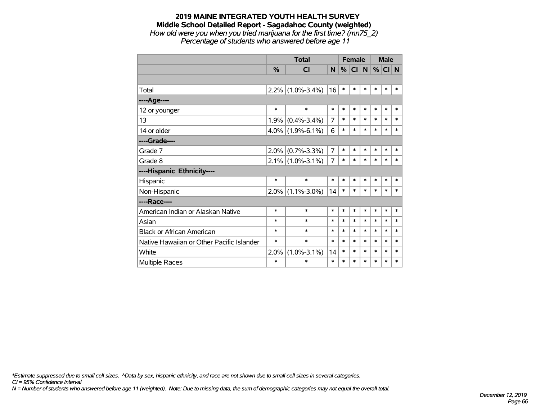## **2019 MAINE INTEGRATED YOUTH HEALTH SURVEY Middle School Detailed Report - Sagadahoc County (weighted)** *How old were you when you tried marijuana for the first time? (mn75\_2)*

*Percentage of students who answered before age 11*

|                                           |               | <b>Total</b>      |                |        |           | <b>Female</b> |        | <b>Male</b> |        |
|-------------------------------------------|---------------|-------------------|----------------|--------|-----------|---------------|--------|-------------|--------|
|                                           | $\frac{0}{0}$ | <b>CI</b>         | N              | %      | <b>CI</b> | N.            | %      | CI N        |        |
|                                           |               |                   |                |        |           |               |        |             |        |
| Total                                     | 2.2%          | $(1.0\% - 3.4\%)$ | 16             | $\ast$ | $\ast$    | $\ast$        | $\ast$ | $\ast$      | *      |
| ----Age----                               |               |                   |                |        |           |               |        |             |        |
| 12 or younger                             | $\ast$        | $\ast$            | $\ast$         | $\ast$ | $\ast$    | $\ast$        | $\ast$ | $\ast$      | $\ast$ |
| 13                                        | 1.9%          | $(0.4\% - 3.4\%)$ | 7              | $\ast$ | $\ast$    | $\ast$        | $\ast$ | $\ast$      | $\ast$ |
| 14 or older                               | 4.0%          | $(1.9\% - 6.1\%)$ | 6              | $\ast$ | $\ast$    | $\ast$        | $\ast$ | $\ast$      | $\ast$ |
| ----Grade----                             |               |                   |                |        |           |               |        |             |        |
| Grade 7                                   | 2.0%          | $(0.7\% - 3.3\%)$ | $\overline{7}$ | $\ast$ | $\ast$    | $\ast$        | $\ast$ | $\ast$      | $\ast$ |
| Grade 8                                   | $2.1\%$       | $(1.0\% - 3.1\%)$ | 7              | $\ast$ | $\ast$    | $\ast$        | $\ast$ | $\ast$      | $\ast$ |
| ----Hispanic Ethnicity----                |               |                   |                |        |           |               |        |             |        |
| Hispanic                                  | *             | $\ast$            | $\ast$         | $\ast$ | $\ast$    | *             | $\ast$ | $\ast$      | $\ast$ |
| Non-Hispanic                              | 2.0%          | $(1.1\% - 3.0\%)$ | 14             | $\ast$ | $\ast$    | $\ast$        | $\ast$ | $\ast$      | *      |
| ----Race----                              |               |                   |                |        |           |               |        |             |        |
| American Indian or Alaskan Native         | $\ast$        | $\ast$            | $\ast$         | $\ast$ | $\ast$    | $\ast$        | $\ast$ | $\ast$      | $\ast$ |
| Asian                                     | *             | $\ast$            | $\ast$         | $\ast$ | $\ast$    | $\ast$        | $\ast$ | $\ast$      | $\ast$ |
| <b>Black or African American</b>          | *             | $\ast$            | $\ast$         | $\ast$ | $\ast$    | $\ast$        | $\ast$ | $\ast$      | $\ast$ |
| Native Hawaiian or Other Pacific Islander | *             | $\ast$            | $\ast$         | $\ast$ | $\ast$    | $\ast$        | $\ast$ | $\ast$      | $\ast$ |
| White                                     | 2.0%          | $(1.0\% - 3.1\%)$ | 14             | $\ast$ | $\ast$    | $\ast$        | $\ast$ | $\ast$      | $\ast$ |
| Multiple Races                            | $\ast$        | $\ast$            | $\ast$         | $\ast$ | $\ast$    | $\ast$        | $\ast$ | $\ast$      | $\ast$ |

*\*Estimate suppressed due to small cell sizes. ^Data by sex, hispanic ethnicity, and race are not shown due to small cell sizes in several categories.*

*CI = 95% Confidence Interval*

*N = Number of students who answered before age 11 (weighted). Note: Due to missing data, the sum of demographic categories may not equal the overall total.*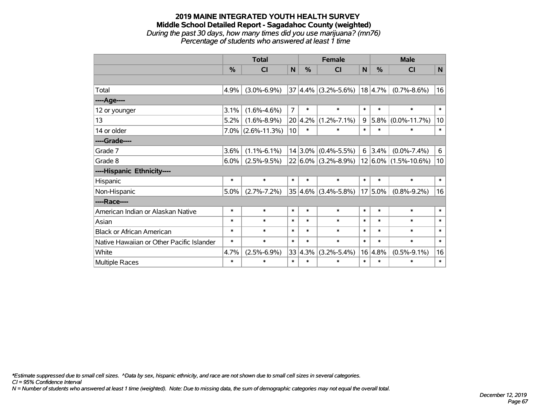#### **2019 MAINE INTEGRATED YOUTH HEALTH SURVEY Middle School Detailed Report - Sagadahoc County (weighted)** *During the past 30 days, how many times did you use marijuana? (mn76) Percentage of students who answered at least 1 time*

|                                           | <b>Total</b>  |                      |                 |               | <b>Female</b>           |        | <b>Male</b> |                                                  |                 |  |
|-------------------------------------------|---------------|----------------------|-----------------|---------------|-------------------------|--------|-------------|--------------------------------------------------|-----------------|--|
|                                           | $\frac{0}{0}$ | CI                   | N               | $\frac{0}{0}$ | CI                      | N      | %           | <b>CI</b>                                        | N               |  |
|                                           |               |                      |                 |               |                         |        |             |                                                  |                 |  |
| Total                                     | 4.9%          | $(3.0\% - 6.9\%)$    |                 |               | $37 4.4\% $ (3.2%-5.6%) |        | 18 4.7%     | $(0.7\% - 8.6\%)$                                | 16              |  |
| ----Age----                               |               |                      |                 |               |                         |        |             |                                                  |                 |  |
| 12 or younger                             | 3.1%          | $(1.6\% - 4.6\%)$    | $\overline{7}$  | $\ast$        | $\ast$                  | $\ast$ | $\ast$      | $\ast$                                           | $\ast$          |  |
| 13                                        | 5.2%          | $(1.6\% - 8.9\%)$    |                 | 20 4.2%       | $(1.2\% - 7.1\%)$       | 9      | 5.8%        | $(0.0\% - 11.7\%)$                               | 10              |  |
| 14 or older                               |               | $7.0\%$ (2.6%-11.3%) | 10 <sup>1</sup> | $\ast$        | $\ast$                  | $\ast$ | $\ast$      | $\ast$                                           | $\ast$          |  |
| ----Grade----                             |               |                      |                 |               |                         |        |             |                                                  |                 |  |
| Grade 7                                   | 3.6%          | $(1.1\% - 6.1\%)$    |                 |               | $14 3.0\% $ (0.4%-5.5%) | 6      | 3.4%        | $(0.0\% - 7.4\%)$                                | 6               |  |
| Grade 8                                   | $6.0\%$       | $(2.5\% - 9.5\%)$    |                 |               |                         |        |             | $22 6.0\% $ (3.2%-8.9%)   12 6.0%   (1.5%-10.6%) | 10 <sup>1</sup> |  |
| ----Hispanic Ethnicity----                |               |                      |                 |               |                         |        |             |                                                  |                 |  |
| Hispanic                                  | $\ast$        | $\ast$               | $\ast$          | $\ast$        | $\ast$                  | $\ast$ | $\ast$      | $\ast$                                           | $\ast$          |  |
| Non-Hispanic                              | 5.0%          | $(2.7\% - 7.2\%)$    |                 |               | $35 4.6\% $ (3.4%-5.8%) |        | $17 5.0\%$  | $(0.8\% - 9.2\%)$                                | 16              |  |
| ----Race----                              |               |                      |                 |               |                         |        |             |                                                  |                 |  |
| American Indian or Alaskan Native         | $\ast$        | $\ast$               | $\ast$          | $\ast$        | $\ast$                  | $\ast$ | $\ast$      | $\ast$                                           | $\ast$          |  |
| Asian                                     | $\ast$        | $\ast$               | $\ast$          | $\ast$        | $\ast$                  | $\ast$ | $\ast$      | $\ast$                                           | $\ast$          |  |
| <b>Black or African American</b>          | $\ast$        | $\ast$               | $\ast$          | $\ast$        | $\ast$                  | $\ast$ | $\ast$      | $\ast$                                           | $\ast$          |  |
| Native Hawaiian or Other Pacific Islander | $\ast$        | $\ast$               | $\ast$          | $\ast$        | $\ast$                  | $\ast$ | $\ast$      | $\ast$                                           | $\ast$          |  |
| White                                     | 4.7%          | $(2.5\% - 6.9\%)$    |                 | 33 4.3%       | $(3.2\% - 5.4\%)$       | 16     | 4.8%        | $(0.5\% - 9.1\%)$                                | 16              |  |
| <b>Multiple Races</b>                     | $\ast$        | $\ast$               | $\ast$          | $\ast$        | $\ast$                  | $\ast$ | $\ast$      | $\ast$                                           | $\ast$          |  |

*\*Estimate suppressed due to small cell sizes. ^Data by sex, hispanic ethnicity, and race are not shown due to small cell sizes in several categories.*

*CI = 95% Confidence Interval*

*N = Number of students who answered at least 1 time (weighted). Note: Due to missing data, the sum of demographic categories may not equal the overall total.*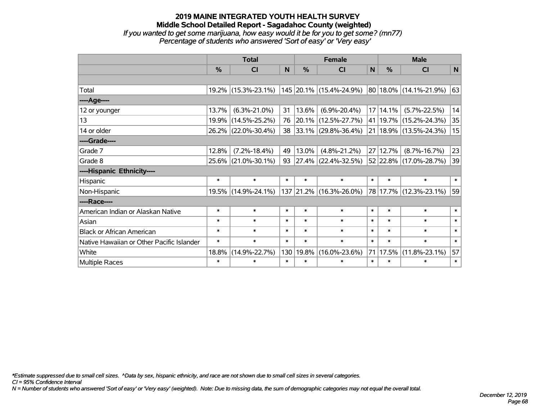*If you wanted to get some marijuana, how easy would it be for you to get some? (mn77) Percentage of students who answered 'Sort of easy' or 'Very easy'*

|                                           | <b>Total</b> |                     |          | <b>Female</b> | <b>Male</b>              |        |               |                            |        |
|-------------------------------------------|--------------|---------------------|----------|---------------|--------------------------|--------|---------------|----------------------------|--------|
|                                           | $\%$         | <b>CI</b>           | <b>N</b> | %             | <b>CI</b>                | N      | $\frac{0}{0}$ | <b>CI</b>                  | N      |
|                                           |              |                     |          |               |                          |        |               |                            |        |
| Total                                     |              | 19.2% (15.3%-23.1%) |          |               | 145 20.1% (15.4%-24.9%)  |        |               | 80 18.0% (14.1%-21.9%)     | 63     |
| ----Age----                               |              |                     |          |               |                          |        |               |                            |        |
| 12 or younger                             | 13.7%        | $(6.3\% - 21.0\%)$  | 31       | 13.6%         | $(6.9\% - 20.4\%)$       |        | 17 14.1%      | $(5.7\% - 22.5\%)$         | 14     |
| 13                                        | 19.9%        | $(14.5\% - 25.2\%)$ | 76       |               | $ 20.1\% $ (12.5%-27.7%) |        |               | 41   19.7%   (15.2%-24.3%) | 35     |
| 14 or older                               |              | 26.2% (22.0%-30.4%) | 38       |               | $ 33.1\% $ (29.8%-36.4%) |        |               | 21   18.9%   (13.5%-24.3%) | 15     |
| ----Grade----                             |              |                     |          |               |                          |        |               |                            |        |
| Grade 7                                   | 12.8%        | $(7.2\% - 18.4\%)$  | 49       | 13.0%         | $(4.8\% - 21.2\%)$       |        | 27 12.7%      | $(8.7\% - 16.7\%)$         | 23     |
| Grade 8                                   |              | 25.6% (21.0%-30.1%) | 93       |               | $ 27.4\% $ (22.4%-32.5%) |        |               | 52 22.8% (17.0%-28.7%)     | 39     |
| ----Hispanic Ethnicity----                |              |                     |          |               |                          |        |               |                            |        |
| Hispanic                                  | $\ast$       | $\ast$              | $\ast$   | $\ast$        | $\ast$                   | $\ast$ | $\ast$        | $\ast$                     | $\ast$ |
| Non-Hispanic                              |              | 19.5% (14.9%-24.1%) |          |               | 137 21.2% (16.3%-26.0%)  |        |               | 78 17.7% (12.3%-23.1%)     | 59     |
| ----Race----                              |              |                     |          |               |                          |        |               |                            |        |
| American Indian or Alaskan Native         | $\ast$       | $\ast$              | $\ast$   | $\ast$        | $\ast$                   | $\ast$ | $\ast$        | $\ast$                     | $\ast$ |
| Asian                                     | $\ast$       | $\ast$              | $\ast$   | $\ast$        | $\ast$                   | $\ast$ | $\ast$        | $\ast$                     | $\ast$ |
| <b>Black or African American</b>          | $\ast$       | $\ast$              | $\ast$   | $\ast$        | $\ast$                   | $\ast$ | $\ast$        | $\ast$                     | $\ast$ |
| Native Hawaiian or Other Pacific Islander | $\ast$       | $\ast$              | $\ast$   | $\ast$        | $\ast$                   | $\ast$ | $\ast$        | $\ast$                     | $\ast$ |
| White                                     | 18.8%        | $(14.9\% - 22.7\%)$ | 130      | 19.8%         | $(16.0\% - 23.6\%)$      | 71     | $ 17.5\% $    | $(11.8\% - 23.1\%)$        | 57     |
| <b>Multiple Races</b>                     | $\ast$       | $\ast$              | $\ast$   | $\ast$        | $\ast$                   | $\ast$ | $\ast$        | $\ast$                     | $\ast$ |

*\*Estimate suppressed due to small cell sizes. ^Data by sex, hispanic ethnicity, and race are not shown due to small cell sizes in several categories.*

*CI = 95% Confidence Interval*

*N = Number of students who answered 'Sort of easy' or 'Very easy' (weighted). Note: Due to missing data, the sum of demographic categories may not equal the overall total.*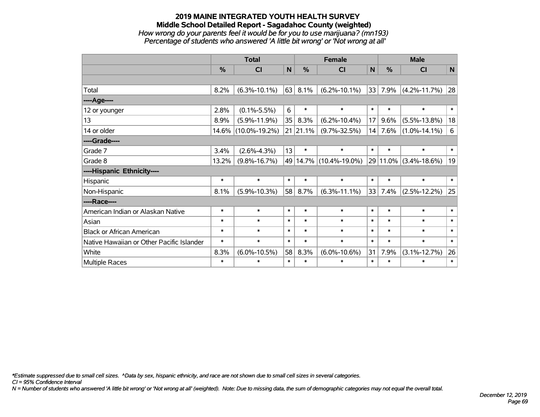#### **2019 MAINE INTEGRATED YOUTH HEALTH SURVEY Middle School Detailed Report - Sagadahoc County (weighted)** *How wrong do your parents feel it would be for you to use marijuana? (mn193) Percentage of students who answered 'A little bit wrong' or 'Not wrong at all'*

|                                           | <b>Total</b> |                     |        | <b>Female</b> |                        |              | <b>Male</b> |                       |           |  |
|-------------------------------------------|--------------|---------------------|--------|---------------|------------------------|--------------|-------------|-----------------------|-----------|--|
|                                           | %            | <b>CI</b>           | N      | %             | <b>CI</b>              | $\mathsf{N}$ | %           | <b>CI</b>             | ${\sf N}$ |  |
|                                           |              |                     |        |               |                        |              |             |                       |           |  |
| Total                                     | 8.2%         | $(6.3\% - 10.1\%)$  | 63     | 8.1%          | $(6.2\% - 10.1\%)$     | 33           | 7.9%        | $(4.2\% - 11.7\%)$    | 28        |  |
| ----Age----                               |              |                     |        |               |                        |              |             |                       |           |  |
| 12 or younger                             | 2.8%         | $(0.1\% - 5.5\%)$   | 6      | $\ast$        | $\ast$                 | $\ast$       | $\ast$      | $\ast$                | $\ast$    |  |
| 13                                        | 8.9%         | $(5.9\% - 11.9\%)$  | 35     | 8.3%          | $(6.2\% - 10.4\%)$     | 17           | 9.6%        | $(5.5\% - 13.8\%)$    | 18        |  |
| 14 or older                               | 14.6%        | $(10.0\% - 19.2\%)$ |        | 21 21.1%      | $(9.7\% - 32.5\%)$     | 14           | 7.6%        | $(1.0\% - 14.1\%)$    | 6         |  |
| ----Grade----                             |              |                     |        |               |                        |              |             |                       |           |  |
| Grade 7                                   | 3.4%         | $(2.6\% - 4.3\%)$   | 13     | $\ast$        | $\ast$                 | $\ast$       | $\ast$      | $\ast$                | $\ast$    |  |
| Grade 8                                   | 13.2%        | $(9.8\% - 16.7\%)$  |        |               | 49 14.7% (10.4%-19.0%) |              |             | 29 11.0% (3.4%-18.6%) | 19        |  |
| ----Hispanic Ethnicity----                |              |                     |        |               |                        |              |             |                       |           |  |
| Hispanic                                  | $\ast$       | $\ast$              | $\ast$ | $\ast$        | $\ast$                 | $\ast$       | $\ast$      | $\ast$                | $\ast$    |  |
| Non-Hispanic                              | 8.1%         | $(5.9\% - 10.3\%)$  | 58     | 8.7%          | $(6.3\% - 11.1\%)$     | 33           | 7.4%        | $(2.5\% - 12.2\%)$    | 25        |  |
| ----Race----                              |              |                     |        |               |                        |              |             |                       |           |  |
| American Indian or Alaskan Native         | $\ast$       | $\ast$              | $\ast$ | $\ast$        | $\ast$                 | $\ast$       | $\ast$      | $\ast$                | $\ast$    |  |
| Asian                                     | $\ast$       | $\ast$              | $\ast$ | $\ast$        | $\ast$                 | $\ast$       | $\ast$      | $\ast$                | $\ast$    |  |
| <b>Black or African American</b>          | $\ast$       | $\ast$              | $\ast$ | $\ast$        | $\ast$                 | $\ast$       | $\ast$      | $\ast$                | $\ast$    |  |
| Native Hawaiian or Other Pacific Islander | $\ast$       | $\ast$              | $\ast$ | $\ast$        | $\ast$                 | $\ast$       | $\ast$      | $\ast$                | $\ast$    |  |
| White                                     | 8.3%         | $(6.0\% - 10.5\%)$  | 58     | 8.3%          | $(6.0\% - 10.6\%)$     | 31           | 7.9%        | $(3.1\% - 12.7\%)$    | 26        |  |
| <b>Multiple Races</b>                     | $\ast$       | $\ast$              | $\ast$ | $\ast$        | $\ast$                 | $\ast$       | $\ast$      | $\ast$                | $\ast$    |  |

*\*Estimate suppressed due to small cell sizes. ^Data by sex, hispanic ethnicity, and race are not shown due to small cell sizes in several categories.*

*CI = 95% Confidence Interval*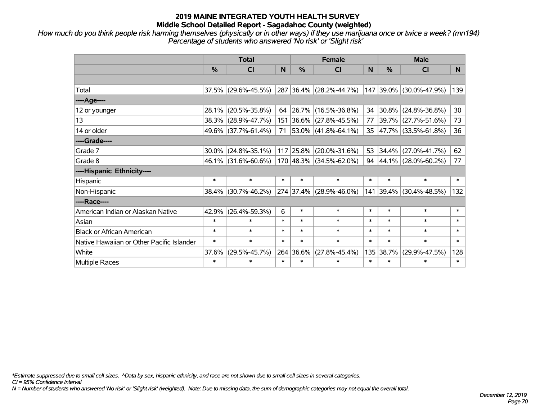*How much do you think people risk harming themselves (physically or in other ways) if they use marijuana once or twice a week? (mn194) Percentage of students who answered 'No risk' or 'Slight risk'*

|                                           | <b>Total</b> |                     |        |               | <b>Female</b>               |        | <b>Male</b>   |                             |                |  |  |
|-------------------------------------------|--------------|---------------------|--------|---------------|-----------------------------|--------|---------------|-----------------------------|----------------|--|--|
|                                           | %            | <b>CI</b>           | N      | $\frac{0}{0}$ | <b>CI</b>                   | N      | $\frac{0}{0}$ | <b>CI</b>                   | N <sub>1</sub> |  |  |
|                                           |              |                     |        |               |                             |        |               |                             |                |  |  |
| Total                                     |              | 37.5% (29.6%-45.5%) |        |               | 287 36.4% (28.2%-44.7%)     |        | 147 39.0%     | $(30.0\% - 47.9\%)$         | 139            |  |  |
| ----Age----                               |              |                     |        |               |                             |        |               |                             |                |  |  |
| 12 or younger                             | 28.1%        | $(20.5\% - 35.8\%)$ | 64     | 26.7%         | $(16.5\% - 36.8\%)$         | 34     | $30.8\%$      | $(24.8\% - 36.8\%)$         | 30             |  |  |
| 13                                        | 38.3%        | $(28.9\% - 47.7\%)$ | 151    |               | 36.6% (27.8%-45.5%)         | 77     |               | 39.7% (27.7%-51.6%)         | 73             |  |  |
| 14 or older                               |              | 49.6% (37.7%-61.4%) | 71     |               | $53.0\%$ (41.8%-64.1%)      |        |               | 35 47.7% (33.5%-61.8%)      | 36             |  |  |
| ----Grade----                             |              |                     |        |               |                             |        |               |                             |                |  |  |
| Grade 7                                   | 30.0%        | $(24.8\% - 35.1\%)$ |        | 117 25.8%     | $(20.0\% - 31.6\%)$         | 53     | 34.4%         | $(27.0\% - 41.7\%)$         | 62             |  |  |
| Grade 8                                   |              | 46.1% (31.6%-60.6%) |        |               | $170 48.3\% $ (34.5%-62.0%) |        |               | 94 $ 44.1\% $ (28.0%-60.2%) | 77             |  |  |
| ----Hispanic Ethnicity----                |              |                     |        |               |                             |        |               |                             |                |  |  |
| Hispanic                                  | $\ast$       | $\ast$              | $\ast$ | $\ast$        | $\ast$                      | $\ast$ | $\ast$        | $\ast$                      | $\ast$         |  |  |
| Non-Hispanic                              | 38.4%        | $(30.7\% - 46.2\%)$ |        |               | 274 37.4% (28.9%-46.0%)     | 141    | 39.4%         | $(30.4\% - 48.5\%)$         | 132            |  |  |
| ----Race----                              |              |                     |        |               |                             |        |               |                             |                |  |  |
| American Indian or Alaskan Native         | 42.9%        | $(26.4\% - 59.3\%)$ | 6      | $\ast$        | $\ast$                      | $\ast$ | $\ast$        | $\ast$                      | $\ast$         |  |  |
| Asian                                     | $\ast$       | $\ast$              | $\ast$ | $\ast$        | $\ast$                      | $\ast$ | $\ast$        | $\ast$                      | $\ast$         |  |  |
| <b>Black or African American</b>          | $\ast$       | $\ast$              | $\ast$ | $\ast$        | $\ast$                      | $\ast$ | $\ast$        | $\ast$                      | $\ast$         |  |  |
| Native Hawaiian or Other Pacific Islander | $\ast$       | $\ast$              | $\ast$ | $\ast$        | $\ast$                      | $\ast$ | $\ast$        | $\ast$                      | $\ast$         |  |  |
| White                                     | 37.6%        | $(29.5\% - 45.7\%)$ |        | 264 36.6%     | $(27.8\% - 45.4\%)$         | 135    | 38.7%         | $(29.9\% - 47.5\%)$         | 128            |  |  |
| Multiple Races                            | $\ast$       | $\ast$              | $\ast$ | $\ast$        | $\ast$                      | $\ast$ | $\ast$        | $\ast$                      | $\ast$         |  |  |

*\*Estimate suppressed due to small cell sizes. ^Data by sex, hispanic ethnicity, and race are not shown due to small cell sizes in several categories.*

*CI = 95% Confidence Interval*

*N = Number of students who answered 'No risk' or 'Slight risk' (weighted). Note: Due to missing data, the sum of demographic categories may not equal the overall total.*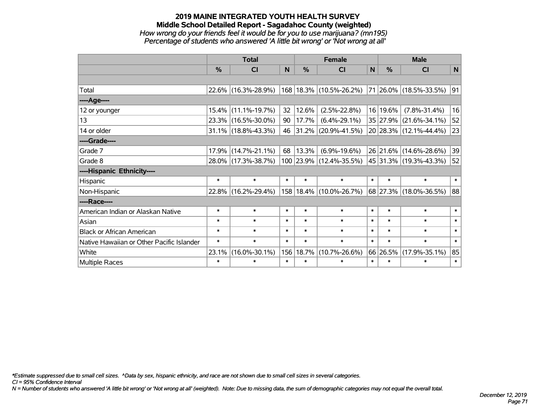## **2019 MAINE INTEGRATED YOUTH HEALTH SURVEY Middle School Detailed Report - Sagadahoc County (weighted)** *How wrong do your friends feel it would be for you to use marijuana? (mn195) Percentage of students who answered 'A little bit wrong' or 'Not wrong at all'*

|                                           | <b>Total</b>  |                        |        | <b>Female</b> | <b>Male</b>                 |        |               |                                 |        |
|-------------------------------------------|---------------|------------------------|--------|---------------|-----------------------------|--------|---------------|---------------------------------|--------|
|                                           | $\frac{0}{0}$ | CI                     | N      | %             | <b>CI</b>                   | N      | $\frac{0}{0}$ | <b>CI</b>                       | N      |
|                                           |               |                        |        |               |                             |        |               |                                 |        |
| Total                                     |               | 22.6% (16.3%-28.9%)    |        |               | 168 18.3% (10.5%-26.2%)     |        |               | $ 71 26.0\%  (18.5\% - 33.5\%)$ | 91     |
| ----Age----                               |               |                        |        |               |                             |        |               |                                 |        |
| 12 or younger                             | 15.4%         | $(11.1\% - 19.7\%)$    | 32     | 12.6%         | $(2.5\% - 22.8\%)$          |        | 16 19.6%      | $(7.8\% - 31.4\%)$              | 16     |
| 13                                        |               | 23.3% (16.5%-30.0%)    | 90     | 17.7%         | $(6.4\% - 29.1\%)$          |        |               | 35 27.9% (21.6%-34.1%)          | 52     |
| 14 or older                               |               | $31.1\%$ (18.8%-43.3%) | 46     | $ 31.2\% $    | $(20.9\% - 41.5\%)$         |        |               | 20 28.3% (12.1%-44.4%)          | 23     |
| ----Grade----                             |               |                        |        |               |                             |        |               |                                 |        |
| Grade 7                                   | 17.9%         | $(14.7\% - 21.1\%)$    | 68     | 13.3%         | $(6.9\% - 19.6\%)$          |        |               | 26 21.6% (14.6%-28.6%)          | 39     |
| Grade 8                                   |               | 28.0% (17.3%-38.7%)    |        |               | 100 23.9% (12.4%-35.5%)     |        |               | 45 31.3% (19.3%-43.3%)          | 52     |
| ----Hispanic Ethnicity----                |               |                        |        |               |                             |        |               |                                 |        |
| Hispanic                                  | $\ast$        | $\ast$                 | $\ast$ | $\ast$        | $\ast$                      | $\ast$ | $\ast$        | $\ast$                          | $\ast$ |
| Non-Hispanic                              |               | 22.8% (16.2%-29.4%)    |        |               | 158   18.4%   (10.0%-26.7%) |        |               | 68 27.3% (18.0%-36.5%)          | 88     |
| ----Race----                              |               |                        |        |               |                             |        |               |                                 |        |
| American Indian or Alaskan Native         | $\ast$        | $\ast$                 | $\ast$ | $\ast$        | $\ast$                      | $\ast$ | $\ast$        | $\ast$                          | $\ast$ |
| Asian                                     | $\ast$        | $\ast$                 | $\ast$ | $\ast$        | $\ast$                      | $\ast$ | $\ast$        | $\ast$                          | $\ast$ |
| <b>Black or African American</b>          | $\ast$        | $\ast$                 | $\ast$ | $\ast$        | $\ast$                      | $\ast$ | $\ast$        | $\ast$                          | $\ast$ |
| Native Hawaiian or Other Pacific Islander | $\ast$        | $\ast$                 | $\ast$ | $\ast$        | $\ast$                      | $\ast$ | $\ast$        | $\ast$                          | $\ast$ |
| White                                     | 23.1%         | $(16.0\% - 30.1\%)$    | 156    | 18.7%         | $(10.7\% - 26.6\%)$         |        | 66 26.5%      | $(17.9\% - 35.1\%)$             | 85     |
| Multiple Races                            | $\ast$        | $\ast$                 | $\ast$ | $\ast$        | $\ast$                      | $\ast$ | $\ast$        | $\ast$                          | $\ast$ |

*\*Estimate suppressed due to small cell sizes. ^Data by sex, hispanic ethnicity, and race are not shown due to small cell sizes in several categories.*

*CI = 95% Confidence Interval*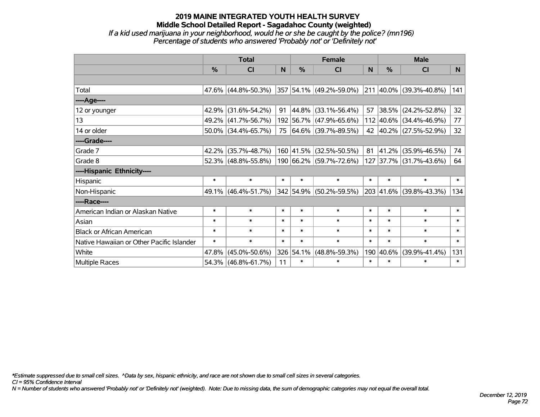## **2019 MAINE INTEGRATED YOUTH HEALTH SURVEY Middle School Detailed Report - Sagadahoc County (weighted)** *If a kid used marijuana in your neighborhood, would he or she be caught by the police? (mn196) Percentage of students who answered 'Probably not' or 'Definitely not'*

|                                           |               | <b>Total</b>           |        |               | <b>Female</b>           |        | <b>Male</b>   |                         |          |  |  |
|-------------------------------------------|---------------|------------------------|--------|---------------|-------------------------|--------|---------------|-------------------------|----------|--|--|
|                                           | $\frac{0}{0}$ | CI                     | N      | $\frac{9}{6}$ | CI                      | N      | $\frac{0}{0}$ | <b>CI</b>               | <b>N</b> |  |  |
|                                           |               |                        |        |               |                         |        |               |                         |          |  |  |
| Total                                     |               | 47.6% (44.8%-50.3%)    |        |               | 357 54.1% (49.2%-59.0%) |        |               | 211 40.0% (39.3%-40.8%) | 141      |  |  |
| ----Age----                               |               |                        |        |               |                         |        |               |                         |          |  |  |
| 12 or younger                             | 42.9%         | $(31.6\% - 54.2\%)$    | 91     |               | 44.8% (33.1%-56.4%)     | 57     | 38.5%         | $(24.2\% - 52.8\%)$     | 32       |  |  |
| 13                                        | 49.2%         | $(41.7\% - 56.7\%)$    |        |               | 192 56.7% (47.9%-65.6%) |        |               | 112 40.6% (34.4%-46.9%) | 77       |  |  |
| 14 or older                               |               | $50.0\%$ (34.4%-65.7%) |        |               | 75 64.6% (39.7%-89.5%)  |        |               | 42 40.2% (27.5%-52.9%)  | 32       |  |  |
| ----Grade----                             |               |                        |        |               |                         |        |               |                         |          |  |  |
| Grade 7                                   | 42.2%         | $(35.7\% - 48.7\%)$    |        | 160 41.5%     | $(32.5\% - 50.5\%)$     | 81     | 41.2%         | $(35.9\% - 46.5\%)$     | 74       |  |  |
| Grade 8                                   |               | $52.3\%$ (48.8%-55.8%) |        |               | 190 66.2% (59.7%-72.6%) |        |               | 127 37.7% (31.7%-43.6%) | 64       |  |  |
| ----Hispanic Ethnicity----                |               |                        |        |               |                         |        |               |                         |          |  |  |
| Hispanic                                  | $\ast$        | $\ast$                 | $\ast$ | $\ast$        | $\ast$                  | $\ast$ | $\ast$        | $\ast$                  | $\ast$   |  |  |
| Non-Hispanic                              |               | 49.1% (46.4%-51.7%)    |        |               | 342 54.9% (50.2%-59.5%) |        |               | 203 41.6% (39.8%-43.3%) | 134      |  |  |
| ----Race----                              |               |                        |        |               |                         |        |               |                         |          |  |  |
| American Indian or Alaskan Native         | $\ast$        | $\ast$                 | $\ast$ | $\ast$        | $\ast$                  | $\ast$ | $\ast$        | $\ast$                  | $\ast$   |  |  |
| Asian                                     | $\ast$        | $\ast$                 | $\ast$ | $\ast$        | $\ast$                  | $\ast$ | $\ast$        | $\ast$                  | $\ast$   |  |  |
| <b>Black or African American</b>          | $\ast$        | $\ast$                 | $\ast$ | $\ast$        | $\ast$                  | $\ast$ | $\ast$        | $\ast$                  | $\ast$   |  |  |
| Native Hawaiian or Other Pacific Islander | $\ast$        | $\ast$                 | $\ast$ | $\ast$        | $\ast$                  | $\ast$ | $\ast$        | $\ast$                  | $\ast$   |  |  |
| White                                     | 47.8%         | $(45.0\% - 50.6\%)$    |        | 326 54.1%     | $(48.8\% - 59.3\%)$     | 190    | 40.6%         | $(39.9\% - 41.4\%)$     | 131      |  |  |
| Multiple Races                            |               | 54.3% (46.8%-61.7%)    | 11     | $\ast$        | $\ast$                  | $\ast$ | $\ast$        | $\ast$                  | $\ast$   |  |  |

*\*Estimate suppressed due to small cell sizes. ^Data by sex, hispanic ethnicity, and race are not shown due to small cell sizes in several categories.*

*CI = 95% Confidence Interval*

*N = Number of students who answered 'Probably not' or 'Definitely not' (weighted). Note: Due to missing data, the sum of demographic categories may not equal the overall total.*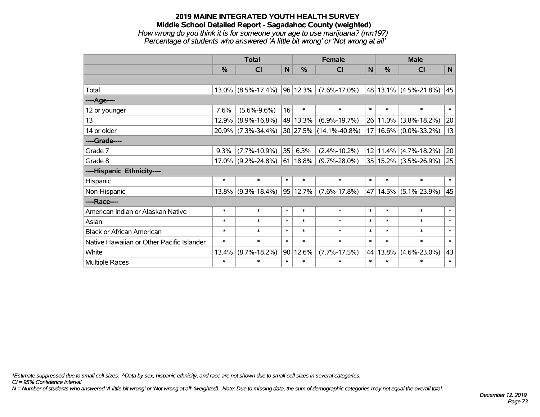### **2019 MAINE INTEGRATED YOUTH HEALTH SURVEY Middle School Detailed Report - Sagadahoc County (weighted)** *How wrong do you think it is for someone your age to use marijuana? (mn197) Percentage of students who answered 'A little bit wrong' or 'Not wrong at all'*

|                                           | <b>Total</b>  |                       |                |               | <b>Female</b>          | <b>Male</b> |              |                       |        |
|-------------------------------------------|---------------|-----------------------|----------------|---------------|------------------------|-------------|--------------|-----------------------|--------|
|                                           | $\frac{0}{0}$ | CI                    | N <sub>1</sub> | $\frac{0}{0}$ | <b>CI</b>              | <b>N</b>    | %            | <b>CI</b>             | N      |
|                                           |               |                       |                |               |                        |             |              |                       |        |
| Total                                     |               | $13.0\%$ (8.5%-17.4%) | 96             | 12.3%         | $(7.6\% - 17.0\%)$     |             |              | 48 13.1% (4.5%-21.8%) | 45     |
| ---- Age----                              |               |                       |                |               |                        |             |              |                       |        |
| 12 or younger                             | 7.6%          | $(5.6\% - 9.6\%)$     | 16             | $\ast$        | $\ast$                 | $\ast$      | $\ast$       | $\ast$                | $\ast$ |
| 13                                        | 12.9%         | $(8.9\% - 16.8\%)$    |                | 49 13.3%      | $(6.9\% - 19.7\%)$     |             | 26 11.0%     | $(3.8\% - 18.2\%)$    | 20     |
| 14 or older                               |               | 20.9% (7.3%-34.4%)    |                |               | 30 27.5% (14.1%-40.8%) |             | $17 16.6\% $ | $(0.0\% - 33.2\%)$    | 13     |
| ----Grade----                             |               |                       |                |               |                        |             |              |                       |        |
| Grade 7                                   | 9.3%          | $(7.7\% - 10.9\%)$    | 35             | 6.3%          | $(2.4\% - 10.2\%)$     |             | 12 11.4%     | $(4.7\% - 18.2\%)$    | 20     |
| Grade 8                                   |               | $17.0\%$ (9.2%-24.8%) |                | 61 18.8%      | $(9.7\% - 28.0\%)$     |             | 35 15.2%     | $(3.5\% - 26.9\%)$    | 25     |
| ----Hispanic Ethnicity----                |               |                       |                |               |                        |             |              |                       |        |
| Hispanic                                  | $\ast$        | $\ast$                | $\ast$         | $\ast$        | $\ast$                 | $\ast$      | $\ast$       | $\ast$                | $\ast$ |
| Non-Hispanic                              |               | $13.8\%$ (9.3%-18.4%) | 95             | 12.7%         | $(7.6\% - 17.8\%)$     | 47          | 14.5%        | $(5.1\% - 23.9\%)$    | 45     |
| ----Race----                              |               |                       |                |               |                        |             |              |                       |        |
| American Indian or Alaskan Native         | $\ast$        | $\ast$                | $\ast$         | $\ast$        | $\ast$                 | $\ast$      | $\ast$       | $\ast$                | $\ast$ |
| Asian                                     | $\ast$        | $\ast$                | $\ast$         | $\ast$        | $\ast$                 | $\ast$      | $\ast$       | $\ast$                | $\ast$ |
| <b>Black or African American</b>          | $\ast$        | $\ast$                | $\ast$         | $\ast$        | $\ast$                 | $\ast$      | $\ast$       | $\ast$                | $\ast$ |
| Native Hawaiian or Other Pacific Islander | $\ast$        | $\ast$                | $\ast$         | $\ast$        | $\ast$                 | $\ast$      | $\ast$       | $\ast$                | $\ast$ |
| White                                     | 13.4%         | $(8.7\% - 18.2\%)$    | 90             | 12.6%         | $(7.7\% - 17.5\%)$     | 44          | 13.8%        | $(4.6\% - 23.0\%)$    | 43     |
| <b>Multiple Races</b>                     | $\ast$        | $\ast$                | $\ast$         | $\ast$        | $\ast$                 | $\ast$      | $\ast$       | $\ast$                | $\ast$ |

*\*Estimate suppressed due to small cell sizes. ^Data by sex, hispanic ethnicity, and race are not shown due to small cell sizes in several categories.*

*CI = 95% Confidence Interval*

*N = Number of students who answered 'A little bit wrong' or 'Not wrong at all' (weighted). Note: Due to missing data, the sum of demographic categories may not equal the overall total.*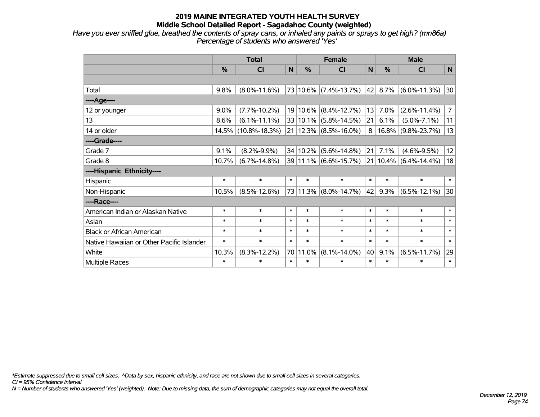*Have you ever sniffed glue, breathed the contents of spray cans, or inhaled any paints or sprays to get high? (mn86a) Percentage of students who answered 'Yes'*

|                                           | <b>Total</b> |                     |        |          | <b>Female</b>             | <b>Male</b> |                 |                    |                |
|-------------------------------------------|--------------|---------------------|--------|----------|---------------------------|-------------|-----------------|--------------------|----------------|
|                                           | $\%$         | <b>CI</b>           | N      | $\%$     | <b>CI</b>                 | N           | $\%$            | <b>CI</b>          | N              |
|                                           |              |                     |        |          |                           |             |                 |                    |                |
| Total                                     | 9.8%         | $(8.0\% - 11.6\%)$  |        |          | 73 10.6% (7.4%-13.7%)     |             | $42 \mid 8.7\%$ | $(6.0\% - 11.3\%)$ | 30             |
| ----Age----                               |              |                     |        |          |                           |             |                 |                    |                |
| 12 or younger                             | $9.0\%$      | $(7.7\% - 10.2\%)$  |        | 19 10.6% | $(8.4\% - 12.7\%)$        | 13          | 7.0%            | $(2.6\% - 11.4\%)$ | $\overline{7}$ |
| 13                                        | 8.6%         | $(6.1\% - 11.1\%)$  |        | 33 10.1% | $(5.8\% - 14.5\%)$        | 21          | 6.1%            | $(5.0\% - 7.1\%)$  | 11             |
| 14 or older                               |              | 14.5% (10.8%-18.3%) |        |          | $21 12.3\% $ (8.5%-16.0%) | 8           | 16.8%           | $(9.8\% - 23.7\%)$ | 13             |
| ----Grade----                             |              |                     |        |          |                           |             |                 |                    |                |
| Grade 7                                   | 9.1%         | $(8.2\% - 9.9\%)$   |        | 34 10.2% | $(5.6\% - 14.8\%)$        | 21          | 7.1%            | $(4.6\% - 9.5\%)$  | 12             |
| Grade 8                                   | 10.7%        | $(6.7\% - 14.8\%)$  |        |          | 39 11.1% (6.6%-15.7%)     |             | 21 10.4%        | $(6.4\% - 14.4\%)$ | 18             |
| ----Hispanic Ethnicity----                |              |                     |        |          |                           |             |                 |                    |                |
| Hispanic                                  | $\ast$       | $\ast$              | $\ast$ | $\ast$   | $\ast$                    | $\ast$      | $\ast$          | $\ast$             | $\ast$         |
| Non-Hispanic                              | 10.5%        | $(8.5\% - 12.6\%)$  |        | 73 11.3% | $(8.0\% - 14.7\%)$        | 42          | 9.3%            | $(6.5\% - 12.1\%)$ | 30             |
| ----Race----                              |              |                     |        |          |                           |             |                 |                    |                |
| American Indian or Alaskan Native         | $\ast$       | $\ast$              | $\ast$ | $\ast$   | $\ast$                    | $\ast$      | $\ast$          | $\ast$             | $\ast$         |
| Asian                                     | $\ast$       | $\ast$              | $\ast$ | $\ast$   | $\ast$                    | $\ast$      | $\ast$          | $\ast$             | $\ast$         |
| <b>Black or African American</b>          | $\ast$       | $\ast$              | $\ast$ | $\ast$   | $\ast$                    | $\ast$      | $\ast$          | $\ast$             | $\ast$         |
| Native Hawaiian or Other Pacific Islander | $\ast$       | $\ast$              | $\ast$ | $\ast$   | $\ast$                    | $\ast$      | $\ast$          | $\ast$             | $\ast$         |
| White                                     | 10.3%        | $(8.3\% - 12.2\%)$  | 70     | 11.0%    | $(8.1\% - 14.0\%)$        | 40          | 9.1%            | $(6.5\% - 11.7\%)$ | 29             |
| Multiple Races                            | $\ast$       | $\ast$              | $\ast$ | $\ast$   | $\ast$                    | $\ast$      | $\ast$          | $\ast$             | $\ast$         |

*\*Estimate suppressed due to small cell sizes. ^Data by sex, hispanic ethnicity, and race are not shown due to small cell sizes in several categories.*

*CI = 95% Confidence Interval*

*N = Number of students who answered 'Yes' (weighted). Note: Due to missing data, the sum of demographic categories may not equal the overall total.*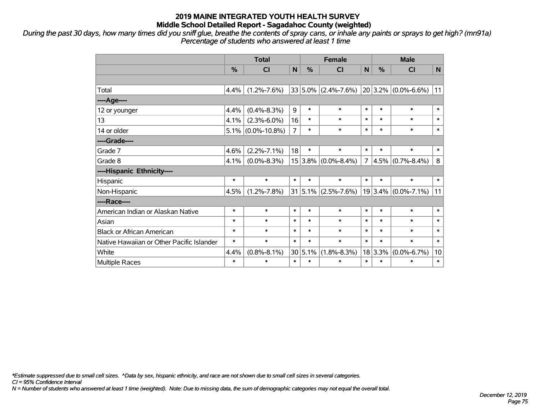*During the past 30 days, how many times did you sniff glue, breathe the contents of spray cans, or inhale any paints or sprays to get high? (mn91a) Percentage of students who answered at least 1 time*

|                                           | <b>Total</b>  |                      |                |             | <b>Female</b>           |                |             | <b>Male</b>             |        |  |  |
|-------------------------------------------|---------------|----------------------|----------------|-------------|-------------------------|----------------|-------------|-------------------------|--------|--|--|
|                                           | $\frac{0}{0}$ | <b>CI</b>            | N              | $\%$        | <b>CI</b>               | N              | $\%$        | <b>CI</b>               | N      |  |  |
|                                           |               |                      |                |             |                         |                |             |                         |        |  |  |
| Total                                     | 4.4%          | $(1.2\% - 7.6\%)$    |                |             | $33 5.0\% $ (2.4%-7.6%) |                |             | $20 3.2\% $ (0.0%-6.6%) | 11     |  |  |
| ----Age----                               |               |                      |                |             |                         |                |             |                         |        |  |  |
| 12 or younger                             | 4.4%          | $(0.4\% - 8.3\%)$    | 9              | $\ast$      | $\ast$                  | $\ast$         | $\ast$      | $\ast$                  | $\ast$ |  |  |
| 13                                        | 4.1%          | $(2.3\% - 6.0\%)$    | 16             | $\ast$      | $\ast$                  | $\ast$         | $\ast$      | $\ast$                  | $\ast$ |  |  |
| 14 or older                               |               | $5.1\%$ (0.0%-10.8%) | $\overline{7}$ | $\ast$      | $\ast$                  | $\ast$         | $\ast$      | $\ast$                  | $\ast$ |  |  |
| ----Grade----                             |               |                      |                |             |                         |                |             |                         |        |  |  |
| Grade 7                                   | 4.6%          | $(2.2\% - 7.1\%)$    | 18             | $\ast$      | $\ast$                  | $\ast$         | $\ast$      | $\ast$                  | $\ast$ |  |  |
| Grade 8                                   | 4.1%          | $(0.0\% - 8.3\%)$    |                | $15 3.8\% $ | $(0.0\% - 8.4\%)$       | $\overline{7}$ | 4.5%        | $(0.7\% - 8.4\%)$       | 8      |  |  |
| ----Hispanic Ethnicity----                |               |                      |                |             |                         |                |             |                         |        |  |  |
| Hispanic                                  | $\ast$        | $\ast$               | $\ast$         | $\ast$      | $\ast$                  | $\ast$         | $\ast$      | $\ast$                  | $\ast$ |  |  |
| Non-Hispanic                              | 4.5%          | $(1.2\% - 7.8\%)$    |                | $31 5.1\% $ | $(2.5\% - 7.6\%)$       |                | $19 3.4\% $ | $(0.0\% - 7.1\%)$       | 11     |  |  |
| ----Race----                              |               |                      |                |             |                         |                |             |                         |        |  |  |
| American Indian or Alaskan Native         | $\ast$        | $\ast$               | $\ast$         | $\ast$      | $\ast$                  | $\ast$         | $\ast$      | $\ast$                  | $\ast$ |  |  |
| Asian                                     | $\ast$        | $\ast$               | $\ast$         | $\ast$      | $\ast$                  | $\ast$         | $\ast$      | $\ast$                  | $\ast$ |  |  |
| <b>Black or African American</b>          | $\ast$        | $\ast$               | $\ast$         | $\ast$      | $\ast$                  | $\ast$         | $\ast$      | $\ast$                  | $\ast$ |  |  |
| Native Hawaiian or Other Pacific Islander | $\ast$        | $\ast$               | $\ast$         | $\ast$      | $\ast$                  | $\ast$         | $\ast$      | $\ast$                  | $\ast$ |  |  |
| White                                     | 4.4%          | $(0.8\% - 8.1\%)$    |                | 30 5.1%     | $(1.8\% - 8.3\%)$       |                | 18 3.3%     | $(0.0\% - 6.7\%)$       | 10     |  |  |
| Multiple Races                            | *             | $\ast$               | $\ast$         | $\ast$      | $\ast$                  | $\ast$         | $\ast$      | $\ast$                  | $\ast$ |  |  |

*\*Estimate suppressed due to small cell sizes. ^Data by sex, hispanic ethnicity, and race are not shown due to small cell sizes in several categories.*

*CI = 95% Confidence Interval*

*N = Number of students who answered at least 1 time (weighted). Note: Due to missing data, the sum of demographic categories may not equal the overall total.*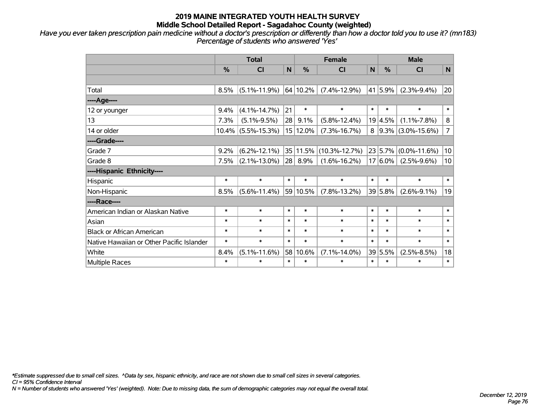*Have you ever taken prescription pain medicine without a doctor's prescription or differently than how a doctor told you to use it? (mn183) Percentage of students who answered 'Yes'*

|                                           | <b>Total</b> |                       |              |          | <b>Female</b>       |             |             | <b>Male</b>          |                |  |  |
|-------------------------------------------|--------------|-----------------------|--------------|----------|---------------------|-------------|-------------|----------------------|----------------|--|--|
|                                           | %            | CI                    | $\mathsf{N}$ | %        | <b>CI</b>           | $\mathbf N$ | %           | <b>CI</b>            | N              |  |  |
|                                           |              |                       |              |          |                     |             |             |                      |                |  |  |
| Total                                     | 8.5%         | $(5.1\% - 11.9\%)$    |              | 64 10.2% | $(7.4\% - 12.9\%)$  | 41          | 5.9%        | $(2.3\% - 9.4\%)$    | 20             |  |  |
| ----Age----                               |              |                       |              |          |                     |             |             |                      |                |  |  |
| 12 or younger                             | 9.4%         | $(4.1\% - 14.7\%)$    | 21           | $\ast$   | $\ast$              | $\ast$      | $\ast$      | $\ast$               | $\ast$         |  |  |
| 13                                        | 7.3%         | $(5.1\% - 9.5\%)$     | 28           | 9.1%     | $(5.8\% - 12.4\%)$  |             | 19 4.5%     | $(1.1\% - 7.8\%)$    | $\bf 8$        |  |  |
| 14 or older                               |              | $10.4\%$ (5.5%-15.3%) |              | 15 12.0% | $(7.3\% - 16.7\%)$  | 8           |             | $9.3\%$ (3.0%-15.6%) | $\overline{7}$ |  |  |
| ----Grade----                             |              |                       |              |          |                     |             |             |                      |                |  |  |
| Grade 7                                   | 9.2%         | $(6.2\% - 12.1\%)$    |              | 35 11.5% | $(10.3\% - 12.7\%)$ |             | 23 5.7%     | $(0.0\% - 11.6\%)$   | 10             |  |  |
| Grade 8                                   | 7.5%         | $(2.1\% - 13.0\%)$    |              | 28 8.9%  | $(1.6\% - 16.2\%)$  |             | $17 6.0\% $ | $(2.5\% - 9.6\%)$    | 10             |  |  |
| ----Hispanic Ethnicity----                |              |                       |              |          |                     |             |             |                      |                |  |  |
| Hispanic                                  | $\ast$       | $\ast$                | $\ast$       | $\ast$   | $\ast$              | $\ast$      | $\ast$      | $\ast$               | $\ast$         |  |  |
| Non-Hispanic                              | 8.5%         | $(5.6\% - 11.4\%)$    |              | 59 10.5% | $(7.8\% - 13.2\%)$  |             | 39 5.8%     | $(2.6\% - 9.1\%)$    | 19             |  |  |
| ----Race----                              |              |                       |              |          |                     |             |             |                      |                |  |  |
| American Indian or Alaskan Native         | $\ast$       | $\ast$                | $\ast$       | $\ast$   | $\ast$              | $\ast$      | $\ast$      | $\ast$               | $\ast$         |  |  |
| Asian                                     | $\ast$       | $\ast$                | $\ast$       | $\ast$   | $\ast$              | $\ast$      | $\ast$      | $\ast$               | $\ast$         |  |  |
| <b>Black or African American</b>          | $\ast$       | $\ast$                | $\ast$       | $\ast$   | $\ast$              | $\ast$      | $\ast$      | $\ast$               | $\ast$         |  |  |
| Native Hawaiian or Other Pacific Islander | $\ast$       | $\ast$                | $\ast$       | $\ast$   | $\ast$              | $\ast$      | $\ast$      | $\ast$               | $\ast$         |  |  |
| White                                     | 8.4%         | $(5.1\% - 11.6\%)$    | 58           | 10.6%    | $(7.1\% - 14.0\%)$  |             | 39 5.5%     | $(2.5\% - 8.5\%)$    | 18             |  |  |
| Multiple Races                            | $\ast$       | $\ast$                | $\ast$       | $\ast$   | $\ast$              | $\ast$      | $\ast$      | $\ast$               | $\ast$         |  |  |

*\*Estimate suppressed due to small cell sizes. ^Data by sex, hispanic ethnicity, and race are not shown due to small cell sizes in several categories.*

*CI = 95% Confidence Interval*

*N = Number of students who answered 'Yes' (weighted). Note: Due to missing data, the sum of demographic categories may not equal the overall total.*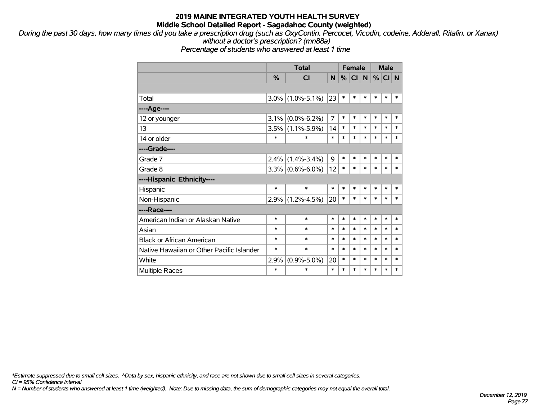*During the past 30 days, how many times did you take a prescription drug (such as OxyContin, Percocet, Vicodin, codeine, Adderall, Ritalin, or Xanax) without a doctor's prescription? (mn88a)*

*Percentage of students who answered at least 1 time*

|                                           |               | <b>Total</b>      |                |        | <b>Female</b>   | <b>Male</b> |        |          |        |
|-------------------------------------------|---------------|-------------------|----------------|--------|-----------------|-------------|--------|----------|--------|
|                                           | $\frac{0}{0}$ | <b>CI</b>         | N.             | %      | Cl <sub>1</sub> | N           |        | %  CI  N |        |
|                                           |               |                   |                |        |                 |             |        |          |        |
| Total                                     | 3.0%          | $(1.0\% - 5.1\%)$ | 23             | $\ast$ | *               | $\ast$      | $\ast$ | *        | ∗      |
| ----Age----                               |               |                   |                |        |                 |             |        |          |        |
| 12 or younger                             | 3.1%          | $(0.0\% - 6.2\%)$ | $\overline{7}$ | $\ast$ | $\ast$          | $\ast$      | $\ast$ | $\ast$   | $\ast$ |
| 13                                        | 3.5%          | $(1.1\% - 5.9\%)$ | 14             | $\ast$ | $\ast$          | $\ast$      | $\ast$ | $\ast$   | $\ast$ |
| 14 or older                               | $\ast$        | $\ast$            | $\ast$         | $\ast$ | $\ast$          | $\ast$      | $\ast$ | $\ast$   | $\ast$ |
| ----Grade----                             |               |                   |                |        |                 |             |        |          |        |
| Grade 7                                   | 2.4%          | $(1.4\% - 3.4\%)$ | 9              | $\ast$ | $\ast$          | $\ast$      | $\ast$ | $\ast$   | $\ast$ |
| Grade 8                                   | $3.3\%$       | $(0.6\% - 6.0\%)$ | 12             | $\ast$ | *               | $\ast$      | $\ast$ | $\ast$   | $\ast$ |
| ----Hispanic Ethnicity----                |               |                   |                |        |                 |             |        |          |        |
| Hispanic                                  | $\ast$        | $\ast$            | $\ast$         | $\ast$ | $\ast$          | $\ast$      | $\ast$ | $\ast$   | $\ast$ |
| Non-Hispanic                              | 2.9%          | $(1.2\% - 4.5\%)$ | 20             | $\ast$ | $\ast$          | $\ast$      | $\ast$ | $\ast$   | $\ast$ |
| ----Race----                              |               |                   |                |        |                 |             |        |          |        |
| American Indian or Alaskan Native         | $\ast$        | $\ast$            | *              | $\ast$ | *               | $\ast$      | $\ast$ | $\ast$   | $\ast$ |
| Asian                                     | $\ast$        | $\ast$            | $\ast$         | *      | $\ast$          | $\ast$      | $\ast$ | $\ast$   | $\ast$ |
| <b>Black or African American</b>          | ∗             | $\ast$            | $\ast$         | $\ast$ | $\ast$          | $\ast$      | $\ast$ | $\ast$   | $\ast$ |
| Native Hawaiian or Other Pacific Islander | $\ast$        | $\ast$            | $\ast$         | $\ast$ | $\ast$          | $\ast$      | $\ast$ | $\ast$   | $\ast$ |
| White                                     | 2.9%          | $(0.9\% - 5.0\%)$ | 20             | $\ast$ | $\ast$          | $\ast$      | $\ast$ | $\ast$   | $\ast$ |
| <b>Multiple Races</b>                     | $\ast$        | $\ast$            | *              | $\ast$ | $\ast$          | $\ast$      | $\ast$ | $\ast$   | $\ast$ |

*\*Estimate suppressed due to small cell sizes. ^Data by sex, hispanic ethnicity, and race are not shown due to small cell sizes in several categories.*

*CI = 95% Confidence Interval*

*N = Number of students who answered at least 1 time (weighted). Note: Due to missing data, the sum of demographic categories may not equal the overall total.*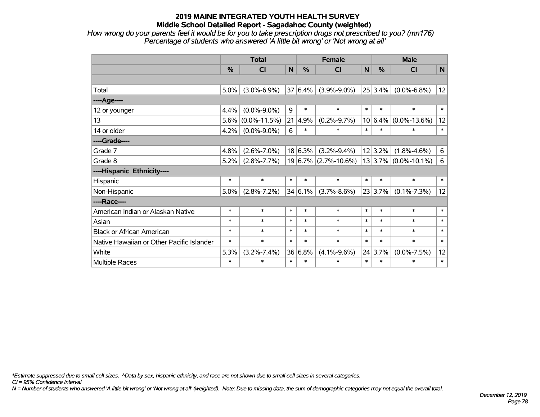*How wrong do your parents feel it would be for you to take prescription drugs not prescribed to you? (mn176) Percentage of students who answered 'A little bit wrong' or 'Not wrong at all'*

|                                           | <b>Total</b> |                    |        |         | <b>Female</b>            |        |               | <b>Male</b>              |        |  |  |
|-------------------------------------------|--------------|--------------------|--------|---------|--------------------------|--------|---------------|--------------------------|--------|--|--|
|                                           | %            | <b>CI</b>          | N      | $\%$    | CI                       | N      | $\frac{0}{0}$ | <b>CI</b>                | N      |  |  |
|                                           |              |                    |        |         |                          |        |               |                          |        |  |  |
| Total                                     | 5.0%         | $(3.0\% - 6.9\%)$  |        | 37 6.4% | $(3.9\% - 9.0\%)$        |        | 25 3.4%       | $(0.0\% - 6.8\%)$        | 12     |  |  |
| ----Age----                               |              |                    |        |         |                          |        |               |                          |        |  |  |
| 12 or younger                             | 4.4%         | $(0.0\% - 9.0\%)$  | 9      | $\ast$  | $\ast$                   | $\ast$ | $\ast$        | $\ast$                   | $\ast$ |  |  |
| 13                                        | 5.6%         | $(0.0\% - 11.5\%)$ | 21     | 4.9%    | $(0.2\% - 9.7\%)$        |        | $10 6.4\% $   | $(0.0\% - 13.6\%)$       | 12     |  |  |
| 14 or older                               | 4.2%         | $(0.0\% - 9.0\%)$  | 6      | $\ast$  | $\ast$                   | $\ast$ | $\ast$        | *                        | $\ast$ |  |  |
| ----Grade----                             |              |                    |        |         |                          |        |               |                          |        |  |  |
| Grade 7                                   | 4.8%         | $(2.6\% - 7.0\%)$  |        | 18 6.3% | $(3.2\% - 9.4\%)$        |        | 12 3.2%       | $(1.8\% - 4.6\%)$        | 6      |  |  |
| Grade 8                                   | 5.2%         | $(2.8\% - 7.7\%)$  |        |         | $19 6.7\% $ (2.7%-10.6%) |        |               | $13 3.7\% $ (0.0%-10.1%) | 6      |  |  |
| ----Hispanic Ethnicity----                |              |                    |        |         |                          |        |               |                          |        |  |  |
| Hispanic                                  | $\ast$       | $\ast$             | $\ast$ | $\ast$  | $\ast$                   | $\ast$ | $\ast$        | $\ast$                   | $\ast$ |  |  |
| Non-Hispanic                              | 5.0%         | $(2.8\% - 7.2\%)$  |        | 34 6.1% | $(3.7\% - 8.6\%)$        |        | 23 3.7%       | $(0.1\% - 7.3\%)$        | 12     |  |  |
| ----Race----                              |              |                    |        |         |                          |        |               |                          |        |  |  |
| American Indian or Alaskan Native         | $\ast$       | $\ast$             | $\ast$ | $\ast$  | $\ast$                   | $\ast$ | $\ast$        | $\ast$                   | $\ast$ |  |  |
| Asian                                     | $\ast$       | $\ast$             | $\ast$ | $\ast$  | $\ast$                   | $\ast$ | $\ast$        | $\ast$                   | $\ast$ |  |  |
| <b>Black or African American</b>          | $\ast$       | $\ast$             | $\ast$ | $\ast$  | $\ast$                   | $\ast$ | $\ast$        | $\ast$                   | $\ast$ |  |  |
| Native Hawaiian or Other Pacific Islander | $\ast$       | $\ast$             | $\ast$ | $\ast$  | $\ast$                   | $\ast$ | $\ast$        | $\ast$                   | $\ast$ |  |  |
| White                                     | 5.3%         | $(3.2\% - 7.4\%)$  |        | 36 6.8% | $(4.1\% - 9.6\%)$        |        | 24 3.7%       | $(0.0\% - 7.5\%)$        | 12     |  |  |
| <b>Multiple Races</b>                     | $\ast$       | $\ast$             | $\ast$ | $\ast$  | *                        | $\ast$ | $\ast$        | $\ast$                   | $\ast$ |  |  |

*\*Estimate suppressed due to small cell sizes. ^Data by sex, hispanic ethnicity, and race are not shown due to small cell sizes in several categories.*

*CI = 95% Confidence Interval*

*N = Number of students who answered 'A little bit wrong' or 'Not wrong at all' (weighted). Note: Due to missing data, the sum of demographic categories may not equal the overall total.*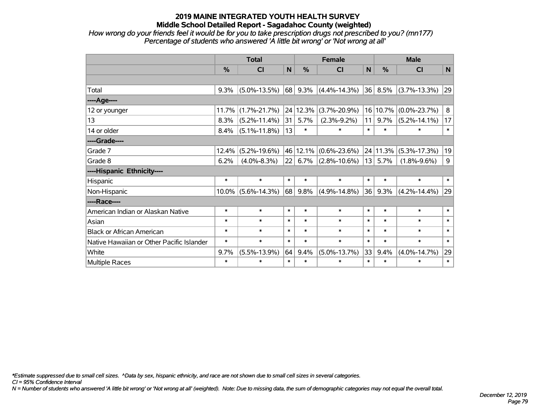*How wrong do your friends feel it would be for you to take prescription drugs not prescribed to you? (mn177) Percentage of students who answered 'A little bit wrong' or 'Not wrong at all'*

|                                           | <b>Total</b> |                    |              |          | <b>Female</b>        | <b>Male</b> |          |                    |        |
|-------------------------------------------|--------------|--------------------|--------------|----------|----------------------|-------------|----------|--------------------|--------|
|                                           | %            | CI                 | $\mathsf{N}$ | %        | CI                   | N           | %        | CI                 | N      |
|                                           |              |                    |              |          |                      |             |          |                    |        |
| Total                                     | 9.3%         | $(5.0\% - 13.5\%)$ | 68           | 9.3%     | $(4.4\% - 14.3\%)$   | 36          | 8.5%     | $(3.7\% - 13.3\%)$ | 29     |
| ----Age----                               |              |                    |              |          |                      |             |          |                    |        |
| 12 or younger                             | 11.7%        | $(1.7\% - 21.7\%)$ |              | 24 12.3% | $(3.7\% - 20.9\%)$   | 16          | 10.7%    | $(0.0\% - 23.7\%)$ | 8      |
| 13                                        | 8.3%         | $(5.2\% - 11.4\%)$ | 31           | 5.7%     | $(2.3\% - 9.2\%)$    | 11          | 9.7%     | $(5.2\% - 14.1\%)$ | 17     |
| 14 or older                               | 8.4%         | $(5.1\% - 11.8\%)$ | 13           | $\ast$   | $\ast$               | $\ast$      | $\ast$   | $\ast$             | $\ast$ |
| ----Grade----                             |              |                    |              |          |                      |             |          |                    |        |
| Grade 7                                   | 12.4%        | $(5.2\% - 19.6\%)$ |              | 46 12.1% | $(0.6\% - 23.6\%)$   |             | 24 11.3% | $(5.3\% - 17.3\%)$ | 19     |
| Grade 8                                   | 6.2%         | $(4.0\% - 8.3\%)$  | 22           |          | $6.7\%$ (2.8%-10.6%) | 13          | 5.7%     | $(1.8\% - 9.6\%)$  | 9      |
| ----Hispanic Ethnicity----                |              |                    |              |          |                      |             |          |                    |        |
| Hispanic                                  | $\ast$       | $\ast$             | $\ast$       | $\ast$   | $\ast$               | $\ast$      | $\ast$   | $\ast$             | $\ast$ |
| Non-Hispanic                              | $10.0\%$     | $(5.6\% - 14.3\%)$ | 68           | 9.8%     | $(4.9\% - 14.8\%)$   | 36          | 9.3%     | $(4.2\% - 14.4\%)$ | 29     |
| ----Race----                              |              |                    |              |          |                      |             |          |                    |        |
| American Indian or Alaskan Native         | $\ast$       | $\ast$             | $\ast$       | $\ast$   | $\ast$               | $\ast$      | $\ast$   | $\ast$             | $\ast$ |
| Asian                                     | $\ast$       | $\ast$             | $\ast$       | $\ast$   | $\ast$               | $\ast$      | $\ast$   | $\ast$             | $\ast$ |
| <b>Black or African American</b>          | $\ast$       | $\ast$             | $\ast$       | $\ast$   | $\ast$               | $\ast$      | $\ast$   | $\ast$             | $\ast$ |
| Native Hawaiian or Other Pacific Islander | $\ast$       | $\ast$             | $\ast$       | $\ast$   | $\ast$               | $\ast$      | $\ast$   | $\ast$             | $\ast$ |
| White                                     | 9.7%         | $(5.5\% - 13.9\%)$ | 64           | 9.4%     | $(5.0\% - 13.7\%)$   | 33          | 9.4%     | $(4.0\% - 14.7\%)$ | 29     |
| Multiple Races                            | $\ast$       | $\ast$             | $\ast$       | $\ast$   | $\ast$               | $\ast$      | $\ast$   | $\ast$             | $\ast$ |

*\*Estimate suppressed due to small cell sizes. ^Data by sex, hispanic ethnicity, and race are not shown due to small cell sizes in several categories.*

*CI = 95% Confidence Interval*

*N = Number of students who answered 'A little bit wrong' or 'Not wrong at all' (weighted). Note: Due to missing data, the sum of demographic categories may not equal the overall total.*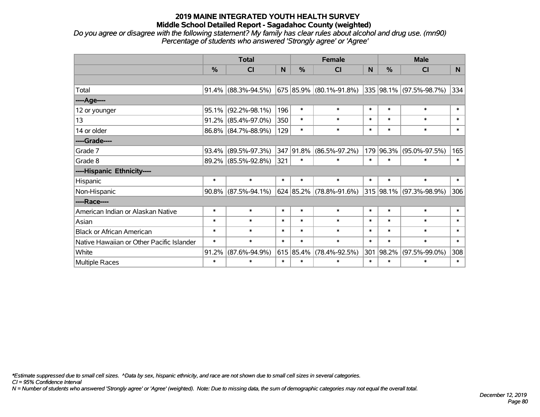*Do you agree or disagree with the following statement? My family has clear rules about alcohol and drug use. (mn90) Percentage of students who answered 'Strongly agree' or 'Agree'*

|                                           | <b>Total</b> |                        |              |               | <b>Female</b>                                       |        | <b>Male</b>   |                         |          |  |
|-------------------------------------------|--------------|------------------------|--------------|---------------|-----------------------------------------------------|--------|---------------|-------------------------|----------|--|
|                                           | %            | <b>CI</b>              | $\mathsf{N}$ | $\frac{9}{6}$ | <b>CI</b>                                           | N      | $\frac{0}{0}$ | <b>CI</b>               | <b>N</b> |  |
|                                           |              |                        |              |               |                                                     |        |               |                         |          |  |
| Total                                     |              | $91.4\%$ (88.3%-94.5%) |              |               | $675 85.9\% $ (80.1%-91.8%) 335 98.1% (97.5%-98.7%) |        |               |                         | 334      |  |
| ----Age----                               |              |                        |              |               |                                                     |        |               |                         |          |  |
| 12 or younger                             | $95.1\%$     | $(92.2\% - 98.1\%)$    | 196          | $\ast$        | $\ast$                                              | $\ast$ | $\ast$        | $\ast$                  | $\ast$   |  |
| 13                                        |              | $91.2\%$ (85.4%-97.0%) | 350          | $\ast$        | $\ast$                                              | $\ast$ | $\ast$        | $\ast$                  | $\ast$   |  |
| 14 or older                               |              | 86.8% (84.7%-88.9%)    | 129          | $\ast$        | $\ast$                                              | $\ast$ | $\ast$        | $\ast$                  | $\ast$   |  |
| ----Grade----                             |              |                        |              |               |                                                     |        |               |                         |          |  |
| Grade 7                                   |              | $93.4\%$ (89.5%-97.3%) |              | 347 91.8%     | $(86.5\% - 97.2\%)$                                 |        | 179 96.3%     | $(95.0\% - 97.5\%)$     | 165      |  |
| Grade 8                                   |              | 89.2% (85.5%-92.8%)    | 321          | $\ast$        | $\ast$                                              | $\ast$ | $\ast$        | $\ast$                  | $\ast$   |  |
| ----Hispanic Ethnicity----                |              |                        |              |               |                                                     |        |               |                         |          |  |
| Hispanic                                  | $\ast$       | $\ast$                 | $\ast$       | $\ast$        | $\ast$                                              | $\ast$ | $\ast$        | $\ast$                  | $\ast$   |  |
| Non-Hispanic                              |              | $90.8\%$ (87.5%-94.1%) |              |               | $624 85.2\% (78.8\% - 91.6\%)$                      |        |               | 315 98.1% (97.3%-98.9%) | 306      |  |
| ----Race----                              |              |                        |              |               |                                                     |        |               |                         |          |  |
| American Indian or Alaskan Native         | $\ast$       | $\ast$                 | $\ast$       | $\ast$        | $\ast$                                              | $\ast$ | $\ast$        | $\ast$                  | $\ast$   |  |
| Asian                                     | $\ast$       | $\ast$                 | $\ast$       | $\ast$        | $\ast$                                              | $\ast$ | $\ast$        | $\ast$                  | $\ast$   |  |
| <b>Black or African American</b>          | $\ast$       | $\ast$                 | $\ast$       | $\ast$        | $\ast$                                              | $\ast$ | $\ast$        | $\ast$                  | $\ast$   |  |
| Native Hawaiian or Other Pacific Islander | $\ast$       | $\ast$                 | $\ast$       | $\ast$        | $\ast$                                              | $\ast$ | $\ast$        | $\ast$                  | $\ast$   |  |
| White                                     | 91.2%        | $(87.6\% - 94.9\%)$    |              | 615 85.4%     | $(78.4\% - 92.5\%)$                                 | 301    | 98.2%         | $(97.5\% - 99.0\%)$     | 308      |  |
| <b>Multiple Races</b>                     | $\ast$       | $\ast$                 | $\ast$       | $\ast$        | $\ast$                                              | $\ast$ | $\ast$        | $\ast$                  | $\ast$   |  |

*\*Estimate suppressed due to small cell sizes. ^Data by sex, hispanic ethnicity, and race are not shown due to small cell sizes in several categories.*

*CI = 95% Confidence Interval*

*N = Number of students who answered 'Strongly agree' or 'Agree' (weighted). Note: Due to missing data, the sum of demographic categories may not equal the overall total.*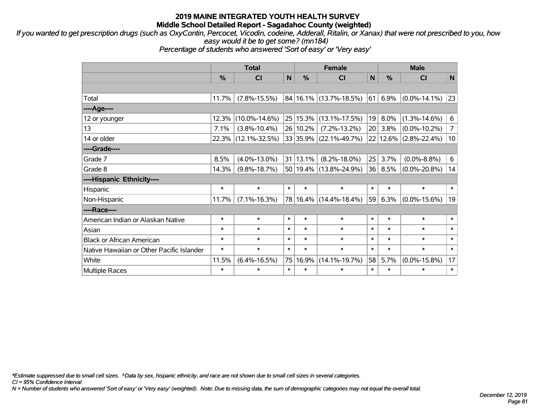*If you wanted to get prescription drugs (such as OxyContin, Percocet, Vicodin, codeine, Adderall, Ritalin, or Xanax) that were not prescribed to you, how easy would it be to get some? (mn184)*

*Percentage of students who answered 'Sort of easy' or 'Very easy'*

|                                           | <b>Total</b> |                     |              |          | <b>Female</b>              |                 |               | <b>Male</b>           |                |  |  |
|-------------------------------------------|--------------|---------------------|--------------|----------|----------------------------|-----------------|---------------|-----------------------|----------------|--|--|
|                                           | $\%$         | CI                  | $\mathsf{N}$ | %        | <b>CI</b>                  | N               | $\frac{0}{0}$ | <b>CI</b>             | N              |  |  |
|                                           |              |                     |              |          |                            |                 |               |                       |                |  |  |
| Total                                     | 11.7%        | $(7.8\% - 15.5\%)$  |              |          | 84 16.1% (13.7%-18.5%)     | 61              | 6.9%          | $(0.0\% - 14.1\%)$    | 23             |  |  |
| ----Age----                               |              |                     |              |          |                            |                 |               |                       |                |  |  |
| 12 or younger                             | 12.3%        | $(10.0\% - 14.6\%)$ |              |          | 25   15.3%   (13.1%-17.5%) | 19 <sup>1</sup> | 8.0%          | $(1.3\% - 14.6\%)$    | 6              |  |  |
| 13                                        | 7.1%         | $(3.8\% - 10.4\%)$  |              | 26 10.2% | $(7.2\% - 13.2\%)$         | 20              | 3.8%          | $(0.0\% - 10.2\%)$    | $\overline{7}$ |  |  |
| 14 or older                               | 22.3%        | $(12.1\% - 32.5\%)$ |              |          | 33 35.9% (22.1%-49.7%)     |                 |               | 22 12.6% (2.8%-22.4%) | 10             |  |  |
| ----Grade----                             |              |                     |              |          |                            |                 |               |                       |                |  |  |
| Grade 7                                   | 8.5%         | $(4.0\% - 13.0\%)$  |              | 31 13.1% | $(8.2\% - 18.0\%)$         | 25              | 3.7%          | $(0.0\% - 8.8\%)$     | 6              |  |  |
| Grade 8                                   | 14.3%        | $(9.8\% - 18.7\%)$  |              |          | 50 19.4% (13.8%-24.9%)     | 36              | 8.5%          | $(0.0\% - 20.8\%)$    | 14             |  |  |
| ----Hispanic Ethnicity----                |              |                     |              |          |                            |                 |               |                       |                |  |  |
| Hispanic                                  | $\ast$       | $\ast$              | $\ast$       | $\ast$   | $\ast$                     | $\ast$          | $\ast$        | $\ast$                | $\ast$         |  |  |
| Non-Hispanic                              | 11.7%        | $(7.1\% - 16.3\%)$  |              |          | 78 16.4% (14.4%-18.4%)     | 59              | 6.3%          | $(0.0\% - 15.6\%)$    | 19             |  |  |
| ----Race----                              |              |                     |              |          |                            |                 |               |                       |                |  |  |
| American Indian or Alaskan Native         | $\ast$       | $\ast$              | $\ast$       | $\ast$   | $\ast$                     | $\ast$          | $\ast$        | $\ast$                | $\ast$         |  |  |
| Asian                                     | $\ast$       | $\ast$              | $\ast$       | $\ast$   | $\ast$                     | $\ast$          | $\ast$        | $\ast$                | $\ast$         |  |  |
| <b>Black or African American</b>          | $\ast$       | $\ast$              | $\ast$       | $\ast$   | $\ast$                     | $\ast$          | $\ast$        | $\ast$                | $\ast$         |  |  |
| Native Hawaiian or Other Pacific Islander | $\ast$       | $\ast$              | $\ast$       | $\ast$   | $\ast$                     | $\ast$          | $\ast$        | $\ast$                | $\ast$         |  |  |
| White                                     | 11.5%        | $(6.4\% - 16.5\%)$  | 75           | 16.9%    | $(14.1\% - 19.7\%)$        | 58              | 5.7%          | $(0.0\% - 15.8\%)$    | 17             |  |  |
| Multiple Races                            | $\ast$       | $\ast$              | $\ast$       | $\ast$   | $\ast$                     | $\ast$          | $\ast$        | *                     | $\ast$         |  |  |

*\*Estimate suppressed due to small cell sizes. ^Data by sex, hispanic ethnicity, and race are not shown due to small cell sizes in several categories.*

*CI = 95% Confidence Interval*

*N = Number of students who answered 'Sort of easy' or 'Very easy' (weighted). Note: Due to missing data, the sum of demographic categories may not equal the overall total.*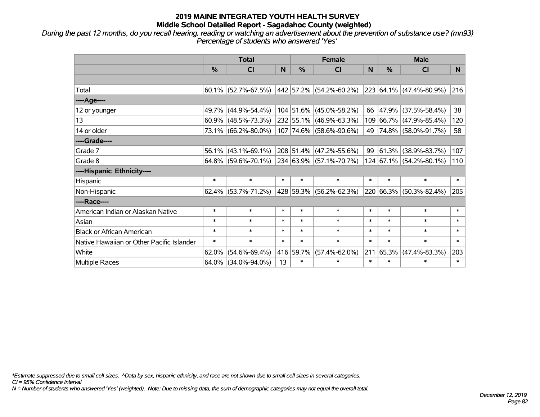*During the past 12 months, do you recall hearing, reading or watching an advertisement about the prevention of substance use? (mn93) Percentage of students who answered 'Yes'*

|                                           | <b>Total</b>  |                                                |        |               | <b>Female</b>               |        | <b>Male</b> |                         |        |  |
|-------------------------------------------|---------------|------------------------------------------------|--------|---------------|-----------------------------|--------|-------------|-------------------------|--------|--|
|                                           | $\frac{0}{0}$ | <b>CI</b>                                      | N      | $\frac{9}{6}$ | <b>CI</b>                   | N      | %           | <b>CI</b>               | N.     |  |
|                                           |               |                                                |        |               |                             |        |             |                         |        |  |
| Total                                     |               | $60.1\%$ (52.7%-67.5%)                         |        |               | 442   57.2%   (54.2%-60.2%) |        |             | 223 64.1% (47.4%-80.9%) | 216    |  |
| ----Age----                               |               |                                                |        |               |                             |        |             |                         |        |  |
| 12 or younger                             | 49.7%         | $(44.9\% - 54.4\%)$                            |        |               | 104 51.6% (45.0%-58.2%)     | 66     | 47.9%       | $(37.5\% - 58.4\%)$     | 38     |  |
| 13                                        |               | $60.9\%$ (48.5%-73.3%)                         |        |               | 232 55.1% (46.9%-63.3%)     |        |             | 109 66.7% (47.9%-85.4%) | 120    |  |
| 14 or older                               |               | 73.1% (66.2%-80.0%)                            |        |               | 107 74.6% (58.6%-90.6%)     |        |             | 49 74.8% (58.0%-91.7%)  | 58     |  |
| ----Grade----                             |               |                                                |        |               |                             |        |             |                         |        |  |
| Grade 7                                   | $56.1\%$      | $(43.1\% - 69.1\%)$                            |        |               | 208 51.4% (47.2%-55.6%)     | 99     | 61.3%       | $(38.9\% - 83.7\%)$     | 107    |  |
| Grade 8                                   |               | $64.8\%$ (59.6%-70.1%) 234 63.9% (57.1%-70.7%) |        |               |                             |        |             | 124 67.1% (54.2%-80.1%) | 110    |  |
| ----Hispanic Ethnicity----                |               |                                                |        |               |                             |        |             |                         |        |  |
| Hispanic                                  | $\ast$        | $\ast$                                         | $\ast$ | $\ast$        | $\ast$                      | $\ast$ | $\ast$      | $\ast$                  | $\ast$ |  |
| Non-Hispanic                              |               | $62.4\%$ (53.7%-71.2%)                         |        |               | 428 59.3% (56.2%-62.3%)     |        | 220 66.3%   | $(50.3\% - 82.4\%)$     | 205    |  |
| ----Race----                              |               |                                                |        |               |                             |        |             |                         |        |  |
| American Indian or Alaskan Native         | $\ast$        | $\ast$                                         | $\ast$ | $\ast$        | $\ast$                      | $\ast$ | $\ast$      | $\ast$                  | $\ast$ |  |
| Asian                                     | $\ast$        | $\ast$                                         | $\ast$ | $\ast$        | $\ast$                      | $\ast$ | $\ast$      | $\ast$                  | $\ast$ |  |
| <b>Black or African American</b>          | $\ast$        | $\ast$                                         | $\ast$ | $\ast$        | $\ast$                      | $\ast$ | $\ast$      | $\ast$                  | $\ast$ |  |
| Native Hawaiian or Other Pacific Islander | $\ast$        | $\ast$                                         | $\ast$ | $\ast$        | $\ast$                      | $\ast$ | $\ast$      | $\ast$                  | $\ast$ |  |
| White                                     | 62.0%         | $(54.6\% - 69.4\%)$                            |        | 416 59.7%     | $(57.4\% - 62.0\%)$         | 211    | 65.3%       | $(47.4\% - 83.3\%)$     | 203    |  |
| Multiple Races                            |               | 64.0% (34.0%-94.0%)                            | 13     | $\ast$        | $\ast$                      | $\ast$ | $\ast$      | *                       | $\ast$ |  |

*\*Estimate suppressed due to small cell sizes. ^Data by sex, hispanic ethnicity, and race are not shown due to small cell sizes in several categories.*

*CI = 95% Confidence Interval*

*N = Number of students who answered 'Yes' (weighted). Note: Due to missing data, the sum of demographic categories may not equal the overall total.*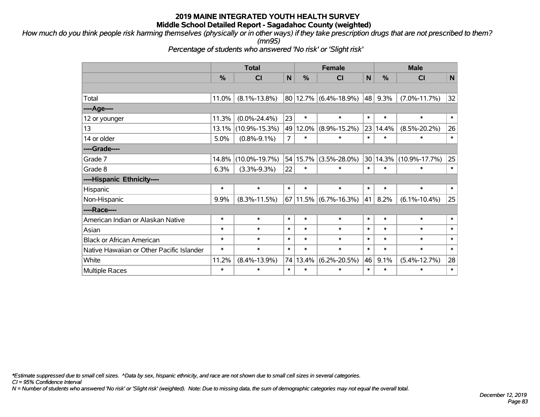*How much do you think people risk harming themselves (physically or in other ways) if they take prescription drugs that are not prescribed to them? (mn95)*

*Percentage of students who answered 'No risk' or 'Slight risk'*

|                                           | <b>Total</b> |                     |              |          | <b>Female</b>              |        | <b>Male</b>   |                     |        |  |
|-------------------------------------------|--------------|---------------------|--------------|----------|----------------------------|--------|---------------|---------------------|--------|--|
|                                           | %            | C <sub>l</sub>      | $\mathsf{N}$ | %        | CI                         | N      | $\frac{0}{0}$ | CI                  | N      |  |
|                                           |              |                     |              |          |                            |        |               |                     |        |  |
| Total                                     | 11.0%        | $(8.1\% - 13.8\%)$  |              |          | $ 80 12.7\% $ (6.4%-18.9%) | 48     | 9.3%          | $(7.0\% - 11.7\%)$  | 32     |  |
| ----Age----                               |              |                     |              |          |                            |        |               |                     |        |  |
| 12 or younger                             | 11.3%        | $(0.0\% - 24.4\%)$  | 23           | $\ast$   | $\ast$                     | $\ast$ | $\ast$        | $\ast$              | $\ast$ |  |
| 13                                        | 13.1%        | $(10.9\% - 15.3\%)$ | 49           | 12.0%    | $(8.9\% - 15.2\%)$         | 23     | 14.4%         | $(8.5\% - 20.2\%)$  | 26     |  |
| 14 or older                               | 5.0%         | $(0.8\% - 9.1\%)$   | 7            | $\ast$   | $\ast$                     | $\ast$ | $\ast$        | $\ast$              | $\ast$ |  |
| ----Grade----                             |              |                     |              |          |                            |        |               |                     |        |  |
| Grade 7                                   | 14.8%        | $(10.0\% - 19.7\%)$ |              | 54 15.7% | $(3.5\% - 28.0\%)$         | 30     | 14.3%         | $(10.9\% - 17.7\%)$ | 25     |  |
| Grade 8                                   | 6.3%         | $(3.3\% - 9.3\%)$   | 22           | $\ast$   | $\ast$                     | $\ast$ | $\ast$        | $\ast$              | $\ast$ |  |
| ----Hispanic Ethnicity----                |              |                     |              |          |                            |        |               |                     |        |  |
| <b>Hispanic</b>                           | $\ast$       | $\ast$              | $\ast$       | $\ast$   | $\ast$                     | $\ast$ | $\ast$        | $\ast$              | $\ast$ |  |
| Non-Hispanic                              | 9.9%         | $(8.3\% - 11.5\%)$  |              |          | 67   11.5%   (6.7%-16.3%)  | 41     | 8.2%          | $(6.1\% - 10.4\%)$  | 25     |  |
| ----Race----                              |              |                     |              |          |                            |        |               |                     |        |  |
| American Indian or Alaskan Native         | $\ast$       | $\ast$              | $\ast$       | $\ast$   | $\ast$                     | $\ast$ | $\ast$        | $\ast$              | $\ast$ |  |
| Asian                                     | $\ast$       | $\ast$              | $\ast$       | $\ast$   | $\ast$                     | $\ast$ | $\ast$        | $\ast$              | $\ast$ |  |
| <b>Black or African American</b>          | $\ast$       | $\ast$              | $\ast$       | $\ast$   | $\ast$                     | $\ast$ | $\ast$        | $\ast$              | $\ast$ |  |
| Native Hawaiian or Other Pacific Islander | $\ast$       | $\ast$              | $\ast$       | $\ast$   | $\ast$                     | $\ast$ | $\ast$        | $\ast$              | $\ast$ |  |
| White                                     | 11.2%        | $(8.4\% - 13.9\%)$  | 74           | 13.4%    | $(6.2\% - 20.5\%)$         | 46     | 9.1%          | $(5.4\% - 12.7\%)$  | 28     |  |
| Multiple Races                            | $\ast$       | $\ast$              | $\ast$       | $\ast$   | $\ast$                     | $\ast$ | $\ast$        | $\ast$              | $\ast$ |  |

*\*Estimate suppressed due to small cell sizes. ^Data by sex, hispanic ethnicity, and race are not shown due to small cell sizes in several categories.*

*CI = 95% Confidence Interval*

*N = Number of students who answered 'No risk' or 'Slight risk' (weighted). Note: Due to missing data, the sum of demographic categories may not equal the overall total.*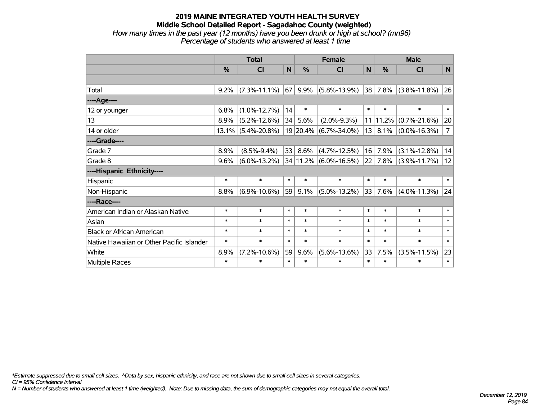### **2019 MAINE INTEGRATED YOUTH HEALTH SURVEY Middle School Detailed Report - Sagadahoc County (weighted)** *How many times in the past year (12 months) have you been drunk or high at school? (mn96) Percentage of students who answered at least 1 time*

|                                           | <b>Total</b>  |                    |        |        | <b>Female</b>         | <b>Male</b> |        |                    |                |
|-------------------------------------------|---------------|--------------------|--------|--------|-----------------------|-------------|--------|--------------------|----------------|
|                                           | $\frac{0}{0}$ | <b>CI</b>          | N      | %      | <b>CI</b>             | N           | %      | <b>CI</b>          | N              |
|                                           |               |                    |        |        |                       |             |        |                    |                |
| Total                                     | 9.2%          | $(7.3\% - 11.1\%)$ | 67     | 9.9%   | $(5.8\% - 13.9\%)$    | 38          | 7.8%   | $(3.8\% - 11.8\%)$ | 26             |
| ----Age----                               |               |                    |        |        |                       |             |        |                    |                |
| 12 or younger                             | 6.8%          | $(1.0\% - 12.7\%)$ | 14     | $\ast$ | $\ast$                | $\ast$      | $\ast$ | $\ast$             | $\ast$         |
| 13                                        | 8.9%          | $(5.2\% - 12.6\%)$ | 34     | 5.6%   | $(2.0\% - 9.3\%)$     | 11          | 11.2%  | $(0.7\% - 21.6\%)$ | 20             |
| 14 or older                               | $13.1\%$      | $(5.4\% - 20.8\%)$ |        |        | 19 20.4% (6.7%-34.0%) | 13          | 8.1%   | $(0.0\% - 16.3\%)$ | $\overline{7}$ |
| ----Grade----                             |               |                    |        |        |                       |             |        |                    |                |
| Grade 7                                   | 8.9%          | $(8.5\% - 9.4\%)$  | 33     | 8.6%   | $(4.7\% - 12.5\%)$    | 16          | 7.9%   | $(3.1\% - 12.8\%)$ | 14             |
| Grade 8                                   | 9.6%          | $(6.0\% - 13.2\%)$ |        |        | 34 11.2% (6.0%-16.5%) | 22          | 7.8%   | $(3.9\% - 11.7\%)$ | 12             |
| ----Hispanic Ethnicity----                |               |                    |        |        |                       |             |        |                    |                |
| Hispanic                                  | $\ast$        | $\ast$             | $\ast$ | $\ast$ | $\ast$                | $\ast$      | $\ast$ | $\ast$             | $\ast$         |
| Non-Hispanic                              | 8.8%          | $(6.9\% - 10.6\%)$ | 59     | 9.1%   | $(5.0\% - 13.2\%)$    | 33          | 7.6%   | $(4.0\% - 11.3\%)$ | 24             |
| ----Race----                              |               |                    |        |        |                       |             |        |                    |                |
| American Indian or Alaskan Native         | $\ast$        | $\ast$             | $\ast$ | $\ast$ | $\ast$                | $\ast$      | $\ast$ | $\ast$             | $\ast$         |
| Asian                                     | $\ast$        | $\ast$             | $\ast$ | $\ast$ | $\ast$                | $\ast$      | $\ast$ | $\ast$             | $\ast$         |
| <b>Black or African American</b>          | $\ast$        | $\ast$             | $\ast$ | $\ast$ | $\ast$                | $\ast$      | $\ast$ | $\ast$             | $\ast$         |
| Native Hawaiian or Other Pacific Islander | $\ast$        | $\ast$             | $\ast$ | $\ast$ | $\ast$                | $\ast$      | $\ast$ | $\ast$             | $\ast$         |
| White                                     | 8.9%          | $(7.2\% - 10.6\%)$ | 59     | 9.6%   | $(5.6\% - 13.6\%)$    | 33          | 7.5%   | $(3.5\% - 11.5\%)$ | 23             |
| <b>Multiple Races</b>                     | $\ast$        | $\ast$             | $\ast$ | $\ast$ | $\ast$                | $\ast$      | $\ast$ | $\ast$             | $\ast$         |

*\*Estimate suppressed due to small cell sizes. ^Data by sex, hispanic ethnicity, and race are not shown due to small cell sizes in several categories.*

*CI = 95% Confidence Interval*

*N = Number of students who answered at least 1 time (weighted). Note: Due to missing data, the sum of demographic categories may not equal the overall total.*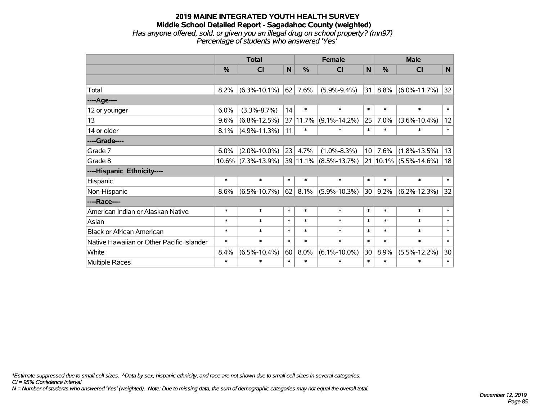### **2019 MAINE INTEGRATED YOUTH HEALTH SURVEY Middle School Detailed Report - Sagadahoc County (weighted)** *Has anyone offered, sold, or given you an illegal drug on school property? (mn97) Percentage of students who answered 'Yes'*

|                                           | <b>Total</b> |                       |              | <b>Female</b> |                       |              | <b>Male</b> |                           |              |  |
|-------------------------------------------|--------------|-----------------------|--------------|---------------|-----------------------|--------------|-------------|---------------------------|--------------|--|
|                                           | %            | CI                    | $\mathsf{N}$ | %             | <b>CI</b>             | $\mathsf{N}$ | %           | <b>CI</b>                 | N            |  |
|                                           |              |                       |              |               |                       |              |             |                           |              |  |
| Total                                     | 8.2%         | $(6.3\% - 10.1\%)$    | 62           | 7.6%          | $(5.9\% - 9.4\%)$     | 31           | 8.8%        | $(6.0\% - 11.7\%)$        | 32           |  |
| ----Age----                               |              |                       |              |               |                       |              |             |                           |              |  |
| 12 or younger                             | 6.0%         | $(3.3\% - 8.7\%)$     | 14           | $\ast$        | $\ast$                | $\ast$       | $\ast$      | $\ast$                    | $\ast$       |  |
| 13                                        | 9.6%         | $(6.8\% - 12.5\%)$    |              | 37 11.7%      | $(9.1\% - 14.2\%)$    | 25           | 7.0%        | $(3.6\% - 10.4\%)$        | 12           |  |
| 14 or older                               | 8.1%         | $(4.9\% - 11.3\%)$    | 11           | $\ast$        | $\ast$                | $\ast$       | $\ast$      | $\ast$                    | $\pmb{\ast}$ |  |
| ----Grade----                             |              |                       |              |               |                       |              |             |                           |              |  |
| Grade 7                                   | 6.0%         | $(2.0\% - 10.0\%)$    | 23           | 4.7%          | $(1.0\% - 8.3\%)$     | 10           | 7.6%        | $(1.8\% - 13.5\%)$        | 13           |  |
| Grade 8                                   |              | $10.6\%$ (7.3%-13.9%) |              |               | 39 11.1% (8.5%-13.7%) |              |             | $21 10.1\% $ (5.5%-14.6%) | 18           |  |
| ----Hispanic Ethnicity----                |              |                       |              |               |                       |              |             |                           |              |  |
| Hispanic                                  | $\ast$       | $\ast$                | $\ast$       | $\ast$        | $\ast$                | $\ast$       | $\ast$      | $\ast$                    | $\ast$       |  |
| Non-Hispanic                              | 8.6%         | $(6.5\% - 10.7\%)$    | 62           | 8.1%          | $(5.9\% - 10.3\%)$    | 30           | 9.2%        | $(6.2\% - 12.3\%)$        | 32           |  |
| ----Race----                              |              |                       |              |               |                       |              |             |                           |              |  |
| American Indian or Alaskan Native         | $\ast$       | $\ast$                | $\ast$       | $\ast$        | $\ast$                | $\ast$       | $\ast$      | $\ast$                    | $\ast$       |  |
| Asian                                     | $\ast$       | $\ast$                | $\ast$       | $\ast$        | $\ast$                | $\ast$       | $\ast$      | $\ast$                    | $\ast$       |  |
| <b>Black or African American</b>          | $\ast$       | $\ast$                | $\ast$       | $\ast$        | $\ast$                | $\ast$       | $\ast$      | $\ast$                    | $\ast$       |  |
| Native Hawaiian or Other Pacific Islander | $\ast$       | $\ast$                | $\ast$       | $\ast$        | $\ast$                | $\ast$       | $\ast$      | $\ast$                    | $\ast$       |  |
| White                                     | 8.4%         | $(6.5\% - 10.4\%)$    | 60           | 8.0%          | $(6.1\% - 10.0\%)$    | 30           | 8.9%        | $(5.5\% - 12.2\%)$        | 30           |  |
| <b>Multiple Races</b>                     | $\ast$       | $\ast$                | $\ast$       | $\ast$        | $\ast$                | $\ast$       | $\ast$      | $\ast$                    | $\ast$       |  |

*\*Estimate suppressed due to small cell sizes. ^Data by sex, hispanic ethnicity, and race are not shown due to small cell sizes in several categories.*

*CI = 95% Confidence Interval*

*N = Number of students who answered 'Yes' (weighted). Note: Due to missing data, the sum of demographic categories may not equal the overall total.*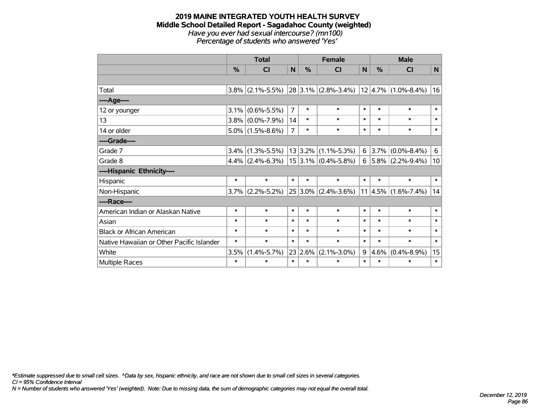#### **2019 MAINE INTEGRATED YOUTH HEALTH SURVEY Middle School Detailed Report - Sagadahoc County (weighted)** *Have you ever had sexual intercourse? (mn100) Percentage of students who answered 'Yes'*

|                                           | <b>Total</b> |                     |                |               | <b>Female</b>                                     | <b>Male</b> |        |                             |        |
|-------------------------------------------|--------------|---------------------|----------------|---------------|---------------------------------------------------|-------------|--------|-----------------------------|--------|
|                                           | $\%$         | <b>CI</b>           | N              | $\frac{0}{0}$ | CI                                                | N           | $\%$   | <b>CI</b>                   | N      |
|                                           |              |                     |                |               |                                                   |             |        |                             |        |
| Total                                     |              | $3.8\%$ (2.1%-5.5%) |                |               | $ 28 3.1\% $ (2.8%-3.4%) $ 12 4.7\% $ (1.0%-8.4%) |             |        |                             | 16     |
| ----Age----                               |              |                     |                |               |                                                   |             |        |                             |        |
| 12 or younger                             | 3.1%         | $(0.6\% - 5.5\%)$   | $\overline{7}$ | $\ast$        | $\ast$                                            | $\ast$      | $\ast$ | $\ast$                      | $\ast$ |
| 13                                        |              | $3.8\%$ (0.0%-7.9%) | 14             | $\ast$        | $\ast$                                            | $\ast$      | $\ast$ | $\ast$                      | $\ast$ |
| 14 or older                               |              | $5.0\%$ (1.5%-8.6%) | $\overline{7}$ | $\ast$        | $\ast$                                            | $\ast$      | $\ast$ | $\ast$                      | $\ast$ |
| ----Grade----                             |              |                     |                |               |                                                   |             |        |                             |        |
| Grade 7                                   | 3.4%         | $(1.3\% - 5.5\%)$   |                | 13 3.2%       | $(1.1\% - 5.3\%)$                                 | 6           | 3.7%   | $(0.0\% - 8.4\%)$           | 6      |
| Grade 8                                   |              | $4.4\%$ (2.4%-6.3%) |                |               | $ 15 3.1\% $ (0.4%-5.8%)                          | $6 \mid$    |        | $5.8\%$ (2.2%-9.4%)         | 10     |
| ----Hispanic Ethnicity----                |              |                     |                |               |                                                   |             |        |                             |        |
| Hispanic                                  | $\ast$       | $\ast$              | $\ast$         | $\ast$        | $\ast$                                            | $\ast$      | $\ast$ | $\ast$                      | $\ast$ |
| Non-Hispanic                              | $3.7\%$      | $(2.2\% - 5.2\%)$   |                |               | $25 3.0\% $ (2.4%-3.6%)                           |             |        | $11 4.5\%  (1.6\% - 7.4\%)$ | 14     |
| ----Race----                              |              |                     |                |               |                                                   |             |        |                             |        |
| American Indian or Alaskan Native         | $\ast$       | $\ast$              | $\ast$         | $\ast$        | $\ast$                                            | $\ast$      | $\ast$ | $\ast$                      | $\ast$ |
| Asian                                     | $\ast$       | $\ast$              | $\ast$         | $\ast$        | $\ast$                                            | $\ast$      | $\ast$ | $\ast$                      | $\ast$ |
| <b>Black or African American</b>          | $\ast$       | $\ast$              | $\ast$         | $\ast$        | $\ast$                                            | $\ast$      | $\ast$ | $\ast$                      | $\ast$ |
| Native Hawaiian or Other Pacific Islander | $\ast$       | $\ast$              | $\ast$         | $\ast$        | $\ast$                                            | $\ast$      | $\ast$ | $\ast$                      | $\ast$ |
| White                                     | 3.5%         | $(1.4\% - 5.7\%)$   | 23             | 2.6%          | $(2.1\% - 3.0\%)$                                 | 9           | 4.6%   | $(0.4\% - 8.9\%)$           | 15     |
| <b>Multiple Races</b>                     | $\ast$       | $\ast$              | $\ast$         | $\ast$        | $\ast$                                            | $\ast$      | $\ast$ | $\ast$                      | $\ast$ |

*\*Estimate suppressed due to small cell sizes. ^Data by sex, hispanic ethnicity, and race are not shown due to small cell sizes in several categories.*

*CI = 95% Confidence Interval*

*N = Number of students who answered 'Yes' (weighted). Note: Due to missing data, the sum of demographic categories may not equal the overall total.*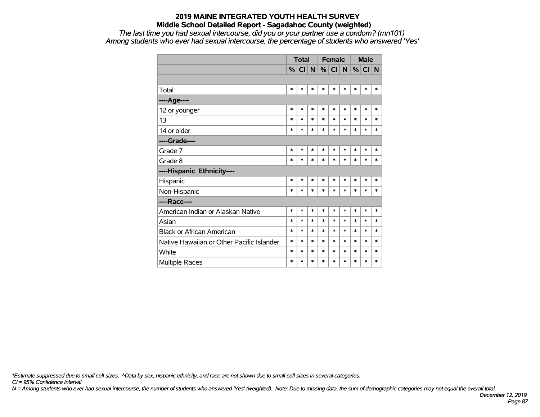*The last time you had sexual intercourse, did you or your partner use a condom? (mn101) Among students who ever had sexual intercourse, the percentage of students who answered 'Yes'*

|                                           |        | <b>Total</b> |        |        | <b>Female</b> |        |        | <b>Male</b> |        |
|-------------------------------------------|--------|--------------|--------|--------|---------------|--------|--------|-------------|--------|
|                                           |        | %  CI  N     |        |        | $\%$ CI       | N      | %      | CI          | N      |
|                                           |        |              |        |        |               |        |        |             |        |
| Total                                     | $\ast$ | *            | *      | $\ast$ | $\ast$        | $\ast$ | $\ast$ | $\ast$      | $\ast$ |
| ----Age----                               |        |              |        |        |               |        |        |             |        |
| 12 or younger                             | $\ast$ | *            | *      | $\ast$ | $\ast$        | $\ast$ | $\ast$ | $\ast$      | $\ast$ |
| 13                                        | $\ast$ | $\ast$       | *      | $\ast$ | *             | $\ast$ | $\ast$ | $\ast$      | $\ast$ |
| 14 or older                               | $\ast$ | $\ast$       | $\ast$ | $\ast$ | $\ast$        | $\ast$ | $\ast$ | $\ast$      | $\ast$ |
| ----Grade----                             |        |              |        |        |               |        |        |             |        |
| Grade 7                                   | $\ast$ | *            | *      | $\ast$ | *             | $\ast$ | $\ast$ | $\ast$      | $\ast$ |
| Grade 8                                   | $\ast$ | *            | $\ast$ | $\ast$ | $\ast$        | *      | $\ast$ | $\ast$      | $\ast$ |
| ----Hispanic Ethnicity----                |        |              |        |        |               |        |        |             |        |
| Hispanic                                  | $\ast$ | $\ast$       | *      | $\ast$ | $\ast$        | $\ast$ | $\ast$ | $\ast$      | $\ast$ |
| Non-Hispanic                              | $\ast$ | $\ast$       | $\ast$ | $\ast$ | *             | $\ast$ | $\ast$ | *           | $\ast$ |
| ----Race----                              |        |              |        |        |               |        |        |             |        |
| American Indian or Alaskan Native         | $\ast$ | *            | *      | $\ast$ | *             | $\ast$ | *      | *           | *      |
| Asian                                     | $\ast$ | *            | *      | $\ast$ | $\ast$        | $\ast$ | *      | *           | *      |
| <b>Black or African American</b>          | $\ast$ | *            | *      | $\ast$ | *             | $\ast$ | *      | *           | $\ast$ |
| Native Hawaiian or Other Pacific Islander | $\ast$ | *            | *      | $\ast$ | $\ast$        | $\ast$ | $\ast$ | $\ast$      | $\ast$ |
| White                                     | *      | *            | *      | *      | *             | *      | $\ast$ | $\ast$      | *      |
| <b>Multiple Races</b>                     | $\ast$ | *            | *      | $\ast$ | $\ast$        | $\ast$ | $\ast$ | $\ast$      | $\ast$ |

*\*Estimate suppressed due to small cell sizes. ^Data by sex, hispanic ethnicity, and race are not shown due to small cell sizes in several categories.*

*CI = 95% Confidence Interval*

*N = Among students who ever had sexual intercourse, the number of students who answered 'Yes' (weighted). Note: Due to missing data, the sum of demographic categories may not equal the overall total.*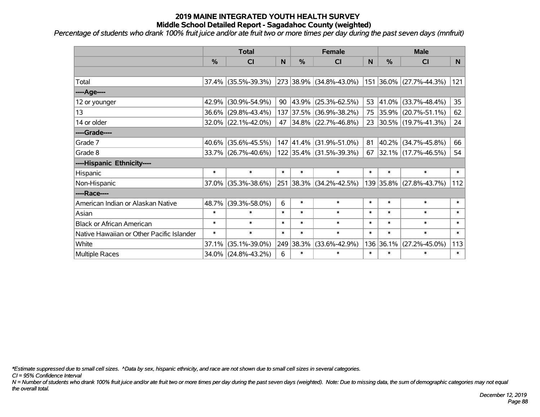*Percentage of students who drank 100% fruit juice and/or ate fruit two or more times per day during the past seven days (mnfruit)*

|                                           | <b>Total</b> |                        |        |               | <b>Female</b>                  |        | <b>Male</b> |                          |                 |  |
|-------------------------------------------|--------------|------------------------|--------|---------------|--------------------------------|--------|-------------|--------------------------|-----------------|--|
|                                           | %            | CI                     | N      | $\frac{0}{0}$ | CI                             | N      | %           | <b>CI</b>                | N               |  |
|                                           |              |                        |        |               |                                |        |             |                          |                 |  |
| Total                                     |              | $37.4\%$ (35.5%-39.3%) |        |               | 273 38.9% (34.8%-43.0%)        |        |             | 151 36.0% (27.7%-44.3%)  | 121             |  |
| ----Age----                               |              |                        |        |               |                                |        |             |                          |                 |  |
| 12 or younger                             | 42.9%        | $(30.9\% - 54.9\%)$    | 90     |               | $ 43.9\% $ (25.3%-62.5%)       | 53     | 41.0%       | $(33.7\% - 48.4\%)$      | 35 <sub>2</sub> |  |
| 13                                        | 36.6%        | $(29.8\% - 43.4\%)$    |        |               | 137 37.5% (36.9%-38.2%)        |        |             | 75 35.9% (20.7%-51.1%)   | 62              |  |
| 14 or older                               |              | $32.0\%$ (22.1%-42.0%) |        |               | 47 34.8% (22.7%-46.8%)         |        |             | 23 30.5% (19.7%-41.3%)   | 24              |  |
| ----Grade----                             |              |                        |        |               |                                |        |             |                          |                 |  |
| Grade 7                                   | 40.6%        | $(35.6\% - 45.5\%)$    |        |               | $147$ $ 41.4\% $ (31.9%-51.0%) | 81     | 40.2%       | $(34.7\% - 45.8\%)$      | 66              |  |
| Grade 8                                   |              | 33.7% (26.7%-40.6%)    |        |               | 122 35.4% (31.5%-39.3%)        | 67     |             | $ 32.1\% $ (17.7%-46.5%) | 54              |  |
| ----Hispanic Ethnicity----                |              |                        |        |               |                                |        |             |                          |                 |  |
| Hispanic                                  | $\ast$       | $\ast$                 | $\ast$ | $\ast$        | $\ast$                         | $\ast$ | $\ast$      | $\ast$                   | $\ast$          |  |
| Non-Hispanic                              | 37.0%        | $(35.3\% - 38.6\%)$    |        |               | 251 38.3% (34.2%-42.5%)        |        |             | 139 35.8% (27.8%-43.7%)  | 112             |  |
| ----Race----                              |              |                        |        |               |                                |        |             |                          |                 |  |
| American Indian or Alaskan Native         | 48.7%        | $(39.3\% - 58.0\%)$    | 6      | $\ast$        | $\ast$                         | $\ast$ | $\ast$      | $\ast$                   | $\ast$          |  |
| Asian                                     | $\ast$       | $\ast$                 | $\ast$ | $\ast$        | $\ast$                         | $\ast$ | $\ast$      | $\ast$                   | $\ast$          |  |
| <b>Black or African American</b>          | $\ast$       | $\ast$                 | $\ast$ | $\ast$        | $\ast$                         | $\ast$ | $\ast$      | $\ast$                   | $\ast$          |  |
| Native Hawaiian or Other Pacific Islander | $\ast$       | $\ast$                 | $\ast$ | $\ast$        | $\ast$                         | $\ast$ | $\ast$      | $\ast$                   | $\ast$          |  |
| White                                     | 37.1%        | $(35.1\% - 39.0\%)$    |        | 249 38.3%     | $(33.6\% - 42.9\%)$            |        | 136 36.1%   | $(27.2\% - 45.0\%)$      | 113             |  |
| Multiple Races                            | $34.0\%$     | $(24.8\% - 43.2\%)$    | 6      | $\ast$        | $\ast$                         | $\ast$ | $\ast$      | $\ast$                   | $\ast$          |  |

*\*Estimate suppressed due to small cell sizes. ^Data by sex, hispanic ethnicity, and race are not shown due to small cell sizes in several categories.*

*CI = 95% Confidence Interval*

*N = Number of students who drank 100% fruit juice and/or ate fruit two or more times per day during the past seven days (weighted). Note: Due to missing data, the sum of demographic categories may not equal the overall total.*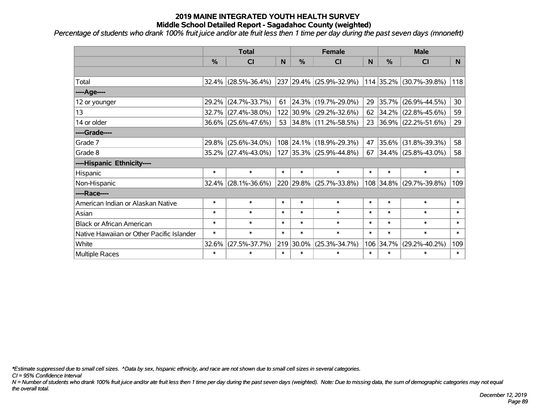*Percentage of students who drank 100% fruit juice and/or ate fruit less then 1 time per day during the past seven days (mnonefrt) '*

|                                           | <b>Total</b>  |                        |        |               | <b>Female</b>           |        | <b>Male</b> |                         |        |  |
|-------------------------------------------|---------------|------------------------|--------|---------------|-------------------------|--------|-------------|-------------------------|--------|--|
|                                           | $\frac{0}{0}$ | <b>CI</b>              | N      | $\frac{9}{6}$ | <b>CI</b>               | N      | %           | <b>CI</b>               | N.     |  |
|                                           |               |                        |        |               |                         |        |             |                         |        |  |
| Total                                     |               | $32.4\%$ (28.5%-36.4%) |        |               | 237 29.4% (25.9%-32.9%) |        |             | 114 35.2% (30.7%-39.8%) | 118    |  |
| ----Age----                               |               |                        |        |               |                         |        |             |                         |        |  |
| 12 or younger                             | 29.2%         | $(24.7\% - 33.7\%)$    | 61     |               | 24.3% (19.7%-29.0%)     | 29     | 35.7%       | $(26.9\% - 44.5\%)$     | 30     |  |
| 13                                        | 32.7%         | $(27.4\% - 38.0\%)$    |        |               | 122 30.9% (29.2%-32.6%) | 62     |             | $34.2\%$ (22.8%-45.6%)  | 59     |  |
| 14 or older                               |               | 36.6% (25.6%-47.6%)    |        |               | 53 34.8% (11.2%-58.5%)  |        |             | 23 36.9% (22.2%-51.6%)  | 29     |  |
| ----Grade----                             |               |                        |        |               |                         |        |             |                         |        |  |
| Grade 7                                   | 29.8%         | $(25.6\% - 34.0\%)$    |        |               | 108 24.1% (18.9%-29.3%) | 47     | 35.6%       | $(31.8\% - 39.3\%)$     | 58     |  |
| Grade 8                                   |               | 35.2% (27.4%-43.0%)    |        |               | 127 35.3% (25.9%-44.8%) | 67     |             | $34.4\%$ (25.8%-43.0%)  | 58     |  |
| ----Hispanic Ethnicity----                |               |                        |        |               |                         |        |             |                         |        |  |
| Hispanic                                  | $\ast$        | $\ast$                 | $\ast$ | $\ast$        | $\ast$                  | $\ast$ | $\ast$      | $\ast$                  | $\ast$ |  |
| Non-Hispanic                              |               | $32.4\%$ (28.1%-36.6%) |        |               | 220 29.8% (25.7%-33.8%) |        | 108 34.8%   | $(29.7\% - 39.8\%)$     | 109    |  |
| ----Race----                              |               |                        |        |               |                         |        |             |                         |        |  |
| American Indian or Alaskan Native         | $\ast$        | $\ast$                 | $\ast$ | $\ast$        | $\ast$                  | $\ast$ | $\ast$      | $\ast$                  | $\ast$ |  |
| Asian                                     | $\ast$        | $\ast$                 | $\ast$ | $\ast$        | $\ast$                  | $\ast$ | $\ast$      | $\ast$                  | $\ast$ |  |
| <b>Black or African American</b>          | $\ast$        | $\ast$                 | $\ast$ | $\ast$        | $\ast$                  | $\ast$ | $\ast$      | $\ast$                  | $\ast$ |  |
| Native Hawaiian or Other Pacific Islander | $\ast$        | $\ast$                 | $\ast$ | $\ast$        | $\ast$                  | $\ast$ | $\ast$      | $\ast$                  | $\ast$ |  |
| White                                     | 32.6%         | $(27.5\% - 37.7\%)$    | 219    | 30.0%         | $(25.3\% - 34.7\%)$     | 106    | 34.7%       | $(29.2\% - 40.2\%)$     | 109    |  |
| Multiple Races                            | $\ast$        | $\ast$                 | $\ast$ | $\ast$        | $\ast$                  | $\ast$ | $\ast$      | *                       | $\ast$ |  |

*\*Estimate suppressed due to small cell sizes. ^Data by sex, hispanic ethnicity, and race are not shown due to small cell sizes in several categories.*

*CI = 95% Confidence Interval*

*N = Number of students who drank 100% fruit juice and/or ate fruit less then 1 time per day during the past seven days (weighted). Note: Due to missing data, the sum of demographic categories may not equal the overall total.*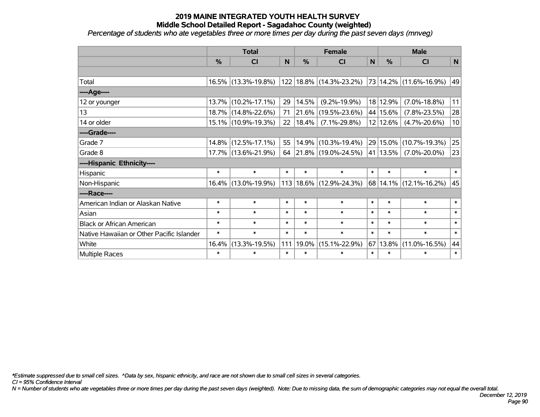*Percentage of students who ate vegetables three or more times per day during the past seven days (mnveg)*

|                                           | <b>Total</b>  |                        |        |        | <b>Female</b>               |              | <b>Male</b>   |                        |             |  |
|-------------------------------------------|---------------|------------------------|--------|--------|-----------------------------|--------------|---------------|------------------------|-------------|--|
|                                           | $\frac{0}{0}$ | <b>CI</b>              | N      | %      | <b>CI</b>                   | $\mathsf{N}$ | %             | <b>CI</b>              | $\mathbf N$ |  |
|                                           |               |                        |        |        |                             |              |               |                        |             |  |
| Total                                     |               | $16.5\%$ (13.3%-19.8%) |        |        | 122 18.8% (14.3%-23.2%)     |              |               | 73 14.2% (11.6%-16.9%) | 49          |  |
| ---- Age----                              |               |                        |        |        |                             |              |               |                        |             |  |
| 12 or younger                             | 13.7%         | $(10.2\% - 17.1\%)$    | 29     | 14.5%  | $(9.2\% - 19.9\%)$          |              | 18 12.9%      | $(7.0\% - 18.8\%)$     | 11          |  |
| 13                                        |               | 18.7% (14.8%-22.6%)    | 71     | 21.6%  | $(19.5\% - 23.6\%)$         |              | 44 15.6%      | $(7.8\% - 23.5\%)$     | 28          |  |
| 14 or older                               |               | 15.1% (10.9%-19.3%)    | 22     | 18.4%  | $(7.1\% - 29.8\%)$          |              | 12 12.6%      | $(4.7\% - 20.6\%)$     | 10          |  |
| ----Grade----                             |               |                        |        |        |                             |              |               |                        |             |  |
| Grade 7                                   |               | 14.8% (12.5%-17.1%)    | 55     | 14.9%  | $(10.3\% - 19.4\%)$         |              | $29 15.0\% $  | $(10.7\% - 19.3\%)$    | 25          |  |
| Grade 8                                   |               | 17.7% (13.6%-21.9%)    | 64     |        | $ 21.8\% $ (19.0%-24.5%)    |              | $ 41 13.5\% $ | $(7.0\% - 20.0\%)$     | 23          |  |
| ----Hispanic Ethnicity----                |               |                        |        |        |                             |              |               |                        |             |  |
| Hispanic                                  | $\ast$        | $\ast$                 | $\ast$ | $\ast$ | $\ast$                      | $\ast$       | $\ast$        | $\ast$                 | $\ast$      |  |
| Non-Hispanic                              |               | 16.4% (13.0%-19.9%)    |        |        | 113   18.6%   (12.9%-24.3%) |              |               | 68 14.1% (12.1%-16.2%) | 45          |  |
| ----Race----                              |               |                        |        |        |                             |              |               |                        |             |  |
| American Indian or Alaskan Native         | $\ast$        | $\ast$                 | $\ast$ | $\ast$ | $\ast$                      | $\ast$       | $\ast$        | $\ast$                 | $\ast$      |  |
| Asian                                     | $\ast$        | $\ast$                 | $\ast$ | $\ast$ | $\ast$                      | $\ast$       | $\ast$        | $\ast$                 | $\ast$      |  |
| <b>Black or African American</b>          | $\ast$        | $\ast$                 | $\ast$ | $\ast$ | $\ast$                      | $\ast$       | $\ast$        | $\ast$                 | $\ast$      |  |
| Native Hawaiian or Other Pacific Islander | $\ast$        | $\ast$                 | $\ast$ | $\ast$ | $\ast$                      | $\ast$       | $\ast$        | $\ast$                 | $\ast$      |  |
| White                                     | 16.4%         | $(13.3\% - 19.5\%)$    | 111    | 19.0%  | $(15.1\% - 22.9\%)$         | 67           | 13.8%         | $(11.0\% - 16.5\%)$    | 44          |  |
| Multiple Races                            | $\ast$        | $\ast$                 | $\ast$ | $\ast$ | $\ast$                      | $\ast$       | $\ast$        | $\ast$                 | $\ast$      |  |

*\*Estimate suppressed due to small cell sizes. ^Data by sex, hispanic ethnicity, and race are not shown due to small cell sizes in several categories.*

*CI = 95% Confidence Interval*

*N = Number of students who ate vegetables three or more times per day during the past seven days (weighted). Note: Due to missing data, the sum of demographic categories may not equal the overall total.*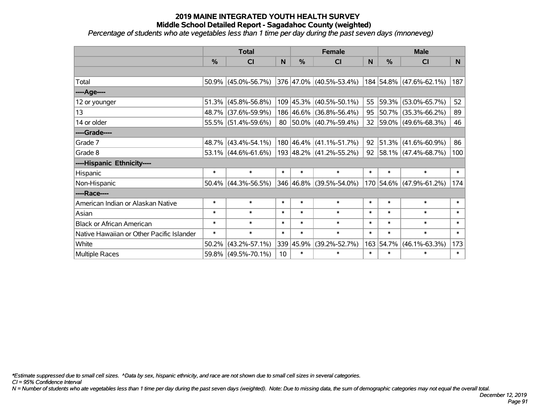*Percentage of students who ate vegetables less than 1 time per day during the past seven days (mnoneveg)*

|                                           | <b>Total</b> |                        |        |               | <b>Female</b>                   |              | <b>Male</b> |                                  |        |  |
|-------------------------------------------|--------------|------------------------|--------|---------------|---------------------------------|--------------|-------------|----------------------------------|--------|--|
|                                           | $\%$         | <b>CI</b>              | N      | $\frac{0}{0}$ | <b>CI</b>                       | <sub>N</sub> | %           | <b>CI</b>                        | N.     |  |
|                                           |              |                        |        |               |                                 |              |             |                                  |        |  |
| Total                                     |              | $50.9\%$ (45.0%-56.7%) |        |               | $ 376 47.0\% $ (40.5%-53.4%)    |              |             | 184 54.8% (47.6%-62.1%)          | 187    |  |
| ----Age----                               |              |                        |        |               |                                 |              |             |                                  |        |  |
| 12 or younger                             |              | $51.3\%$ (45.8%-56.8%) |        |               | 109 45.3% (40.5%-50.1%)         | 55           | 59.3%       | $(53.0\% - 65.7\%)$              | 52     |  |
| 13                                        |              | 48.7% (37.6%-59.9%)    |        |               | 186 46.6% (36.8%-56.4%)         |              |             | 95   50.7%   (35.3%-66.2%)       | 89     |  |
| 14 or older                               |              | 55.5% (51.4%-59.6%)    |        |               | 80 50.0% (40.7%-59.4%)          |              |             | 32 59.0% (49.6%-68.3%)           | 46     |  |
| ----Grade----                             |              |                        |        |               |                                 |              |             |                                  |        |  |
| Grade 7                                   |              | 48.7% (43.4%-54.1%)    |        |               | $180 46.4\%  (41.1\% - 51.7\%)$ | 92           | 51.3%       | $(41.6\% - 60.9\%)$              | 86     |  |
| Grade 8                                   |              | $53.1\%$ (44.6%-61.6%) |        |               | 193  48.2%   (41.2%-55.2%)      |              |             | 92   58.1%   $(47.4\% - 68.7\%)$ | 100    |  |
| ----Hispanic Ethnicity----                |              |                        |        |               |                                 |              |             |                                  |        |  |
| Hispanic                                  | $\ast$       | $\ast$                 | $\ast$ | $\ast$        | $\ast$                          | $\ast$       | $\ast$      | $\ast$                           | $\ast$ |  |
| Non-Hispanic                              |              | $50.4\%$ (44.3%-56.5%) |        |               | 346 46.8% (39.5%-54.0%)         |              | 170 54.6%   | $(47.9\% - 61.2\%)$              | 174    |  |
| ----Race----                              |              |                        |        |               |                                 |              |             |                                  |        |  |
| American Indian or Alaskan Native         | $\ast$       | $\ast$                 | $\ast$ | $\ast$        | $\ast$                          | $\ast$       | $\ast$      | $\ast$                           | $\ast$ |  |
| Asian                                     | $\ast$       | $\ast$                 | $\ast$ | $\ast$        | $\ast$                          | $\ast$       | $\ast$      | $\ast$                           | $\ast$ |  |
| <b>Black or African American</b>          | $\ast$       | $\ast$                 | $\ast$ | $\ast$        | $\ast$                          | $\ast$       | $\ast$      | $\ast$                           | $\ast$ |  |
| Native Hawaiian or Other Pacific Islander | $\ast$       | $\ast$                 | $\ast$ | $\ast$        | $\ast$                          | $\ast$       | $\ast$      | $\ast$                           | $\ast$ |  |
| White                                     | 50.2%        | $(43.2\% - 57.1\%)$    |        | 339 45.9%     | $(39.2\% - 52.7\%)$             | 163          | 54.7%       | $(46.1\% - 63.3\%)$              | 173    |  |
| <b>Multiple Races</b>                     |              | 59.8% (49.5%-70.1%)    | 10     | $\ast$        | $\ast$                          | $\ast$       | $\ast$      | $\ast$                           | $\ast$ |  |

*\*Estimate suppressed due to small cell sizes. ^Data by sex, hispanic ethnicity, and race are not shown due to small cell sizes in several categories.*

*CI = 95% Confidence Interval*

*N = Number of students who ate vegetables less than 1 time per day during the past seven days (weighted). Note: Due to missing data, the sum of demographic categories may not equal the overall total.*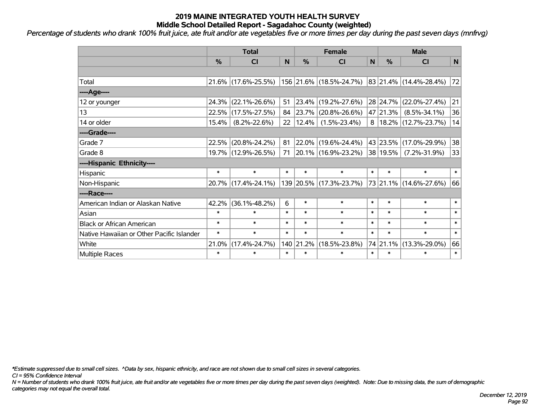*Percentage of students who drank 100% fruit juice, ate fruit and/or ate vegetables five or more times per day during the past seven days (mnfrvg)*

|                                           | <b>Total</b>  |                     |        |            | <b>Female</b>            | <b>Male</b>  |          |                              |        |
|-------------------------------------------|---------------|---------------------|--------|------------|--------------------------|--------------|----------|------------------------------|--------|
|                                           | $\frac{0}{0}$ | CI                  | N      | %          | CI                       | $\mathsf{N}$ | %        | <b>CI</b>                    | N      |
|                                           |               |                     |        |            |                          |              |          |                              |        |
| Total                                     |               | 21.6% (17.6%-25.5%) |        |            | 156 21.6% (18.5%-24.7%)  |              |          | 83 21.4% (14.4%-28.4%)       | 72     |
| ----Age----                               |               |                     |        |            |                          |              |          |                              |        |
| 12 or younger                             | 24.3%         | $(22.1\% - 26.6\%)$ | 51     |            | 23.4% (19.2%-27.6%)      |              | 28 24.7% | $(22.0\% - 27.4\%)$          | 21     |
| 13                                        | 22.5%         | $(17.5\% - 27.5\%)$ | 84     | $ 23.7\% $ | $(20.8\% - 26.6\%)$      |              | 47 21.3% | $(8.5\% - 34.1\%)$           | 36     |
| 14 or older                               | 15.4%         | $(8.2\% - 22.6\%)$  | 22     | 12.4%      | $(1.5\% - 23.4\%)$       |              |          | $8 18.2\% (12.7\% - 23.7\%)$ | 14     |
| ----Grade----                             |               |                     |        |            |                          |              |          |                              |        |
| Grade 7                                   | 22.5%         | $(20.8\% - 24.2\%)$ | 81     |            | 22.0% (19.6%-24.4%)      |              |          | 43 23.5% (17.0%-29.9%)       | 38     |
| Grade 8                                   |               | 19.7% (12.9%-26.5%) | 71     |            | $ 20.1\% $ (16.9%-23.2%) |              | 38 19.5% | $(7.2\% - 31.9\%)$           | 33     |
| ----Hispanic Ethnicity----                |               |                     |        |            |                          |              |          |                              |        |
| Hispanic                                  | $\ast$        | $\ast$              | $\ast$ | $\ast$     | $\ast$                   | $\ast$       | $\ast$   | $\ast$                       | $\ast$ |
| Non-Hispanic                              |               | 20.7% (17.4%-24.1%) |        |            | 139 20.5% (17.3%-23.7%)  |              |          | 73 21.1% (14.6%-27.6%)       | 66     |
| ----Race----                              |               |                     |        |            |                          |              |          |                              |        |
| American Indian or Alaskan Native         | 42.2%         | $(36.1\% - 48.2\%)$ | 6      | $\ast$     | $\ast$                   | $\ast$       | $\ast$   | $\ast$                       | $\ast$ |
| Asian                                     | $\ast$        | $\ast$              | $\ast$ | $\ast$     | $\ast$                   | $\ast$       | $\ast$   | $\ast$                       | $\ast$ |
| <b>Black or African American</b>          | $\ast$        | $\ast$              | $\ast$ | $\ast$     | $\ast$                   | $\ast$       | $\ast$   | $\ast$                       | $\ast$ |
| Native Hawaiian or Other Pacific Islander | $\ast$        | $\ast$              | $\ast$ | $\ast$     | $\ast$                   | $\ast$       | $\ast$   | $\ast$                       | $\ast$ |
| White                                     | 21.0%         | $(17.4\% - 24.7\%)$ |        | 140 21.2%  | $(18.5\% - 23.8\%)$      |              | 74 21.1% | $(13.3\% - 29.0\%)$          | 66     |
| <b>Multiple Races</b>                     | $\ast$        | $\ast$              | $\ast$ | $\ast$     | $\ast$                   | $\ast$       | $\ast$   | ∗                            | $\ast$ |

*\*Estimate suppressed due to small cell sizes. ^Data by sex, hispanic ethnicity, and race are not shown due to small cell sizes in several categories.*

*CI = 95% Confidence Interval*

*N = Number of students who drank 100% fruit juice, ate fruit and/or ate vegetables five or more times per day during the past seven days (weighted). Note: Due to missing data, the sum of demographic categories may not equal the overall total.*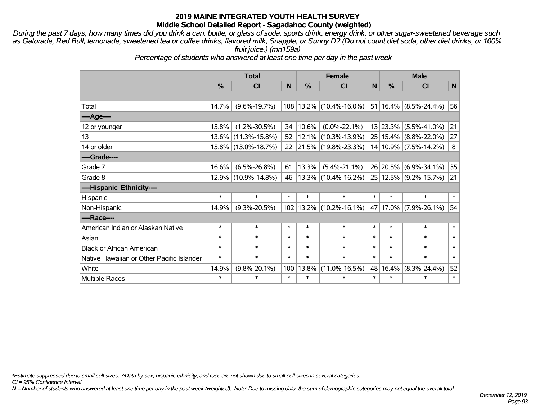*During the past 7 days, how many times did you drink a can, bottle, or glass of soda, sports drink, energy drink, or other sugar-sweetened beverage such as Gatorade, Red Bull, lemonade, sweetened tea or coffee drinks, flavored milk, Snapple, or Sunny D? (Do not count diet soda, other diet drinks, or 100% fruit juice.) (mn159a)*

*Percentage of students who answered at least one time per day in the past week*

|                                           | <b>Total</b> |                     |        |        | <b>Female</b>                 |        |        | <b>Male</b>                    |        |  |
|-------------------------------------------|--------------|---------------------|--------|--------|-------------------------------|--------|--------|--------------------------------|--------|--|
|                                           | $\%$         | CI                  | N      | $\%$   | CI                            | N      | $\%$   | <b>CI</b>                      | N      |  |
|                                           |              |                     |        |        |                               |        |        |                                |        |  |
| Total                                     | 14.7%        | $(9.6\% - 19.7\%)$  |        |        | 108   13.2%   (10.4%-16.0%)   |        |        | $ 51 16.4\% $ (8.5%-24.4%)     | 56     |  |
| ----Age----                               |              |                     |        |        |                               |        |        |                                |        |  |
| 12 or younger                             | 15.8%        | $(1.2\% - 30.5\%)$  | 34     | 10.6%  | $(0.0\% - 22.1\%)$            |        |        | 13 23.3% (5.5%-41.0%)          | 21     |  |
| 13                                        | $13.6\%$     | $(11.3\% - 15.8\%)$ | 52     | 12.1%  | $(10.3\% - 13.9\%)$           |        |        | $ 25 15.4\% $ (8.8%-22.0%)     | 27     |  |
| 14 or older                               |              | 15.8% (13.0%-18.7%) | 22     |        | $ 21.5\% $ (19.8%-23.3%)      |        |        | 14 10.9% (7.5%-14.2%)          | 8      |  |
| ----Grade----                             |              |                     |        |        |                               |        |        |                                |        |  |
| Grade 7                                   | 16.6%        | $(6.5\% - 26.8\%)$  | 61     | 13.3%  | $(5.4\% - 21.1\%)$            |        |        | 26 20.5% (6.9%-34.1%)          | 35     |  |
| Grade 8                                   | 12.9%        | $(10.9\% - 14.8\%)$ | 46     |        | 13.3%  (10.4%-16.2%)          |        |        | $ 25 12.5\%  (9.2\% - 15.7\%)$ | 21     |  |
| ----Hispanic Ethnicity----                |              |                     |        |        |                               |        |        |                                |        |  |
| Hispanic                                  | $\ast$       | $\ast$              | $\ast$ | $\ast$ | $\ast$                        | $\ast$ | $\ast$ | $\ast$                         | $\ast$ |  |
| Non-Hispanic                              | 14.9%        | $(9.3\% - 20.5\%)$  |        |        | $102$   13.2%   (10.2%-16.1%) |        |        | 47   17.0%   (7.9%-26.1%)      | 54     |  |
| ----Race----                              |              |                     |        |        |                               |        |        |                                |        |  |
| American Indian or Alaskan Native         | $\ast$       | $\ast$              | $\ast$ | $\ast$ | $\ast$                        | $\ast$ | $\ast$ | $\ast$                         | $\ast$ |  |
| Asian                                     | $\ast$       | $\ast$              | $\ast$ | $\ast$ | $\ast$                        | $\ast$ | $\ast$ | $\ast$                         | $\ast$ |  |
| <b>Black or African American</b>          | $\ast$       | $\ast$              | $\ast$ | $\ast$ | $\ast$                        | $\ast$ | $\ast$ | $\ast$                         | $\ast$ |  |
| Native Hawaiian or Other Pacific Islander | $\ast$       | $\ast$              | $\ast$ | $\ast$ | $\ast$                        | $\ast$ | $\ast$ | $\ast$                         | $\ast$ |  |
| White                                     | 14.9%        | $(9.8\% - 20.1\%)$  | 100    | 13.8%  | $(11.0\% - 16.5\%)$           | 48     | 16.4%  | $(8.3\% - 24.4\%)$             | 52     |  |
| Multiple Races                            | $\ast$       | $\ast$              | $\ast$ | $\ast$ | $\ast$                        | $\ast$ | $\ast$ | $\ast$                         | $\ast$ |  |

*\*Estimate suppressed due to small cell sizes. ^Data by sex, hispanic ethnicity, and race are not shown due to small cell sizes in several categories.*

*CI = 95% Confidence Interval*

*N = Number of students who answered at least one time per day in the past week (weighted). Note: Due to missing data, the sum of demographic categories may not equal the overall total.*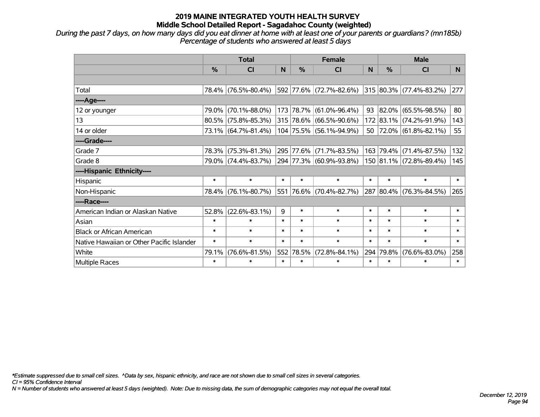*During the past 7 days, on how many days did you eat dinner at home with at least one of your parents or guardians? (mn185b) Percentage of students who answered at least 5 days*

|                                           | <b>Total</b>  |                     |        |           | <b>Female</b>           |              | <b>Male</b> |                                     |        |  |
|-------------------------------------------|---------------|---------------------|--------|-----------|-------------------------|--------------|-------------|-------------------------------------|--------|--|
|                                           | $\frac{0}{0}$ | <b>CI</b>           | N      | $\%$      | <b>CI</b>               | <sub>N</sub> | %           | <b>CI</b>                           | N.     |  |
|                                           |               |                     |        |           |                         |              |             |                                     |        |  |
| Total                                     |               | 78.4% (76.5%-80.4%) |        |           | 592 77.6% (72.7%-82.6%) |              |             | 315 80.3% (77.4%-83.2%)             | 277    |  |
| ----Age----                               |               |                     |        |           |                         |              |             |                                     |        |  |
| 12 or younger                             | 79.0%         | $(70.1\% - 88.0\%)$ |        | 173 78.7% | $(61.0\% - 96.4\%)$     | 93           | 82.0%       | $(65.5\% - 98.5\%)$                 | 80     |  |
| 13                                        | 80.5%         | $(75.8\% - 85.3\%)$ |        |           | 315 78.6% (66.5%-90.6%) |              |             | 172 83.1% (74.2%-91.9%)             | 143    |  |
| 14 or older                               |               | 73.1% (64.7%-81.4%) |        |           | 104 75.5% (56.1%-94.9%) |              |             | 50   $72.0\%$   $(61.8\% - 82.1\%)$ | 55     |  |
| ----Grade----                             |               |                     |        |           |                         |              |             |                                     |        |  |
| Grade 7                                   | 78.3%         | $(75.3\% - 81.3\%)$ |        | 295 77.6% | $(71.7\% - 83.5\%)$     | 163          | 79.4%       | $(71.4\% - 87.5\%)$                 | 132    |  |
| Grade 8                                   |               | 79.0% (74.4%-83.7%) |        |           | 294 77.3% (60.9%-93.8%) |              |             | 150 81.1% (72.8%-89.4%)             | 145    |  |
| ----Hispanic Ethnicity----                |               |                     |        |           |                         |              |             |                                     |        |  |
| Hispanic                                  | $\ast$        | $\ast$              | $\ast$ | $\ast$    | $\ast$                  | $\ast$       | $\ast$      | $\ast$                              | $\ast$ |  |
| Non-Hispanic                              | 78.4%         | $(76.1\% - 80.7\%)$ |        |           | 551 76.6% (70.4%-82.7%) |              | 287 80.4%   | $(76.3\% - 84.5\%)$                 | 265    |  |
| ----Race----                              |               |                     |        |           |                         |              |             |                                     |        |  |
| American Indian or Alaskan Native         | 52.8%         | $(22.6\% - 83.1\%)$ | 9      | $\ast$    | $\ast$                  | $\ast$       | $\ast$      | $\ast$                              | $\ast$ |  |
| Asian                                     | $\ast$        | $\ast$              | $\ast$ | $\ast$    | $\ast$                  | $\ast$       | $\ast$      | $\ast$                              | $\ast$ |  |
| <b>Black or African American</b>          | $\ast$        | $\ast$              | $\ast$ | $\ast$    | $\ast$                  | $\ast$       | $\ast$      | $\ast$                              | $\ast$ |  |
| Native Hawaiian or Other Pacific Islander | $\ast$        | $\ast$              | $\ast$ | $\ast$    | $\ast$                  | $\ast$       | $\ast$      | $\ast$                              | $\ast$ |  |
| White                                     | 79.1%         | $(76.6\% - 81.5\%)$ | 552    | 78.5%     | $(72.8\% - 84.1\%)$     | 294          | 79.8%       | $(76.6\% - 83.0\%)$                 | 258    |  |
| Multiple Races                            | $\ast$        | $\ast$              | $\ast$ | $\ast$    | $\ast$                  | $\ast$       | $\ast$      | $\ast$                              | $\ast$ |  |

*\*Estimate suppressed due to small cell sizes. ^Data by sex, hispanic ethnicity, and race are not shown due to small cell sizes in several categories.*

*CI = 95% Confidence Interval*

*N = Number of students who answered at least 5 days (weighted). Note: Due to missing data, the sum of demographic categories may not equal the overall total.*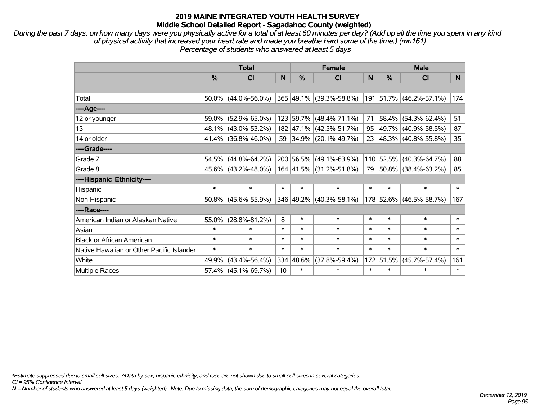*During the past 7 days, on how many days were you physically active for a total of at least 60 minutes per day? (Add up all the time you spent in any kind of physical activity that increased your heart rate and made you breathe hard some of the time.) (mn161) Percentage of students who answered at least 5 days*

|                                           | <b>Total</b>  |                        |                 |               | <b>Female</b>           | <b>Male</b> |               |                         |        |
|-------------------------------------------|---------------|------------------------|-----------------|---------------|-------------------------|-------------|---------------|-------------------------|--------|
|                                           | $\frac{0}{0}$ | C <sub>l</sub>         | N               | $\frac{0}{0}$ | <b>CI</b>               | N           | $\frac{0}{0}$ | <b>CI</b>               | N.     |
|                                           |               |                        |                 |               |                         |             |               |                         |        |
| Total                                     |               | $50.0\%$ (44.0%-56.0%) |                 |               | 365 49.1% (39.3%-58.8%) |             |               | 191 51.7% (46.2%-57.1%) | 174    |
| ----Age----                               |               |                        |                 |               |                         |             |               |                         |        |
| 12 or younger                             | 59.0%         | $(52.9\% - 65.0\%)$    |                 |               | 123 59.7% (48.4%-71.1%) | 71          | 58.4%         | $(54.3\% - 62.4\%)$     | 51     |
| 13                                        |               | 48.1% (43.0%-53.2%)    |                 |               | 182 47.1% (42.5%-51.7%) | 95          | $ 49.7\% $    | $(40.9\% - 58.5\%)$     | 87     |
| 14 or older                               |               | $41.4\%$ (36.8%-46.0%) |                 |               | 59 34.9% (20.1%-49.7%)  |             |               | 23 48.3% (40.8%-55.8%)  | 35     |
| ----Grade----                             |               |                        |                 |               |                         |             |               |                         |        |
| Grade 7                                   |               | $54.5\%$ (44.8%-64.2%) |                 |               | 200 56.5% (49.1%-63.9%) |             | 110 52.5%     | $(40.3\% - 64.7\%)$     | 88     |
| Grade 8                                   |               | 45.6% (43.2%-48.0%)    |                 |               | 164 41.5% (31.2%-51.8%) |             |               | 79 50.8% (38.4%-63.2%)  | 85     |
| ----Hispanic Ethnicity----                |               |                        |                 |               |                         |             |               |                         |        |
| Hispanic                                  | $\ast$        | $\ast$                 | $\ast$          | $\ast$        | $\ast$                  | $\ast$      | $\ast$        | $\ast$                  | $\ast$ |
| Non-Hispanic                              |               | $50.8\%$ (45.6%-55.9%) |                 |               | 346 49.2% (40.3%-58.1%) |             | 178 52.6%     | $(46.5\% - 58.7\%)$     | 167    |
| ----Race----                              |               |                        |                 |               |                         |             |               |                         |        |
| American Indian or Alaskan Native         | 55.0%         | $(28.8\% - 81.2\%)$    | 8               | $\ast$        | $\ast$                  | $\ast$      | $\ast$        | $\ast$                  | $\ast$ |
| Asian                                     | $\ast$        | $\ast$                 | $\ast$          | $\ast$        | $\ast$                  | $\ast$      | $\ast$        | $\ast$                  | $\ast$ |
| <b>Black or African American</b>          | $\ast$        | $\ast$                 | $\ast$          | $\ast$        | $\ast$                  | $\ast$      | $\ast$        | $\ast$                  | $\ast$ |
| Native Hawaiian or Other Pacific Islander | $\ast$        | $\ast$                 | $\ast$          | $\ast$        | $\ast$                  | $\ast$      | $\ast$        | $\ast$                  | $\ast$ |
| White                                     | 49.9%         | $(43.4\% - 56.4\%)$    |                 | 334 48.6%     | (37.8%-59.4%)           |             | 172 51.5%     | $(45.7\% - 57.4\%)$     | 161    |
| <b>Multiple Races</b>                     |               | 57.4% (45.1%-69.7%)    | 10 <sup>°</sup> | $\ast$        | $\ast$                  | $\ast$      | $\ast$        | *                       | $\ast$ |

*\*Estimate suppressed due to small cell sizes. ^Data by sex, hispanic ethnicity, and race are not shown due to small cell sizes in several categories.*

*CI = 95% Confidence Interval*

*N = Number of students who answered at least 5 days (weighted). Note: Due to missing data, the sum of demographic categories may not equal the overall total.*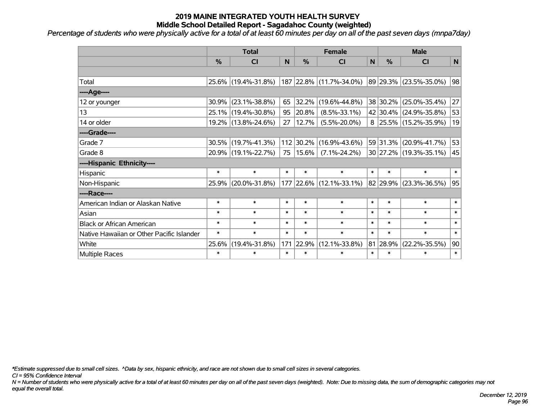*Percentage of students who were physically active for a total of at least 60 minutes per day on all of the past seven days (mnpa7day)*

|                                           | <b>Total</b> |                     |        |               | <b>Female</b>           | <b>Male</b> |          |                        |             |
|-------------------------------------------|--------------|---------------------|--------|---------------|-------------------------|-------------|----------|------------------------|-------------|
|                                           | %            | <b>CI</b>           | N      | $\frac{0}{0}$ | <b>CI</b>               | N           | %        | <b>CI</b>              | $\mathbf N$ |
|                                           |              |                     |        |               |                         |             |          |                        |             |
| Total                                     |              | 25.6% (19.4%-31.8%) |        |               | 187 22.8% (11.7%-34.0%) |             |          | 89 29.3% (23.5%-35.0%) | 98          |
| ----Age----                               |              |                     |        |               |                         |             |          |                        |             |
| 12 or younger                             | 30.9%        | $(23.1\% - 38.8\%)$ | 65     | 32.2%         | $(19.6\% - 44.8\%)$     |             | 38 30.2% | $(25.0\% - 35.4\%)$    | 27          |
| 13                                        | 25.1%        | $(19.4\% - 30.8\%)$ | 95     | 20.8%         | $(8.5\% - 33.1\%)$      |             |          | 42 30.4% (24.9%-35.8%) | 53          |
| 14 or older                               |              | 19.2% (13.8%-24.6%) | 27     | 12.7%         | $(5.5\% - 20.0\%)$      |             |          | 8 25.5% (15.2%-35.9%)  | 19          |
| ----Grade----                             |              |                     |        |               |                         |             |          |                        |             |
| Grade 7                                   | 30.5%        | $(19.7\% - 41.3\%)$ |        | 112 30.2%     | $(16.9\% - 43.6\%)$     |             | 59 31.3% | $(20.9\% - 41.7\%)$    | 53          |
| Grade 8                                   |              | 20.9% (19.1%-22.7%) | 75     | 15.6%         | $(7.1\% - 24.2\%)$      |             |          | 30 27.2% (19.3%-35.1%) | 45          |
| ----Hispanic Ethnicity----                |              |                     |        |               |                         |             |          |                        |             |
| Hispanic                                  | $\ast$       | $\ast$              | $\ast$ | $\ast$        | $\ast$                  | $\ast$      | $\ast$   | $\ast$                 | $\ast$      |
| Non-Hispanic                              | 25.9%        | $(20.0\% - 31.8\%)$ |        |               | 177 22.6% (12.1%-33.1%) |             | 82 29.9% | $(23.3\% - 36.5\%)$    | 95          |
| ----Race----                              |              |                     |        |               |                         |             |          |                        |             |
| American Indian or Alaskan Native         | $\ast$       | $\ast$              | $\ast$ | $\ast$        | $\ast$                  | $\ast$      | $\ast$   | $\ast$                 | $\ast$      |
| Asian                                     | $\ast$       | $\ast$              | $\ast$ | $\ast$        | $\ast$                  | $\ast$      | $\ast$   | $\ast$                 | $\ast$      |
| <b>Black or African American</b>          | $\ast$       | $\ast$              | $\ast$ | $\ast$        | $\ast$                  | $\ast$      | $\ast$   | $\ast$                 | $\ast$      |
| Native Hawaiian or Other Pacific Islander | $\ast$       | $\ast$              | $\ast$ | $\ast$        | $\ast$                  | $\ast$      | $\ast$   | $\ast$                 | $\ast$      |
| White                                     | 25.6%        | $(19.4\% - 31.8\%)$ | 171    | 22.9%         | $(12.1\% - 33.8\%)$     | 81          | 28.9%    | $(22.2\% - 35.5\%)$    | 90          |
| Multiple Races                            | $\ast$       | $\ast$              | $\ast$ | $\ast$        | $\ast$                  | $\ast$      | $\ast$   | $\ast$                 | $\ast$      |

*\*Estimate suppressed due to small cell sizes. ^Data by sex, hispanic ethnicity, and race are not shown due to small cell sizes in several categories.*

*CI = 95% Confidence Interval*

*N = Number of students who were physically active for a total of at least 60 minutes per day on all of the past seven days (weighted). Note: Due to missing data, the sum of demographic categories may not equal the overall total.*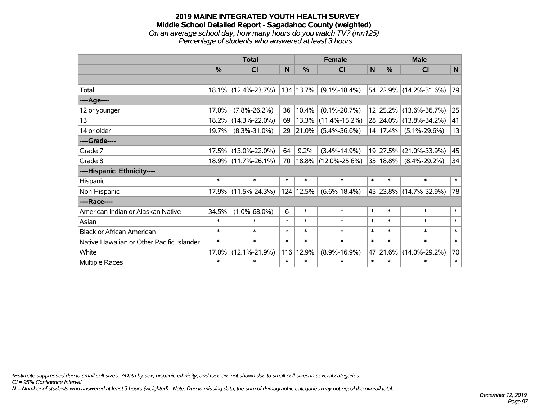#### **2019 MAINE INTEGRATED YOUTH HEALTH SURVEY Middle School Detailed Report - Sagadahoc County (weighted)** *On an average school day, how many hours do you watch TV? (mn125) Percentage of students who answered at least 3 hours*

|                                           | <b>Total</b>  |                     |        |               | <b>Female</b>       |        | <b>Male</b>   |                        |        |  |
|-------------------------------------------|---------------|---------------------|--------|---------------|---------------------|--------|---------------|------------------------|--------|--|
|                                           | $\frac{0}{0}$ | CI                  | N      | $\frac{0}{0}$ | <b>CI</b>           | N      | $\frac{0}{0}$ | <b>CI</b>              | N      |  |
|                                           |               |                     |        |               |                     |        |               |                        |        |  |
| Total                                     |               | 18.1% (12.4%-23.7%) |        | 134 13.7%     | $(9.1\% - 18.4\%)$  |        |               | 54 22.9% (14.2%-31.6%) | 79     |  |
| ----Age----                               |               |                     |        |               |                     |        |               |                        |        |  |
| 12 or younger                             | 17.0%         | $(7.8\% - 26.2\%)$  | 36     | 10.4%         | $(0.1\% - 20.7\%)$  |        |               | 12 25.2% (13.6%-36.7%) | 25     |  |
| 13                                        | 18.2%         | $(14.3\% - 22.0\%)$ | 69     | 13.3%         | $(11.4\% - 15.2\%)$ |        |               | 28 24.0% (13.8%-34.2%) | 41     |  |
| 14 or older                               | 19.7%         | $(8.3\% - 31.0\%)$  | 29     | 21.0%         | $(5.4\% - 36.6\%)$  |        | 14 17.4%      | $(5.1\% - 29.6\%)$     | 13     |  |
| ----Grade----                             |               |                     |        |               |                     |        |               |                        |        |  |
| Grade 7                                   | 17.5%         | $(13.0\% - 22.0\%)$ | 64     | 9.2%          | $(3.4\% - 14.9\%)$  |        | 19 27.5%      | $(21.0\% - 33.9\%)$    | 45     |  |
| Grade 8                                   |               | 18.9% (11.7%-26.1%) | 70     |               | 18.8% (12.0%-25.6%) |        | 35 18.8%      | $(8.4\% - 29.2\%)$     | 34     |  |
| ----Hispanic Ethnicity----                |               |                     |        |               |                     |        |               |                        |        |  |
| Hispanic                                  | $\ast$        | $\ast$              | $\ast$ | $\ast$        | $\ast$              | $\ast$ | $\ast$        | $\ast$                 | $\ast$ |  |
| Non-Hispanic                              |               | 17.9% (11.5%-24.3%) |        | 124 12.5%     | $(6.6\% - 18.4\%)$  |        |               | 45 23.8% (14.7%-32.9%) | 78     |  |
| ----Race----                              |               |                     |        |               |                     |        |               |                        |        |  |
| American Indian or Alaskan Native         | 34.5%         | $(1.0\% - 68.0\%)$  | 6      | $\ast$        | $\ast$              | $\ast$ | $\ast$        | $\ast$                 | $\ast$ |  |
| Asian                                     | $\ast$        | $\ast$              | $\ast$ | $\ast$        | $\ast$              | $\ast$ | $\ast$        | $\ast$                 | $\ast$ |  |
| <b>Black or African American</b>          | $\ast$        | $\ast$              | $\ast$ | $\ast$        | $\ast$              | $\ast$ | $\ast$        | $\ast$                 | $\ast$ |  |
| Native Hawaiian or Other Pacific Islander | $\ast$        | $\ast$              | $\ast$ | $\ast$        | $\ast$              | $\ast$ | $\ast$        | $\ast$                 | $\ast$ |  |
| White                                     | 17.0%         | $(12.1\% - 21.9\%)$ | 116    | 12.9%         | $(8.9\% - 16.9\%)$  | 47     | $ 21.6\% $    | $(14.0\% - 29.2\%)$    | 70     |  |
| <b>Multiple Races</b>                     | $\ast$        | $\ast$              | $\ast$ | $\ast$        | $\ast$              | $\ast$ | $\ast$        | $\ast$                 | $\ast$ |  |

*\*Estimate suppressed due to small cell sizes. ^Data by sex, hispanic ethnicity, and race are not shown due to small cell sizes in several categories.*

*CI = 95% Confidence Interval*

*N = Number of students who answered at least 3 hours (weighted). Note: Due to missing data, the sum of demographic categories may not equal the overall total.*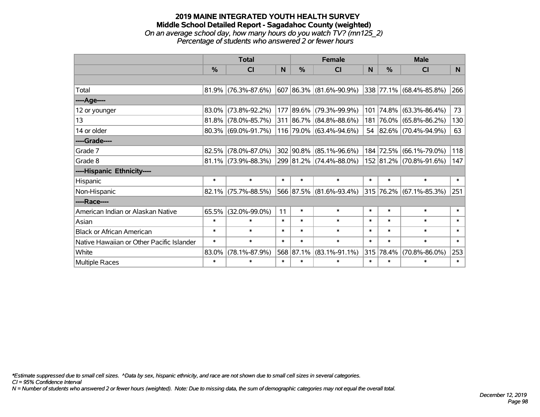#### **2019 MAINE INTEGRATED YOUTH HEALTH SURVEY Middle School Detailed Report - Sagadahoc County (weighted)** *On an average school day, how many hours do you watch TV? (mn125\_2) Percentage of students who answered 2 or fewer hours*

|                                           | <b>Total</b>  |                        |        |           | <b>Female</b>           |          | <b>Male</b> |                                  |                |  |
|-------------------------------------------|---------------|------------------------|--------|-----------|-------------------------|----------|-------------|----------------------------------|----------------|--|
|                                           | $\frac{0}{0}$ | <b>CI</b>              | N.     | $\%$      | <b>CI</b>               | <b>N</b> | $\%$        | <b>CI</b>                        | N <sub>1</sub> |  |
|                                           |               |                        |        |           |                         |          |             |                                  |                |  |
| Total                                     |               | $81.9\%$ (76.3%-87.6%) |        |           | 607 86.3% (81.6%-90.9%) |          |             | $ 338 77.1\%  (68.4\% - 85.8\%)$ | 266            |  |
| ----Age----                               |               |                        |        |           |                         |          |             |                                  |                |  |
| 12 or younger                             | 83.0%         | $(73.8\% - 92.2\%)$    |        |           | 177 89.6% (79.3%-99.9%) | 101      | 74.8%       | $(63.3\% - 86.4\%)$              | 73             |  |
| 13                                        |               | 81.8% (78.0%-85.7%)    |        |           | 311 86.7% (84.8%-88.6%) | 181      |             | 76.0% (65.8%-86.2%)              | 130            |  |
| 14 or older                               |               | $80.3\%$ (69.0%-91.7%) |        |           | 116 79.0% (63.4%-94.6%) |          |             | 54 82.6% (70.4%-94.9%)           | 63             |  |
| ----Grade----                             |               |                        |        |           |                         |          |             |                                  |                |  |
| Grade 7                                   | 82.5%         | $(78.0\% - 87.0\%)$    |        |           | 302 90.8% (85.1%-96.6%) | 184      | 72.5%       | $(66.1\% - 79.0\%)$              | 118            |  |
| Grade 8                                   |               | $81.1\%$ (73.9%-88.3%) |        |           | 299 81.2% (74.4%-88.0%) |          |             | 152 81.2% (70.8%-91.6%)          | 147            |  |
| ----Hispanic Ethnicity----                |               |                        |        |           |                         |          |             |                                  |                |  |
| Hispanic                                  | $\ast$        | $\ast$                 | $\ast$ | $\ast$    | $\ast$                  | $\ast$   | $\ast$      | $\ast$                           | $\ast$         |  |
| Non-Hispanic                              |               | $82.1\%$ (75.7%-88.5%) |        |           | 566 87.5% (81.6%-93.4%) |          |             | $315$ 76.2% (67.1%-85.3%)        | 251            |  |
| ----Race----                              |               |                        |        |           |                         |          |             |                                  |                |  |
| American Indian or Alaskan Native         | 65.5%         | $(32.0\% - 99.0\%)$    | 11     | $\ast$    | $\ast$                  | $\ast$   | $\ast$      | $\ast$                           | $\ast$         |  |
| Asian                                     | $\ast$        | $\ast$                 | $\ast$ | $\ast$    | $\ast$                  | $\ast$   | $\ast$      | $\ast$                           | $\ast$         |  |
| <b>Black or African American</b>          | $\ast$        | $\ast$                 | $\ast$ | $\ast$    | $\ast$                  | $\ast$   | $\ast$      | $\ast$                           | $\ast$         |  |
| Native Hawaiian or Other Pacific Islander | $\ast$        | $\ast$                 | $\ast$ | $\ast$    | $\ast$                  | $\ast$   | $\ast$      | $\ast$                           | $\ast$         |  |
| White                                     | 83.0%         | $(78.1\% - 87.9\%)$    |        | 568 87.1% | $(83.1\% - 91.1\%)$     | 315      | 78.4%       | $(70.8\% - 86.0\%)$              | 253            |  |
| <b>Multiple Races</b>                     | $\ast$        | $\ast$                 | $\ast$ | $\ast$    | $\ast$                  | $\ast$   | $\ast$      | $\ast$                           | $\ast$         |  |

*\*Estimate suppressed due to small cell sizes. ^Data by sex, hispanic ethnicity, and race are not shown due to small cell sizes in several categories.*

*CI = 95% Confidence Interval*

*N = Number of students who answered 2 or fewer hours (weighted). Note: Due to missing data, the sum of demographic categories may not equal the overall total.*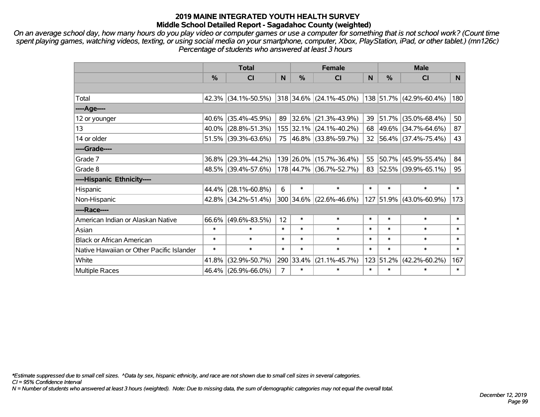*On an average school day, how many hours do you play video or computer games or use a computer for something that is not school work? (Count time spent playing games, watching videos, texting, or using social media on your smartphone, computer, Xbox, PlayStation, iPad, or other tablet.) (mn126c) Percentage of students who answered at least 3 hours*

|                                           | <b>Total</b>  |                        |                |               | <b>Female</b>           |        | <b>Male</b> |                         |        |  |
|-------------------------------------------|---------------|------------------------|----------------|---------------|-------------------------|--------|-------------|-------------------------|--------|--|
|                                           | $\frac{0}{0}$ | CI                     | N              | $\frac{0}{0}$ | CI                      | N      | %           | <b>CI</b>               | N      |  |
|                                           |               |                        |                |               |                         |        |             |                         |        |  |
| Total                                     |               | $42.3\%$ (34.1%-50.5%) |                |               | 318 34.6% (24.1%-45.0%) |        |             | 138 51.7% (42.9%-60.4%) | 180    |  |
| ----Age----                               |               |                        |                |               |                         |        |             |                         |        |  |
| 12 or younger                             |               | 40.6% (35.4%-45.9%)    | 89             | 32.6%         | $(21.3\% - 43.9\%)$     | 39     | 51.7%       | $(35.0\% - 68.4\%)$     | 50     |  |
| 13                                        |               | $40.0\%$ (28.8%-51.3%) |                |               | 155 32.1% (24.1%-40.2%) |        |             | 68 49.6% (34.7%-64.6%)  | 87     |  |
| 14 or older                               |               | $51.5\%$ (39.3%-63.6%) |                |               | 75 46.8% (33.8%-59.7%)  |        |             | 32 56.4% (37.4%-75.4%)  | 43     |  |
| ----Grade----                             |               |                        |                |               |                         |        |             |                         |        |  |
| Grade 7                                   |               | $36.8\%$ (29.3%-44.2%) |                |               | 139 26.0% (15.7%-36.4%) | 55     | 50.7%       | $(45.9\% - 55.4\%)$     | 84     |  |
| Grade 8                                   |               | 48.5% (39.4%-57.6%)    |                |               | 178 44.7% (36.7%-52.7%) |        |             | 83 52.5% (39.9%-65.1%)  | 95     |  |
| ----Hispanic Ethnicity----                |               |                        |                |               |                         |        |             |                         |        |  |
| Hispanic                                  |               | 44.4% (28.1%-60.8%)    | 6              | $\ast$        | $\ast$                  | $\ast$ | $\ast$      | $\ast$                  | $\ast$ |  |
| Non-Hispanic                              |               | 42.8% (34.2%-51.4%)    |                |               | 300 34.6% (22.6%-46.6%) |        | 127 51.9%   | $(43.0\% - 60.9\%)$     | 173    |  |
| ----Race----                              |               |                        |                |               |                         |        |             |                         |        |  |
| American Indian or Alaskan Native         |               | $66.6\%$ (49.6%-83.5%) | 12             | $\ast$        | $\ast$                  | $\ast$ | $\ast$      | $\ast$                  | $\ast$ |  |
| Asian                                     | $\ast$        | $\ast$                 | $\ast$         | $\ast$        | $\ast$                  | $\ast$ | $\ast$      | $\ast$                  | $\ast$ |  |
| <b>Black or African American</b>          | $\ast$        | $\ast$                 | $\ast$         | $\ast$        | $\ast$                  | $\ast$ | $\ast$      | $\ast$                  | $\ast$ |  |
| Native Hawaiian or Other Pacific Islander | $\ast$        | $\ast$                 | $\ast$         | $\ast$        | $\ast$                  | $\ast$ | $\ast$      | $\ast$                  | $\ast$ |  |
| White                                     | 41.8%         | $(32.9\% - 50.7\%)$    |                | 290 33.4%     | $(21.1\% - 45.7\%)$     | 123    | 51.2%       | $(42.2\% - 60.2\%)$     | 167    |  |
| Multiple Races                            |               | 46.4% (26.9%-66.0%)    | $\overline{7}$ | $\ast$        | $\ast$                  | $\ast$ | $\ast$      | $\ast$                  | $\ast$ |  |

*\*Estimate suppressed due to small cell sizes. ^Data by sex, hispanic ethnicity, and race are not shown due to small cell sizes in several categories.*

*CI = 95% Confidence Interval*

*N = Number of students who answered at least 3 hours (weighted). Note: Due to missing data, the sum of demographic categories may not equal the overall total.*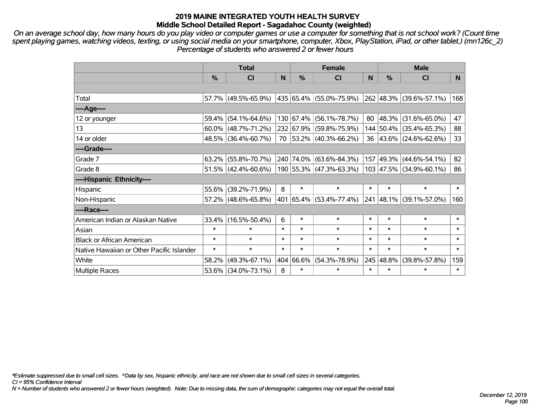*On an average school day, how many hours do you play video or computer games or use a computer for something that is not school work? (Count time spent playing games, watching videos, texting, or using social media on your smartphone, computer, Xbox, PlayStation, iPad, or other tablet.) (mn126c\_2) Percentage of students who answered 2 or fewer hours*

|                                           | <b>Total</b>  |                        |        | <b>Female</b> | <b>Male</b>                      |        |           |                              |        |
|-------------------------------------------|---------------|------------------------|--------|---------------|----------------------------------|--------|-----------|------------------------------|--------|
|                                           | $\frac{0}{0}$ | <b>CI</b>              | N      | $\frac{0}{0}$ | <b>CI</b>                        | N      | %         | <b>CI</b>                    | N.     |
|                                           |               |                        |        |               |                                  |        |           |                              |        |
| Total                                     |               | 57.7% (49.5%-65.9%)    |        |               | $ 435 65.4\%  (55.0\% - 75.9\%)$ |        |           | $ 262 48.3\% $ (39.6%-57.1%) | 168    |
| ----Age----                               |               |                        |        |               |                                  |        |           |                              |        |
| 12 or younger                             |               | $59.4\%$ (54.1%-64.6%) |        |               | 130 67.4% (56.1%-78.7%)          | 80     |           | $ 48.3\% $ (31.6%-65.0%)     | 47     |
| 13                                        |               | $60.0\%$ (48.7%-71.2%) |        |               | 232 67.9% (59.8%-75.9%)          |        |           | 144 50.4% (35.4%-65.3%)      | 88     |
| 14 or older                               |               | 48.5% (36.4%-60.7%)    |        |               | 70 53.2% (40.3%-66.2%)           |        |           | 36 43.6% (24.6%-62.6%)       | 33     |
| ----Grade----                             |               |                        |        |               |                                  |        |           |                              |        |
| Grade 7                                   |               | $63.2\%$ (55.8%-70.7%) |        |               | 240 74.0% (63.6%-84.3%)          |        | 157 49.3% | $(44.6\% - 54.1\%)$          | 82     |
| Grade 8                                   |               | $51.5\%$ (42.4%-60.6%) |        |               | 190 55.3% (47.3%-63.3%)          |        |           | 103 47.5% (34.9%-60.1%)      | 86     |
| ----Hispanic Ethnicity----                |               |                        |        |               |                                  |        |           |                              |        |
| Hispanic                                  |               | 55.6% (39.2%-71.9%)    | 8      | $\ast$        | $\ast$                           | $\ast$ | $\ast$    | $\ast$                       | $\ast$ |
| Non-Hispanic                              |               | $57.2\%$ (48.6%-65.8%) |        |               | 401 65.4% (53.4%-77.4%)          |        |           | 241 48.1% (39.1%-57.0%)      | 160    |
| ----Race----                              |               |                        |        |               |                                  |        |           |                              |        |
| American Indian or Alaskan Native         |               | 33.4% (16.5%-50.4%)    | 6      | $\ast$        | $\ast$                           | $\ast$ | $\ast$    | $\ast$                       | $\ast$ |
| Asian                                     | $\ast$        | $\ast$                 | $\ast$ | $\ast$        | $\ast$                           | $\ast$ | $\ast$    | $\ast$                       | $\ast$ |
| <b>Black or African American</b>          | $\ast$        | $\ast$                 | $\ast$ | $\ast$        | $\ast$                           | $\ast$ | $\ast$    | $\ast$                       | $\ast$ |
| Native Hawaiian or Other Pacific Islander | $\ast$        | $\ast$                 | $\ast$ | $\ast$        | $\ast$                           | $\ast$ | $\ast$    | $\ast$                       | $\ast$ |
| White                                     | 58.2%         | $(49.3\% - 67.1\%)$    |        | 404 66.6%     | $(54.3\% - 78.9\%)$              | 245    | 48.8%     | $(39.8\% - 57.8\%)$          | 159    |
| Multiple Races                            |               | 53.6% (34.0%-73.1%)    | 8      | $\ast$        | $\ast$                           | $\ast$ | $\ast$    | $\ast$                       | $\ast$ |

*\*Estimate suppressed due to small cell sizes. ^Data by sex, hispanic ethnicity, and race are not shown due to small cell sizes in several categories.*

*CI = 95% Confidence Interval*

*N = Number of students who answered 2 or fewer hours (weighted). Note: Due to missing data, the sum of demographic categories may not equal the overall total.*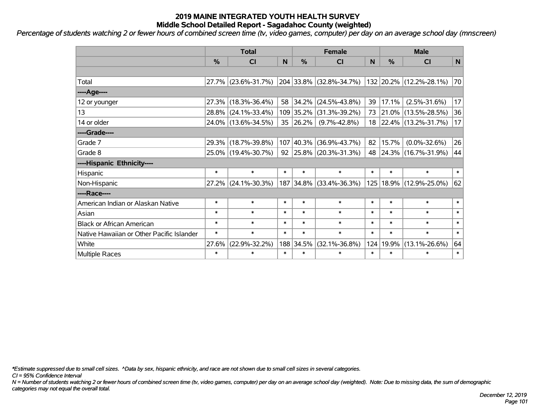*Percentage of students watching 2 or fewer hours of combined screen time (tv, video games, computer) per day on an average school day (mnscreen)*

|                                           | <b>Total</b>  |                     |        |               | <b>Female</b>            | <b>Male</b> |        |                          |        |
|-------------------------------------------|---------------|---------------------|--------|---------------|--------------------------|-------------|--------|--------------------------|--------|
|                                           | $\frac{0}{0}$ | CI                  | N      | $\frac{0}{0}$ | <b>CI</b>                | N           | %      | <b>CI</b>                | N      |
|                                           |               |                     |        |               |                          |             |        |                          |        |
| Total                                     | 27.7%         | $(23.6\% - 31.7\%)$ |        | 204 33.8%     | $(32.8\% - 34.7\%)$      |             |        | 132 20.2% (12.2%-28.1%)  | 70     |
| ----Age----                               |               |                     |        |               |                          |             |        |                          |        |
| 12 or younger                             | 27.3%         | $(18.3\% - 36.4\%)$ | 58     | 34.2%         | $(24.5\% - 43.8\%)$      | 39          | 17.1%  | $(2.5\% - 31.6\%)$       | 17     |
| 13                                        | 28.8%         | $(24.1\% - 33.4\%)$ |        | 109 35.2%     | $(31.3\% - 39.2\%)$      | 73          |        | $ 21.0\% $ (13.5%-28.5%) | 36     |
| 14 or older                               |               | 24.0% (13.6%-34.5%) | 35     | 26.2%         | $(9.7\% - 42.8\%)$       |             |        | 18 22.4% (13.2%-31.7%)   | 17     |
| ----Grade----                             |               |                     |        |               |                          |             |        |                          |        |
| Grade 7                                   | 29.3%         | $(18.7\% - 39.8\%)$ | 107    | 40.3%         | $(36.9\% - 43.7\%)$      | 82          | 15.7%  | $(0.0\% - 32.6\%)$       | 26     |
| Grade 8                                   |               | 25.0% (19.4%-30.7%) | 92     |               | $ 25.8\% $ (20.3%-31.3%) |             |        | 48 24.3% (16.7%-31.9%)   | 44     |
| ----Hispanic Ethnicity----                |               |                     |        |               |                          |             |        |                          |        |
| Hispanic                                  | $\ast$        | $\ast$              | $\ast$ | $\ast$        | $\ast$                   | $\ast$      | $\ast$ | $\ast$                   | $\ast$ |
| Non-Hispanic                              | 27.2%         | $(24.1\% - 30.3\%)$ |        | 187 34.8%     | $(33.4\% - 36.3\%)$      | 125         |        | $18.9\%$ (12.9%-25.0%)   | 62     |
| ----Race----                              |               |                     |        |               |                          |             |        |                          |        |
| American Indian or Alaskan Native         | $\ast$        | $\ast$              | $\ast$ | $\ast$        | $\ast$                   | $\ast$      | $\ast$ | $\ast$                   | $\ast$ |
| Asian                                     | $\ast$        | $\ast$              | $\ast$ | $\ast$        | $\ast$                   | $\ast$      | $\ast$ | $\ast$                   | $\ast$ |
| <b>Black or African American</b>          | $\ast$        | $\ast$              | $\ast$ | $\ast$        | $\ast$                   | $\ast$      | $\ast$ | $\ast$                   | $\ast$ |
| Native Hawaiian or Other Pacific Islander | $\ast$        | $\ast$              | $\ast$ | $\ast$        | $\ast$                   | $\ast$      | $\ast$ | $\ast$                   | $\ast$ |
| White                                     | 27.6%         | $(22.9\% - 32.2\%)$ |        | 188 34.5%     | $(32.1\% - 36.8\%)$      | 124         | 19.9%  | $(13.1\% - 26.6\%)$      | 64     |
| <b>Multiple Races</b>                     | $\ast$        | $\ast$              | $\ast$ | $\ast$        | $\ast$                   | $\ast$      | $\ast$ | $\ast$                   | $\ast$ |

*\*Estimate suppressed due to small cell sizes. ^Data by sex, hispanic ethnicity, and race are not shown due to small cell sizes in several categories.*

*CI = 95% Confidence Interval*

*N = Number of students watching 2 or fewer hours of combined screen time (tv, video games, computer) per day on an average school day (weighted). Note: Due to missing data, the sum of demographic categories may not equal the overall total.*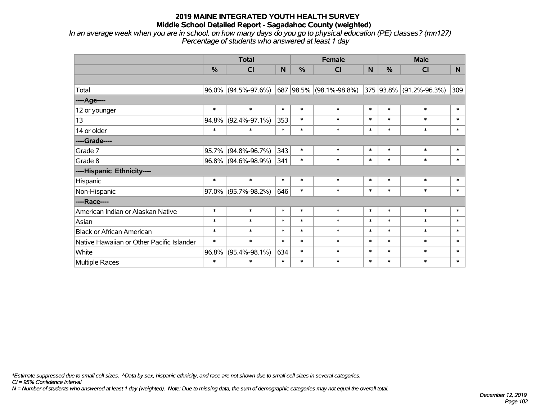*In an average week when you are in school, on how many days do you go to physical education (PE) classes? (mn127) Percentage of students who answered at least 1 day*

|                                           | <b>Total</b>  |                        |              |               | <b>Female</b>               |        | <b>Male</b> |                         |          |  |
|-------------------------------------------|---------------|------------------------|--------------|---------------|-----------------------------|--------|-------------|-------------------------|----------|--|
|                                           | $\frac{0}{0}$ | CI                     | $\mathsf{N}$ | $\frac{9}{6}$ | C <sub>l</sub>              | N      | %           | <b>CI</b>               | <b>N</b> |  |
|                                           |               |                        |              |               |                             |        |             |                         |          |  |
| Total                                     |               | $96.0\%$ (94.5%-97.6%) |              |               | 687   98.5%   (98.1%-98.8%) |        |             | 375 93.8% (91.2%-96.3%) | 309      |  |
| ----Age----                               |               |                        |              |               |                             |        |             |                         |          |  |
| 12 or younger                             | $\ast$        | $\ast$                 | $\ast$       | $\ast$        | $\ast$                      | $\ast$ | $\ast$      | $\ast$                  | $\ast$   |  |
| 13                                        | 94.8%         | $(92.4\% - 97.1\%)$    | 353          | $\ast$        | $\ast$                      | $\ast$ | $\ast$      | $\ast$                  | $\ast$   |  |
| 14 or older                               | $\ast$        | $\ast$                 | $\ast$       | $\ast$        | $\ast$                      | $\ast$ | $\ast$      | $\ast$                  | $\ast$   |  |
| ----Grade----                             |               |                        |              |               |                             |        |             |                         |          |  |
| Grade 7                                   | 95.7%         | $(94.8\% - 96.7\%)$    | 343          | $\ast$        | $\ast$                      | $\ast$ | $\ast$      | $\ast$                  | $\ast$   |  |
| Grade 8                                   |               | 96.8% (94.6%-98.9%)    | 341          | $\ast$        | $\ast$                      | $\ast$ | $\ast$      | $\ast$                  | $\ast$   |  |
| ----Hispanic Ethnicity----                |               |                        |              |               |                             |        |             |                         |          |  |
| Hispanic                                  | $\ast$        | $\ast$                 | $\ast$       | $\ast$        | $\ast$                      | $\ast$ | $\ast$      | $\ast$                  | $\ast$   |  |
| Non-Hispanic                              |               | 97.0% (95.7%-98.2%)    | 646          | $\ast$        | $\ast$                      | $\ast$ | $\ast$      | $\ast$                  | $\ast$   |  |
| ----Race----                              |               |                        |              |               |                             |        |             |                         |          |  |
| American Indian or Alaskan Native         | $\ast$        | $\ast$                 | $\ast$       | $\ast$        | $\ast$                      | $\ast$ | $\ast$      | $\ast$                  | $\ast$   |  |
| Asian                                     | $\ast$        | $\ast$                 | $\ast$       | $\ast$        | $\ast$                      | $\ast$ | $\ast$      | $\ast$                  | $\ast$   |  |
| <b>Black or African American</b>          | $\ast$        | $\ast$                 | $\ast$       | $\ast$        | $\ast$                      | $\ast$ | $\ast$      | $\ast$                  | $\ast$   |  |
| Native Hawaiian or Other Pacific Islander | $\ast$        | $\ast$                 | $\ast$       | $\ast$        | $\ast$                      | $\ast$ | $\ast$      | $\ast$                  | $\ast$   |  |
| White                                     | 96.8%         | $(95.4\% - 98.1\%)$    | 634          | $\ast$        | $\ast$                      | $\ast$ | $\ast$      | $\ast$                  | $\ast$   |  |
| Multiple Races                            | $\ast$        | $\ast$                 | $\ast$       | $\ast$        | $\ast$                      | $\ast$ | $\ast$      | $\ast$                  | $\ast$   |  |

*\*Estimate suppressed due to small cell sizes. ^Data by sex, hispanic ethnicity, and race are not shown due to small cell sizes in several categories.*

*CI = 95% Confidence Interval*

*N = Number of students who answered at least 1 day (weighted). Note: Due to missing data, the sum of demographic categories may not equal the overall total.*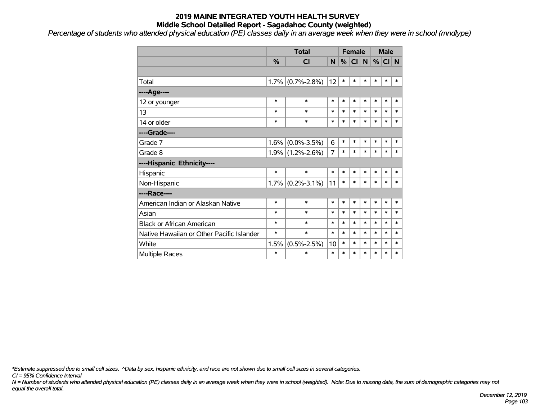*Percentage of students who attended physical education (PE) classes daily in an average week when they were in school (mndlype) '*

|                                           |               | <b>Total</b>      |        | <b>Female</b> |           |        | <b>Male</b> |        |        |
|-------------------------------------------|---------------|-------------------|--------|---------------|-----------|--------|-------------|--------|--------|
|                                           | $\frac{0}{0}$ | <b>CI</b>         | N.     | %             | <b>CI</b> | N.     | %           | $CI$ N |        |
|                                           |               |                   |        |               |           |        |             |        |        |
| Total                                     | 1.7%          | $(0.7\% - 2.8\%)$ | 12     | $\ast$        | $\ast$    | $\ast$ | $\ast$      | $\ast$ | $\ast$ |
| ---- Age----                              |               |                   |        |               |           |        |             |        |        |
| 12 or younger                             | $\ast$        | $\ast$            | $\ast$ | $\ast$        | $\ast$    | $\ast$ | $\ast$      | $\ast$ | $\ast$ |
| 13                                        | $\ast$        | $\ast$            | $\ast$ | $\ast$        | $\ast$    | $\ast$ | $\ast$      | $\ast$ | $\ast$ |
| 14 or older                               | $\ast$        | $\ast$            | $\ast$ | $\ast$        | $\ast$    | $\ast$ | $\ast$      | $\ast$ | $\ast$ |
| ----Grade----                             |               |                   |        |               |           |        |             |        |        |
| Grade 7                                   | 1.6%          | $(0.0\% - 3.5\%)$ | 6      | $\ast$        | $\ast$    | $\ast$ | $\ast$      | $\ast$ | $\ast$ |
| Grade 8                                   | 1.9%          | $(1.2\% - 2.6\%)$ | 7      | $\ast$        | $\ast$    | $\ast$ | $\ast$      | $\ast$ | $\ast$ |
| ----Hispanic Ethnicity----                |               |                   |        |               |           |        |             |        |        |
| Hispanic                                  | $\ast$        | $\ast$            | $\ast$ | $\ast$        | $\ast$    | $\ast$ | *           | $\ast$ | $\ast$ |
| Non-Hispanic                              | 1.7%          | $(0.2\% - 3.1\%)$ | 11     | $\ast$        | $\ast$    | $\ast$ | $\ast$      | $\ast$ | $\ast$ |
| ----Race----                              |               |                   |        |               |           |        |             |        |        |
| American Indian or Alaskan Native         | $\ast$        | $\ast$            | $\ast$ | $\ast$        | $\ast$    | $\ast$ | $\ast$      | $\ast$ | $\ast$ |
| Asian                                     | $\ast$        | $\ast$            | $\ast$ | $\ast$        | $\ast$    | $\ast$ | $\ast$      | $\ast$ | $\ast$ |
| <b>Black or African American</b>          | $\ast$        | $\ast$            | $\ast$ | $\ast$        | $\ast$    | $\ast$ | $\ast$      | $\ast$ | $\ast$ |
| Native Hawaiian or Other Pacific Islander | $\ast$        | $\ast$            | $\ast$ | $\ast$        | $\ast$    | $\ast$ | $\ast$      | $\ast$ | $\ast$ |
| White                                     | 1.5%          | $(0.5\% - 2.5\%)$ | 10     | $\ast$        | $\ast$    | $\ast$ | $\ast$      | $\ast$ | $\ast$ |
| <b>Multiple Races</b>                     | $\ast$        | $\ast$            | $\ast$ | $\ast$        | $\ast$    | $\ast$ | $\ast$      | $\ast$ | $\ast$ |

*\*Estimate suppressed due to small cell sizes. ^Data by sex, hispanic ethnicity, and race are not shown due to small cell sizes in several categories.*

*CI = 95% Confidence Interval*

*N = Number of students who attended physical education (PE) classes daily in an average week when they were in school (weighted). Note: Due to missing data, the sum of demographic categories may not equal the overall total.*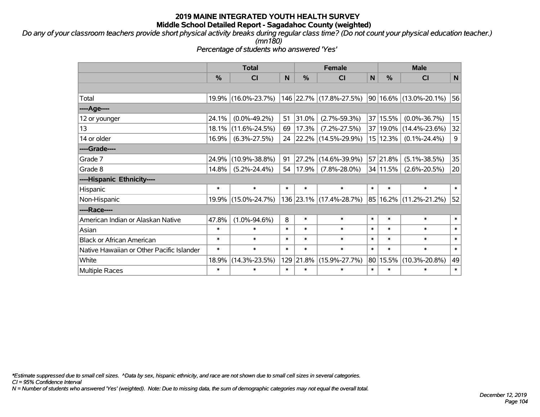*Do any of your classroom teachers provide short physical activity breaks during regular class time? (Do not count your physical education teacher.) (mn180)*

*Percentage of students who answered 'Yes'*

|                                           | <b>Total</b>  |                     |        |        | <b>Female</b>            |        |          | <b>Male</b>                |             |  |  |
|-------------------------------------------|---------------|---------------------|--------|--------|--------------------------|--------|----------|----------------------------|-------------|--|--|
|                                           | $\frac{0}{0}$ | <b>CI</b>           | N      | %      | <b>CI</b>                | N      | %        | <b>CI</b>                  | N           |  |  |
|                                           |               |                     |        |        |                          |        |          |                            |             |  |  |
| Total                                     |               | 19.9% (16.0%-23.7%) |        |        | 146 22.7% (17.8%-27.5%)  |        |          | $90 16.6\% $ (13.0%-20.1%) | 56          |  |  |
| ----Age----                               |               |                     |        |        |                          |        |          |                            |             |  |  |
| 12 or younger                             | 24.1%         | $(0.0\% - 49.2\%)$  | 51     | 31.0%  | $(2.7\% - 59.3\%)$       |        | 37 15.5% | $(0.0\% - 36.7\%)$         | 15          |  |  |
| 13                                        | 18.1%         | $(11.6\% - 24.5\%)$ | 69     | 17.3%  | $(7.2\% - 27.5\%)$       |        | 37 19.0% | $(14.4\% - 23.6\%)$        | 32          |  |  |
| 14 or older                               | 16.9%         | $(6.3\% - 27.5\%)$  | 24     |        | $ 22.2\% $ (14.5%-29.9%) |        | 15 12.3% | $(0.1\% - 24.4\%)$         | $\mathsf 9$ |  |  |
| ----Grade----                             |               |                     |        |        |                          |        |          |                            |             |  |  |
| Grade 7                                   | 24.9%         | $(10.9\% - 38.8\%)$ | 91     | 27.2%  | $(14.6\% - 39.9\%)$      |        | 57 21.8% | $(5.1\% - 38.5\%)$         | 35          |  |  |
| Grade 8                                   | 14.8%         | $(5.2\% - 24.4\%)$  | 54     | 17.9%  | $(7.8\% - 28.0\%)$       |        | 34 11.5% | $(2.6\% - 20.5\%)$         | 20          |  |  |
| ----Hispanic Ethnicity----                |               |                     |        |        |                          |        |          |                            |             |  |  |
| Hispanic                                  | $\ast$        | $\ast$              | $\ast$ | $\ast$ | $\ast$                   | $\ast$ | $\ast$   | $\ast$                     | $\ast$      |  |  |
| Non-Hispanic                              |               | 19.9% (15.0%-24.7%) |        |        | 136 23.1% (17.4%-28.7%)  |        |          | 85   16.2%   (11.2%-21.2%) | 52          |  |  |
| ----Race----                              |               |                     |        |        |                          |        |          |                            |             |  |  |
| American Indian or Alaskan Native         | 47.8%         | $(1.0\% - 94.6\%)$  | 8      | $\ast$ | $\ast$                   | $\ast$ | $\ast$   | $\ast$                     | $\ast$      |  |  |
| Asian                                     | $\ast$        | $\ast$              | $\ast$ | $\ast$ | $\ast$                   | $\ast$ | $\ast$   | $\ast$                     | $\ast$      |  |  |
| <b>Black or African American</b>          | $\ast$        | $\ast$              | $\ast$ | $\ast$ | $\ast$                   | $\ast$ | $\ast$   | $\ast$                     | $\ast$      |  |  |
| Native Hawaiian or Other Pacific Islander | $\ast$        | $\ast$              | $\ast$ | $\ast$ | $\ast$                   | $\ast$ | $\ast$   | $\ast$                     | $\ast$      |  |  |
| White                                     | 18.9%         | $(14.3\% - 23.5\%)$ | 129    | 21.8%  | $(15.9\% - 27.7\%)$      |        | 80 15.5% | $(10.3\% - 20.8\%)$        | 49          |  |  |
| <b>Multiple Races</b>                     | $\ast$        | $\ast$              | $\ast$ | $\ast$ | $\ast$                   | $\ast$ | $\ast$   | $\ast$                     | $\ast$      |  |  |

*\*Estimate suppressed due to small cell sizes. ^Data by sex, hispanic ethnicity, and race are not shown due to small cell sizes in several categories.*

*CI = 95% Confidence Interval*

*N = Number of students who answered 'Yes' (weighted). Note: Due to missing data, the sum of demographic categories may not equal the overall total.*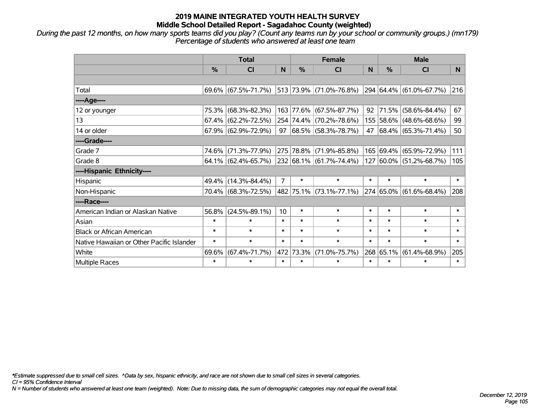*During the past 12 months, on how many sports teams did you play? (Count any teams run by your school or community groups.) (mn179) Percentage of students who answered at least one team*

|                                           | <b>Total</b>  |                                                |                 |           | <b>Female</b>                     | <b>Male</b> |                |                              |        |
|-------------------------------------------|---------------|------------------------------------------------|-----------------|-----------|-----------------------------------|-------------|----------------|------------------------------|--------|
|                                           | $\frac{0}{0}$ | <b>CI</b>                                      | N               | %         | <b>CI</b>                         | N           | $\frac{0}{0}$  | <b>CI</b>                    | N.     |
|                                           |               |                                                |                 |           |                                   |             |                |                              |        |
| Total                                     |               | $69.6\%$ (67.5%-71.7%) 513 73.9% (71.0%-76.8%) |                 |           |                                   |             |                | 294 64.4% (61.0%-67.7%)      | 216    |
| ----Age----                               |               |                                                |                 |           |                                   |             |                |                              |        |
| 12 or younger                             | 75.3%         | $(68.3\% - 82.3\%)$                            |                 |           | 163 77.6% (67.5%-87.7%)           | 92          | 71.5%          | $(58.6\% - 84.4\%)$          | 67     |
| 13                                        |               | $67.4\%$ (62.2%-72.5%)                         |                 |           | 254 74.4% (70.2%-78.6%)           |             |                | 155 58.6% (48.6%-68.6%)      | 99     |
| 14 or older                               |               | 67.9% (62.9%-72.9%)                            |                 |           | $97   68.5\%   (58.3\% - 78.7\%)$ | 47          |                | $ 68.4\%  (65.3\% - 71.4\%)$ | 50     |
| ----Grade----                             |               |                                                |                 |           |                                   |             |                |                              |        |
| Grade 7                                   | 74.6%         | $(71.3\% - 77.9\%)$                            |                 |           | 275 78.8% (71.9%-85.8%)           |             | 165 69.4%      | $(65.9\% - 72.9\%)$          | 111    |
| Grade 8                                   |               | $64.1\%$ (62.4%-65.7%)                         |                 |           | $ 232 68.1\%  (61.7\% - 74.4\%)$  |             |                | 127 60.0% (51.2%-68.7%)      | 105    |
| ----Hispanic Ethnicity----                |               |                                                |                 |           |                                   |             |                |                              |        |
| Hispanic                                  | 49.4%         | $(14.3\% - 84.4\%)$                            | $\overline{7}$  | $\ast$    | $\ast$                            | $\ast$      | $\ast$         | $\ast$                       | $\ast$ |
| Non-Hispanic                              |               | 70.4% (68.3%-72.5%)                            |                 |           | 482 75.1% (73.1%-77.1%)           |             | $ 274 65.0\% $ | $(61.6\% - 68.4\%)$          | 208    |
| ----Race----                              |               |                                                |                 |           |                                   |             |                |                              |        |
| American Indian or Alaskan Native         | 56.8%         | $(24.5\% - 89.1\%)$                            | 10 <sup>°</sup> | $\ast$    | $\ast$                            | $\ast$      | $\ast$         | $\ast$                       | $\ast$ |
| Asian                                     | $\ast$        | $\ast$                                         | $\ast$          | $\ast$    | $\ast$                            | $\ast$      | $\ast$         | $\ast$                       | $\ast$ |
| <b>Black or African American</b>          | $\ast$        | $\ast$                                         | $\ast$          | $\ast$    | $\ast$                            | $\ast$      | $\ast$         | $\ast$                       | $\ast$ |
| Native Hawaiian or Other Pacific Islander | $\ast$        | $\ast$                                         | $\ast$          | $\ast$    | $\ast$                            | $\ast$      | $\ast$         | $\ast$                       | $\ast$ |
| White                                     | 69.6%         | $(67.4\% - 71.7\%)$                            |                 | 472 73.3% | $(71.0\% - 75.7\%)$               |             | 268 65.1%      | $(61.4\% - 68.9\%)$          | 205    |
| Multiple Races                            | $\ast$        | $\ast$                                         | $\ast$          | $\ast$    | $\ast$                            | $\ast$      | $\ast$         | $\ast$                       | $\ast$ |

*\*Estimate suppressed due to small cell sizes. ^Data by sex, hispanic ethnicity, and race are not shown due to small cell sizes in several categories.*

*CI = 95% Confidence Interval*

*N = Number of students who answered at least one team (weighted). Note: Due to missing data, the sum of demographic categories may not equal the overall total.*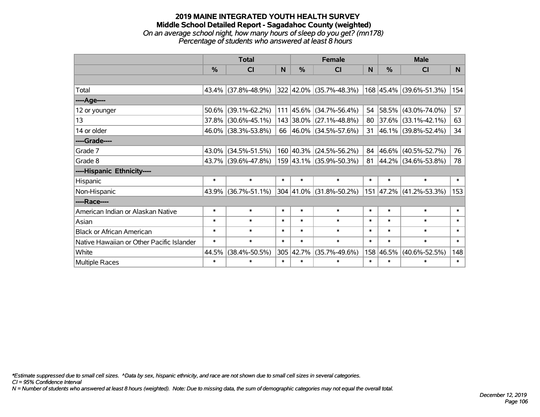### **2019 MAINE INTEGRATED YOUTH HEALTH SURVEY Middle School Detailed Report - Sagadahoc County (weighted)** *On an average school night, how many hours of sleep do you get? (mn178) Percentage of students who answered at least 8 hours*

|                                           | <b>Total</b>  |                     |        |               | <b>Female</b>             | <b>Male</b> |        |                         |          |
|-------------------------------------------|---------------|---------------------|--------|---------------|---------------------------|-------------|--------|-------------------------|----------|
|                                           | $\frac{0}{0}$ | CI                  | N      | $\frac{0}{0}$ | CI                        | N           | %      | <b>CI</b>               | <b>N</b> |
|                                           |               |                     |        |               |                           |             |        |                         |          |
| Total                                     |               | 43.4% (37.8%-48.9%) |        |               | 322 42.0% (35.7%-48.3%)   |             |        | 168 45.4% (39.6%-51.3%) | 154      |
| ----Age----                               |               |                     |        |               |                           |             |        |                         |          |
| 12 or younger                             | 50.6%         | $(39.1\% - 62.2\%)$ |        | 111 45.6%     | $(34.7\% - 56.4\%)$       | 54          |        | 58.5% (43.0%-74.0%)     | 57       |
| 13                                        |               | 37.8% (30.6%-45.1%) |        |               | 143 38.0% (27.1%-48.8%)   | 80          |        | $37.6\%$ (33.1%-42.1%)  | 63       |
| 14 or older                               |               | 46.0% (38.3%-53.8%) |        |               | 66 46.0% (34.5%-57.6%)    | 31          |        | 46.1% (39.8%-52.4%)     | 34       |
| ----Grade----                             |               |                     |        |               |                           |             |        |                         |          |
| Grade 7                                   | 43.0%         | $(34.5\% - 51.5\%)$ |        |               | $160$ 40.3% (24.5%-56.2%) | 84          |        | 46.6% (40.5%-52.7%)     | 76       |
| Grade 8                                   |               | 43.7% (39.6%-47.8%) |        |               | 159 43.1% (35.9%-50.3%)   | 81          |        | 44.2% (34.6%-53.8%)     | 78       |
| ----Hispanic Ethnicity----                |               |                     |        |               |                           |             |        |                         |          |
| Hispanic                                  | $\ast$        | $\ast$              | $\ast$ | $\ast$        | $\ast$                    | $\ast$      | $\ast$ | $\ast$                  | $\ast$   |
| Non-Hispanic                              |               | 43.9% (36.7%-51.1%) |        | 304 41.0%     | $(31.8\% - 50.2\%)$       | 151         |        | 47.2%   (41.2%-53.3%)   | 153      |
| ----Race----                              |               |                     |        |               |                           |             |        |                         |          |
| American Indian or Alaskan Native         | $\ast$        | $\ast$              | $\ast$ | $\ast$        | $\ast$                    | $\ast$      | $\ast$ | $\ast$                  | $\ast$   |
| Asian                                     | $\ast$        | $\ast$              | $\ast$ | $\ast$        | $\ast$                    | $\ast$      | $\ast$ | $\ast$                  | $\ast$   |
| <b>Black or African American</b>          | $\ast$        | $\ast$              | $\ast$ | $\ast$        | $\ast$                    | $\ast$      | $\ast$ | $\ast$                  | $\ast$   |
| Native Hawaiian or Other Pacific Islander | $\ast$        | $\ast$              | $\ast$ | $\ast$        | $\ast$                    | $\ast$      | $\ast$ | $\ast$                  | $\ast$   |
| White                                     | 44.5%         | $(38.4\% - 50.5\%)$ | 305    | 42.7%         | $(35.7\% - 49.6\%)$       | 158         | 46.5%  | $(40.6\% - 52.5\%)$     | 148      |
| Multiple Races                            | $\ast$        | $\ast$              | $\ast$ | $\ast$        | $\ast$                    | $\ast$      | $\ast$ | $\ast$                  | $\ast$   |

*\*Estimate suppressed due to small cell sizes. ^Data by sex, hispanic ethnicity, and race are not shown due to small cell sizes in several categories.*

*CI = 95% Confidence Interval*

*N = Number of students who answered at least 8 hours (weighted). Note: Due to missing data, the sum of demographic categories may not equal the overall total.*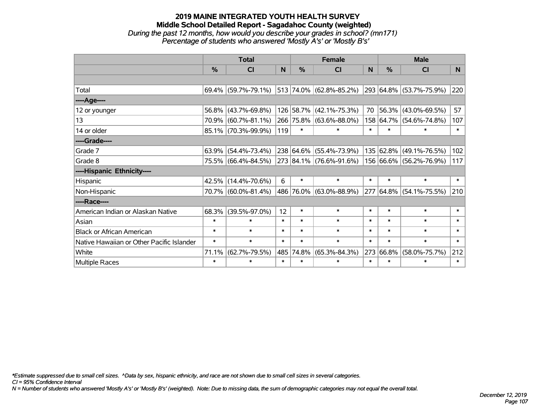### **2019 MAINE INTEGRATED YOUTH HEALTH SURVEY Middle School Detailed Report - Sagadahoc County (weighted)** *During the past 12 months, how would you describe your grades in school? (mn171) Percentage of students who answered 'Mostly A's' or 'Mostly B's'*

|                                           | <b>Total</b>  |                                                |        |           | <b>Female</b>           | <b>Male</b> |           |                         |              |
|-------------------------------------------|---------------|------------------------------------------------|--------|-----------|-------------------------|-------------|-----------|-------------------------|--------------|
|                                           | $\frac{0}{0}$ | CI                                             | N      | %         | CI                      | N           | %         | <b>CI</b>               | N            |
|                                           |               |                                                |        |           |                         |             |           |                         |              |
| Total                                     |               | $69.4\%$ (59.7%-79.1%) 513 74.0% (62.8%-85.2%) |        |           |                         |             |           | 293 64.8% (53.7%-75.9%) | 220          |
| ----Age----                               |               |                                                |        |           |                         |             |           |                         |              |
| 12 or younger                             |               | 56.8% (43.7%-69.8%)                            |        |           | 126 58.7% (42.1%-75.3%) | 70          | 56.3%     | $(43.0\% - 69.5\%)$     | 57           |
| 13                                        | 70.9%         | $(60.7\% - 81.1\%)$                            |        |           | 266 75.8% (63.6%-88.0%) |             | 158 64.7% | $(54.6\% - 74.8\%)$     | 107          |
| 14 or older                               |               | 85.1% (70.3%-99.9%)                            | 119    | $\ast$    | $\ast$                  | $\ast$      | $\ast$    | *                       | $\ast$       |
| ----Grade----                             |               |                                                |        |           |                         |             |           |                         |              |
| Grade 7                                   | 63.9%         | $(54.4\% - 73.4\%)$                            |        |           | 238 64.6% (55.4%-73.9%) |             | 135 62.8% | $(49.1\% - 76.5\%)$     | 102          |
| Grade 8                                   |               | 75.5% (66.4%-84.5%)                            |        |           | 273 84.1% (76.6%-91.6%) |             |           | 156 66.6% (56.2%-76.9%) | 117          |
| ----Hispanic Ethnicity----                |               |                                                |        |           |                         |             |           |                         |              |
| Hispanic                                  | 42.5%         | $(14.4\% - 70.6\%)$                            | 6      | $\ast$    | $\ast$                  | $\ast$      | $\ast$    | $\ast$                  | $\ast$       |
| Non-Hispanic                              |               | 70.7% (60.0%-81.4%)                            |        |           | 486 76.0% (63.0%-88.9%) |             |           | 277 64.8% (54.1%-75.5%) | 210          |
| ----Race----                              |               |                                                |        |           |                         |             |           |                         |              |
| American Indian or Alaskan Native         | 68.3%         | $(39.5\% - 97.0\%)$                            | 12     | $\ast$    | $\ast$                  | $\ast$      | $\ast$    | $\ast$                  | $\ast$       |
| Asian                                     | $\ast$        | $\ast$                                         | $\ast$ | $\ast$    | $\ast$                  | $\ast$      | $\ast$    | $\ast$                  | $\ast$       |
| <b>Black or African American</b>          | $\ast$        | $\ast$                                         | $\ast$ | $\ast$    | $\ast$                  | $\ast$      | $\ast$    | $\ast$                  | $\ast$       |
| Native Hawaiian or Other Pacific Islander | $\ast$        | $\ast$                                         | $\ast$ | $\ast$    | $\ast$                  | $\ast$      | $\ast$    | $\ast$                  | $\pmb{\ast}$ |
| White                                     | 71.1%         | $(62.7\% - 79.5\%)$                            |        | 485 74.8% | $(65.3\% - 84.3\%)$     | 273         | 66.8%     | $(58.0\% - 75.7\%)$     | 212          |
| <b>Multiple Races</b>                     | $\ast$        | $\ast$                                         | $\ast$ | $\ast$    | $\ast$                  | $\ast$      | $\ast$    | $\ast$                  | $\ast$       |

*\*Estimate suppressed due to small cell sizes. ^Data by sex, hispanic ethnicity, and race are not shown due to small cell sizes in several categories.*

*CI = 95% Confidence Interval*

*N = Number of students who answered 'Mostly A's' or 'Mostly B's' (weighted). Note: Due to missing data, the sum of demographic categories may not equal the overall total.*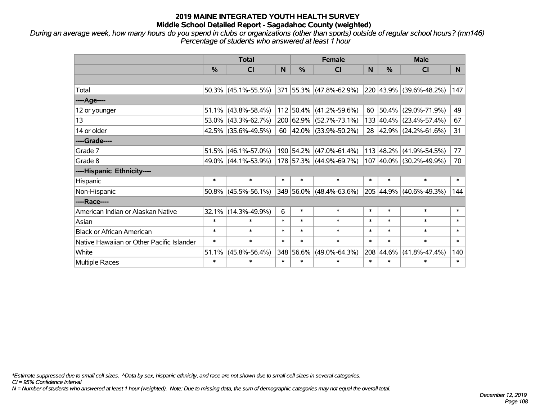*During an average week, how many hours do you spend in clubs or organizations (other than sports) outside of regular school hours? (mn146) Percentage of students who answered at least 1 hour*

|                                           | <b>Total</b>  |                                                |        |           | <b>Female</b>               | <b>Male</b> |               |                              |                |
|-------------------------------------------|---------------|------------------------------------------------|--------|-----------|-----------------------------|-------------|---------------|------------------------------|----------------|
|                                           | $\frac{0}{0}$ | <b>CI</b>                                      | N      | %         | <b>CI</b>                   | N           | $\frac{0}{0}$ | <b>CI</b>                    | N <sub>1</sub> |
|                                           |               |                                                |        |           |                             |             |               |                              |                |
| Total                                     |               | $50.3\%$ (45.1%-55.5%) 371 55.3% (47.8%-62.9%) |        |           |                             |             |               | $ 220 43.9\% $ (39.6%-48.2%) | 147            |
| ----Age----                               |               |                                                |        |           |                             |             |               |                              |                |
| 12 or younger                             | 51.1%         | $(43.8\% - 58.4\%)$                            |        |           | 112 50.4% (41.2%-59.6%)     | 60          | 50.4%         | $(29.0\% - 71.9\%)$          | 49             |
| 13                                        |               | 53.0% (43.3%-62.7%)                            |        |           | 200 62.9% (52.7%-73.1%)     |             |               | 133 40.4% (23.4%-57.4%)      | 67             |
| 14 or older                               |               | 42.5% (35.6%-49.5%)                            |        |           | 60 $ 42.0\% $ (33.9%-50.2%) |             |               | 28 42.9% (24.2%-61.6%)       | 31             |
| ----Grade----                             |               |                                                |        |           |                             |             |               |                              |                |
| Grade 7                                   | 51.5%         | $(46.1\% - 57.0\%)$                            |        |           | 190 54.2% (47.0%-61.4%)     |             | 113 48.2%     | $(41.9\% - 54.5\%)$          | 77             |
| Grade 8                                   |               | 49.0% (44.1%-53.9%)                            |        |           | 178 57.3% (44.9%-69.7%)     |             |               | 107 40.0% (30.2%-49.9%)      | 70             |
| ----Hispanic Ethnicity----                |               |                                                |        |           |                             |             |               |                              |                |
| Hispanic                                  | $\ast$        | $\ast$                                         | $\ast$ | $\ast$    | $\ast$                      | $\ast$      | $\ast$        | $\ast$                       | $\ast$         |
| Non-Hispanic                              |               | $50.8\%$ (45.5%-56.1%)                         |        |           | 349 56.0% (48.4%-63.6%)     |             | 205 44.9%     | $(40.6\% - 49.3\%)$          | 144            |
| ----Race----                              |               |                                                |        |           |                             |             |               |                              |                |
| American Indian or Alaskan Native         | 32.1%         | $(14.3\% - 49.9\%)$                            | 6      | $\ast$    | $\ast$                      | $\ast$      | $\ast$        | $\ast$                       | $\ast$         |
| Asian                                     | $\ast$        | $\ast$                                         | $\ast$ | $\ast$    | $\ast$                      | $\ast$      | $\ast$        | $\ast$                       | $\ast$         |
| <b>Black or African American</b>          | $\ast$        | $\ast$                                         | $\ast$ | $\ast$    | $\ast$                      | $\ast$      | $\ast$        | $\ast$                       | $\ast$         |
| Native Hawaiian or Other Pacific Islander | $\ast$        | $\ast$                                         | $\ast$ | $\ast$    | $\ast$                      | $\ast$      | $\ast$        | $\ast$                       | $\ast$         |
| White                                     | 51.1%         | $(45.8\% - 56.4\%)$                            |        | 348 56.6% | $(49.0\% - 64.3\%)$         | 208         | 44.6%         | $(41.8\% - 47.4\%)$          | 140            |
| Multiple Races                            | $\ast$        | $\ast$                                         | $\ast$ | $\ast$    | $\ast$                      | $\ast$      | $\ast$        | $\ast$                       | $\ast$         |

*\*Estimate suppressed due to small cell sizes. ^Data by sex, hispanic ethnicity, and race are not shown due to small cell sizes in several categories.*

*CI = 95% Confidence Interval*

*N = Number of students who answered at least 1 hour (weighted). Note: Due to missing data, the sum of demographic categories may not equal the overall total.*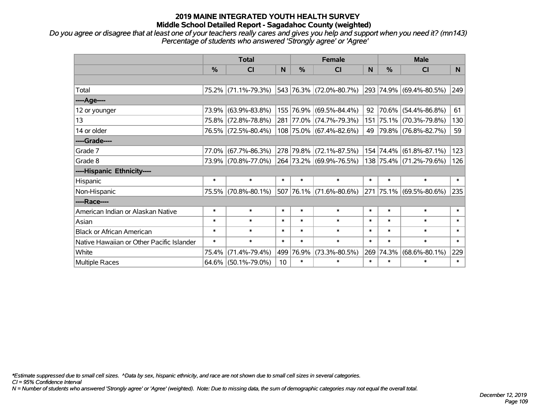### **2019 MAINE INTEGRATED YOUTH HEALTH SURVEY Middle School Detailed Report - Sagadahoc County (weighted)**

*Do you agree or disagree that at least one of your teachers really cares and gives you help and support when you need it? (mn143) Percentage of students who answered 'Strongly agree' or 'Agree'*

|                                           | <b>Total</b>  |                     |        | <b>Female</b> |                         |        | <b>Male</b> |                         |        |
|-------------------------------------------|---------------|---------------------|--------|---------------|-------------------------|--------|-------------|-------------------------|--------|
|                                           | $\frac{0}{0}$ | CI                  | N      | $\%$          | CI                      | N      | %           | <b>CI</b>               | N.     |
|                                           |               |                     |        |               |                         |        |             |                         |        |
| Total                                     |               | 75.2% (71.1%-79.3%) |        |               | 543 76.3% (72.0%-80.7%) |        |             | 293 74.9% (69.4%-80.5%) | 249    |
| ----Age----                               |               |                     |        |               |                         |        |             |                         |        |
| 12 or younger                             | 73.9%         | $(63.9\% - 83.8\%)$ |        |               | 155 76.9% (69.5%-84.4%) | 92     | 70.6%       | $(54.4\% - 86.8\%)$     | 61     |
| 13                                        |               | 75.8% (72.8%-78.8%) |        |               | 281 77.0% (74.7%-79.3%) |        |             | 151 75.1% (70.3%-79.8%) | 130    |
| 14 or older                               |               | 76.5% (72.5%-80.4%) |        |               | 108 75.0% (67.4%-82.6%) | 49     |             | 79.8% (76.8%-82.7%)     | 59     |
| ----Grade----                             |               |                     |        |               |                         |        |             |                         |        |
| Grade 7                                   | 77.0%         | $(67.7\% - 86.3\%)$ |        |               | 278 79.8% (72.1%-87.5%) | 154    |             | 74.4% (61.8%-87.1%)     | 123    |
| Grade 8                                   |               | 73.9% (70.8%-77.0%) |        |               | 264 73.2% (69.9%-76.5%) |        |             | 138 75.4% (71.2%-79.6%) | 126    |
| ----Hispanic Ethnicity----                |               |                     |        |               |                         |        |             |                         |        |
| Hispanic                                  | $\ast$        | $\ast$              | $\ast$ | $\ast$        | $\ast$                  | $\ast$ | $\ast$      | $\ast$                  | $\ast$ |
| Non-Hispanic                              |               | 75.5% (70.8%-80.1%) |        |               | 507 76.1% (71.6%-80.6%) |        |             | 271 75.1% (69.5%-80.6%) | 235    |
| ----Race----                              |               |                     |        |               |                         |        |             |                         |        |
| American Indian or Alaskan Native         | $\ast$        | $\ast$              | $\ast$ | $\ast$        | $\ast$                  | $\ast$ | $\ast$      | $\ast$                  | $\ast$ |
| Asian                                     | $\ast$        | $\ast$              | $\ast$ | $\ast$        | $\ast$                  | $\ast$ | $\ast$      | $\ast$                  | $\ast$ |
| <b>Black or African American</b>          | $\ast$        | $\ast$              | $\ast$ | $\ast$        | $\ast$                  | $\ast$ | $\ast$      | $\ast$                  | $\ast$ |
| Native Hawaiian or Other Pacific Islander | $\ast$        | $\ast$              | $\ast$ | $\ast$        | $\ast$                  | $\ast$ | $\ast$      | $\ast$                  | $\ast$ |
| White                                     | 75.4%         | $(71.4\% - 79.4\%)$ | 499    | 76.9%         | $(73.3\% - 80.5\%)$     | 269    | 74.3%       | $(68.6\% - 80.1\%)$     | 229    |
| Multiple Races                            |               | 64.6% (50.1%-79.0%) | 10     | $\ast$        | $\ast$                  | $\ast$ | $\ast$      | *                       | $\ast$ |

*\*Estimate suppressed due to small cell sizes. ^Data by sex, hispanic ethnicity, and race are not shown due to small cell sizes in several categories.*

*CI = 95% Confidence Interval*

*N = Number of students who answered 'Strongly agree' or 'Agree' (weighted). Note: Due to missing data, the sum of demographic categories may not equal the overall total.*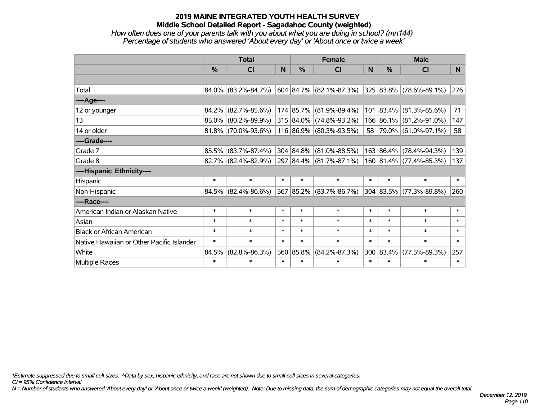### **2019 MAINE INTEGRATED YOUTH HEALTH SURVEY Middle School Detailed Report - Sagadahoc County (weighted)**

# *How often does one of your parents talk with you about what you are doing in school? (mn144) Percentage of students who answered 'About every day' or 'About once or twice a week'*

|                                           | <b>Total</b>  |                        |        | <b>Female</b> |                               |        | <b>Male</b> |                         |        |
|-------------------------------------------|---------------|------------------------|--------|---------------|-------------------------------|--------|-------------|-------------------------|--------|
|                                           | $\frac{0}{0}$ | C <sub>l</sub>         | N      | $\%$          | CI                            | N      | %           | <b>CI</b>               | N.     |
|                                           |               |                        |        |               |                               |        |             |                         |        |
| Total                                     |               | $84.0\%$ (83.2%-84.7%) |        |               | $604 84.7\%  (82.1\%–87.3\%)$ |        |             | 325 83.8% (78.6%-89.1%) | 276    |
| ----Age----                               |               |                        |        |               |                               |        |             |                         |        |
| 12 or younger                             | 84.2%         | $(82.7\% - 85.6\%)$    |        |               | 174 85.7% (81.9%-89.4%)       |        | 101 83.4%   | $(81.3\% - 85.6\%)$     | 71     |
| 13                                        |               | 85.0% (80.2%-89.9%)    |        |               | 315 84.0% (74.8%-93.2%)       |        |             | 166 86.1% (81.2%-91.0%) | 147    |
| 14 or older                               |               | 81.8% (70.0%-93.6%)    |        |               | 116 86.9% (80.3%-93.5%)       |        |             | 58 79.0% (61.0%-97.1%)  | 58     |
| ----Grade----                             |               |                        |        |               |                               |        |             |                         |        |
| Grade 7                                   | 85.5%         | $(83.7\% - 87.4\%)$    |        |               | 304 84.8% (81.0%-88.5%)       |        | 163 86.4%   | $(78.4\% - 94.3\%)$     | 139    |
| Grade 8                                   |               | 82.7% (82.4%-82.9%)    |        |               | 297 84.4% (81.7%-87.1%)       |        |             | 160 81.4% (77.4%-85.3%) | 137    |
| ----Hispanic Ethnicity----                |               |                        |        |               |                               |        |             |                         |        |
| Hispanic                                  | $\ast$        | $\ast$                 | $\ast$ | $\ast$        | $\ast$                        | $\ast$ | $\ast$      | $\ast$                  | $\ast$ |
| Non-Hispanic                              |               | $84.5\%$ (82.4%-86.6%) |        |               | 567 85.2% (83.7%-86.7%)       |        | 304 83.5%   | $(77.3\% - 89.8\%)$     | 260    |
| ----Race----                              |               |                        |        |               |                               |        |             |                         |        |
| American Indian or Alaskan Native         | $\ast$        | $\ast$                 | $\ast$ | $\ast$        | $\ast$                        | $\ast$ | $\ast$      | $\ast$                  | $\ast$ |
| Asian                                     | $\ast$        | $\ast$                 | $\ast$ | $\ast$        | $\ast$                        | $\ast$ | $\ast$      | $\ast$                  | $\ast$ |
| <b>Black or African American</b>          | $\ast$        | $\ast$                 | $\ast$ | $\ast$        | $\ast$                        | $\ast$ | $\ast$      | $\ast$                  | $\ast$ |
| Native Hawaiian or Other Pacific Islander | $\ast$        | $\ast$                 | $\ast$ | $\ast$        | $\ast$                        | $\ast$ | $\ast$      | $\ast$                  | $\ast$ |
| White                                     | 84.5%         | $(82.8\% - 86.3\%)$    |        | 560 85.8%     | $(84.2\% - 87.3\%)$           |        | 300 83.4%   | $(77.5\% - 89.3\%)$     | 257    |
| <b>Multiple Races</b>                     | $\ast$        | $\ast$                 | $\ast$ | $\ast$        | $\ast$                        | $\ast$ | $\ast$      | $\ast$                  | $\ast$ |

*\*Estimate suppressed due to small cell sizes. ^Data by sex, hispanic ethnicity, and race are not shown due to small cell sizes in several categories.*

*CI = 95% Confidence Interval*

*N = Number of students who answered 'About every day' or 'About once or twice a week' (weighted). Note: Due to missing data, the sum of demographic categories may not equal the overall total.*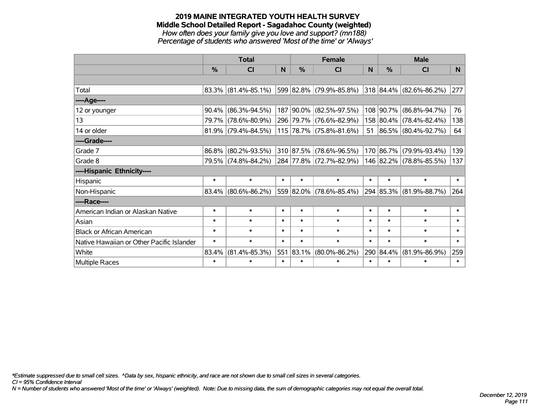#### **2019 MAINE INTEGRATED YOUTH HEALTH SURVEY Middle School Detailed Report - Sagadahoc County (weighted)** *How often does your family give you love and support? (mn188) Percentage of students who answered 'Most of the time' or 'Always'*

|                                           | <b>Total</b>  |                        |        | <b>Female</b> |                         |        | <b>Male</b> |                          |        |
|-------------------------------------------|---------------|------------------------|--------|---------------|-------------------------|--------|-------------|--------------------------|--------|
|                                           | $\frac{0}{0}$ | CI                     | N      | $\frac{0}{0}$ | CI                      | N      | %           | <b>CI</b>                | N      |
|                                           |               |                        |        |               |                         |        |             |                          |        |
| Total                                     |               | $83.3\%$ (81.4%-85.1%) |        |               | 599 82.8% (79.9%-85.8%) |        |             | 318 84.4% (82.6%-86.2%)  | 277    |
| ----Age----                               |               |                        |        |               |                         |        |             |                          |        |
| 12 or younger                             | 90.4%         | $(86.3\% - 94.5\%)$    |        |               | 187 90.0% (82.5%-97.5%) |        | 108 90.7%   | $(86.8\% - 94.7\%)$      | 76     |
| 13                                        | 79.7%         | $(78.6\% - 80.9\%)$    |        |               | 296 79.7% (76.6%-82.9%) |        |             | 158 80.4% (78.4%-82.4%)  | 138    |
| 14 or older                               |               | $81.9\%$ (79.4%-84.5%) |        |               | 115 78.7% (75.8%-81.6%) | 51     |             | $ 86.5\% $ (80.4%-92.7%) | 64     |
| ----Grade----                             |               |                        |        |               |                         |        |             |                          |        |
| Grade 7                                   | 86.8%         | $(80.2\% - 93.5\%)$    |        |               | 310 87.5% (78.6%-96.5%) |        | 170 86.7%   | $(79.9\% - 93.4\%)$      | 139    |
| Grade 8                                   |               | 79.5% (74.8%-84.2%)    |        |               | 284 77.8% (72.7%-82.9%) |        |             | 146 82.2% (78.8%-85.5%)  | 137    |
| ----Hispanic Ethnicity----                |               |                        |        |               |                         |        |             |                          |        |
| Hispanic                                  | $\ast$        | $\ast$                 | $\ast$ | $\ast$        | $\ast$                  | $\ast$ | $\ast$      | $\ast$                   | $\ast$ |
| Non-Hispanic                              |               | $83.4\%$ (80.6%-86.2%) |        |               | 559 82.0% (78.6%-85.4%) |        | 294 85.3%   | $(81.9\% - 88.7\%)$      | 264    |
| ----Race----                              |               |                        |        |               |                         |        |             |                          |        |
| American Indian or Alaskan Native         | $\ast$        | $\ast$                 | $\ast$ | $\ast$        | $\ast$                  | $\ast$ | $\ast$      | $\ast$                   | $\ast$ |
| Asian                                     | $\ast$        | $\ast$                 | $\ast$ | $\ast$        | $\ast$                  | $\ast$ | $\ast$      | $\ast$                   | $\ast$ |
| <b>Black or African American</b>          | $\ast$        | $\ast$                 | $\ast$ | $\ast$        | $\ast$                  | $\ast$ | $\ast$      | $\ast$                   | $\ast$ |
| Native Hawaiian or Other Pacific Islander | $\ast$        | $\ast$                 | $\ast$ | $\ast$        | $\ast$                  | $\ast$ | $\ast$      | $\ast$                   | $\ast$ |
| White                                     | 83.4%         | $(81.4\% - 85.3\%)$    | 551    | 83.1%         | $(80.0\% - 86.2\%)$     | 290    | 84.4%       | $(81.9\% - 86.9\%)$      | 259    |
| <b>Multiple Races</b>                     | $\ast$        | $\ast$                 | $\ast$ | $\ast$        | $\ast$                  | $\ast$ | $\ast$      | $\ast$                   | $\ast$ |

*\*Estimate suppressed due to small cell sizes. ^Data by sex, hispanic ethnicity, and race are not shown due to small cell sizes in several categories.*

*CI = 95% Confidence Interval*

*N = Number of students who answered 'Most of the time' or 'Always' (weighted). Note: Due to missing data, the sum of demographic categories may not equal the overall total.*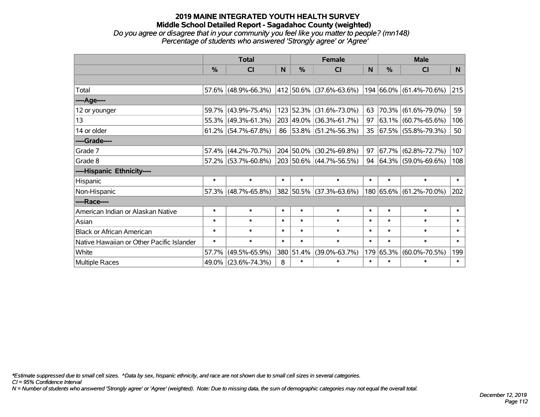#### **2019 MAINE INTEGRATED YOUTH HEALTH SURVEY Middle School Detailed Report - Sagadahoc County (weighted)** *Do you agree or disagree that in your community you feel like you matter to people? (mn148) Percentage of students who answered 'Strongly agree' or 'Agree'*

|                                           | <b>Total</b>  |                        |        | <b>Female</b> |                              |        | <b>Male</b>   |                              |        |
|-------------------------------------------|---------------|------------------------|--------|---------------|------------------------------|--------|---------------|------------------------------|--------|
|                                           | $\frac{0}{0}$ | C <sub>l</sub>         | N      | $\frac{0}{0}$ | <b>CI</b>                    | N      | $\frac{0}{0}$ | <b>CI</b>                    | N.     |
|                                           |               |                        |        |               |                              |        |               |                              |        |
| Total                                     |               | $57.6\%$ (48.9%-66.3%) |        |               | $ 412 50.6\% $ (37.6%-63.6%) |        |               | 194 66.0% (61.4%-70.6%)      | 215    |
| ----Age----                               |               |                        |        |               |                              |        |               |                              |        |
| 12 or younger                             | 59.7%         | $(43.9\% - 75.4\%)$    |        | 123 52.3%     | $(31.6\% - 73.0\%)$          | 63     |               | 70.3% (61.6%-79.0%)          | 59     |
| 13                                        |               | 55.3% (49.3%-61.3%)    |        |               | 203 49.0% (36.3%-61.7%)      | 97     |               | $ 63.1\%  (60.7\% - 65.6\%)$ | 106    |
| 14 or older                               |               | $61.2\%$ (54.7%-67.8%) |        |               | 86 53.8% (51.2%-56.3%)       |        |               | 35 67.5% (55.8%-79.3%)       | 50     |
| ----Grade----                             |               |                        |        |               |                              |        |               |                              |        |
| Grade 7                                   | 57.4%         | $(44.2\% - 70.7\%)$    |        |               | 204 50.0% (30.2%-69.8%)      | 97     | 67.7%         | $(62.8\% - 72.7\%)$          | 107    |
| Grade 8                                   |               | 57.2% (53.7%-60.8%)    |        |               | 203 50.6% (44.7%-56.5%)      |        |               | 94 64.3% (59.0%-69.6%)       | 108    |
| ----Hispanic Ethnicity----                |               |                        |        |               |                              |        |               |                              |        |
| Hispanic                                  | $\ast$        | $\ast$                 | $\ast$ | $\ast$        | $\ast$                       | $\ast$ | $\ast$        | $\ast$                       | $\ast$ |
| Non-Hispanic                              | 57.3%         | $(48.7\% - 65.8\%)$    |        |               | 382 50.5% (37.3%-63.6%)      |        |               | 180 65.6% (61.2%-70.0%)      | 202    |
| ----Race----                              |               |                        |        |               |                              |        |               |                              |        |
| American Indian or Alaskan Native         | $\ast$        | $\ast$                 | $\ast$ | $\ast$        | $\ast$                       | $\ast$ | $\ast$        | $\ast$                       | $\ast$ |
| Asian                                     | $\ast$        | $\ast$                 | $\ast$ | $\ast$        | $\ast$                       | $\ast$ | $\ast$        | $\ast$                       | $\ast$ |
| <b>Black or African American</b>          | $\ast$        | $\ast$                 | $\ast$ | $\ast$        | $\ast$                       | $\ast$ | $\ast$        | $\ast$                       | $\ast$ |
| Native Hawaiian or Other Pacific Islander | $\ast$        | $\ast$                 | $\ast$ | $\ast$        | $\ast$                       | $\ast$ | $\ast$        | $\ast$                       | $\ast$ |
| White                                     | 57.7%         | $(49.5\% - 65.9\%)$    | 380    | 51.4%         | $(39.0\% - 63.7\%)$          | 179    | 65.3%         | $(60.0\% - 70.5\%)$          | 199    |
| <b>Multiple Races</b>                     |               | 49.0% (23.6%-74.3%)    | 8      | $\ast$        | $\ast$                       | $\ast$ | $\ast$        | $\ast$                       | $\ast$ |

*\*Estimate suppressed due to small cell sizes. ^Data by sex, hispanic ethnicity, and race are not shown due to small cell sizes in several categories.*

*CI = 95% Confidence Interval*

*N = Number of students who answered 'Strongly agree' or 'Agree' (weighted). Note: Due to missing data, the sum of demographic categories may not equal the overall total.*